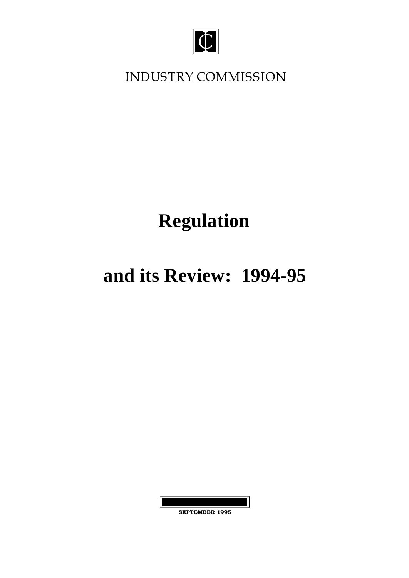

**INDUSTRY COMMISSION**

# **Regulation**

# **and its Review: 1994-95**

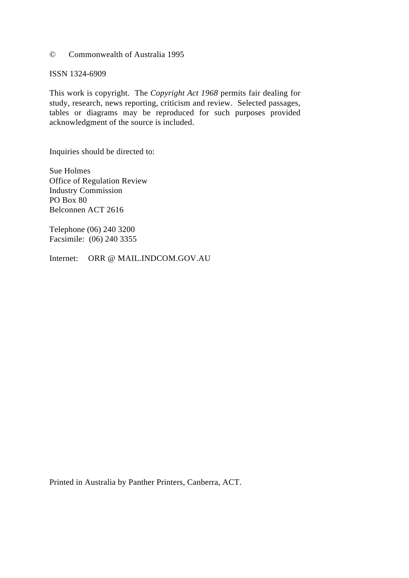#### © Commonwealth of Australia 1995

ISSN 1324-6909

This work is copyright. The *Copyright Act 1968* permits fair dealing for study, research, news reporting, criticism and review. Selected passages, tables or diagrams may be reproduced for such purposes provided acknowledgment of the source is included.

Inquiries should be directed to:

Sue Holmes Office of Regulation Review Industry Commission PO Box 80 Belconnen ACT 2616

Telephone (06) 240 3200 Facsimile: (06) 240 3355

Internet: ORR @ MAIL.INDCOM.GOV.AU

Printed in Australia by Panther Printers, Canberra, ACT.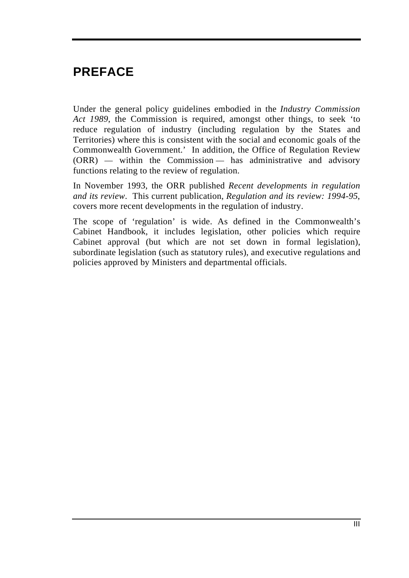# **PREFACE**

Under the general policy guidelines embodied in the *Industry Commission Act 1989*, the Commission is required, amongst other things, to seek 'to reduce regulation of industry (including regulation by the States and Territories) where this is consistent with the social and economic goals of the Commonwealth Government.' In addition, the Office of Regulation Review (ORR) — within the Commission — has administrative and advisory functions relating to the review of regulation.

In November 1993, the ORR published *Recent developments in regulation and its review*. This current publication, *Regulation and its review: 1994-95*, covers more recent developments in the regulation of industry.

The scope of 'regulation' is wide. As defined in the Commonwealth's Cabinet Handbook, it includes legislation, other policies which require Cabinet approval (but which are not set down in formal legislation), subordinate legislation (such as statutory rules), and executive regulations and policies approved by Ministers and departmental officials.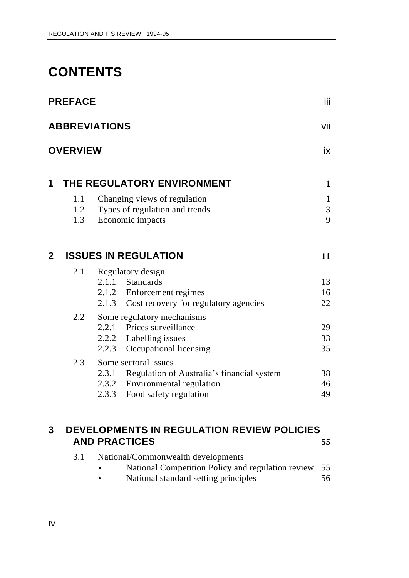# **CONTENTS**

|                | <b>PREFACE</b>    |                                                                                                                                            | Ϊij                    |
|----------------|-------------------|--------------------------------------------------------------------------------------------------------------------------------------------|------------------------|
|                |                   | <b>ABBREVIATIONS</b>                                                                                                                       | vii                    |
|                | <b>OVERVIEW</b>   |                                                                                                                                            | iх                     |
| 1              |                   | THE REGULATORY ENVIRONMENT                                                                                                                 | $\mathbf{1}$           |
|                | 1.1<br>1.2<br>1.3 | Changing views of regulation<br>Types of regulation and trends<br>Economic impacts                                                         | $\mathbf{1}$<br>3<br>9 |
| $\overline{2}$ |                   | <b>ISSUES IN REGULATION</b>                                                                                                                | 11                     |
|                | 2.1               | Regulatory design<br>2.1.1 Standards<br>2.1.2 Enforcement regimes<br>2.1.3<br>Cost recovery for regulatory agencies                        | 13<br>16<br>22         |
|                | 2.2               | Some regulatory mechanisms<br>2.2.1 Prices surveillance<br>2.2.2 Labelling issues<br>Occupational licensing<br>2.2.3                       | 29<br>33<br>35         |
|                | 2.3               | Some sectoral issues<br>2.3.1 Regulation of Australia's financial system<br>2.3.2 Environmental regulation<br>2.3.3 Food safety regulation | 38<br>46<br>49         |
| 3              |                   | DEVELOPMENTS IN REGULATION REVIEW POLICIES<br><b>AND PRACTICES</b>                                                                         | 55                     |

| 3.1 | National/Commonwealth developments                   |     |
|-----|------------------------------------------------------|-----|
|     | National Competition Policy and regulation review 55 |     |
|     | Notional standard sotting principles                 | 56. |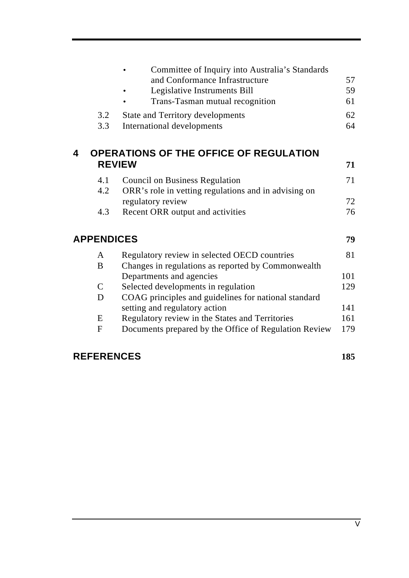|   |                   | Committee of Inquiry into Australia's Standards<br>and Conformance Infrastructure<br>Legislative Instruments Bill<br>Trans-Tasman mutual recognition | 57<br>59<br>61 |
|---|-------------------|------------------------------------------------------------------------------------------------------------------------------------------------------|----------------|
|   | 3.2<br>3.3        | State and Territory developments<br>International developments                                                                                       | 62<br>64       |
| 4 |                   | <b>OPERATIONS OF THE OFFICE OF REGULATION</b><br><b>REVIEW</b>                                                                                       | 71             |
|   | 4.1<br>4.2        | <b>Council on Business Regulation</b><br>ORR's role in vetting regulations and in advising on                                                        | 71             |
|   | 4.3               | regulatory review<br>Recent ORR output and activities                                                                                                | 72<br>76       |
|   | <b>APPENDICES</b> |                                                                                                                                                      | 79             |
|   | A                 | Regulatory review in selected OECD countries                                                                                                         | 81             |
|   | B                 | Changes in regulations as reported by Commonwealth                                                                                                   |                |
|   |                   | Departments and agencies                                                                                                                             | 101            |
|   | $\mathcal{C}$     | Selected developments in regulation                                                                                                                  | 129            |
|   | D                 | COAG principles and guidelines for national standard                                                                                                 |                |
|   |                   | setting and regulatory action                                                                                                                        | 141            |
|   | E                 | Regulatory review in the States and Territories                                                                                                      | 161            |
|   | $\mathbf F$       | Documents prepared by the Office of Regulation Review                                                                                                | 179            |
|   |                   |                                                                                                                                                      |                |

# **REFERENCES 185**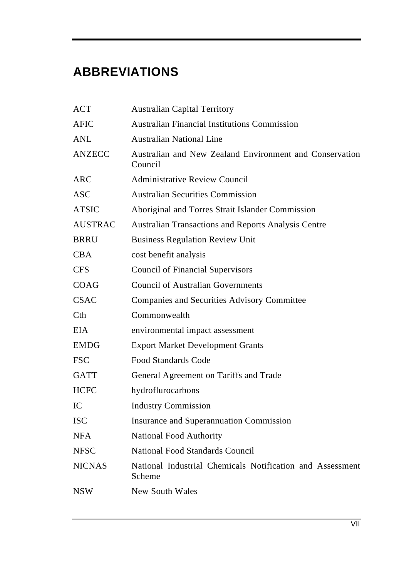# **ABBREVIATIONS**

| <b>ACT</b>     | <b>Australian Capital Territory</b>                                 |
|----------------|---------------------------------------------------------------------|
| <b>AFIC</b>    | <b>Australian Financial Institutions Commission</b>                 |
| <b>ANL</b>     | <b>Australian National Line</b>                                     |
| <b>ANZECC</b>  | Australian and New Zealand Environment and Conservation<br>Council  |
| <b>ARC</b>     | <b>Administrative Review Council</b>                                |
| <b>ASC</b>     | <b>Australian Securities Commission</b>                             |
| <b>ATSIC</b>   | Aboriginal and Torres Strait Islander Commission                    |
| <b>AUSTRAC</b> | <b>Australian Transactions and Reports Analysis Centre</b>          |
| <b>BRRU</b>    | <b>Business Regulation Review Unit</b>                              |
| <b>CBA</b>     | cost benefit analysis                                               |
| <b>CFS</b>     | <b>Council of Financial Supervisors</b>                             |
| COAG           | <b>Council of Australian Governments</b>                            |
| <b>CSAC</b>    | <b>Companies and Securities Advisory Committee</b>                  |
| Cth            | Commonwealth                                                        |
| <b>EIA</b>     | environmental impact assessment                                     |
| <b>EMDG</b>    | <b>Export Market Development Grants</b>                             |
| <b>FSC</b>     | <b>Food Standards Code</b>                                          |
| <b>GATT</b>    | General Agreement on Tariffs and Trade                              |
| <b>HCFC</b>    | hydroflurocarbons                                                   |
| IC             | <b>Industry Commission</b>                                          |
| <b>ISC</b>     | <b>Insurance and Superannuation Commission</b>                      |
| <b>NFA</b>     | <b>National Food Authority</b>                                      |
| <b>NFSC</b>    | <b>National Food Standards Council</b>                              |
| <b>NICNAS</b>  | National Industrial Chemicals Notification and Assessment<br>Scheme |
| <b>NSW</b>     | <b>New South Wales</b>                                              |
|                |                                                                     |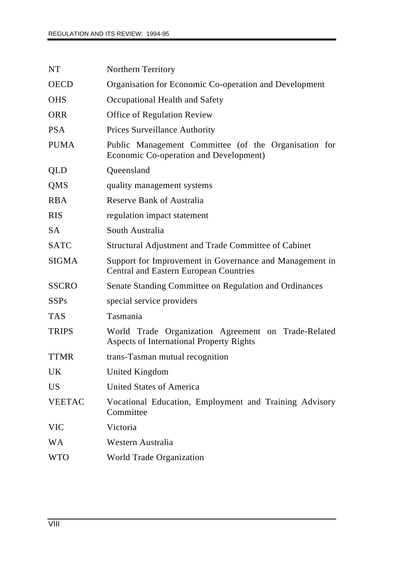| NT              | <b>Northern Territory</b>                                                                                |
|-----------------|----------------------------------------------------------------------------------------------------------|
| <b>OECD</b>     | Organisation for Economic Co-operation and Development                                                   |
| <b>OHS</b>      | Occupational Health and Safety                                                                           |
| <b>ORR</b>      | <b>Office of Regulation Review</b>                                                                       |
| <b>PSA</b>      | <b>Prices Surveillance Authority</b>                                                                     |
| <b>PUMA</b>     | Public Management Committee (of the Organisation for<br>Economic Co-operation and Development)           |
| QLD             | Queensland                                                                                               |
| QMS             | quality management systems                                                                               |
| <b>RBA</b>      | <b>Reserve Bank of Australia</b>                                                                         |
| <b>RIS</b>      | regulation impact statement                                                                              |
| <b>SA</b>       | South Australia                                                                                          |
| <b>SATC</b>     | Structural Adjustment and Trade Committee of Cabinet                                                     |
| <b>SIGMA</b>    | Support for Improvement in Governance and Management in<br><b>Central and Eastern European Countries</b> |
| <b>SSCRO</b>    | Senate Standing Committee on Regulation and Ordinances                                                   |
| <b>SSPs</b>     | special service providers                                                                                |
| <b>TAS</b>      | Tasmania                                                                                                 |
| <b>TRIPS</b>    | World Trade Organization Agreement on Trade-Related<br><b>Aspects of International Property Rights</b>   |
| <b>TTMR</b>     | trans-Tasman mutual recognition                                                                          |
| <b>UK</b>       | United Kingdom                                                                                           |
| US <sup>1</sup> | <b>United States of America</b>                                                                          |
| <b>VEETAC</b>   | Vocational Education, Employment and Training Advisory<br>Committee                                      |
| <b>VIC</b>      | Victoria                                                                                                 |
| <b>WA</b>       | Western Australia                                                                                        |
| <b>WTO</b>      | World Trade Organization                                                                                 |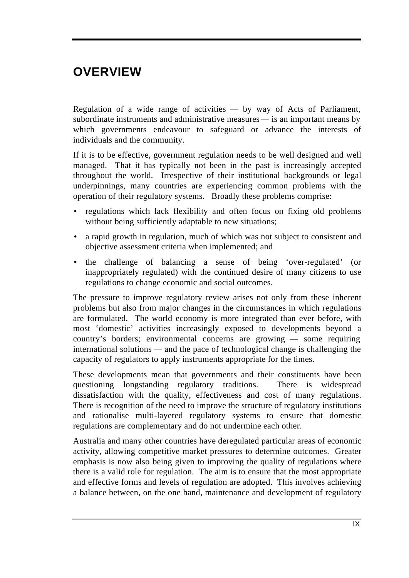# **OVERVIEW**

Regulation of a wide range of activities — by way of Acts of Parliament, subordinate instruments and administrative measures — is an important means by which governments endeavour to safeguard or advance the interests of individuals and the community.

If it is to be effective, government regulation needs to be well designed and well managed. That it has typically not been in the past is increasingly accepted throughout the world. Irrespective of their institutional backgrounds or legal underpinnings, many countries are experiencing common problems with the operation of their regulatory systems. Broadly these problems comprise:

- regulations which lack flexibility and often focus on fixing old problems without being sufficiently adaptable to new situations;
- a rapid growth in regulation, much of which was not subject to consistent and objective assessment criteria when implemented; and
- the challenge of balancing a sense of being 'over-regulated' (or inappropriately regulated) with the continued desire of many citizens to use regulations to change economic and social outcomes.

The pressure to improve regulatory review arises not only from these inherent problems but also from major changes in the circumstances in which regulations are formulated. The world economy is more integrated than ever before, with most 'domestic' activities increasingly exposed to developments beyond a country's borders; environmental concerns are growing — some requiring international solutions — and the pace of technological change is challenging the capacity of regulators to apply instruments appropriate for the times.

These developments mean that governments and their constituents have been questioning longstanding regulatory traditions. There is widespread dissatisfaction with the quality, effectiveness and cost of many regulations. There is recognition of the need to improve the structure of regulatory institutions and rationalise multi-layered regulatory systems to ensure that domestic regulations are complementary and do not undermine each other.

Australia and many other countries have deregulated particular areas of economic activity, allowing competitive market pressures to determine outcomes. Greater emphasis is now also being given to improving the quality of regulations where there is a valid role for regulation. The aim is to ensure that the most appropriate and effective forms and levels of regulation are adopted. This involves achieving a balance between, on the one hand, maintenance and development of regulatory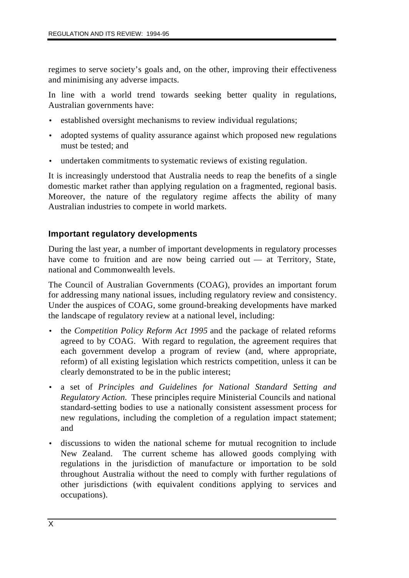regimes to serve society's goals and, on the other, improving their effectiveness and minimising any adverse impacts.

In line with a world trend towards seeking better quality in regulations, Australian governments have:

- established oversight mechanisms to review individual regulations;
- adopted systems of quality assurance against which proposed new regulations must be tested; and
- undertaken commitments to systematic reviews of existing regulation.

It is increasingly understood that Australia needs to reap the benefits of a single domestic market rather than applying regulation on a fragmented, regional basis. Moreover, the nature of the regulatory regime affects the ability of many Australian industries to compete in world markets.

### **Important regulatory developments**

During the last year, a number of important developments in regulatory processes have come to fruition and are now being carried out — at Territory, State, national and Commonwealth levels.

The Council of Australian Governments (COAG), provides an important forum for addressing many national issues, including regulatory review and consistency. Under the auspices of COAG, some ground-breaking developments have marked the landscape of regulatory review at a national level, including:

- the *Competition Policy Reform Act 1995* and the package of related reforms agreed to by COAG. With regard to regulation, the agreement requires that each government develop a program of review (and, where appropriate, reform) of all existing legislation which restricts competition, unless it can be clearly demonstrated to be in the public interest;
- a set of *Principles and Guidelines for National Standard Setting and Regulatory Action.* These principles require Ministerial Councils and national standard-setting bodies to use a nationally consistent assessment process for new regulations, including the completion of a regulation impact statement; and
- discussions to widen the national scheme for mutual recognition to include New Zealand. The current scheme has allowed goods complying with regulations in the jurisdiction of manufacture or importation to be sold throughout Australia without the need to comply with further regulations of other jurisdictions (with equivalent conditions applying to services and occupations).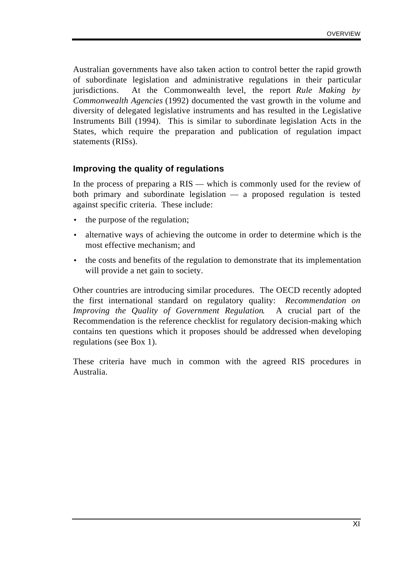Australian governments have also taken action to control better the rapid growth of subordinate legislation and administrative regulations in their particular jurisdictions. At the Commonwealth level, the report *Rule Making by Commonwealth Agencies* (1992) documented the vast growth in the volume and diversity of delegated legislative instruments and has resulted in the Legislative Instruments Bill (1994). This is similar to subordinate legislation Acts in the States, which require the preparation and publication of regulation impact statements (RISs).

#### **Improving the quality of regulations**

In the process of preparing a RIS — which is commonly used for the review of both primary and subordinate legislation — a proposed regulation is tested against specific criteria. These include:

- the purpose of the regulation;
- alternative ways of achieving the outcome in order to determine which is the most effective mechanism; and
- the costs and benefits of the regulation to demonstrate that its implementation will provide a net gain to society.

Other countries are introducing similar procedures. The OECD recently adopted the first international standard on regulatory quality: *Recommendation on Improving the Quality of Government Regulation*. A crucial part of the Recommendation is the reference checklist for regulatory decision-making which contains ten questions which it proposes should be addressed when developing regulations (see Box 1).

These criteria have much in common with the agreed RIS procedures in Australia.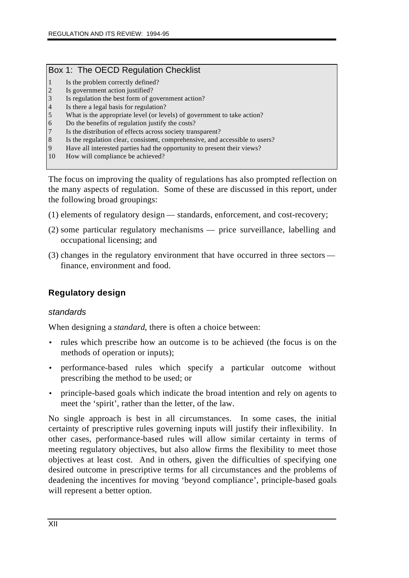#### Box 1: The OECD Regulation Checklist

- 1 Is the problem correctly defined?
- 2 Is government action justified?
- 3 Is regulation the best form of government action?
- 4 Is there a legal basis for regulation?
- 5 What is the appropriate level (or levels) of government to take action?
- 6 Do the benefits of regulation justify the costs?
- 7 Is the distribution of effects across society transparent?
- 8 Is the regulation clear, consistent, comprehensive, and accessible to users?
- 9 Have all interested parties had the opportunity to present their views?
- 10 How will compliance be achieved?

The focus on improving the quality of regulations has also prompted reflection on the many aspects of regulation. Some of these are discussed in this report, under the following broad groupings:

- (1) elements of regulatory design standards, enforcement, and cost-recovery;
- (2) some particular regulatory mechanisms price surveillance, labelling and occupational licensing; and
- (3) changes in the regulatory environment that have occurred in three sectors finance, environment and food.

# **Regulatory design**

### *standards*

When designing a *standard*, there is often a choice between:

- rules which prescribe how an outcome is to be achieved (the focus is on the methods of operation or inputs);
- performance-based rules which specify a particular outcome without prescribing the method to be used; or
- principle-based goals which indicate the broad intention and rely on agents to meet the 'spirit', rather than the letter, of the law.

No single approach is best in all circumstances. In some cases, the initial certainty of prescriptive rules governing inputs will justify their inflexibility. In other cases, performance-based rules will allow similar certainty in terms of meeting regulatory objectives, but also allow firms the flexibility to meet those objectives at least cost. And in others, given the difficulties of specifying one desired outcome in prescriptive terms for all circumstances and the problems of deadening the incentives for moving 'beyond compliance', principle-based goals will represent a better option.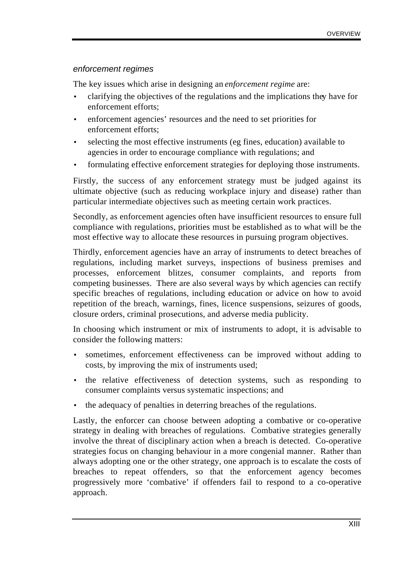#### *enforcement regimes*

The key issues which arise in designing an *enforcement regime* are:

- clarifying the objectives of the regulations and the implications they have for enforcement efforts;
- enforcement agencies' resources and the need to set priorities for enforcement efforts;
- selecting the most effective instruments (eg fines, education) available to agencies in order to encourage compliance with regulations; and
- formulating effective enforcement strategies for deploying those instruments.

Firstly, the success of any enforcement strategy must be judged against its ultimate objective (such as reducing workplace injury and disease) rather than particular intermediate objectives such as meeting certain work practices.

Secondly, as enforcement agencies often have insufficient resources to ensure full compliance with regulations, priorities must be established as to what will be the most effective way to allocate these resources in pursuing program objectives.

Thirdly, enforcement agencies have an array of instruments to detect breaches of regulations, including market surveys, inspections of business premises and processes, enforcement blitzes, consumer complaints, and reports from competing businesses. There are also several ways by which agencies can rectify specific breaches of regulations, including education or advice on how to avoid repetition of the breach, warnings, fines, licence suspensions, seizures of goods, closure orders, criminal prosecutions, and adverse media publicity.

In choosing which instrument or mix of instruments to adopt, it is advisable to consider the following matters:

- sometimes, enforcement effectiveness can be improved without adding to costs, by improving the mix of instruments used;
- the relative effectiveness of detection systems, such as responding to consumer complaints versus systematic inspections; and
- the adequacy of penalties in deterring breaches of the regulations.

Lastly, the enforcer can choose between adopting a combative or co-operative strategy in dealing with breaches of regulations. Combative strategies generally involve the threat of disciplinary action when a breach is detected. Co-operative strategies focus on changing behaviour in a more congenial manner. Rather than always adopting one or the other strategy, one approach is to escalate the costs of breaches to repeat offenders, so that the enforcement agency becomes progressively more 'combative' if offenders fail to respond to a co-operative approach.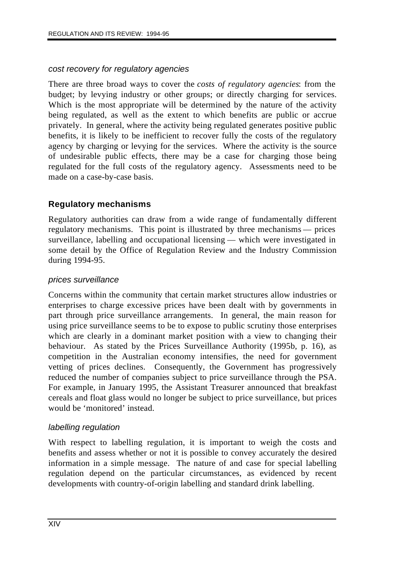#### *cost recovery for regulatory agencies*

There are three broad ways to cover the *costs of regulatory agencies*: from the budget; by levying industry or other groups; or directly charging for services. Which is the most appropriate will be determined by the nature of the activity being regulated, as well as the extent to which benefits are public or accrue privately. In general, where the activity being regulated generates positive public benefits, it is likely to be inefficient to recover fully the costs of the regulatory agency by charging or levying for the services. Where the activity is the source of undesirable public effects, there may be a case for charging those being regulated for the full costs of the regulatory agency. Assessments need to be made on a case-by-case basis.

### **Regulatory mechanisms**

Regulatory authorities can draw from a wide range of fundamentally different regulatory mechanisms. This point is illustrated by three mechanisms — prices surveillance, labelling and occupational licensing — which were investigated in some detail by the Office of Regulation Review and the Industry Commission during 1994-95.

#### *prices surveillance*

Concerns within the community that certain market structures allow industries or enterprises to charge excessive prices have been dealt with by governments in part through price surveillance arrangements. In general, the main reason for using price surveillance seems to be to expose to public scrutiny those enterprises which are clearly in a dominant market position with a view to changing their behaviour. As stated by the Prices Surveillance Authority (1995b, p. 16), as competition in the Australian economy intensifies, the need for government vetting of prices declines. Consequently, the Government has progressively reduced the number of companies subject to price surveillance through the PSA. For example, in January 1995, the Assistant Treasurer announced that breakfast cereals and float glass would no longer be subject to price surveillance, but prices would be 'monitored' instead.

### *labelling regulation*

With respect to labelling regulation, it is important to weigh the costs and benefits and assess whether or not it is possible to convey accurately the desired information in a simple message. The nature of and case for special labelling regulation depend on the particular circumstances, as evidenced by recent developments with country-of-origin labelling and standard drink labelling.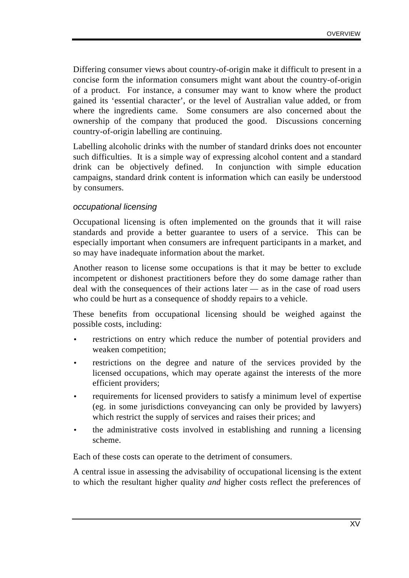Differing consumer views about country-of-origin make it difficult to present in a concise form the information consumers might want about the country-of-origin of a product. For instance, a consumer may want to know where the product gained its 'essential character', or the level of Australian value added, or from where the ingredients came. Some consumers are also concerned about the ownership of the company that produced the good. Discussions concerning country-of-origin labelling are continuing.

Labelling alcoholic drinks with the number of standard drinks does not encounter such difficulties. It is a simple way of expressing alcohol content and a standard drink can be objectively defined. In conjunction with simple education campaigns, standard drink content is information which can easily be understood by consumers.

#### *occupational licensing*

Occupational licensing is often implemented on the grounds that it will raise standards and provide a better guarantee to users of a service. This can be especially important when consumers are infrequent participants in a market, and so may have inadequate information about the market.

Another reason to license some occupations is that it may be better to exclude incompetent or dishonest practitioners before they do some damage rather than deal with the consequences of their actions later — as in the case of road users who could be hurt as a consequence of shoddy repairs to a vehicle.

These benefits from occupational licensing should be weighed against the possible costs, including:

- restrictions on entry which reduce the number of potential providers and weaken competition;
- restrictions on the degree and nature of the services provided by the licensed occupations, which may operate against the interests of the more efficient providers;
- requirements for licensed providers to satisfy a minimum level of expertise (eg. in some jurisdictions conveyancing can only be provided by lawyers) which restrict the supply of services and raises their prices; and
- the administrative costs involved in establishing and running a licensing scheme.

Each of these costs can operate to the detriment of consumers.

A central issue in assessing the advisability of occupational licensing is the extent to which the resultant higher quality *and* higher costs reflect the preferences of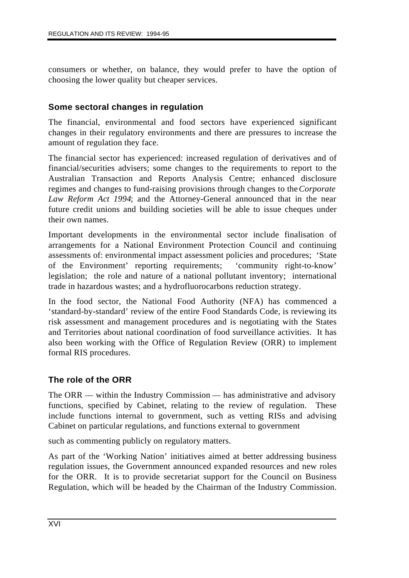consumers or whether, on balance, they would prefer to have the option of choosing the lower quality but cheaper services.

#### **Some sectoral changes in regulation**

The financial, environmental and food sectors have experienced significant changes in their regulatory environments and there are pressures to increase the amount of regulation they face.

The financial sector has experienced: increased regulation of derivatives and of financial/securities advisers; some changes to the requirements to report to the Australian Transaction and Reports Analysis Centre; enhanced disclosure regimes and changes to fund-raising provisions through changes to the *Corporate Law Reform Act 1994*; and the Attorney-General announced that in the near future credit unions and building societies will be able to issue cheques under their own names.

Important developments in the environmental sector include finalisation of arrangements for a National Environment Protection Council and continuing assessments of: environmental impact assessment policies and procedures; 'State of the Environment' reporting requirements; 'community right-to-know' legislation; the role and nature of a national pollutant inventory; international trade in hazardous wastes; and a hydrofluorocarbons reduction strategy.

In the food sector, the National Food Authority (NFA) has commenced a 'standard-by-standard' review of the entire Food Standards Code, is reviewing its risk assessment and management procedures and is negotiating with the States and Territories about national coordination of food surveillance activities. It has also been working with the Office of Regulation Review (ORR) to implement formal RIS procedures.

### **The role of the ORR**

The ORR — within the Industry Commission — has administrative and advisory functions, specified by Cabinet, relating to the review of regulation. These include functions internal to government, such as vetting RISs and advising Cabinet on particular regulations, and functions external to government

such as commenting publicly on regulatory matters.

As part of the 'Working Nation' initiatives aimed at better addressing business regulation issues, the Government announced expanded resources and new roles for the ORR. It is to provide secretariat support for the Council on Business Regulation, which will be headed by the Chairman of the Industry Commission.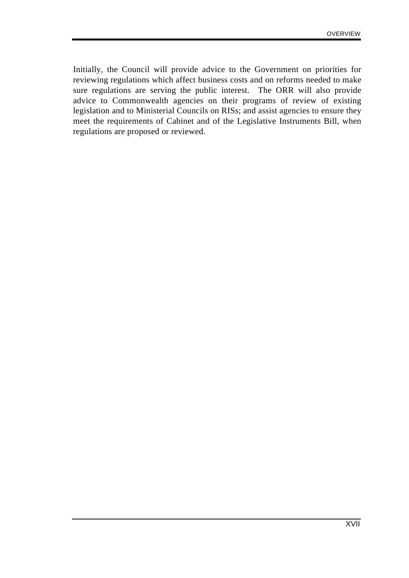Initially, the Council will provide advice to the Government on priorities for reviewing regulations which affect business costs and on reforms needed to make sure regulations are serving the public interest. The ORR will also provide advice to Commonwealth agencies on their programs of review of existing legislation and to Ministerial Councils on RISs; and assist agencies to ensure they meet the requirements of Cabinet and of the Legislative Instruments Bill, when regulations are proposed or reviewed.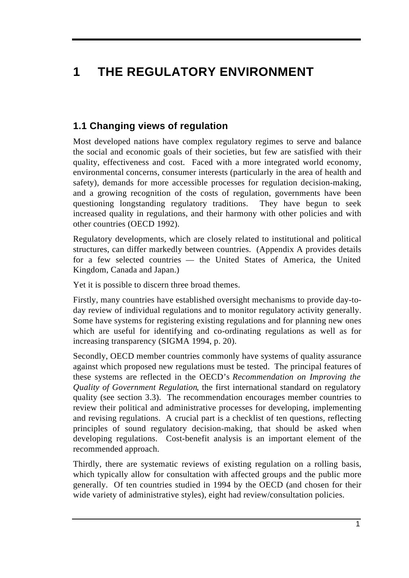# **1 THE REGULATORY ENVIRONMENT**

# **1.1 Changing views of regulation**

Most developed nations have complex regulatory regimes to serve and balance the social and economic goals of their societies, but few are satisfied with their quality, effectiveness and cost. Faced with a more integrated world economy, environmental concerns, consumer interests (particularly in the area of health and safety), demands for more accessible processes for regulation decision-making, and a growing recognition of the costs of regulation, governments have been questioning longstanding regulatory traditions. They have begun to seek increased quality in regulations, and their harmony with other policies and with other countries (OECD 1992).

Regulatory developments, which are closely related to institutional and political structures, can differ markedly between countries. (Appendix A provides details for a few selected countries — the United States of America, the United Kingdom, Canada and Japan.)

Yet it is possible to discern three broad themes.

Firstly, many countries have established oversight mechanisms to provide day-today review of individual regulations and to monitor regulatory activity generally. Some have systems for registering existing regulations and for planning new ones which are useful for identifying and co-ordinating regulations as well as for increasing transparency (SIGMA 1994, p. 20).

Secondly, OECD member countries commonly have systems of quality assurance against which proposed new regulations must be tested. The principal features of these systems are reflected in the OECD's *Recommendation on Improving the Quality of Government Regulation*, the first international standard on regulatory quality (see section 3.3). The recommendation encourages member countries to review their political and administrative processes for developing, implementing and revising regulations. A crucial part is a checklist of ten questions, reflecting principles of sound regulatory decision-making, that should be asked when developing regulations. Cost-benefit analysis is an important element of the recommended approach.

Thirdly, there are systematic reviews of existing regulation on a rolling basis, which typically allow for consultation with affected groups and the public more generally. Of ten countries studied in 1994 by the OECD (and chosen for their wide variety of administrative styles), eight had review/consultation policies.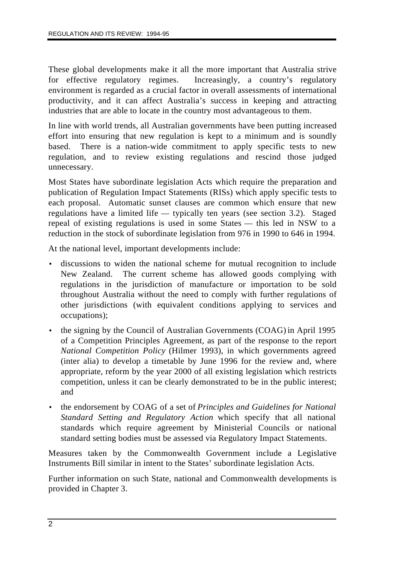These global developments make it all the more important that Australia strive for effective regulatory regimes. Increasingly, a country's regulatory environment is regarded as a crucial factor in overall assessments of international productivity, and it can affect Australia's success in keeping and attracting industries that are able to locate in the country most advantageous to them.

In line with world trends, all Australian governments have been putting increased effort into ensuring that new regulation is kept to a minimum and is soundly based. There is a nation-wide commitment to apply specific tests to new regulation, and to review existing regulations and rescind those judged unnecessary.

Most States have subordinate legislation Acts which require the preparation and publication of Regulation Impact Statements (RISs) which apply specific tests to each proposal. Automatic sunset clauses are common which ensure that new regulations have a limited life — typically ten years (see section 3.2). Staged repeal of existing regulations is used in some States — this led in NSW to a reduction in the stock of subordinate legislation from 976 in 1990 to 646 in 1994.

At the national level, important developments include:

- discussions to widen the national scheme for mutual recognition to include New Zealand. The current scheme has allowed goods complying with regulations in the jurisdiction of manufacture or importation to be sold throughout Australia without the need to comply with further regulations of other jurisdictions (with equivalent conditions applying to services and occupations);
- the signing by the Council of Australian Governments (COAG) in April 1995 of a Competition Principles Agreement, as part of the response to the report *National Competition Policy* (Hilmer 1993), in which governments agreed (inter alia) to develop a timetable by June 1996 for the review and, where appropriate, reform by the year 2000 of all existing legislation which restricts competition, unless it can be clearly demonstrated to be in the public interest; and
- the endorsement by COAG of a set of *Principles and Guidelines for National Standard Setting and Regulatory Action* which specify that all national standards which require agreement by Ministerial Councils or national standard setting bodies must be assessed via Regulatory Impact Statements.

Measures taken by the Commonwealth Government include a Legislative Instruments Bill similar in intent to the States' subordinate legislation Acts.

Further information on such State, national and Commonwealth developments is provided in Chapter 3.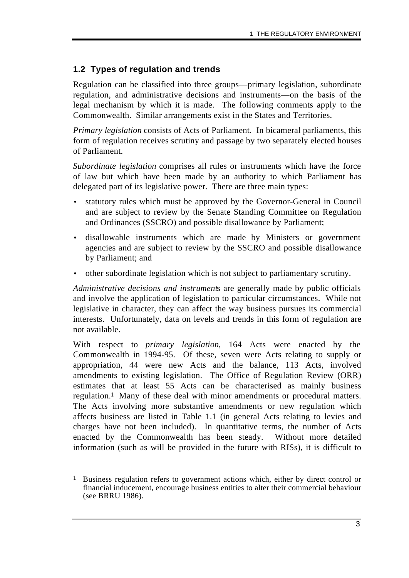# **1.2 Types of regulation and trends**

Regulation can be classified into three groups—primary legislation, subordinate regulation, and administrative decisions and instruments—on the basis of the legal mechanism by which it is made. The following comments apply to the Commonwealth. Similar arrangements exist in the States and Territories.

*Primary legislation* consists of Acts of Parliament. In bicameral parliaments, this form of regulation receives scrutiny and passage by two separately elected houses of Parliament.

*Subordinate legislation* comprises all rules or instruments which have the force of law but which have been made by an authority to which Parliament has delegated part of its legislative power. There are three main types:

- statutory rules which must be approved by the Governor-General in Council and are subject to review by the Senate Standing Committee on Regulation and Ordinances (SSCRO) and possible disallowance by Parliament;
- disallowable instruments which are made by Ministers or government agencies and are subject to review by the SSCRO and possible disallowance by Parliament; and
- other subordinate legislation which is not subject to parliamentary scrutiny.

*Administrative decisions and instrument*s are generally made by public officials and involve the application of legislation to particular circumstances. While not legislative in character, they can affect the way business pursues its commercial interests. Unfortunately, data on levels and trends in this form of regulation are not available.

With respect to *primary legislation*, 164 Acts were enacted by the Commonwealth in 1994-95. Of these, seven were Acts relating to supply or appropriation, 44 were new Acts and the balance, 113 Acts, involved amendments to existing legislation. The Office of Regulation Review (ORR) estimates that at least 55 Acts can be characterised as mainly business regulation.1 Many of these deal with minor amendments or procedural matters. The Acts involving more substantive amendments or new regulation which affects business are listed in Table 1.1 (in general Acts relating to levies and charges have not been included). In quantitative terms, the number of Acts enacted by the Commonwealth has been steady. Without more detailed information (such as will be provided in the future with RISs), it is difficult to

 $\overline{a}$ <sup>1</sup> Business regulation refers to government actions which, either by direct control or financial inducement, encourage business entities to alter their commercial behaviour (see BRRU 1986).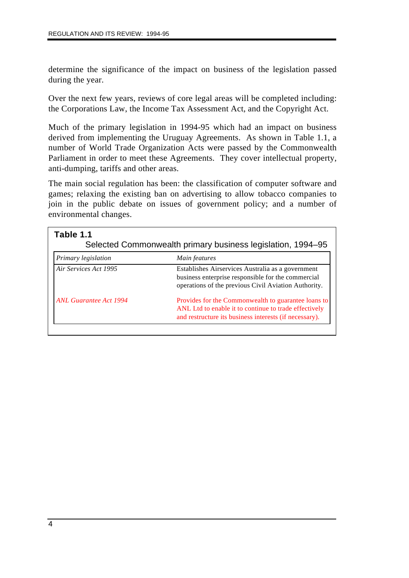determine the significance of the impact on business of the legislation passed during the year.

Over the next few years, reviews of core legal areas will be completed including: the Corporations Law, the Income Tax Assessment Act, and the Copyright Act.

Much of the primary legislation in 1994-95 which had an impact on business derived from implementing the Uruguay Agreements. As shown in Table 1.1, a number of World Trade Organization Acts were passed by the Commonwealth Parliament in order to meet these Agreements. They cover intellectual property, anti-dumping, tariffs and other areas.

The main social regulation has been: the classification of computer software and games; relaxing the existing ban on advertising to allow tobacco companies to join in the public debate on issues of government policy; and a number of environmental changes.

| Table 1.1<br>Selected Commonwealth primary business legislation, 1994–95 |                                                                                                                                                                        |  |  |
|--------------------------------------------------------------------------|------------------------------------------------------------------------------------------------------------------------------------------------------------------------|--|--|
| Primary legislation                                                      | Main features                                                                                                                                                          |  |  |
| Air Services Act 1995                                                    | Establishes Airservices Australia as a government<br>business enterprise responsible for the commercial<br>operations of the previous Civil Aviation Authority.        |  |  |
| ANL Guarantee Act 1994                                                   | Provides for the Commonwealth to guarantee loans to<br>ANL Ltd to enable it to continue to trade effectively<br>and restructure its business interests (if necessary). |  |  |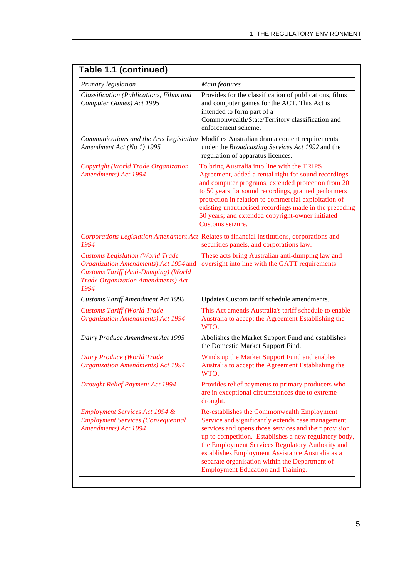| Primary legislation                                                                                                                                                                  | Main features                                                                                                                                                                                                                                                                                                                                                                                                            |
|--------------------------------------------------------------------------------------------------------------------------------------------------------------------------------------|--------------------------------------------------------------------------------------------------------------------------------------------------------------------------------------------------------------------------------------------------------------------------------------------------------------------------------------------------------------------------------------------------------------------------|
| Classification (Publications, Films and<br>Computer Games) Act 1995                                                                                                                  | Provides for the classification of publications, films<br>and computer games for the ACT. This Act is<br>intended to form part of a<br>Commonwealth/State/Territory classification and<br>enforcement scheme.                                                                                                                                                                                                            |
| Amendment Act (No 1) 1995                                                                                                                                                            | Communications and the Arts Legislation Modifies Australian drama content requirements<br>under the Broadcasting Services Act 1992 and the<br>regulation of apparatus licences.                                                                                                                                                                                                                                          |
| Copyright (World Trade Organization<br>Amendments) Act 1994                                                                                                                          | To bring Australia into line with the TRIPS<br>Agreement, added a rental right for sound recordings<br>and computer programs, extended protection from 20<br>to 50 years for sound recordings, granted performers<br>protection in relation to commercial exploitation of<br>existing unauthorised recordings made in the preceding<br>50 years; and extended copyright-owner initiated<br>Customs seizure.              |
| 1994                                                                                                                                                                                 | Corporations Legislation Amendment Act Relates to financial institutions, corporations and<br>securities panels, and corporations law.                                                                                                                                                                                                                                                                                   |
| <b>Customs Legislation (World Trade</b><br>Organization Amendments) Act 1994 and<br><b>Customs Tariff (Anti-Dumping) (World</b><br><b>Trade Organization Amendments) Act</b><br>1994 | These acts bring Australian anti-dumping law and<br>oversight into line with the GATT requirements                                                                                                                                                                                                                                                                                                                       |
| <b>Customs Tariff Amendment Act 1995</b>                                                                                                                                             | Updates Custom tariff schedule amendments.                                                                                                                                                                                                                                                                                                                                                                               |
| <b>Customs Tariff (World Trade</b><br><b>Organization Amendments)</b> Act 1994                                                                                                       | This Act amends Australia's tariff schedule to enable<br>Australia to accept the Agreement Establishing the<br>WTO.                                                                                                                                                                                                                                                                                                      |
| Dairy Produce Amendment Act 1995                                                                                                                                                     | Abolishes the Market Support Fund and establishes<br>the Domestic Market Support Find.                                                                                                                                                                                                                                                                                                                                   |
| <b>Dairy Produce (World Trade</b><br><b>Organization Amendments) Act 1994</b>                                                                                                        | Winds up the Market Support Fund and enables<br>Australia to accept the Agreement Establishing the<br>WTO.                                                                                                                                                                                                                                                                                                               |
| <b>Drought Relief Payment Act 1994</b>                                                                                                                                               | Provides relief payments to primary producers who<br>are in exceptional circumstances due to extreme<br>drought.                                                                                                                                                                                                                                                                                                         |
| <b>Employment Services Act 1994 &amp;</b><br><b>Employment Services (Consequential</b><br><b>Amendments</b> ) Act 1994                                                               | Re-establishes the Commonwealth Employment<br>Service and significantly extends case management<br>services and opens those services and their provision<br>up to competition. Establishes a new regulatory body,<br>the Employment Services Regulatory Authority and<br>establishes Employment Assistance Australia as a<br>separate organisation within the Department of<br><b>Employment Education and Training.</b> |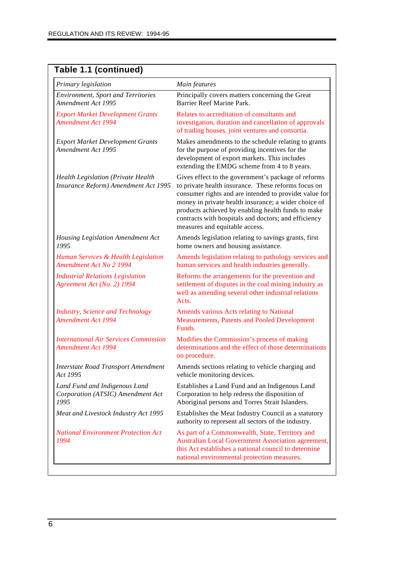| Table 1.1 (continued)                                                             |                                                                                                                                                                                                                                                                                                                                                                              |
|-----------------------------------------------------------------------------------|------------------------------------------------------------------------------------------------------------------------------------------------------------------------------------------------------------------------------------------------------------------------------------------------------------------------------------------------------------------------------|
| Primary legislation                                                               | Main features                                                                                                                                                                                                                                                                                                                                                                |
| <b>Environment, Sport and Territories</b><br>Amendment Act 1995                   | Principally covers matters concerning the Great<br>Barrier Reef Marine Park.                                                                                                                                                                                                                                                                                                 |
| <b>Export Market Development Grants</b><br><b>Amendment Act 1994</b>              | Relates to accreditation of consultants and<br>investigation, duration and cancellation of approvals<br>of trading houses, joint ventures and consortia.                                                                                                                                                                                                                     |
| <b>Export Market Development Grants</b><br>Amendment Act 1995                     | Makes amendments to the schedule relating to grants<br>for the purpose of providing incentives for the<br>development of export markets. This includes<br>extending the EMDG scheme from 4 to 8 years.                                                                                                                                                                       |
| <b>Health Legislation (Private Health</b><br>Insurance Reform) Amendment Act 1995 | Gives effect to the government's package of reforms<br>to private health insurance. These reforms focus on<br>consumer rights and are intended to provide: value for<br>money in private health insurance; a wider choice of<br>products achieved by enabling health funds to make<br>contracts with hospitals and doctors; and efficiency<br>measures and equitable access. |
| Housing Legislation Amendment Act<br>1995                                         | Amends legislation relating to savings grants, first<br>home owners and housing assistance.                                                                                                                                                                                                                                                                                  |
| Human Services & Health Legislation<br><b>Amendment Act No 2 1994</b>             | Amends legislation relating to pathology services and<br>human services and health industries generally.                                                                                                                                                                                                                                                                     |
| <b>Industrial Relations Legislation</b><br>Agreement Act (No. 2) 1994             | Reforms the arrangements for the prevention and<br>settlement of disputes in the coal mining industry as<br>well as amending several other industrial relations<br>Acts.                                                                                                                                                                                                     |
| <b>Industry, Science and Technology</b><br><b>Amendment Act 1994</b>              | Amends various Acts relating to National<br>Measurements, Patents and Pooled Development<br>Funds.                                                                                                                                                                                                                                                                           |
| <b>International Air Services Commission</b><br><b>Amendment Act 1994</b>         | Modifies the Commission's process of making<br>determinations and the effect of those determinations<br>on procedure.                                                                                                                                                                                                                                                        |
| <b>Interstate Road Transport Amendment</b><br>Act 1995                            | Amends sections relating to vehicle charging and<br>vehicle monitoring devices.                                                                                                                                                                                                                                                                                              |
| Land Fund and Indigenous Land<br>Corporation (ATSIC) Amendment Act<br>1995        | Establishes a Land Fund and an Indigenous Land<br>Corporation to help redress the disposition of<br>Aboriginal persons and Torres Strait Islanders.                                                                                                                                                                                                                          |
| Meat and Livestock Industry Act 1995                                              | Establishes the Meat Industry Council as a statutory<br>authority to represent all sectors of the industry.                                                                                                                                                                                                                                                                  |
| <b>National Environment Protection Act</b><br>1994                                | As part of a Commonwealth, State, Territory and<br>Australian Local Government Association agreement,<br>this Act establishes a national council to determine<br>national environmental protection measures.                                                                                                                                                                 |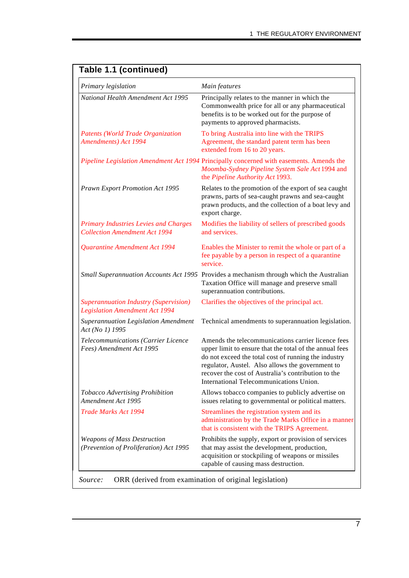| Primary legislation                                                                   | Main features                                                                                                                                                                                                                                                                                                               |
|---------------------------------------------------------------------------------------|-----------------------------------------------------------------------------------------------------------------------------------------------------------------------------------------------------------------------------------------------------------------------------------------------------------------------------|
| National Health Amendment Act 1995                                                    | Principally relates to the manner in which the<br>Commonwealth price for all or any pharmaceutical<br>benefits is to be worked out for the purpose of<br>payments to approved pharmacists.                                                                                                                                  |
| <b>Patents (World Trade Organization</b><br>Amendments) Act 1994                      | To bring Australia into line with the TRIPS<br>Agreement, the standard patent term has been<br>extended from 16 to 20 years.                                                                                                                                                                                                |
|                                                                                       | Pipeline Legislation Amendment Act 1994 Principally concerned with easements. Amends the<br>Moomba-Sydney Pipeline System Sale Act 1994 and<br>the Pipeline Authority Act 1993.                                                                                                                                             |
| Prawn Export Promotion Act 1995                                                       | Relates to the promotion of the export of sea caught<br>prawns, parts of sea-caught prawns and sea-caught<br>prawn products, and the collection of a boat levy and<br>export charge.                                                                                                                                        |
| <b>Primary Industries Levies and Charges</b><br><b>Collection Amendment Act 1994</b>  | Modifies the liability of sellers of prescribed goods<br>and services.                                                                                                                                                                                                                                                      |
| Quarantine Amendment Act 1994                                                         | Enables the Minister to remit the whole or part of a<br>fee payable by a person in respect of a quarantine<br>service.                                                                                                                                                                                                      |
|                                                                                       | Small Superannuation Accounts Act 1995 Provides a mechanism through which the Australian<br>Taxation Office will manage and preserve small<br>superannuation contributions.                                                                                                                                                 |
| <b>Superannuation Industry (Supervision)</b><br><b>Legislation Amendment Act 1994</b> | Clarifies the objectives of the principal act.                                                                                                                                                                                                                                                                              |
| Superannuation Legislation Amendment<br>Act (No 1) 1995                               | Technical amendments to superannuation legislation.                                                                                                                                                                                                                                                                         |
| Telecommunications (Carrier Licence<br>Fees) Amendment Act 1995                       | Amends the telecommunications carrier licence fees<br>upper limit to ensure that the total of the annual fees<br>do not exceed the total cost of running the industry<br>regulator, Austel. Also allows the government to<br>recover the cost of Australia's contribution to the<br>International Telecommunications Union. |
| Tobacco Advertising Prohibition<br>Amendment Act 1995                                 | Allows tobacco companies to publicly advertise on<br>issues relating to governmental or political matters.                                                                                                                                                                                                                  |
| <b>Trade Marks Act 1994</b>                                                           | Streamlines the registration system and its<br>administration by the Trade Marks Office in a manner<br>that is consistent with the TRIPS Agreement.                                                                                                                                                                         |
| <b>Weapons of Mass Destruction</b><br>(Prevention of Proliferation) Act 1995          | Prohibits the supply, export or provision of services<br>that may assist the development, production,<br>acquisition or stockpiling of weapons or missiles<br>capable of causing mass destruction.                                                                                                                          |

# **Table 1.1 (continued)**

*Source:* ORR (derived from examination of original legislation)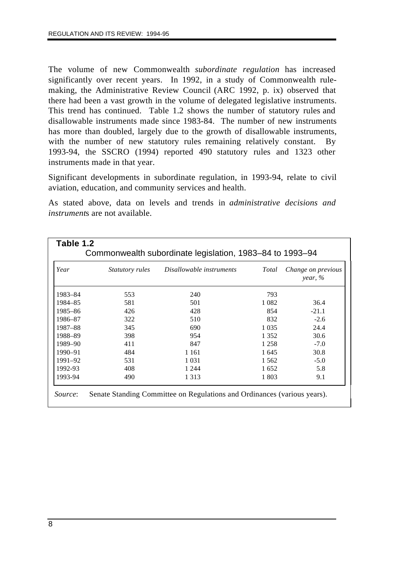The volume of new Commonwealth *subordinate regulation* has increased significantly over recent years. In 1992, in a study of Commonwealth rulemaking, the Administrative Review Council (ARC 1992, p. ix) observed that there had been a vast growth in the volume of delegated legislative instruments. This trend has continued. Table 1.2 shows the number of statutory rules and disallowable instruments made since 1983-84. The number of new instruments has more than doubled, largely due to the growth of disallowable instruments, with the number of new statutory rules remaining relatively constant. By 1993-94, the SSCRO (1994) reported 490 statutory rules and 1323 other instruments made in that year.

Significant developments in subordinate regulation, in 1993-94, relate to civil aviation, education, and community services and health.

As stated above, data on levels and trends in *administrative decisions and instrument*s are not available.

| Year        | Statutory rules | Disallowable instruments | Total   | Change on previous<br>year, $\%$ |
|-------------|-----------------|--------------------------|---------|----------------------------------|
| 1983-84     | 553             | 240                      | 793     |                                  |
| 1984-85     | 581             | 501                      | 1 0 8 2 | 36.4                             |
| 1985-86     | 426             | 428                      | 854     | $-21.1$                          |
| 1986–87     | 322             | 510                      | 832     | $-2.6$                           |
| 1987–88     | 345             | 690                      | 1 0 3 5 | 24.4                             |
| 1988-89     | 398             | 954                      | 1 3 5 2 | 30.6                             |
| 1989-90     | 411             | 847                      | 1 2 5 8 | $-7.0$                           |
| $1990 - 91$ | 484             | 1 1 6 1                  | 1 645   | 30.8                             |
| 1991-92     | 531             | 1 0 3 1                  | 1 5 6 2 | $-5.0$                           |
| 1992-93     | 408             | 1 2 4 4                  | 1652    | 5.8                              |
| 1993-94     | 490             | 1 3 1 3                  | 1 803   | 9.1                              |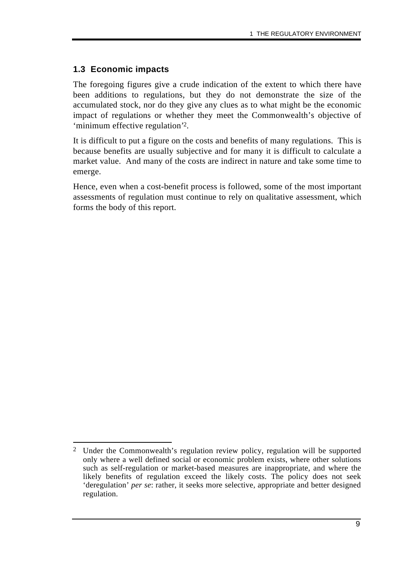## **1.3 Economic impacts**

The foregoing figures give a crude indication of the extent to which there have been additions to regulations, but they do not demonstrate the size of the accumulated stock, nor do they give any clues as to what might be the economic impact of regulations or whether they meet the Commonwealth's objective of 'minimum effective regulation'2.

It is difficult to put a figure on the costs and benefits of many regulations. This is because benefits are usually subjective and for many it is difficult to calculate a market value. And many of the costs are indirect in nature and take some time to emerge.

Hence, even when a cost-benefit process is followed, some of the most important assessments of regulation must continue to rely on qualitative assessment, which forms the body of this report.

 $\overline{a}$ 2 Under the Commonwealth's regulation review policy, regulation will be supported only where a well defined social or economic problem exists, where other solutions such as self-regulation or market-based measures are inappropriate, and where the likely benefits of regulation exceed the likely costs. The policy does not seek 'deregulation' *per se*: rather, it seeks more selective, appropriate and better designed regulation.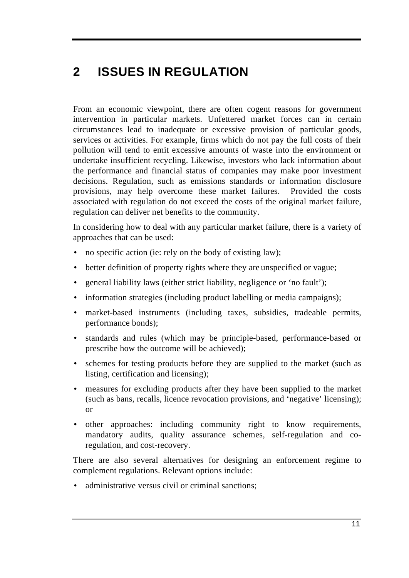# **2 ISSUES IN REGULATION**

From an economic viewpoint, there are often cogent reasons for government intervention in particular markets. Unfettered market forces can in certain circumstances lead to inadequate or excessive provision of particular goods, services or activities. For example, firms which do not pay the full costs of their pollution will tend to emit excessive amounts of waste into the environment or undertake insufficient recycling. Likewise, investors who lack information about the performance and financial status of companies may make poor investment decisions. Regulation, such as emissions standards or information disclosure provisions, may help overcome these market failures. Provided the costs associated with regulation do not exceed the costs of the original market failure, regulation can deliver net benefits to the community.

In considering how to deal with any particular market failure, there is a variety of approaches that can be used:

- no specific action (ie: rely on the body of existing law);
- better definition of property rights where they are unspecified or vague;
- general liability laws (either strict liability, negligence or 'no fault');
- information strategies (including product labelling or media campaigns);
- market-based instruments (including taxes, subsidies, tradeable permits, performance bonds);
- standards and rules (which may be principle-based, performance-based or prescribe how the outcome will be achieved);
- schemes for testing products before they are supplied to the market (such as listing, certification and licensing);
- measures for excluding products after they have been supplied to the market (such as bans, recalls, licence revocation provisions, and 'negative' licensing); or
- other approaches: including community right to know requirements, mandatory audits, quality assurance schemes, self-regulation and coregulation, and cost-recovery.

There are also several alternatives for designing an enforcement regime to complement regulations. Relevant options include:

• administrative versus civil or criminal sanctions;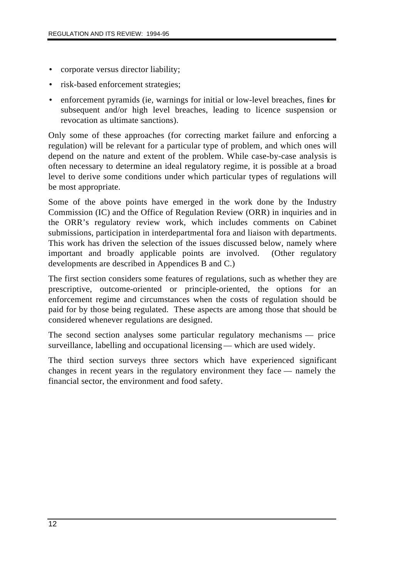- corporate versus director liability;
- risk-based enforcement strategies;
- enforcement pyramids (ie, warnings for initial or low-level breaches, fines for subsequent and/or high level breaches, leading to licence suspension or revocation as ultimate sanctions).

Only some of these approaches (for correcting market failure and enforcing a regulation) will be relevant for a particular type of problem, and which ones will depend on the nature and extent of the problem. While case-by-case analysis is often necessary to determine an ideal regulatory regime, it is possible at a broad level to derive some conditions under which particular types of regulations will be most appropriate.

Some of the above points have emerged in the work done by the Industry Commission (IC) and the Office of Regulation Review (ORR) in inquiries and in the ORR's regulatory review work, which includes comments on Cabinet submissions, participation in interdepartmental fora and liaison with departments. This work has driven the selection of the issues discussed below, namely where important and broadly applicable points are involved. (Other regulatory developments are described in Appendices B and C.)

The first section considers some features of regulations, such as whether they are prescriptive, outcome-oriented or principle-oriented, the options for an enforcement regime and circumstances when the costs of regulation should be paid for by those being regulated. These aspects are among those that should be considered whenever regulations are designed.

The second section analyses some particular regulatory mechanisms — price surveillance, labelling and occupational licensing — which are used widely.

The third section surveys three sectors which have experienced significant changes in recent years in the regulatory environment they face — namely the financial sector, the environment and food safety.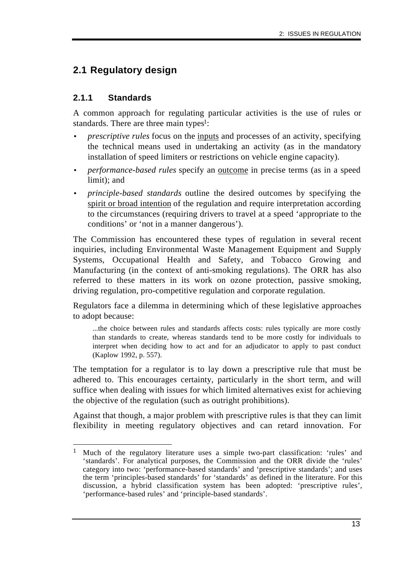# **2.1 Regulatory design**

# **2.1.1 Standards**

A common approach for regulating particular activities is the use of rules or standards. There are three main types<sup>1</sup>:

- *prescriptive rules* focus on the inputs and processes of an activity, specifying the technical means used in undertaking an activity (as in the mandatory installation of speed limiters or restrictions on vehicle engine capacity).
- *performance-based rules* specify an <u>outcome</u> in precise terms (as in a speed limit); and
- *principle-based standards* outline the desired outcomes by specifying the spirit or broad intention of the regulation and require interpretation according to the circumstances (requiring drivers to travel at a speed 'appropriate to the conditions' or 'not in a manner dangerous').

The Commission has encountered these types of regulation in several recent inquiries, including Environmental Waste Management Equipment and Supply Systems, Occupational Health and Safety, and Tobacco Growing and Manufacturing (in the context of anti-smoking regulations). The ORR has also referred to these matters in its work on ozone protection, passive smoking, driving regulation, pro-competitive regulation and corporate regulation.

Regulators face a dilemma in determining which of these legislative approaches to adopt because:

...the choice between rules and standards affects costs: rules typically are more costly than standards to create, whereas standards tend to be more costly for individuals to interpret when deciding how to act and for an adjudicator to apply to past conduct (Kaplow 1992, p. 557).

The temptation for a regulator is to lay down a prescriptive rule that must be adhered to. This encourages certainty, particularly in the short term, and will suffice when dealing with issues for which limited alternatives exist for achieving the objective of the regulation (such as outright prohibitions).

Against that though, a major problem with prescriptive rules is that they can limit flexibility in meeting regulatory objectives and can retard innovation. For

 $\overline{a}$ 1 Much of the regulatory literature uses a simple two-part classification: 'rules' and 'standards'. For analytical purposes, the Commission and the ORR divide the 'rules' category into two: 'performance-based standards' and 'prescriptive standards'; and uses the term 'principles-based standards' for 'standards' as defined in the literature. For this discussion, a hybrid classification system has been adopted: 'prescriptive rules', 'performance-based rules' and 'principle-based standards'.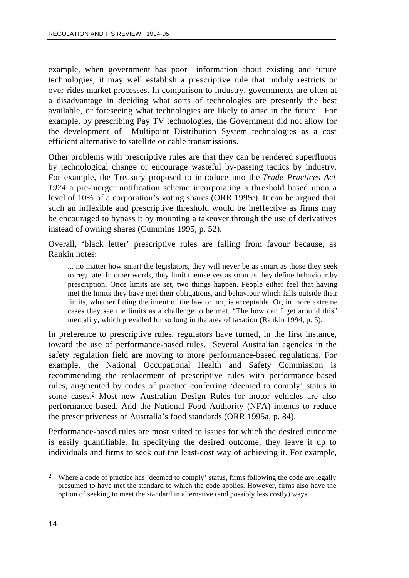example, when government has poor information about existing and future technologies, it may well establish a prescriptive rule that unduly restricts or over-rides market processes. In comparison to industry, governments are often at a disadvantage in deciding what sorts of technologies are presently the best available, or foreseeing what technologies are likely to arise in the future. For example, by prescribing Pay TV technologies, the Government did not allow for the development of Multipoint Distribution System technologies as a cost efficient alternative to satellite or cable transmissions.

Other problems with prescriptive rules are that they can be rendered superfluous by technological change or encourage wasteful by-passing tactics by industry. For example, the Treasury proposed to introduce into the *Trade Practices Act 1974* a pre-merger notification scheme incorporating a threshold based upon a level of 10% of a corporation's voting shares (ORR 1995c). It can be argued that such an inflexible and prescriptive threshold would be ineffective as firms may be encouraged to bypass it by mounting a takeover through the use of derivatives instead of owning shares (Cummins 1995, p. 52).

Overall, 'black letter' prescriptive rules are falling from favour because, as Rankin notes:

... no matter how smart the legislators, they will never be as smart as those they seek to regulate. In other words, they limit themselves as soon as they define behaviour by prescription. Once limits are set, two things happen. People either feel that having met the limits they have met their obligations, and behaviour which falls outside their limits, whether fitting the intent of the law or not, is acceptable. Or, in more extreme cases they see the limits as a challenge to be met. "The how can I get around this" mentality, which prevailed for so long in the area of taxation (Rankin 1994, p. 5).

In preference to prescriptive rules, regulators have turned, in the first instance, toward the use of performance-based rules. Several Australian agencies in the safety regulation field are moving to more performance-based regulations. For example, the National Occupational Health and Safety Commission is recommending the replacement of prescriptive rules with performance-based rules, augmented by codes of practice conferring 'deemed to comply' status in some cases.2 Most new Australian Design Rules for motor vehicles are also performance-based. And the National Food Authority (NFA) intends to reduce the prescriptiveness of Australia's food standards (ORR 1995a, p. 84).

Performance-based rules are most suited to issues for which the desired outcome is easily quantifiable. In specifying the desired outcome, they leave it up to individuals and firms to seek out the least-cost way of achieving it. For example,

 $\overline{a}$ 2 Where a code of practice has 'deemed to comply' status, firms following the code are legally presumed to have met the standard to which the code applies. However, firms also have the option of seeking to meet the standard in alternative (and possibly less costly) ways.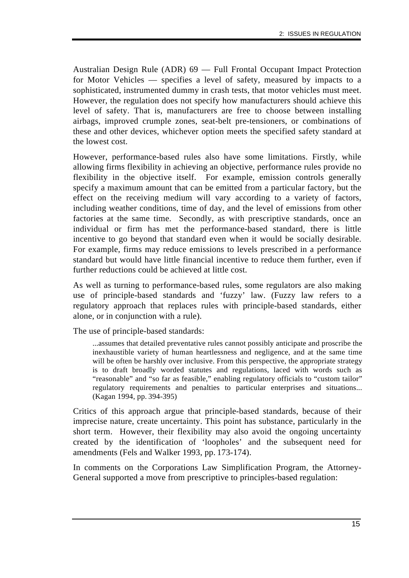Australian Design Rule (ADR) 69 — Full Frontal Occupant Impact Protection for Motor Vehicles — specifies a level of safety, measured by impacts to a sophisticated, instrumented dummy in crash tests, that motor vehicles must meet. However, the regulation does not specify how manufacturers should achieve this level of safety. That is, manufacturers are free to choose between installing airbags, improved crumple zones, seat-belt pre-tensioners, or combinations of these and other devices, whichever option meets the specified safety standard at the lowest cost.

However, performance-based rules also have some limitations. Firstly, while allowing firms flexibility in achieving an objective, performance rules provide no flexibility in the objective itself. For example, emission controls generally specify a maximum amount that can be emitted from a particular factory, but the effect on the receiving medium will vary according to a variety of factors, including weather conditions, time of day, and the level of emissions from other factories at the same time. Secondly, as with prescriptive standards, once an individual or firm has met the performance-based standard, there is little incentive to go beyond that standard even when it would be socially desirable. For example, firms may reduce emissions to levels prescribed in a performance standard but would have little financial incentive to reduce them further, even if further reductions could be achieved at little cost.

As well as turning to performance-based rules, some regulators are also making use of principle-based standards and 'fuzzy' law. (Fuzzy law refers to a regulatory approach that replaces rules with principle-based standards, either alone, or in conjunction with a rule).

The use of principle-based standards:

...assumes that detailed preventative rules cannot possibly anticipate and proscribe the inexhaustible variety of human heartlessness and negligence, and at the same time will be often be harshly over inclusive. From this perspective, the appropriate strategy is to draft broadly worded statutes and regulations, laced with words such as "reasonable" and "so far as feasible," enabling regulatory officials to "custom tailor" regulatory requirements and penalties to particular enterprises and situations... (Kagan 1994, pp. 394-395)

Critics of this approach argue that principle-based standards, because of their imprecise nature, create uncertainty. This point has substance, particularly in the short term. However, their flexibility may also avoid the ongoing uncertainty created by the identification of 'loopholes' and the subsequent need for amendments (Fels and Walker 1993, pp. 173-174).

In comments on the Corporations Law Simplification Program, the Attorney-General supported a move from prescriptive to principles-based regulation: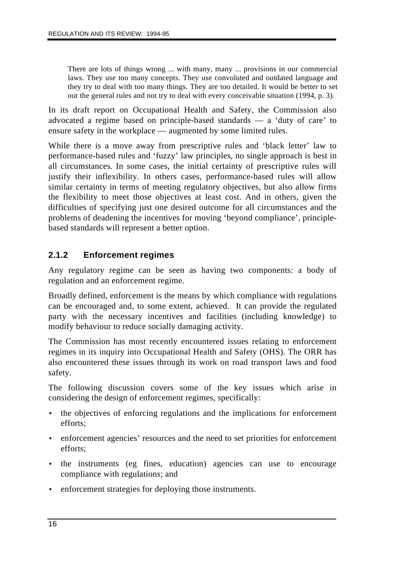There are lots of things wrong ... with many, many ... provisions in our commercial laws. They use too many concepts. They use convoluted and outdated language and they try to deal with too many things. They are too detailed. It would be better to set out the general rules and not try to deal with every conceivable situation (1994, p. 3).

In its draft report on Occupational Health and Safety, the Commission also advocated a regime based on principle-based standards — a 'duty of care' to ensure safety in the workplace — augmented by some limited rules.

While there is a move away from prescriptive rules and 'black letter' law to performance-based rules and 'fuzzy' law principles, no single approach is best in all circumstances. In some cases, the initial certainty of prescriptive rules will justify their inflexibility. In others cases, performance-based rules will allow similar certainty in terms of meeting regulatory objectives, but also allow firms the flexibility to meet those objectives at least cost. And in others, given the difficulties of specifying just one desired outcome for all circumstances and the problems of deadening the incentives for moving 'beyond compliance', principlebased standards will represent a better option.

# **2.1.2 Enforcement regimes**

Any regulatory regime can be seen as having two components: a body of regulation and an enforcement regime.

Broadly defined, enforcement is the means by which compliance with regulations can be encouraged and, to some extent, achieved. It can provide the regulated party with the necessary incentives and facilities (including knowledge) to modify behaviour to reduce socially damaging activity.

The Commission has most recently encountered issues relating to enforcement regimes in its inquiry into Occupational Health and Safety (OHS). The ORR has also encountered these issues through its work on road transport laws and food safety.

The following discussion covers some of the key issues which arise in considering the design of enforcement regimes, specifically:

- the objectives of enforcing regulations and the implications for enforcement efforts;
- enforcement agencies' resources and the need to set priorities for enforcement efforts;
- the instruments (eg fines, education) agencies can use to encourage compliance with regulations; and
- enforcement strategies for deploying those instruments.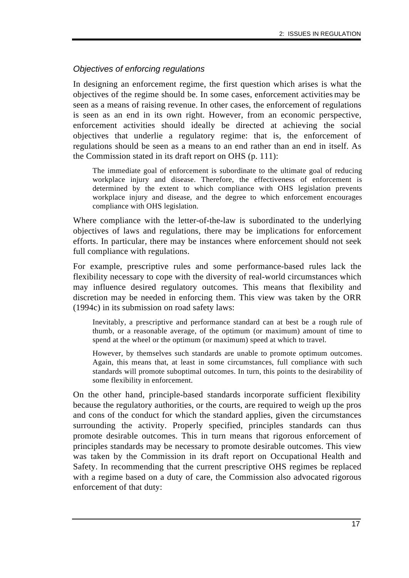# *Objectives of enforcing regulations*

In designing an enforcement regime, the first question which arises is what the objectives of the regime should be. In some cases, enforcement activities may be seen as a means of raising revenue. In other cases, the enforcement of regulations is seen as an end in its own right. However, from an economic perspective, enforcement activities should ideally be directed at achieving the social objectives that underlie a regulatory regime: that is, the enforcement of regulations should be seen as a means to an end rather than an end in itself. As the Commission stated in its draft report on OHS (p. 111):

The immediate goal of enforcement is subordinate to the ultimate goal of reducing workplace injury and disease. Therefore, the effectiveness of enforcement is determined by the extent to which compliance with OHS legislation prevents workplace injury and disease, and the degree to which enforcement encourages compliance with OHS legislation.

Where compliance with the letter-of-the-law is subordinated to the underlying objectives of laws and regulations, there may be implications for enforcement efforts. In particular, there may be instances where enforcement should not seek full compliance with regulations.

For example, prescriptive rules and some performance-based rules lack the flexibility necessary to cope with the diversity of real-world circumstances which may influence desired regulatory outcomes. This means that flexibility and discretion may be needed in enforcing them. This view was taken by the ORR (1994c) in its submission on road safety laws:

Inevitably, a prescriptive and performance standard can at best be a rough rule of thumb, or a reasonable average, of the optimum (or maximum) amount of time to spend at the wheel or the optimum (or maximum) speed at which to travel.

However, by themselves such standards are unable to promote optimum outcomes. Again, this means that, at least in some circumstances, full compliance with such standards will promote suboptimal outcomes. In turn, this points to the desirability of some flexibility in enforcement.

On the other hand, principle-based standards incorporate sufficient flexibility because the regulatory authorities, or the courts, are required to weigh up the pros and cons of the conduct for which the standard applies, given the circumstances surrounding the activity. Properly specified, principles standards can thus promote desirable outcomes. This in turn means that rigorous enforcement of principles standards may be necessary to promote desirable outcomes. This view was taken by the Commission in its draft report on Occupational Health and Safety. In recommending that the current prescriptive OHS regimes be replaced with a regime based on a duty of care, the Commission also advocated rigorous enforcement of that duty: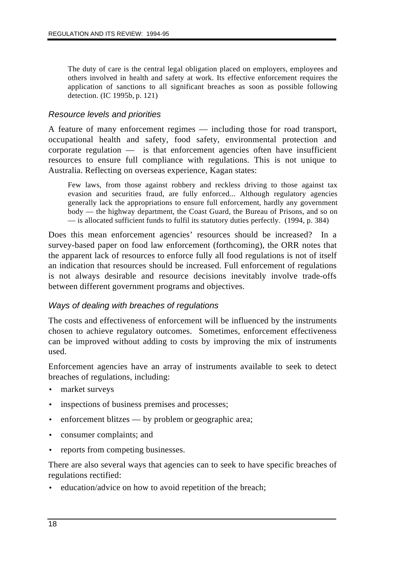The duty of care is the central legal obligation placed on employers, employees and others involved in health and safety at work. Its effective enforcement requires the application of sanctions to all significant breaches as soon as possible following detection. (IC 1995b, p. 121)

#### *Resource levels and priorities*

A feature of many enforcement regimes — including those for road transport, occupational health and safety, food safety, environmental protection and corporate regulation — is that enforcement agencies often have insufficient resources to ensure full compliance with regulations. This is not unique to Australia. Reflecting on overseas experience, Kagan states:

Few laws, from those against robbery and reckless driving to those against tax evasion and securities fraud, are fully enforced... Although regulatory agencies generally lack the appropriations to ensure full enforcement, hardly any government body — the highway department, the Coast Guard, the Bureau of Prisons, and so on — is allocated sufficient funds to fulfil its statutory duties perfectly. (1994, p. 384)

Does this mean enforcement agencies' resources should be increased? In a survey-based paper on food law enforcement (forthcoming), the ORR notes that the apparent lack of resources to enforce fully all food regulations is not of itself an indication that resources should be increased. Full enforcement of regulations is not always desirable and resource decisions inevitably involve trade-offs between different government programs and objectives.

#### *Ways of dealing with breaches of regulations*

The costs and effectiveness of enforcement will be influenced by the instruments chosen to achieve regulatory outcomes. Sometimes, enforcement effectiveness can be improved without adding to costs by improving the mix of instruments used.

Enforcement agencies have an array of instruments available to seek to detect breaches of regulations, including:

- market surveys
- inspections of business premises and processes;
- enforcement blitzes by problem or geographic area;
- consumer complaints; and
- reports from competing businesses.

There are also several ways that agencies can to seek to have specific breaches of regulations rectified:

education/advice on how to avoid repetition of the breach;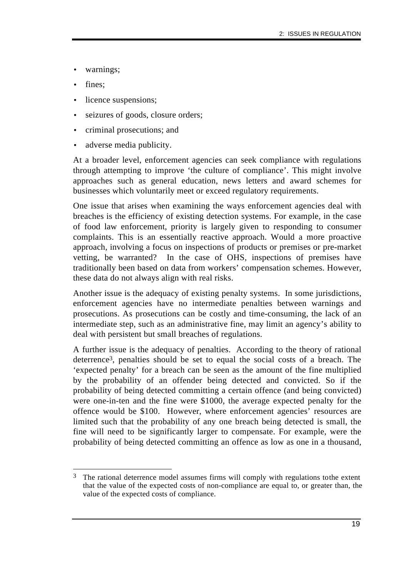- warnings;
- fines;
- licence suspensions;
- seizures of goods, closure orders;
- criminal prosecutions; and
- adverse media publicity.

At a broader level, enforcement agencies can seek compliance with regulations through attempting to improve 'the culture of compliance'. This might involve approaches such as general education, news letters and award schemes for businesses which voluntarily meet or exceed regulatory requirements.

One issue that arises when examining the ways enforcement agencies deal with breaches is the efficiency of existing detection systems. For example, in the case of food law enforcement, priority is largely given to responding to consumer complaints. This is an essentially reactive approach. Would a more proactive approach, involving a focus on inspections of products or premises or pre-market vetting, be warranted? In the case of OHS, inspections of premises have traditionally been based on data from workers' compensation schemes. However, these data do not always align with real risks.

Another issue is the adequacy of existing penalty systems. In some jurisdictions, enforcement agencies have no intermediate penalties between warnings and prosecutions. As prosecutions can be costly and time-consuming, the lack of an intermediate step, such as an administrative fine, may limit an agency's ability to deal with persistent but small breaches of regulations.

A further issue is the adequacy of penalties. According to the theory of rational deterrence3, penalties should be set to equal the social costs of a breach. The 'expected penalty' for a breach can be seen as the amount of the fine multiplied by the probability of an offender being detected and convicted. So if the probability of being detected committing a certain offence (and being convicted) were one-in-ten and the fine were \$1000, the average expected penalty for the offence would be \$100. However, where enforcement agencies' resources are limited such that the probability of any one breach being detected is small, the fine will need to be significantly larger to compensate. For example, were the probability of being detected committing an offence as low as one in a thousand,

 $\overline{a}$ The rational deterrence model assumes firms will comply with regulations to the extent that the value of the expected costs of non-compliance are equal to, or greater than, the value of the expected costs of compliance.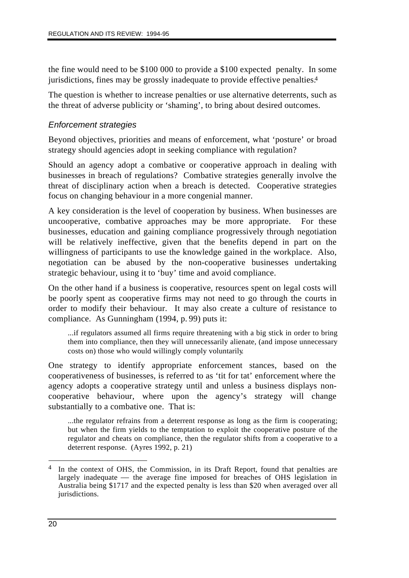the fine would need to be \$100 000 to provide a \$100 expected penalty. In some jurisdictions, fines may be grossly inadequate to provide effective penalties.4

The question is whether to increase penalties or use alternative deterrents, such as the threat of adverse publicity or 'shaming', to bring about desired outcomes.

### *Enforcement strategies*

Beyond objectives, priorities and means of enforcement, what 'posture' or broad strategy should agencies adopt in seeking compliance with regulation?

Should an agency adopt a combative or cooperative approach in dealing with businesses in breach of regulations? Combative strategies generally involve the threat of disciplinary action when a breach is detected. Cooperative strategies focus on changing behaviour in a more congenial manner.

A key consideration is the level of cooperation by business. When businesses are uncooperative, combative approaches may be more appropriate. For these businesses, education and gaining compliance progressively through negotiation will be relatively ineffective, given that the benefits depend in part on the willingness of participants to use the knowledge gained in the workplace. Also, negotiation can be abused by the non-cooperative businesses undertaking strategic behaviour, using it to 'buy' time and avoid compliance.

On the other hand if a business is cooperative, resources spent on legal costs will be poorly spent as cooperative firms may not need to go through the courts in order to modify their behaviour. It may also create a culture of resistance to compliance. As Gunningham (1994, p. 99) puts it:

...if regulators assumed all firms require threatening with a big stick in order to bring them into compliance, then they will unnecessarily alienate, (and impose unnecessary costs on) those who would willingly comply voluntarily.

One strategy to identify appropriate enforcement stances, based on the cooperativeness of businesses, is referred to as 'tit for tat' enforcement, where the agency adopts a cooperative strategy until and unless a business displays noncooperative behaviour, where upon the agency's strategy will change substantially to a combative one. That is:

...the regulator refrains from a deterrent response as long as the firm is cooperating; but when the firm yields to the temptation to exploit the cooperative posture of the regulator and cheats on compliance, then the regulator shifts from a cooperative to a deterrent response. (Ayres 1992, p. 21)

 $\overline{a}$ In the context of OHS, the Commission, in its Draft Report, found that penalties are largely inadequate — the average fine imposed for breaches of OHS legislation in Australia being \$1717 and the expected penalty is less than \$20 when averaged over all jurisdictions.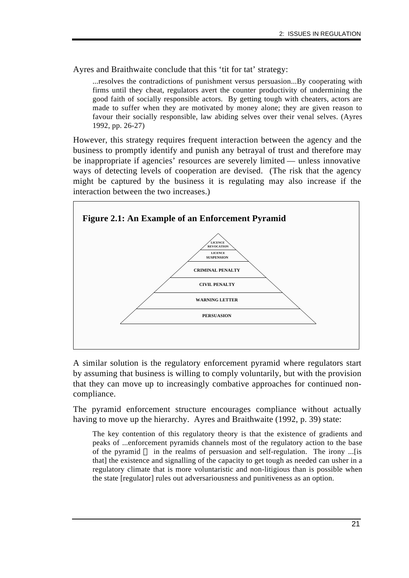Ayres and Braithwaite conclude that this 'tit for tat' strategy:

...resolves the contradictions of punishment versus persuasion...By cooperating with firms until they cheat, regulators avert the counter productivity of undermining the good faith of socially responsible actors. By getting tough with cheaters, actors are made to suffer when they are motivated by money alone; they are given reason to favour their socially responsible, law abiding selves over their venal selves. (Ayres 1992, pp. 26-27)

However, this strategy requires frequent interaction between the agency and the business to promptly identify and punish any betrayal of trust and therefore may be inappropriate if agencies' resources are severely limited — unless innovative ways of detecting levels of cooperation are devised. (The risk that the agency might be captured by the business it is regulating may also increase if the interaction between the two increases.)



A similar solution is the regulatory enforcement pyramid where regulators start by assuming that business is willing to comply voluntarily, but with the provision that they can move up to increasingly combative approaches for continued noncompliance.

The pyramid enforcement structure encourages compliance without actually having to move up the hierarchy. Ayres and Braithwaite (1992, p. 39) state:

The key contention of this regulatory theory is that the existence of gradients and peaks of ...enforcement pyramids channels most of the regulatory action to the base of the pyramid — in the realms of persuasion and self-regulation. The irony ...[is that] the existence and signalling of the capacity to get tough as needed can usher in a regulatory climate that is more voluntaristic and non-litigious than is possible when the state [regulator] rules out adversariousness and punitiveness as an option.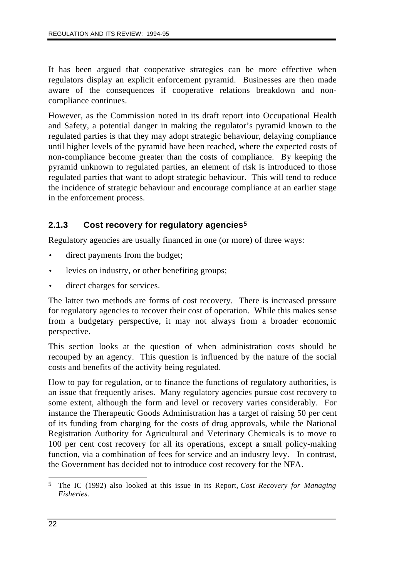It has been argued that cooperative strategies can be more effective when regulators display an explicit enforcement pyramid. Businesses are then made aware of the consequences if cooperative relations breakdown and noncompliance continues.

However, as the Commission noted in its draft report into Occupational Health and Safety, a potential danger in making the regulator's pyramid known to the regulated parties is that they may adopt strategic behaviour, delaying compliance until higher levels of the pyramid have been reached, where the expected costs of non-compliance become greater than the costs of compliance. By keeping the pyramid unknown to regulated parties, an element of risk is introduced to those regulated parties that want to adopt strategic behaviour. This will tend to reduce the incidence of strategic behaviour and encourage compliance at an earlier stage in the enforcement process.

# **2.1.3 Cost recovery for regulatory agencies5**

Regulatory agencies are usually financed in one (or more) of three ways:

- direct payments from the budget;
- levies on industry, or other benefiting groups;
- direct charges for services.

The latter two methods are forms of cost recovery. There is increased pressure for regulatory agencies to recover their cost of operation. While this makes sense from a budgetary perspective, it may not always from a broader economic perspective.

This section looks at the question of when administration costs should be recouped by an agency. This question is influenced by the nature of the social costs and benefits of the activity being regulated.

How to pay for regulation, or to finance the functions of regulatory authorities, is an issue that frequently arises. Many regulatory agencies pursue cost recovery to some extent, although the form and level or recovery varies considerably. For instance the Therapeutic Goods Administration has a target of raising 50 per cent of its funding from charging for the costs of drug approvals, while the National Registration Authority for Agricultural and Veterinary Chemicals is to move to 100 per cent cost recovery for all its operations, except a small policy-making function, via a combination of fees for service and an industry levy. In contrast, the Government has decided not to introduce cost recovery for the NFA.

 $\overline{a}$ 5 The IC (1992) also looked at this issue in its Report, *Cost Recovery for Managing Fisheries.*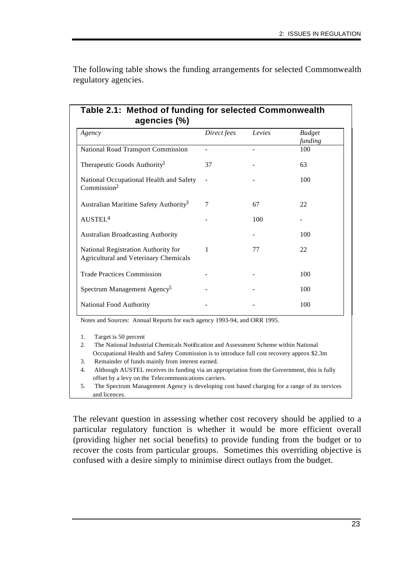| Agency                                                                              | Direct fees | Levies | <b>Budget</b><br>funding |
|-------------------------------------------------------------------------------------|-------------|--------|--------------------------|
| National Road Transport Commission                                                  |             |        | 100                      |
| Therapeutic Goods Authority <sup>1</sup>                                            | 37          |        | 63                       |
| National Occupational Health and Safety<br>Commission <sup>2</sup>                  |             |        | 100                      |
| Australian Maritime Safety Authority <sup>3</sup>                                   | 7           | 67     | 22                       |
| AUSTEL <sup>4</sup>                                                                 |             | 100    |                          |
| <b>Australian Broadcasting Authority</b>                                            |             |        | 100                      |
| National Registration Authority for<br><b>Agricultural and Veterinary Chemicals</b> | 1           | 77     | 22                       |
| <b>Trade Practices Commission</b>                                                   |             |        | 100                      |
| Spectrum Management Agency <sup>5</sup>                                             |             |        | 100                      |
| National Food Authority                                                             |             |        | 100                      |

The following table shows the funding arrangements for selected Commonwealth regulatory agencies.

Notes and Sources: Annual Reports for each agency 1993-94, and ORR 1995.

1. Target is 50 percent

2. The National Industrial Chemicals Notification and Assessment Scheme within National Occupational Health and Safety Commission is to introduce full cost recovery approx \$2.3m

- 3. Remainder of funds mainly from interest earned.
- 4. Although AUSTEL receives its funding via an appropriation from the Government, this is fully offset by a levy on the Telecommunications carriers.
- 5. The Spectrum Management Agency is developing cost based charging for a range of its services and licences.

The relevant question in assessing whether cost recovery should be applied to a particular regulatory function is whether it would be more efficient overall (providing higher net social benefits) to provide funding from the budget or to recover the costs from particular groups. Sometimes this overriding objective is confused with a desire simply to minimise direct outlays from the budget.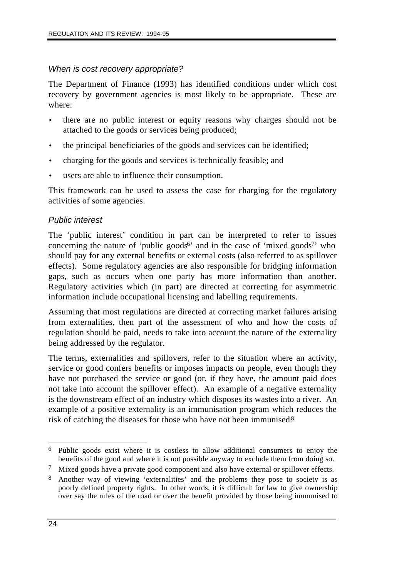### *When is cost recovery appropriate?*

The Department of Finance (1993) has identified conditions under which cost recovery by government agencies is most likely to be appropriate. These are where:

- there are no public interest or equity reasons why charges should not be attached to the goods or services being produced;
- the principal beneficiaries of the goods and services can be identified;
- charging for the goods and services is technically feasible; and
- users are able to influence their consumption.

This framework can be used to assess the case for charging for the regulatory activities of some agencies.

### *Public interest*

The 'public interest' condition in part can be interpreted to refer to issues concerning the nature of 'public goods<sup>6</sup>' and in the case of 'mixed goods<sup>7</sup>' who should pay for any external benefits or external costs (also referred to as spillover effects). Some regulatory agencies are also responsible for bridging information gaps, such as occurs when one party has more information than another. Regulatory activities which (in part) are directed at correcting for asymmetric information include occupational licensing and labelling requirements.

Assuming that most regulations are directed at correcting market failures arising from externalities, then part of the assessment of who and how the costs of regulation should be paid, needs to take into account the nature of the externality being addressed by the regulator.

The terms, externalities and spillovers, refer to the situation where an activity, service or good confers benefits or imposes impacts on people, even though they have not purchased the service or good (or, if they have, the amount paid does not take into account the spillover effect). An example of a negative externality is the downstream effect of an industry which disposes its wastes into a river. An example of a positive externality is an immunisation program which reduces the risk of catching the diseases for those who have not been immunised.8

 $\overline{a}$ 6 Public goods exist where it is costless to allow additional consumers to enjoy the benefits of the good and where it is not possible anyway to exclude them from doing so.

<sup>7</sup> Mixed goods have a private good component and also have external or spillover effects.

<sup>8</sup> Another way of viewing 'externalities' and the problems they pose to society is as poorly defined property rights. In other words, it is difficult for law to give ownership over say the rules of the road or over the benefit provided by those being immunised to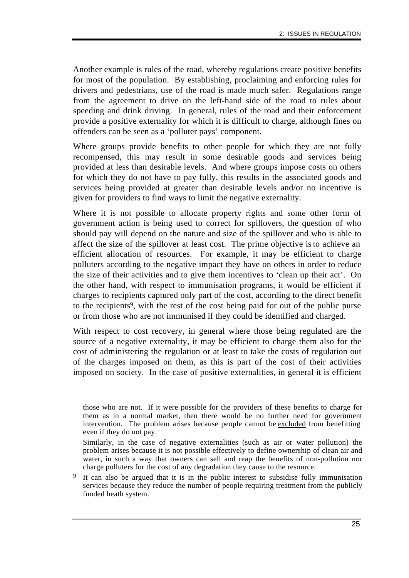Another example is rules of the road, whereby regulations create positive benefits for most of the population. By establishing, proclaiming and enforcing rules for drivers and pedestrians, use of the road is made much safer. Regulations range from the agreement to drive on the left-hand side of the road to rules about speeding and drink driving. In general, rules of the road and their enforcement provide a positive externality for which it is difficult to charge, although fines on offenders can be seen as a 'polluter pays' component.

Where groups provide benefits to other people for which they are not fully recompensed, this may result in some desirable goods and services being provided at less than desirable levels. And where groups impose costs on others for which they do not have to pay fully, this results in the associated goods and services being provided at greater than desirable levels and/or no incentive is given for providers to find ways to limit the negative externality.

Where it is not possible to allocate property rights and some other form of government action is being used to correct for spillovers, the question of who should pay will depend on the nature and size of the spillover and who is able to affect the size of the spillover at least cost. The prime objective is to achieve an efficient allocation of resources. For example, it may be efficient to charge polluters according to the negative impact they have on others in order to reduce the size of their activities and to give them incentives to 'clean up their act'. On the other hand, with respect to immunisation programs, it would be efficient if charges to recipients captured only part of the cost, according to the direct benefit to the recipients9, with the rest of the cost being paid for out of the public purse or from those who are not immunised if they could be identified and charged.

With respect to cost recovery, in general where those being regulated are the source of a negative externality, it may be efficient to charge them also for the cost of administering the regulation or at least to take the costs of regulation out of the charges imposed on them, as this is part of the cost of their activities imposed on society. In the case of positive externalities, in general it is efficient

 $\overline{a}$ 

those who are not. If it were possible for the providers of these benefits to charge for them as in a normal market, then there would be no further need for government intervention. The problem arises because people cannot be excluded from benefitting even if they do not pay.

Similarly, in the case of negative externalities (such as air or water pollution) the problem arises because it is not possible effectively to define ownership of clean air and water, in such a way that owners can sell and reap the benefits of non-pollution nor charge polluters for the cost of any degradation they cause to the resource.

It can also be argued that it is in the public interest to subsidise fully immunisation services because they reduce the number of people requiring treatment from the publicly funded heath system.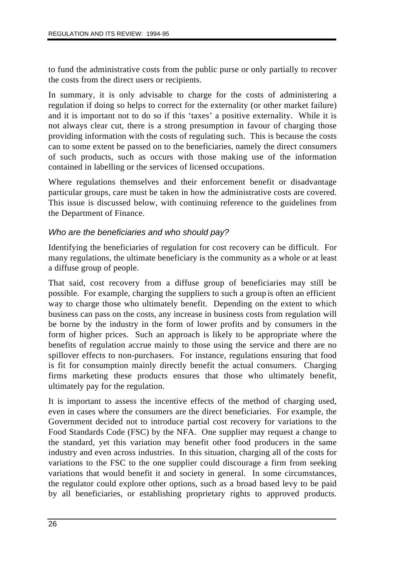to fund the administrative costs from the public purse or only partially to recover the costs from the direct users or recipients.

In summary, it is only advisable to charge for the costs of administering a regulation if doing so helps to correct for the externality (or other market failure) and it is important not to do so if this 'taxes' a positive externality. While it is not always clear cut, there is a strong presumption in favour of charging those providing information with the costs of regulating such. This is because the costs can to some extent be passed on to the beneficiaries, namely the direct consumers of such products, such as occurs with those making use of the information contained in labelling or the services of licensed occupations.

Where regulations themselves and their enforcement benefit or disadvantage particular groups, care must be taken in how the administrative costs are covered. This issue is discussed below, with continuing reference to the guidelines from the Department of Finance.

# *Who are the beneficiaries and who should pay?*

Identifying the beneficiaries of regulation for cost recovery can be difficult. For many regulations, the ultimate beneficiary is the community as a whole or at least a diffuse group of people.

That said, cost recovery from a diffuse group of beneficiaries may still be possible. For example, charging the suppliers to such a group is often an efficient way to charge those who ultimately benefit. Depending on the extent to which business can pass on the costs, any increase in business costs from regulation will be borne by the industry in the form of lower profits and by consumers in the form of higher prices. Such an approach is likely to be appropriate where the benefits of regulation accrue mainly to those using the service and there are no spillover effects to non-purchasers. For instance, regulations ensuring that food is fit for consumption mainly directly benefit the actual consumers. Charging firms marketing these products ensures that those who ultimately benefit, ultimately pay for the regulation.

It is important to assess the incentive effects of the method of charging used, even in cases where the consumers are the direct beneficiaries. For example, the Government decided not to introduce partial cost recovery for variations to the Food Standards Code (FSC) by the NFA. One supplier may request a change to the standard, yet this variation may benefit other food producers in the same industry and even across industries. In this situation, charging all of the costs for variations to the FSC to the one supplier could discourage a firm from seeking variations that would benefit it and society in general. In some circumstances, the regulator could explore other options, such as a broad based levy to be paid by all beneficiaries, or establishing proprietary rights to approved products.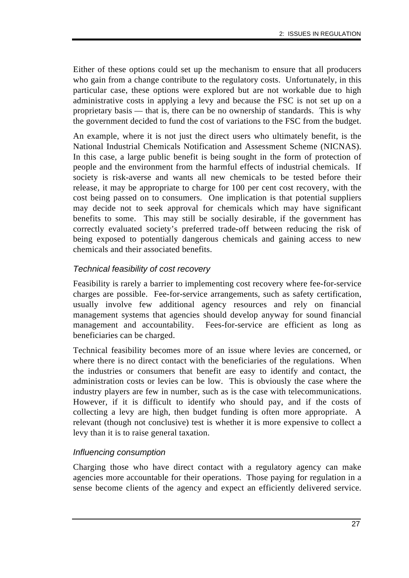Either of these options could set up the mechanism to ensure that all producers who gain from a change contribute to the regulatory costs. Unfortunately, in this particular case, these options were explored but are not workable due to high administrative costs in applying a levy and because the FSC is not set up on a proprietary basis — that is, there can be no ownership of standards. This is why the government decided to fund the cost of variations to the FSC from the budget.

An example, where it is not just the direct users who ultimately benefit, is the National Industrial Chemicals Notification and Assessment Scheme (NICNAS). In this case, a large public benefit is being sought in the form of protection of people and the environment from the harmful effects of industrial chemicals. If society is risk-averse and wants all new chemicals to be tested before their release, it may be appropriate to charge for 100 per cent cost recovery, with the cost being passed on to consumers. One implication is that potential suppliers may decide not to seek approval for chemicals which may have significant benefits to some. This may still be socially desirable, if the government has correctly evaluated society's preferred trade-off between reducing the risk of being exposed to potentially dangerous chemicals and gaining access to new chemicals and their associated benefits.

### *Technical feasibility of cost recovery*

Feasibility is rarely a barrier to implementing cost recovery where fee-for-service charges are possible. Fee-for-service arrangements, such as safety certification, usually involve few additional agency resources and rely on financial management systems that agencies should develop anyway for sound financial management and accountability. Fees-for-service are efficient as long as beneficiaries can be charged.

Technical feasibility becomes more of an issue where levies are concerned, or where there is no direct contact with the beneficiaries of the regulations. When the industries or consumers that benefit are easy to identify and contact, the administration costs or levies can be low. This is obviously the case where the industry players are few in number, such as is the case with telecommunications. However, if it is difficult to identify who should pay, and if the costs of collecting a levy are high, then budget funding is often more appropriate. A relevant (though not conclusive) test is whether it is more expensive to collect a levy than it is to raise general taxation.

### *Influencing consumption*

Charging those who have direct contact with a regulatory agency can make agencies more accountable for their operations. Those paying for regulation in a sense become clients of the agency and expect an efficiently delivered service.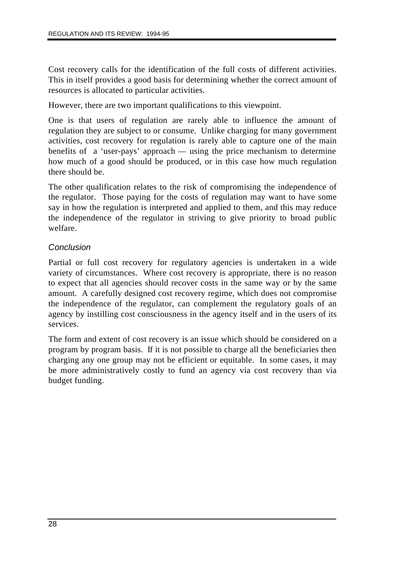Cost recovery calls for the identification of the full costs of different activities. This in itself provides a good basis for determining whether the correct amount of resources is allocated to particular activities.

However, there are two important qualifications to this viewpoint.

One is that users of regulation are rarely able to influence the amount of regulation they are subject to or consume. Unlike charging for many government activities, cost recovery for regulation is rarely able to capture one of the main benefits of a 'user-pays' approach — using the price mechanism to determine how much of a good should be produced, or in this case how much regulation there should be.

The other qualification relates to the risk of compromising the independence of the regulator. Those paying for the costs of regulation may want to have some say in how the regulation is interpreted and applied to them, and this may reduce the independence of the regulator in striving to give priority to broad public welfare.

### *Conclusion*

Partial or full cost recovery for regulatory agencies is undertaken in a wide variety of circumstances. Where cost recovery is appropriate, there is no reason to expect that all agencies should recover costs in the same way or by the same amount. A carefully designed cost recovery regime, which does not compromise the independence of the regulator, can complement the regulatory goals of an agency by instilling cost consciousness in the agency itself and in the users of its services.

The form and extent of cost recovery is an issue which should be considered on a program by program basis. If it is not possible to charge all the beneficiaries then charging any one group may not be efficient or equitable. In some cases, it may be more administratively costly to fund an agency via cost recovery than via budget funding.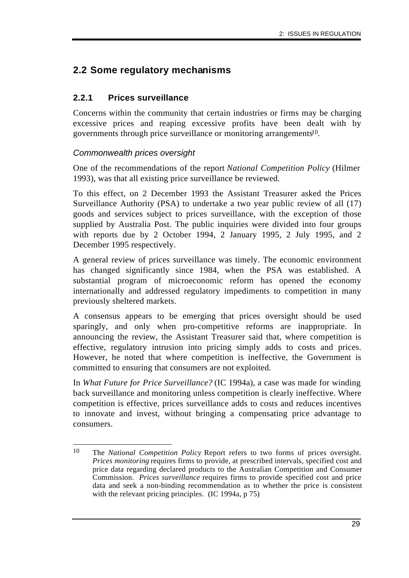# **2.2 Some regulatory mechanisms**

# **2.2.1 Prices surveillance**

Concerns within the community that certain industries or firms may be charging excessive prices and reaping excessive profits have been dealt with by governments through price surveillance or monitoring arrangements<sup>10</sup>.

# *Commonwealth prices oversight*

One of the recommendations of the report *National Competition Policy* (Hilmer 1993), was that all existing price surveillance be reviewed.

To this effect, on 2 December 1993 the Assistant Treasurer asked the Prices Surveillance Authority (PSA) to undertake a two year public review of all (17) goods and services subject to prices surveillance, with the exception of those supplied by Australia Post. The public inquiries were divided into four groups with reports due by 2 October 1994, 2 January 1995, 2 July 1995, and 2 December 1995 respectively.

A general review of prices surveillance was timely. The economic environment has changed significantly since 1984, when the PSA was established. A substantial program of microeconomic reform has opened the economy internationally and addressed regulatory impediments to competition in many previously sheltered markets.

A consensus appears to be emerging that prices oversight should be used sparingly, and only when pro-competitive reforms are inappropriate. In announcing the review, the Assistant Treasurer said that, where competition is effective, regulatory intrusion into pricing simply adds to costs and prices. However, he noted that where competition is ineffective, the Government is committed to ensuring that consumers are not exploited.

In *What Future for Price Surveillance?* (IC 1994a), a case was made for winding back surveillance and monitoring unless competition is clearly ineffective. Where competition is effective, prices surveillance adds to costs and reduces incentives to innovate and invest, without bringing a compensating price advantage to consumers.

<sup>10</sup> 10 The *National Competition Policy* Report refers to two forms of prices oversight. *Prices monitoring* requires firms to provide, at prescribed intervals, specified cost and price data regarding declared products to the Australian Competition and Consumer Commission. *Prices surveillance* requires firms to provide specified cost and price data and seek a non-binding recommendation as to whether the price is consistent with the relevant pricing principles. (IC 1994a, p 75)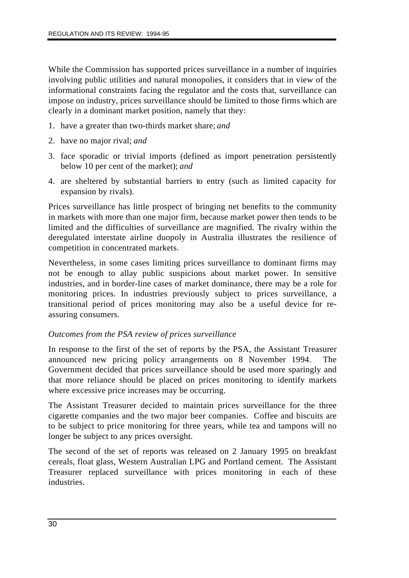While the Commission has supported prices surveillance in a number of inquiries involving public utilities and natural monopolies, it considers that in view of the informational constraints facing the regulator and the costs that, surveillance can impose on industry, prices surveillance should be limited to those firms which are clearly in a dominant market position, namely that they:

- 1. have a greater than two-thirds market share; *and*
- 2. have no major rival; *and*
- 3. face sporadic or trivial imports (defined as import penetration persistently below 10 per cent of the market); *and*
- 4. are sheltered by substantial barriers to entry (such as limited capacity for expansion by rivals).

Prices surveillance has little prospect of bringing net benefits to the community in markets with more than one major firm, because market power then tends to be limited and the difficulties of surveillance are magnified. The rivalry within the deregulated interstate airline duopoly in Australia illustrates the resilience of competition in concentrated markets.

Nevertheless, in some cases limiting prices surveillance to dominant firms may not be enough to allay public suspicions about market power. In sensitive industries, and in border-line cases of market dominance, there may be a role for monitoring prices. In industries previously subject to prices surveillance, a transitional period of prices monitoring may also be a useful device for reassuring consumers.

### *Outcomes from the PSA review of prices surveillance*

In response to the first of the set of reports by the PSA, the Assistant Treasurer announced new pricing policy arrangements on 8 November 1994. The Government decided that prices surveillance should be used more sparingly and that more reliance should be placed on prices monitoring to identify markets where excessive price increases may be occurring.

The Assistant Treasurer decided to maintain prices surveillance for the three cigarette companies and the two major beer companies. Coffee and biscuits are to be subject to price monitoring for three years, while tea and tampons will no longer be subject to any prices oversight.

The second of the set of reports was released on 2 January 1995 on breakfast cereals, float glass, Western Australian LPG and Portland cement. The Assistant Treasurer replaced surveillance with prices monitoring in each of these industries.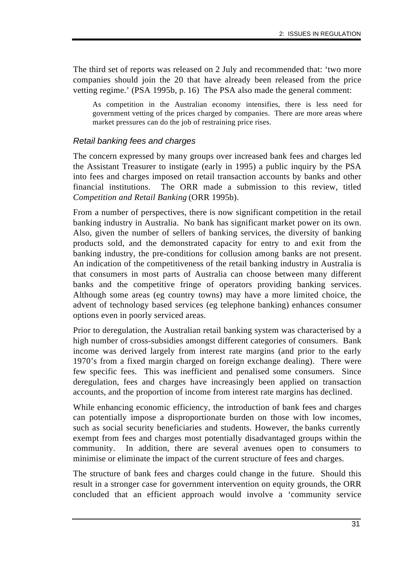The third set of reports was released on 2 July and recommended that: 'two more companies should join the 20 that have already been released from the price vetting regime.' (PSA 1995b, p. 16) The PSA also made the general comment:

As competition in the Australian economy intensifies, there is less need for government vetting of the prices charged by companies. There are more areas where market pressures can do the job of restraining price rises.

# *Retail banking fees and charges*

The concern expressed by many groups over increased bank fees and charges led the Assistant Treasurer to instigate (early in 1995) a public inquiry by the PSA into fees and charges imposed on retail transaction accounts by banks and other financial institutions. The ORR made a submission to this review, titled *Competition and Retail Banking* (ORR 1995b).

From a number of perspectives, there is now significant competition in the retail banking industry in Australia. No bank has significant market power on its own. Also, given the number of sellers of banking services, the diversity of banking products sold, and the demonstrated capacity for entry to and exit from the banking industry, the pre-conditions for collusion among banks are not present. An indication of the competitiveness of the retail banking industry in Australia is that consumers in most parts of Australia can choose between many different banks and the competitive fringe of operators providing banking services. Although some areas (eg country towns) may have a more limited choice, the advent of technology based services (eg telephone banking) enhances consumer options even in poorly serviced areas.

Prior to deregulation, the Australian retail banking system was characterised by a high number of cross-subsidies amongst different categories of consumers. Bank income was derived largely from interest rate margins (and prior to the early 1970's from a fixed margin charged on foreign exchange dealing). There were few specific fees. This was inefficient and penalised some consumers. Since deregulation, fees and charges have increasingly been applied on transaction accounts, and the proportion of income from interest rate margins has declined.

While enhancing economic efficiency, the introduction of bank fees and charges can potentially impose a disproportionate burden on those with low incomes, such as social security beneficiaries and students. However, the banks currently exempt from fees and charges most potentially disadvantaged groups within the community. In addition, there are several avenues open to consumers to minimise or eliminate the impact of the current structure of fees and charges.

The structure of bank fees and charges could change in the future. Should this result in a stronger case for government intervention on equity grounds, the ORR concluded that an efficient approach would involve a 'community service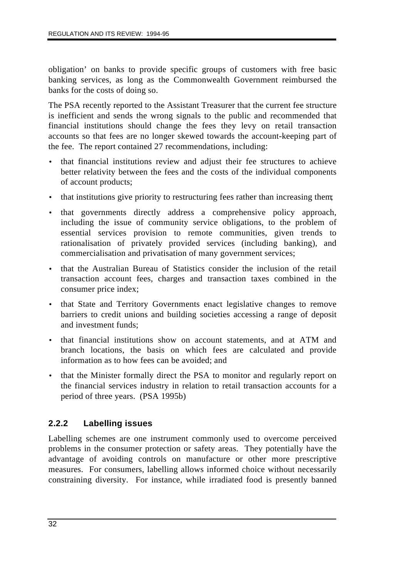obligation' on banks to provide specific groups of customers with free basic banking services, as long as the Commonwealth Government reimbursed the banks for the costs of doing so.

The PSA recently reported to the Assistant Treasurer that the current fee structure is inefficient and sends the wrong signals to the public and recommended that financial institutions should change the fees they levy on retail transaction accounts so that fees are no longer skewed towards the account-keeping part of the fee. The report contained 27 recommendations, including:

- that financial institutions review and adjust their fee structures to achieve better relativity between the fees and the costs of the individual components of account products;
- that institutions give priority to restructuring fees rather than increasing them;
- that governments directly address a comprehensive policy approach, including the issue of community service obligations, to the problem of essential services provision to remote communities, given trends to rationalisation of privately provided services (including banking), and commercialisation and privatisation of many government services;
- that the Australian Bureau of Statistics consider the inclusion of the retail transaction account fees, charges and transaction taxes combined in the consumer price index;
- that State and Territory Governments enact legislative changes to remove barriers to credit unions and building societies accessing a range of deposit and investment funds;
- that financial institutions show on account statements, and at ATM and branch locations, the basis on which fees are calculated and provide information as to how fees can be avoided; and
- that the Minister formally direct the PSA to monitor and regularly report on the financial services industry in relation to retail transaction accounts for a period of three years. (PSA 1995b)

# **2.2.2 Labelling issues**

Labelling schemes are one instrument commonly used to overcome perceived problems in the consumer protection or safety areas. They potentially have the advantage of avoiding controls on manufacture or other more prescriptive measures. For consumers, labelling allows informed choice without necessarily constraining diversity. For instance, while irradiated food is presently banned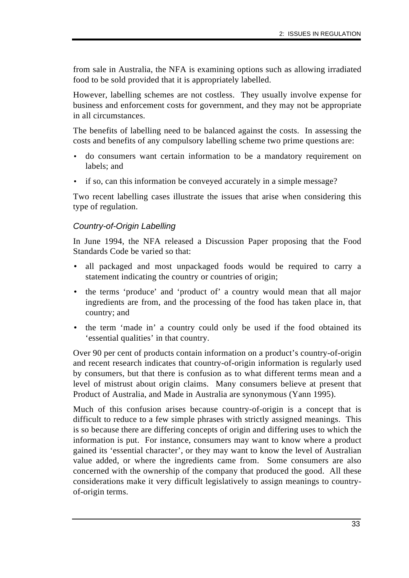from sale in Australia, the NFA is examining options such as allowing irradiated food to be sold provided that it is appropriately labelled.

However, labelling schemes are not costless. They usually involve expense for business and enforcement costs for government, and they may not be appropriate in all circumstances.

The benefits of labelling need to be balanced against the costs. In assessing the costs and benefits of any compulsory labelling scheme two prime questions are:

- do consumers want certain information to be a mandatory requirement on labels; and
- if so, can this information be conveyed accurately in a simple message?

Two recent labelling cases illustrate the issues that arise when considering this type of regulation.

### *Country-of-Origin Labelling*

In June 1994, the NFA released a Discussion Paper proposing that the Food Standards Code be varied so that:

- all packaged and most unpackaged foods would be required to carry a statement indicating the country or countries of origin;
- the terms 'produce' and 'product of' a country would mean that all major ingredients are from, and the processing of the food has taken place in, that country; and
- the term 'made in' a country could only be used if the food obtained its 'essential qualities' in that country.

Over 90 per cent of products contain information on a product's country-of-origin and recent research indicates that country-of-origin information is regularly used by consumers, but that there is confusion as to what different terms mean and a level of mistrust about origin claims. Many consumers believe at present that Product of Australia, and Made in Australia are synonymous (Yann 1995).

Much of this confusion arises because country-of-origin is a concept that is difficult to reduce to a few simple phrases with strictly assigned meanings. This is so because there are differing concepts of origin and differing uses to which the information is put. For instance, consumers may want to know where a product gained its 'essential character', or they may want to know the level of Australian value added, or where the ingredients came from. Some consumers are also concerned with the ownership of the company that produced the good. All these considerations make it very difficult legislatively to assign meanings to countryof-origin terms.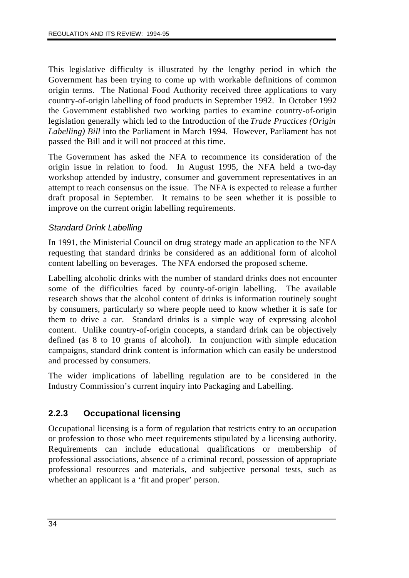This legislative difficulty is illustrated by the lengthy period in which the Government has been trying to come up with workable definitions of common origin terms. The National Food Authority received three applications to vary country-of-origin labelling of food products in September 1992. In October 1992 the Government established two working parties to examine country-of-origin legislation generally which led to the Introduction of the *Trade Practices (Origin Labelling) Bill* into the Parliament in March 1994. However, Parliament has not passed the Bill and it will not proceed at this time.

The Government has asked the NFA to recommence its consideration of the origin issue in relation to food. In August 1995, the NFA held a two-day workshop attended by industry, consumer and government representatives in an attempt to reach consensus on the issue. The NFA is expected to release a further draft proposal in September. It remains to be seen whether it is possible to improve on the current origin labelling requirements.

# *Standard Drink Labelling*

In 1991, the Ministerial Council on drug strategy made an application to the NFA requesting that standard drinks be considered as an additional form of alcohol content labelling on beverages. The NFA endorsed the proposed scheme.

Labelling alcoholic drinks with the number of standard drinks does not encounter some of the difficulties faced by county-of-origin labelling. The available research shows that the alcohol content of drinks is information routinely sought by consumers, particularly so where people need to know whether it is safe for them to drive a car. Standard drinks is a simple way of expressing alcohol content. Unlike country-of-origin concepts, a standard drink can be objectively defined (as 8 to 10 grams of alcohol). In conjunction with simple education campaigns, standard drink content is information which can easily be understood and processed by consumers.

The wider implications of labelling regulation are to be considered in the Industry Commission's current inquiry into Packaging and Labelling.

# **2.2.3 Occupational licensing**

Occupational licensing is a form of regulation that restricts entry to an occupation or profession to those who meet requirements stipulated by a licensing authority. Requirements can include educational qualifications or membership of professional associations, absence of a criminal record, possession of appropriate professional resources and materials, and subjective personal tests, such as whether an applicant is a 'fit and proper' person.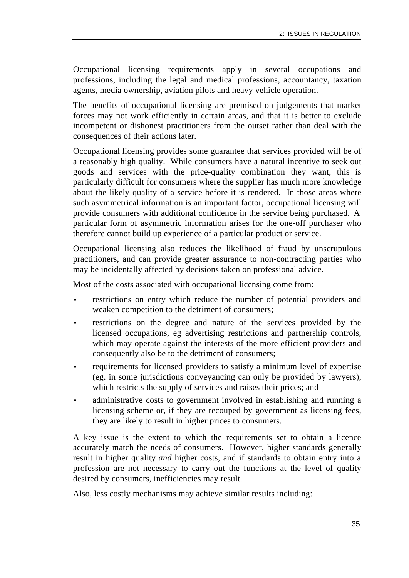Occupational licensing requirements apply in several occupations and professions, including the legal and medical professions, accountancy, taxation agents, media ownership, aviation pilots and heavy vehicle operation.

The benefits of occupational licensing are premised on judgements that market forces may not work efficiently in certain areas, and that it is better to exclude incompetent or dishonest practitioners from the outset rather than deal with the consequences of their actions later.

Occupational licensing provides some guarantee that services provided will be of a reasonably high quality. While consumers have a natural incentive to seek out goods and services with the price-quality combination they want, this is particularly difficult for consumers where the supplier has much more knowledge about the likely quality of a service before it is rendered. In those areas where such asymmetrical information is an important factor, occupational licensing will provide consumers with additional confidence in the service being purchased. A particular form of asymmetric information arises for the one-off purchaser who therefore cannot build up experience of a particular product or service.

Occupational licensing also reduces the likelihood of fraud by unscrupulous practitioners, and can provide greater assurance to non-contracting parties who may be incidentally affected by decisions taken on professional advice.

Most of the costs associated with occupational licensing come from:

- restrictions on entry which reduce the number of potential providers and weaken competition to the detriment of consumers;
- restrictions on the degree and nature of the services provided by the licensed occupations, eg advertising restrictions and partnership controls, which may operate against the interests of the more efficient providers and consequently also be to the detriment of consumers;
- requirements for licensed providers to satisfy a minimum level of expertise (eg. in some jurisdictions conveyancing can only be provided by lawyers), which restricts the supply of services and raises their prices; and
- administrative costs to government involved in establishing and running a licensing scheme or, if they are recouped by government as licensing fees, they are likely to result in higher prices to consumers.

A key issue is the extent to which the requirements set to obtain a licence accurately match the needs of consumers. However, higher standards generally result in higher quality *and* higher costs, and if standards to obtain entry into a profession are not necessary to carry out the functions at the level of quality desired by consumers, inefficiencies may result.

Also, less costly mechanisms may achieve similar results including: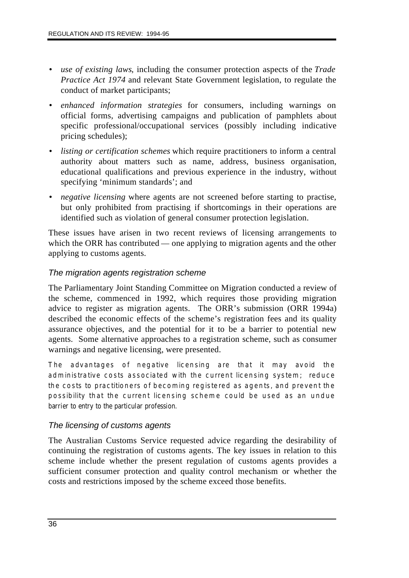- *use of existing laws*, including the consumer protection aspects of the *Trade Practice Act 1974* and relevant State Government legislation, to regulate the conduct of market participants;
- *enhanced information strategies* for consumers, including warnings on official forms, advertising campaigns and publication of pamphlets about specific professional/occupational services (possibly including indicative pricing schedules);
- *listing or certification schemes* which require practitioners to inform a central authority about matters such as name, address, business organisation, educational qualifications and previous experience in the industry, without specifying 'minimum standards'; and
- *negative licensing* where agents are not screened before starting to practise, but only prohibited from practising if shortcomings in their operations are identified such as violation of general consumer protection legislation.

These issues have arisen in two recent reviews of licensing arrangements to which the ORR has contributed — one applying to migration agents and the other applying to customs agents.

# *The migration agents registration scheme*

The Parliamentary Joint Standing Committee on Migration conducted a review of the scheme, commenced in 1992, which requires those providing migration advice to register as migration agents. The ORR's submission (ORR 1994a) described the economic effects of the scheme's registration fees and its quality assurance objectives, and the potential for it to be a barrier to potential new agents. Some alternative approaches to a registration scheme, such as consumer warnings and negative licensing, were presented.

The advantages of negative licensing are that it may avoid the administrative costs associated with the current licensing system; reduce the costs to practitioners of becoming registered as agents, and prevent the possibility that the current licensing scheme could be used as an undue barrier to entry to the particular profession.

# *The licensing of customs agents*

The Australian Customs Service requested advice regarding the desirability of continuing the registration of customs agents. The key issues in relation to this scheme include whether the present regulation of customs agents provides a sufficient consumer protection and quality control mechanism or whether the costs and restrictions imposed by the scheme exceed those benefits.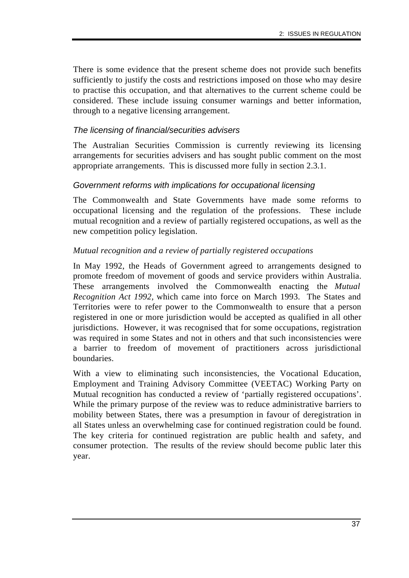There is some evidence that the present scheme does not provide such benefits sufficiently to justify the costs and restrictions imposed on those who may desire to practise this occupation, and that alternatives to the current scheme could be considered. These include issuing consumer warnings and better information, through to a negative licensing arrangement.

### *The licensing of financial/securities advisers*

The Australian Securities Commission is currently reviewing its licensing arrangements for securities advisers and has sought public comment on the most appropriate arrangements. This is discussed more fully in section 2.3.1.

### *Government reforms with implications for occupational licensing*

The Commonwealth and State Governments have made some reforms to occupational licensing and the regulation of the professions. These include mutual recognition and a review of partially registered occupations, as well as the new competition policy legislation.

### *Mutual recognition and a review of partially registered occupations*

In May 1992, the Heads of Government agreed to arrangements designed to promote freedom of movement of goods and service providers within Australia. These arrangements involved the Commonwealth enacting the *Mutual Recognition Act 1992,* which came into force on March 1993. The States and Territories were to refer power to the Commonwealth to ensure that a person registered in one or more jurisdiction would be accepted as qualified in all other jurisdictions. However, it was recognised that for some occupations, registration was required in some States and not in others and that such inconsistencies were a barrier to freedom of movement of practitioners across jurisdictional boundaries.

With a view to eliminating such inconsistencies, the Vocational Education, Employment and Training Advisory Committee (VEETAC) Working Party on Mutual recognition has conducted a review of 'partially registered occupations'. While the primary purpose of the review was to reduce administrative barriers to mobility between States, there was a presumption in favour of deregistration in all States unless an overwhelming case for continued registration could be found. The key criteria for continued registration are public health and safety, and consumer protection. The results of the review should become public later this year.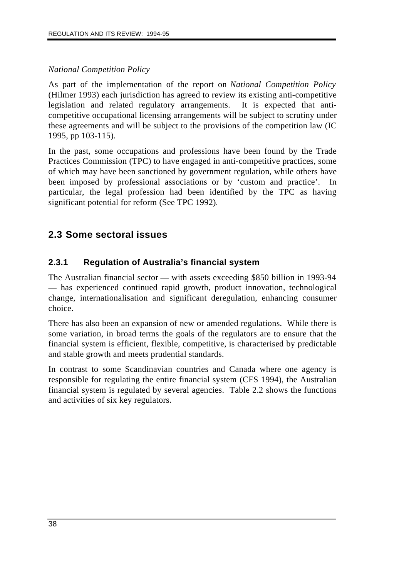# *National Competition Policy*

As part of the implementation of the report on *National Competition Policy* (Hilmer 1993) each jurisdiction has agreed to review its existing anti-competitive legislation and related regulatory arrangements. It is expected that anticompetitive occupational licensing arrangements will be subject to scrutiny under these agreements and will be subject to the provisions of the competition law (IC 1995, pp 103-115).

In the past, some occupations and professions have been found by the Trade Practices Commission (TPC) to have engaged in anti-competitive practices, some of which may have been sanctioned by government regulation, while others have been imposed by professional associations or by 'custom and practice'. In particular, the legal profession had been identified by the TPC as having significant potential for reform (See TPC 1992).

# **2.3 Some sectoral issues**

# **2.3.1 Regulation of Australia's financial system**

The Australian financial sector — with assets exceeding \$850 billion in 1993-94 — has experienced continued rapid growth, product innovation, technological change, internationalisation and significant deregulation, enhancing consumer choice.

There has also been an expansion of new or amended regulations. While there is some variation, in broad terms the goals of the regulators are to ensure that the financial system is efficient, flexible, competitive, is characterised by predictable and stable growth and meets prudential standards.

In contrast to some Scandinavian countries and Canada where one agency is responsible for regulating the entire financial system (CFS 1994), the Australian financial system is regulated by several agencies. Table 2.2 shows the functions and activities of six key regulators.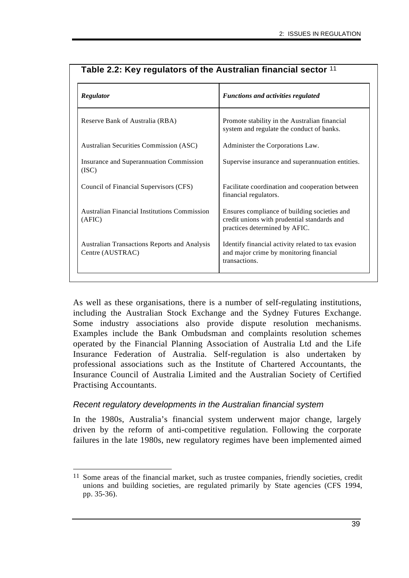| Regulator                                                               | <b>Functions and activities regulated</b>                                                                                    |  |  |
|-------------------------------------------------------------------------|------------------------------------------------------------------------------------------------------------------------------|--|--|
| Reserve Bank of Australia (RBA)                                         | Promote stability in the Australian financial<br>system and regulate the conduct of banks.                                   |  |  |
| Australian Securities Commission (ASC)                                  | Administer the Corporations Law.                                                                                             |  |  |
| Insurance and Superannuation Commission<br>(ISC)                        | Supervise insurance and superannuation entities.                                                                             |  |  |
| Council of Financial Supervisors (CFS)                                  | Facilitate coordination and cooperation between<br>financial regulators.                                                     |  |  |
| <b>Australian Financial Institutions Commission</b><br>(AFIC)           | Ensures compliance of building societies and<br>credit unions with prudential standards and<br>practices determined by AFIC. |  |  |
| <b>Australian Transactions Reports and Analysis</b><br>Centre (AUSTRAC) | Identify financial activity related to tax evasion<br>and major crime by monitoring financial<br>transactions.               |  |  |

# **Table 2.2: Key regulators of the Australian financial sector** 11

As well as these organisations, there is a number of self-regulating institutions, including the Australian Stock Exchange and the Sydney Futures Exchange. Some industry associations also provide dispute resolution mechanisms. Examples include the Bank Ombudsman and complaints resolution schemes operated by the Financial Planning Association of Australia Ltd and the Life Insurance Federation of Australia. Self-regulation is also undertaken by professional associations such as the Institute of Chartered Accountants, the Insurance Council of Australia Limited and the Australian Society of Certified Practising Accountants.

### *Recent regulatory developments in the Australian financial system*

In the 1980s, Australia's financial system underwent major change, largely driven by the reform of anti-competitive regulation. Following the corporate failures in the late 1980s, new regulatory regimes have been implemented aimed

 $\overline{a}$ <sup>11</sup> Some areas of the financial market, such as trustee companies, friendly societies, credit unions and building societies, are regulated primarily by State agencies (CFS 1994, pp. 35-36).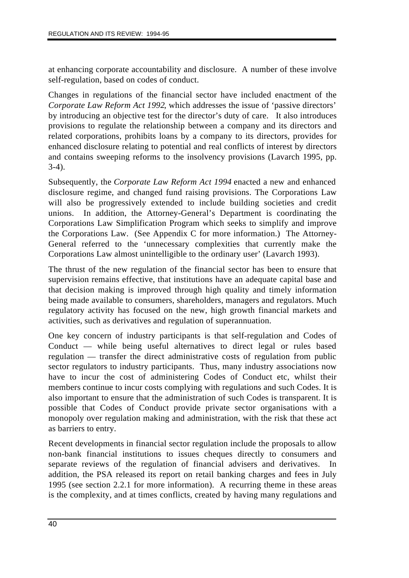at enhancing corporate accountability and disclosure. A number of these involve self-regulation, based on codes of conduct.

Changes in regulations of the financial sector have included enactment of the *Corporate Law Reform Act 1992*, which addresses the issue of 'passive directors' by introducing an objective test for the director's duty of care. It also introduces provisions to regulate the relationship between a company and its directors and related corporations, prohibits loans by a company to its directors, provides for enhanced disclosure relating to potential and real conflicts of interest by directors and contains sweeping reforms to the insolvency provisions (Lavarch 1995, pp. 3-4).

Subsequently, the *Corporate Law Reform Act 1994* enacted a new and enhanced disclosure regime, and changed fund raising provisions. The Corporations Law will also be progressively extended to include building societies and credit unions. In addition, the Attorney-General's Department is coordinating the Corporations Law Simplification Program which seeks to simplify and improve the Corporations Law. (See Appendix C for more information.) The Attorney-General referred to the 'unnecessary complexities that currently make the Corporations Law almost unintelligible to the ordinary user' (Lavarch 1993).

The thrust of the new regulation of the financial sector has been to ensure that supervision remains effective, that institutions have an adequate capital base and that decision making is improved through high quality and timely information being made available to consumers, shareholders, managers and regulators. Much regulatory activity has focused on the new, high growth financial markets and activities, such as derivatives and regulation of superannuation.

One key concern of industry participants is that self-regulation and Codes of Conduct — while being useful alternatives to direct legal or rules based regulation — transfer the direct administrative costs of regulation from public sector regulators to industry participants. Thus, many industry associations now have to incur the cost of administering Codes of Conduct etc, whilst their members continue to incur costs complying with regulations and such Codes. It is also important to ensure that the administration of such Codes is transparent. It is possible that Codes of Conduct provide private sector organisations with a monopoly over regulation making and administration, with the risk that these act as barriers to entry.

Recent developments in financial sector regulation include the proposals to allow non-bank financial institutions to issues cheques directly to consumers and separate reviews of the regulation of financial advisers and derivatives. addition, the PSA released its report on retail banking charges and fees in July 1995 (see section 2.2.1 for more information). A recurring theme in these areas is the complexity, and at times conflicts, created by having many regulations and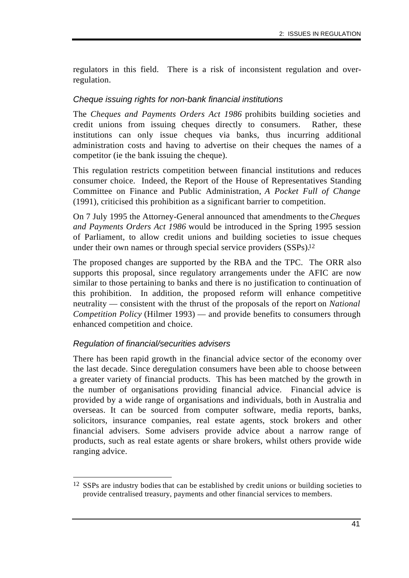regulators in this field. There is a risk of inconsistent regulation and overregulation.

### *Cheque issuing rights for non-bank financial institutions*

The *Cheques and Payments Orders Act 1986* prohibits building societies and credit unions from issuing cheques directly to consumers. Rather, these institutions can only issue cheques via banks, thus incurring additional administration costs and having to advertise on their cheques the names of a competitor (ie the bank issuing the cheque).

This regulation restricts competition between financial institutions and reduces consumer choice. Indeed, the Report of the House of Representatives Standing Committee on Finance and Public Administration, *A Pocket Full of Change* (1991), criticised this prohibition as a significant barrier to competition.

On 7 July 1995 the Attorney-General announced that amendments to the *Cheques and Payments Orders Act 1986* would be introduced in the Spring 1995 session of Parliament, to allow credit unions and building societies to issue cheques under their own names or through special service providers (SSPs).<sup>12</sup>

The proposed changes are supported by the RBA and the TPC. The ORR also supports this proposal, since regulatory arrangements under the AFIC are now similar to those pertaining to banks and there is no justification to continuation of this prohibition. In addition, the proposed reform will enhance competitive neutrality — consistent with the thrust of the proposals of the report on *National Competition Policy* (Hilmer 1993) — and provide benefits to consumers through enhanced competition and choice.

### *Regulation of financial/securities advisers*

There has been rapid growth in the financial advice sector of the economy over the last decade. Since deregulation consumers have been able to choose between a greater variety of financial products. This has been matched by the growth in the number of organisations providing financial advice. Financial advice is provided by a wide range of organisations and individuals, both in Australia and overseas. It can be sourced from computer software, media reports, banks, solicitors, insurance companies, real estate agents, stock brokers and other financial advisers. Some advisers provide advice about a narrow range of products, such as real estate agents or share brokers, whilst others provide wide ranging advice.

 $\overline{a}$ 12 SSPs are industry bodies that can be established by credit unions or building societies to provide centralised treasury, payments and other financial services to members.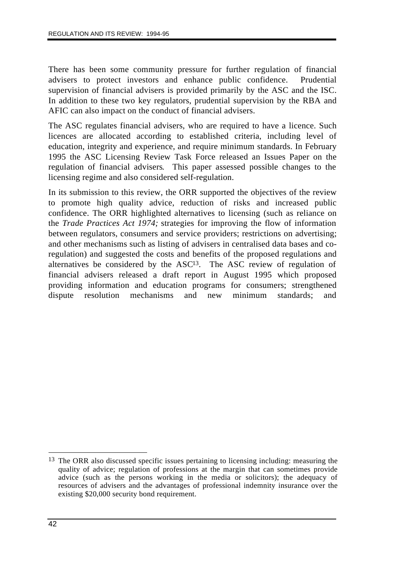There has been some community pressure for further regulation of financial advisers to protect investors and enhance public confidence. Prudential supervision of financial advisers is provided primarily by the ASC and the ISC. In addition to these two key regulators, prudential supervision by the RBA and AFIC can also impact on the conduct of financial advisers.

The ASC regulates financial advisers, who are required to have a licence. Such licences are allocated according to established criteria, including level of education, integrity and experience, and require minimum standards. In February 1995 the ASC Licensing Review Task Force released an Issues Paper on the regulation of financial advisers. This paper assessed possible changes to the licensing regime and also considered self-regulation.

In its submission to this review, the ORR supported the objectives of the review to promote high quality advice, reduction of risks and increased public confidence. The ORR highlighted alternatives to licensing (such as reliance on the *Trade Practices Act 1974;* strategies for improving the flow of information between regulators, consumers and service providers; restrictions on advertising; and other mechanisms such as listing of advisers in centralised data bases and coregulation) and suggested the costs and benefits of the proposed regulations and alternatives be considered by the  $ASC<sup>13</sup>$ . The ASC review of regulation of financial advisers released a draft report in August 1995 which proposed providing information and education programs for consumers; strengthened dispute resolution mechanisms and new minimum standards; and

 $\overline{a}$ <sup>13</sup> The ORR also discussed specific issues pertaining to licensing including: measuring the quality of advice; regulation of professions at the margin that can sometimes provide advice (such as the persons working in the media or solicitors); the adequacy of resources of advisers and the advantages of professional indemnity insurance over the existing \$20,000 security bond requirement.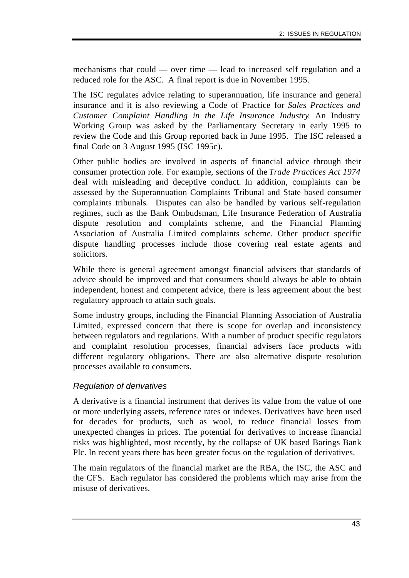mechanisms that could — over time — lead to increased self regulation and a reduced role for the ASC. A final report is due in November 1995.

The ISC regulates advice relating to superannuation, life insurance and general insurance and it is also reviewing a Code of Practice for *Sales Practices and Customer Complaint Handling in the Life Insurance Industry*. An Industry Working Group was asked by the Parliamentary Secretary in early 1995 to review the Code and this Group reported back in June 1995. The ISC released a final Code on 3 August 1995 (ISC 1995c).

Other public bodies are involved in aspects of financial advice through their consumer protection role. For example, sections of the *Trade Practices Act 1974* deal with misleading and deceptive conduct. In addition, complaints can be assessed by the Superannuation Complaints Tribunal and State based consumer complaints tribunals. Disputes can also be handled by various self-regulation regimes, such as the Bank Ombudsman, Life Insurance Federation of Australia dispute resolution and complaints scheme, and the Financial Planning Association of Australia Limited complaints scheme. Other product specific dispute handling processes include those covering real estate agents and solicitors.

While there is general agreement amongst financial advisers that standards of advice should be improved and that consumers should always be able to obtain independent, honest and competent advice, there is less agreement about the best regulatory approach to attain such goals.

Some industry groups, including the Financial Planning Association of Australia Limited, expressed concern that there is scope for overlap and inconsistency between regulators and regulations. With a number of product specific regulators and complaint resolution processes, financial advisers face products with different regulatory obligations. There are also alternative dispute resolution processes available to consumers.

### *Regulation of derivatives*

A derivative is a financial instrument that derives its value from the value of one or more underlying assets, reference rates or indexes. Derivatives have been used for decades for products, such as wool, to reduce financial losses from unexpected changes in prices. The potential for derivatives to increase financial risks was highlighted, most recently, by the collapse of UK based Barings Bank Plc. In recent years there has been greater focus on the regulation of derivatives.

The main regulators of the financial market are the RBA, the ISC, the ASC and the CFS. Each regulator has considered the problems which may arise from the misuse of derivatives.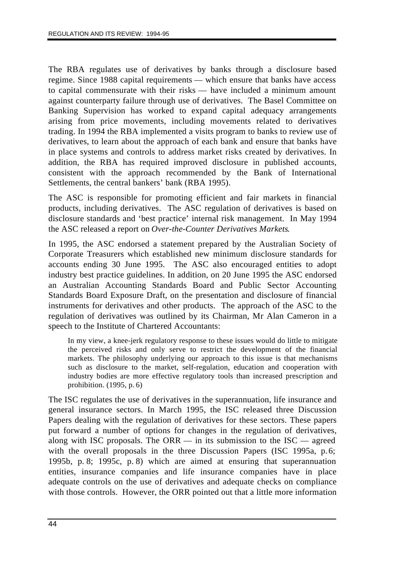The RBA regulates use of derivatives by banks through a disclosure based regime. Since 1988 capital requirements — which ensure that banks have access to capital commensurate with their risks — have included a minimum amount against counterparty failure through use of derivatives. The Basel Committee on Banking Supervision has worked to expand capital adequacy arrangements arising from price movements, including movements related to derivatives trading. In 1994 the RBA implemented a visits program to banks to review use of derivatives, to learn about the approach of each bank and ensure that banks have in place systems and controls to address market risks created by derivatives. In addition, the RBA has required improved disclosure in published accounts, consistent with the approach recommended by the Bank of International Settlements, the central bankers' bank (RBA 1995).

The ASC is responsible for promoting efficient and fair markets in financial products, including derivatives. The ASC regulation of derivatives is based on disclosure standards and 'best practice' internal risk management. In May 1994 the ASC released a report on *Over-the-Counter Derivatives Markets*.

In 1995, the ASC endorsed a statement prepared by the Australian Society of Corporate Treasurers which established new minimum disclosure standards for accounts ending 30 June 1995. The ASC also encouraged entities to adopt industry best practice guidelines. In addition, on 20 June 1995 the ASC endorsed an Australian Accounting Standards Board and Public Sector Accounting Standards Board Exposure Draft, on the presentation and disclosure of financial instruments for derivatives and other products. The approach of the ASC to the regulation of derivatives was outlined by its Chairman, Mr Alan Cameron in a speech to the Institute of Chartered Accountants:

In my view, a knee-jerk regulatory response to these issues would do little to mitigate the perceived risks and only serve to restrict the development of the financial markets. The philosophy underlying our approach to this issue is that mechanisms such as disclosure to the market, self-regulation, education and cooperation with industry bodies are more effective regulatory tools than increased prescription and prohibition. (1995, p. 6)

The ISC regulates the use of derivatives in the superannuation, life insurance and general insurance sectors. In March 1995, the ISC released three Discussion Papers dealing with the regulation of derivatives for these sectors. These papers put forward a number of options for changes in the regulation of derivatives, along with ISC proposals. The ORR  $-$  in its submission to the ISC  $-$  agreed with the overall proposals in the three Discussion Papers (ISC 1995a, p.6; 1995b, p. 8; 1995c, p. 8) which are aimed at ensuring that superannuation entities, insurance companies and life insurance companies have in place adequate controls on the use of derivatives and adequate checks on compliance with those controls. However, the ORR pointed out that a little more information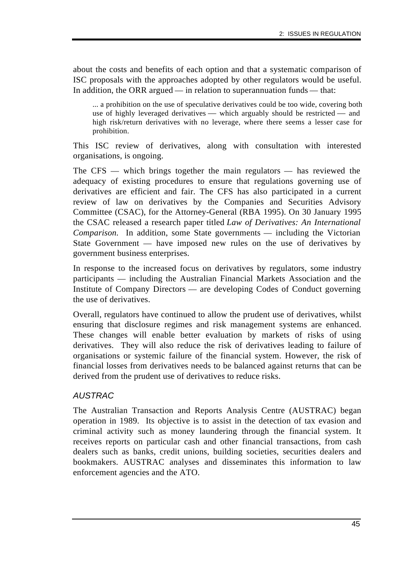about the costs and benefits of each option and that a systematic comparison of ISC proposals with the approaches adopted by other regulators would be useful. In addition, the ORR argued — in relation to superannuation funds — that:

... a prohibition on the use of speculative derivatives could be too wide, covering both use of highly leveraged derivatives — which arguably should be restricted — and high risk/return derivatives with no leverage, where there seems a lesser case for prohibition.

This ISC review of derivatives, along with consultation with interested organisations, is ongoing.

The CFS — which brings together the main regulators — has reviewed the adequacy of existing procedures to ensure that regulations governing use of derivatives are efficient and fair. The CFS has also participated in a current review of law on derivatives by the Companies and Securities Advisory Committee (CSAC), for the Attorney-General (RBA 1995). On 30 January 1995 the CSAC released a research paper titled *Law of Derivatives: An International Comparison*. In addition, some State governments — including the Victorian State Government — have imposed new rules on the use of derivatives by government business enterprises.

In response to the increased focus on derivatives by regulators, some industry participants — including the Australian Financial Markets Association and the Institute of Company Directors — are developing Codes of Conduct governing the use of derivatives.

Overall, regulators have continued to allow the prudent use of derivatives, whilst ensuring that disclosure regimes and risk management systems are enhanced. These changes will enable better evaluation by markets of risks of using derivatives. They will also reduce the risk of derivatives leading to failure of organisations or systemic failure of the financial system. However, the risk of financial losses from derivatives needs to be balanced against returns that can be derived from the prudent use of derivatives to reduce risks.

# *AUSTRAC*

The Australian Transaction and Reports Analysis Centre (AUSTRAC) began operation in 1989. Its objective is to assist in the detection of tax evasion and criminal activity such as money laundering through the financial system. It receives reports on particular cash and other financial transactions, from cash dealers such as banks, credit unions, building societies, securities dealers and bookmakers. AUSTRAC analyses and disseminates this information to law enforcement agencies and the ATO.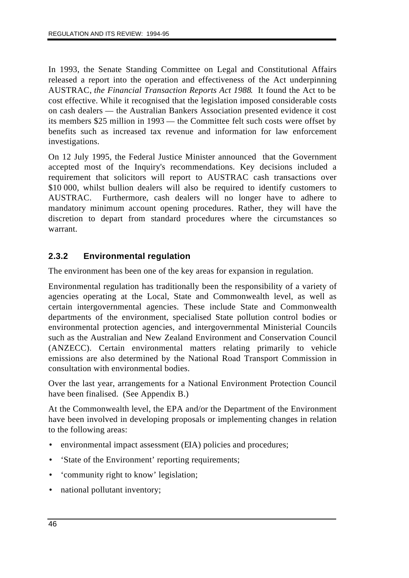In 1993, the Senate Standing Committee on Legal and Constitutional Affairs released a report into the operation and effectiveness of the Act underpinning AUSTRAC, *the Financial Transaction Reports Act 1988*. It found the Act to be cost effective. While it recognised that the legislation imposed considerable costs on cash dealers — the Australian Bankers Association presented evidence it cost its members \$25 million in 1993 — the Committee felt such costs were offset by benefits such as increased tax revenue and information for law enforcement investigations.

On 12 July 1995, the Federal Justice Minister announced that the Government accepted most of the Inquiry's recommendations. Key decisions included a requirement that solicitors will report to AUSTRAC cash transactions over \$10,000, whilst bullion dealers will also be required to identify customers to AUSTRAC. Furthermore, cash dealers will no longer have to adhere to mandatory minimum account opening procedures. Rather, they will have the discretion to depart from standard procedures where the circumstances so warrant.

# **2.3.2 Environmental regulation**

The environment has been one of the key areas for expansion in regulation.

Environmental regulation has traditionally been the responsibility of a variety of agencies operating at the Local, State and Commonwealth level, as well as certain intergovernmental agencies. These include State and Commonwealth departments of the environment, specialised State pollution control bodies or environmental protection agencies, and intergovernmental Ministerial Councils such as the Australian and New Zealand Environment and Conservation Council (ANZECC). Certain environmental matters relating primarily to vehicle emissions are also determined by the National Road Transport Commission in consultation with environmental bodies.

Over the last year, arrangements for a National Environment Protection Council have been finalised. (See Appendix B.)

At the Commonwealth level, the EPA and/or the Department of the Environment have been involved in developing proposals or implementing changes in relation to the following areas:

- environmental impact assessment (EIA) policies and procedures;
- 'State of the Environment' reporting requirements;
- 'community right to know' legislation;
- national pollutant inventory;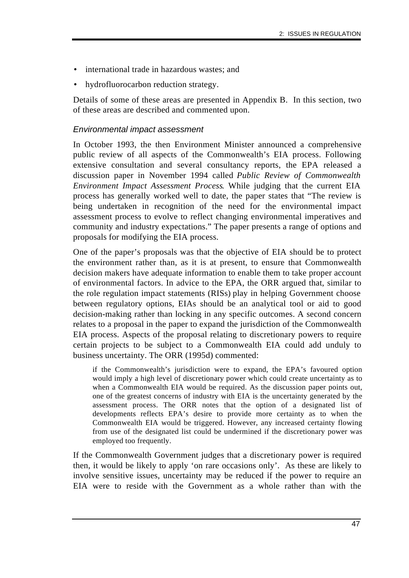- international trade in hazardous wastes; and
- hydrofluorocarbon reduction strategy.

Details of some of these areas are presented in Appendix B. In this section, two of these areas are described and commented upon.

### *Environmental impact assessment*

In October 1993, the then Environment Minister announced a comprehensive public review of all aspects of the Commonwealth's EIA process. Following extensive consultation and several consultancy reports, the EPA released a discussion paper in November 1994 called *Public Review of Commonwealth Environment Impact Assessment Process*. While judging that the current EIA process has generally worked well to date, the paper states that "The review is being undertaken in recognition of the need for the environmental impact assessment process to evolve to reflect changing environmental imperatives and community and industry expectations." The paper presents a range of options and proposals for modifying the EIA process.

One of the paper's proposals was that the objective of EIA should be to protect the environment rather than, as it is at present, to ensure that Commonwealth decision makers have adequate information to enable them to take proper account of environmental factors. In advice to the EPA, the ORR argued that, similar to the role regulation impact statements (RISs) play in helping Government choose between regulatory options, EIAs should be an analytical tool or aid to good decision-making rather than locking in any specific outcomes. A second concern relates to a proposal in the paper to expand the jurisdiction of the Commonwealth EIA process. Aspects of the proposal relating to discretionary powers to require certain projects to be subject to a Commonwealth EIA could add unduly to business uncertainty. The ORR (1995d) commented:

if the Commonwealth's jurisdiction were to expand, the EPA's favoured option would imply a high level of discretionary power which could create uncertainty as to when a Commonwealth EIA would be required. As the discussion paper points out, one of the greatest concerns of industry with EIA is the uncertainty generated by the assessment process. The ORR notes that the option of a designated list of developments reflects EPA's desire to provide more certainty as to when the Commonwealth EIA would be triggered. However, any increased certainty flowing from use of the designated list could be undermined if the discretionary power was employed too frequently.

If the Commonwealth Government judges that a discretionary power is required then, it would be likely to apply 'on rare occasions only'. As these are likely to involve sensitive issues, uncertainty may be reduced if the power to require an EIA were to reside with the Government as a whole rather than with the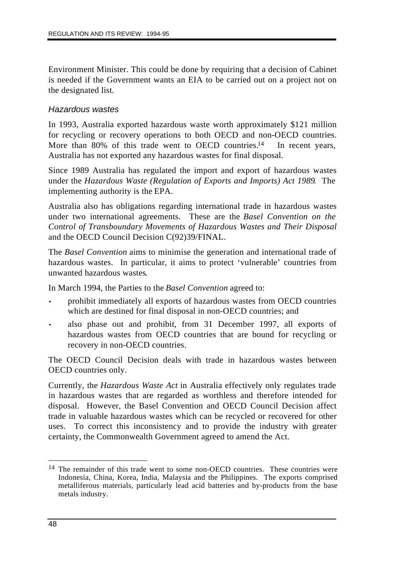Environment Minister. This could be done by requiring that a decision of Cabinet is needed if the Government wants an EIA to be carried out on a project not on the designated list.

### *Hazardous wastes*

In 1993, Australia exported hazardous waste worth approximately \$121 million for recycling or recovery operations to both OECD and non-OECD countries. More than 80% of this trade went to OECD countries.<sup>14</sup> In recent years, Australia has not exported any hazardous wastes for final disposal.

Since 1989 Australia has regulated the import and export of hazardous wastes under the *Hazardous Waste (Regulation of Exports and Imports) Act 1989*. The implementing authority is the EPA.

Australia also has obligations regarding international trade in hazardous wastes under two international agreements. These are the *Basel Convention on the Control of Transboundary Movements of Hazardous Wastes and Their Disposal* and the OECD Council Decision C(92)39/FINAL.

The *Basel Convention* aims to minimise the generation and international trade of hazardous wastes. In particular, it aims to protect 'vulnerable' countries from unwanted hazardous wastes.

In March 1994, the Parties to the *Basel Convention* agreed to:

- prohibit immediately all exports of hazardous wastes from OECD countries which are destined for final disposal in non-OECD countries; and
- also phase out and prohibit, from 31 December 1997, all exports of hazardous wastes from OECD countries that are bound for recycling or recovery in non-OECD countries.

The OECD Council Decision deals with trade in hazardous wastes between OECD countries only.

Currently, the *Hazardous Waste Act* in Australia effectively only regulates trade in hazardous wastes that are regarded as worthless and therefore intended for disposal. However, the Basel Convention and OECD Council Decision affect trade in valuable hazardous wastes which can be recycled or recovered for other uses. To correct this inconsistency and to provide the industry with greater certainty, the Commonwealth Government agreed to amend the Act.

 $\overline{a}$ <sup>14</sup> The remainder of this trade went to some non-OECD countries. These countries were Indonesia, China, Korea, India, Malaysia and the Philippines. The exports comprised metalliferous materials, particularly lead acid batteries and by-products from the base metals industry.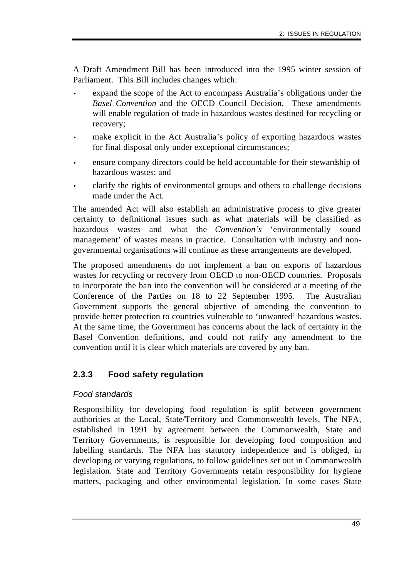A Draft Amendment Bill has been introduced into the 1995 winter session of Parliament. This Bill includes changes which:

- expand the scope of the Act to encompass Australia's obligations under the *Basel Convention* and the OECD Council Decision. These amendments will enable regulation of trade in hazardous wastes destined for recycling or recovery;
- make explicit in the Act Australia's policy of exporting hazardous wastes for final disposal only under exceptional circumstances;
- ensure company directors could be held accountable for their stewardship of hazardous wastes; and
- clarify the rights of environmental groups and others to challenge decisions made under the Act.

The amended Act will also establish an administrative process to give greater certainty to definitional issues such as what materials will be classified as hazardous wastes and what the *Convention's* 'environmentally sound management' of wastes means in practice. Consultation with industry and nongovernmental organisations will continue as these arrangements are developed.

The proposed amendments do not implement a ban on exports of hazardous wastes for recycling or recovery from OECD to non-OECD countries. Proposals to incorporate the ban into the convention will be considered at a meeting of the Conference of the Parties on 18 to 22 September 1995. The Australian Government supports the general objective of amending the convention to provide better protection to countries vulnerable to 'unwanted' hazardous wastes. At the same time, the Government has concerns about the lack of certainty in the Basel Convention definitions, and could not ratify any amendment to the convention until it is clear which materials are covered by any ban.

# **2.3.3 Food safety regulation**

### *Food standards*

Responsibility for developing food regulation is split between government authorities at the Local, State/Territory and Commonwealth levels. The NFA, established in 1991 by agreement between the Commonwealth, State and Territory Governments, is responsible for developing food composition and labelling standards. The NFA has statutory independence and is obliged, in developing or varying regulations, to follow guidelines set out in Commonwealth legislation. State and Territory Governments retain responsibility for hygiene matters, packaging and other environmental legislation. In some cases State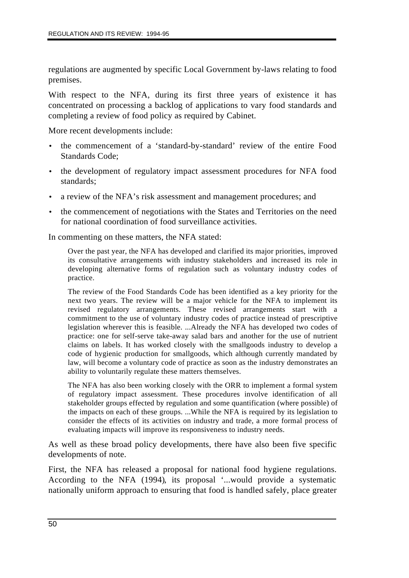regulations are augmented by specific Local Government by-laws relating to food premises.

With respect to the NFA, during its first three years of existence it has concentrated on processing a backlog of applications to vary food standards and completing a review of food policy as required by Cabinet.

More recent developments include:

- the commencement of a 'standard-by-standard' review of the entire Food Standards Code;
- the development of regulatory impact assessment procedures for NFA food standards;
- a review of the NFA's risk assessment and management procedures; and
- the commencement of negotiations with the States and Territories on the need for national coordination of food surveillance activities.

In commenting on these matters, the NFA stated:

Over the past year, the NFA has developed and clarified its major priorities, improved its consultative arrangements with industry stakeholders and increased its role in developing alternative forms of regulation such as voluntary industry codes of practice.

The review of the Food Standards Code has been identified as a key priority for the next two years. The review will be a major vehicle for the NFA to implement its revised regulatory arrangements. These revised arrangements start with a commitment to the use of voluntary industry codes of practice instead of prescriptive legislation wherever this is feasible. ...Already the NFA has developed two codes of practice: one for self-serve take-away salad bars and another for the use of nutrient claims on labels. It has worked closely with the smallgoods industry to develop a code of hygienic production for smallgoods, which although currently mandated by law, will become a voluntary code of practice as soon as the industry demonstrates an ability to voluntarily regulate these matters themselves.

The NFA has also been working closely with the ORR to implement a formal system of regulatory impact assessment. These procedures involve identification of all stakeholder groups effected by regulation and some quantification (where possible) of the impacts on each of these groups. ...While the NFA is required by its legislation to consider the effects of its activities on industry and trade, a more formal process of evaluating impacts will improve its responsiveness to industry needs.

As well as these broad policy developments, there have also been five specific developments of note.

First, the NFA has released a proposal for national food hygiene regulations. According to the NFA (1994), its proposal '...would provide a systematic nationally uniform approach to ensuring that food is handled safely, place greater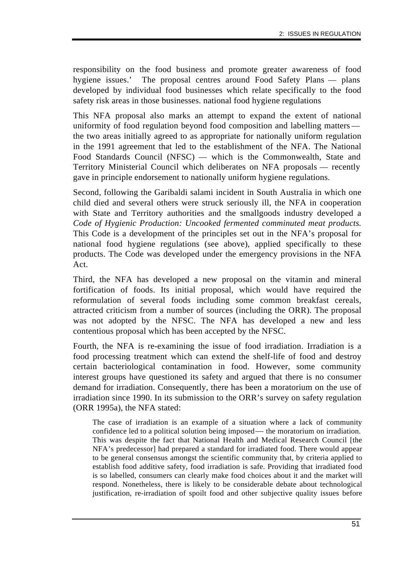responsibility on the food business and promote greater awareness of food hygiene issues.' The proposal centres around Food Safety Plans — plans developed by individual food businesses which relate specifically to the food safety risk areas in those businesses. national food hygiene regulations

This NFA proposal also marks an attempt to expand the extent of national uniformity of food regulation beyond food composition and labelling matters the two areas initially agreed to as appropriate for nationally uniform regulation in the 1991 agreement that led to the establishment of the NFA. The National Food Standards Council (NFSC) — which is the Commonwealth, State and Territory Ministerial Council which deliberates on NFA proposals — recently gave in principle endorsement to nationally uniform hygiene regulations.

Second, following the Garibaldi salami incident in South Australia in which one child died and several others were struck seriously ill, the NFA in cooperation with State and Territory authorities and the smallgoods industry developed a *Code of Hygienic Production: Uncooked fermented comminuted meat products.* This Code is a development of the principles set out in the NFA's proposal for national food hygiene regulations (see above), applied specifically to these products. The Code was developed under the emergency provisions in the NFA Act.

Third, the NFA has developed a new proposal on the vitamin and mineral fortification of foods. Its initial proposal, which would have required the reformulation of several foods including some common breakfast cereals, attracted criticism from a number of sources (including the ORR). The proposal was not adopted by the NFSC. The NFA has developed a new and less contentious proposal which has been accepted by the NFSC.

Fourth, the NFA is re-examining the issue of food irradiation. Irradiation is a food processing treatment which can extend the shelf-life of food and destroy certain bacteriological contamination in food. However, some community interest groups have questioned its safety and argued that there is no consumer demand for irradiation. Consequently, there has been a moratorium on the use of irradiation since 1990. In its submission to the ORR's survey on safety regulation (ORR 1995a), the NFA stated:

The case of irradiation is an example of a situation where a lack of community confidence led to a political solution being imposed — the moratorium on irradiation. This was despite the fact that National Health and Medical Research Council [the NFA's predecessor] had prepared a standard for irradiated food. There would appear to be general consensus amongst the scientific community that, by criteria applied to establish food additive safety, food irradiation is safe. Providing that irradiated food is so labelled, consumers can clearly make food choices about it and the market will respond. Nonetheless, there is likely to be considerable debate about technological justification, re-irradiation of spoilt food and other subjective quality issues before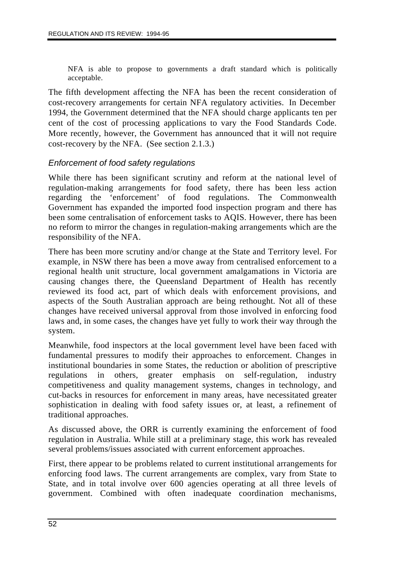NFA is able to propose to governments a draft standard which is politically acceptable.

The fifth development affecting the NFA has been the recent consideration of cost-recovery arrangements for certain NFA regulatory activities. In December 1994, the Government determined that the NFA should charge applicants ten per cent of the cost of processing applications to vary the Food Standards Code. More recently, however, the Government has announced that it will not require cost-recovery by the NFA. (See section 2.1.3.)

### *Enforcement of food safety regulations*

While there has been significant scrutiny and reform at the national level of regulation-making arrangements for food safety, there has been less action regarding the 'enforcement' of food regulations. The Commonwealth Government has expanded the imported food inspection program and there has been some centralisation of enforcement tasks to AQIS. However, there has been no reform to mirror the changes in regulation-making arrangements which are the responsibility of the NFA.

There has been more scrutiny and/or change at the State and Territory level. For example, in NSW there has been a move away from centralised enforcement to a regional health unit structure, local government amalgamations in Victoria are causing changes there, the Queensland Department of Health has recently reviewed its food act, part of which deals with enforcement provisions, and aspects of the South Australian approach are being rethought. Not all of these changes have received universal approval from those involved in enforcing food laws and, in some cases, the changes have yet fully to work their way through the system.

Meanwhile, food inspectors at the local government level have been faced with fundamental pressures to modify their approaches to enforcement. Changes in institutional boundaries in some States, the reduction or abolition of prescriptive regulations in others, greater emphasis on self-regulation, industry competitiveness and quality management systems, changes in technology, and cut-backs in resources for enforcement in many areas, have necessitated greater sophistication in dealing with food safety issues or, at least, a refinement of traditional approaches.

As discussed above, the ORR is currently examining the enforcement of food regulation in Australia. While still at a preliminary stage, this work has revealed several problems/issues associated with current enforcement approaches.

First, there appear to be problems related to current institutional arrangements for enforcing food laws. The current arrangements are complex, vary from State to State, and in total involve over 600 agencies operating at all three levels of government. Combined with often inadequate coordination mechanisms,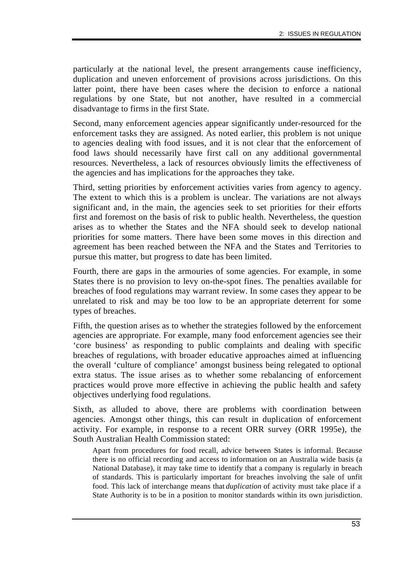particularly at the national level, the present arrangements cause inefficiency, duplication and uneven enforcement of provisions across jurisdictions. On this latter point, there have been cases where the decision to enforce a national regulations by one State, but not another, have resulted in a commercial disadvantage to firms in the first State.

Second, many enforcement agencies appear significantly under-resourced for the enforcement tasks they are assigned. As noted earlier, this problem is not unique to agencies dealing with food issues, and it is not clear that the enforcement of food laws should necessarily have first call on any additional governmental resources. Nevertheless, a lack of resources obviously limits the effectiveness of the agencies and has implications for the approaches they take.

Third, setting priorities by enforcement activities varies from agency to agency. The extent to which this is a problem is unclear. The variations are not always significant and, in the main, the agencies seek to set priorities for their efforts first and foremost on the basis of risk to public health. Nevertheless, the question arises as to whether the States and the NFA should seek to develop national priorities for some matters. There have been some moves in this direction and agreement has been reached between the NFA and the States and Territories to pursue this matter, but progress to date has been limited.

Fourth, there are gaps in the armouries of some agencies. For example, in some States there is no provision to levy on-the-spot fines. The penalties available for breaches of food regulations may warrant review. In some cases they appear to be unrelated to risk and may be too low to be an appropriate deterrent for some types of breaches.

Fifth, the question arises as to whether the strategies followed by the enforcement agencies are appropriate. For example, many food enforcement agencies see their 'core business' as responding to public complaints and dealing with specific breaches of regulations, with broader educative approaches aimed at influencing the overall 'culture of compliance' amongst business being relegated to optional extra status. The issue arises as to whether some rebalancing of enforcement practices would prove more effective in achieving the public health and safety objectives underlying food regulations.

Sixth, as alluded to above, there are problems with coordination between agencies. Amongst other things, this can result in duplication of enforcement activity. For example, in response to a recent ORR survey (ORR 1995e), the South Australian Health Commission stated:

Apart from procedures for food recall, advice between States is informal. Because there is no official recording and access to information on an Australia wide basis (a National Database), it may take time to identify that a company is regularly in breach of standards. This is particularly important for breaches involving the sale of unfit food. This lack of interchange means that *duplication* of activity must take place if a State Authority is to be in a position to monitor standards within its own jurisdiction.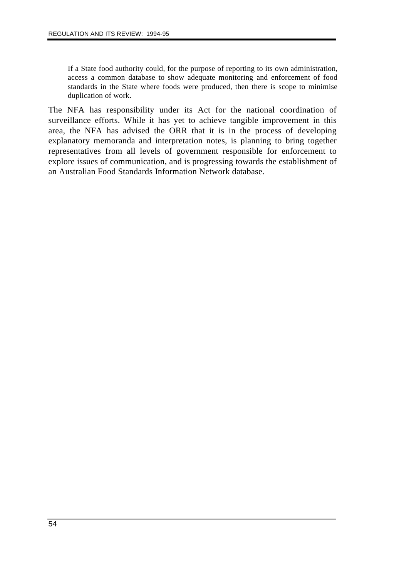If a State food authority could, for the purpose of reporting to its own administration, access a common database to show adequate monitoring and enforcement of food standards in the State where foods were produced, then there is scope to minimise duplication of work.

The NFA has responsibility under its Act for the national coordination of surveillance efforts. While it has yet to achieve tangible improvement in this area, the NFA has advised the ORR that it is in the process of developing explanatory memoranda and interpretation notes, is planning to bring together representatives from all levels of government responsible for enforcement to explore issues of communication, and is progressing towards the establishment of an Australian Food Standards Information Network database.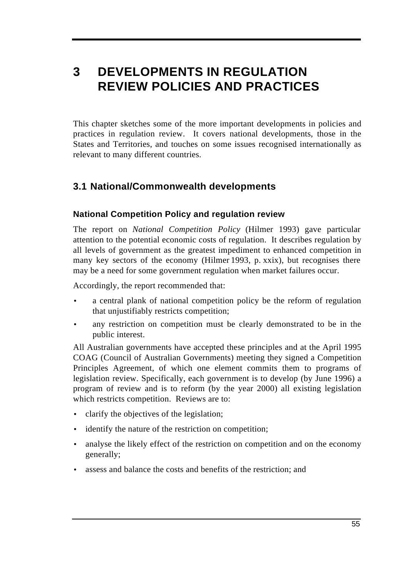# **3 DEVELOPMENTS IN REGULATION REVIEW POLICIES AND PRACTICES**

This chapter sketches some of the more important developments in policies and practices in regulation review. It covers national developments, those in the States and Territories, and touches on some issues recognised internationally as relevant to many different countries.

# **3.1 National/Commonwealth developments**

# **National Competition Policy and regulation review**

The report on *National Competition Policy* (Hilmer 1993) gave particular attention to the potential economic costs of regulation. It describes regulation by all levels of government as the greatest impediment to enhanced competition in many key sectors of the economy (Hilmer 1993, p. xxix), but recognises there may be a need for some government regulation when market failures occur.

Accordingly, the report recommended that:

- a central plank of national competition policy be the reform of regulation that unjustifiably restricts competition;
- any restriction on competition must be clearly demonstrated to be in the public interest.

All Australian governments have accepted these principles and at the April 1995 COAG (Council of Australian Governments) meeting they signed a Competition Principles Agreement, of which one element commits them to programs of legislation review. Specifically, each government is to develop (by June 1996) a program of review and is to reform (by the year 2000) all existing legislation which restricts competition. Reviews are to:

- clarify the objectives of the legislation;
- identify the nature of the restriction on competition;
- analyse the likely effect of the restriction on competition and on the economy generally;
- assess and balance the costs and benefits of the restriction; and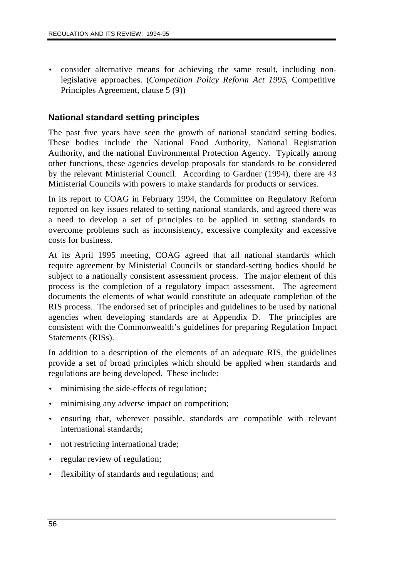• consider alternative means for achieving the same result, including nonlegislative approaches. (*Competition Policy Reform Act 1995*, Competitive Principles Agreement, clause 5 (9))

### **National standard setting principles**

The past five years have seen the growth of national standard setting bodies. These bodies include the National Food Authority, National Registration Authority, and the national Environmental Protection Agency. Typically among other functions, these agencies develop proposals for standards to be considered by the relevant Ministerial Council. According to Gardner (1994), there are 43 Ministerial Councils with powers to make standards for products or services.

In its report to COAG in February 1994, the Committee on Regulatory Reform reported on key issues related to setting national standards, and agreed there was a need to develop a set of principles to be applied in setting standards to overcome problems such as inconsistency, excessive complexity and excessive costs for business.

At its April 1995 meeting, COAG agreed that all national standards which require agreement by Ministerial Councils or standard-setting bodies should be subject to a nationally consistent assessment process. The major element of this process is the completion of a regulatory impact assessment. The agreement documents the elements of what would constitute an adequate completion of the RIS process. The endorsed set of principles and guidelines to be used by national agencies when developing standards are at Appendix D. The principles are consistent with the Commonwealth's guidelines for preparing Regulation Impact Statements (RISs).

In addition to a description of the elements of an adequate RIS, the guidelines provide a set of broad principles which should be applied when standards and regulations are being developed. These include:

- minimising the side-effects of regulation;
- minimising any adverse impact on competition;
- ensuring that, wherever possible, standards are compatible with relevant international standards;
- not restricting international trade;
- regular review of regulation;
- flexibility of standards and regulations; and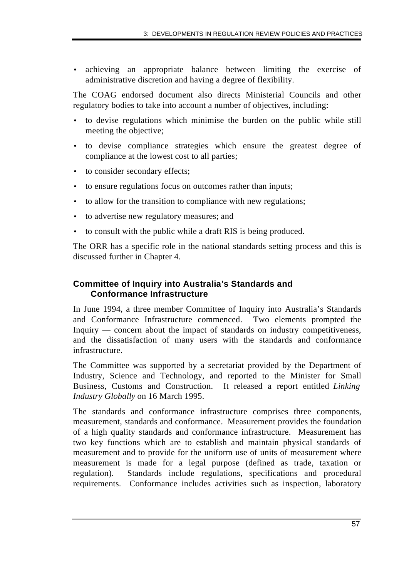• achieving an appropriate balance between limiting the exercise of administrative discretion and having a degree of flexibility.

The COAG endorsed document also directs Ministerial Councils and other regulatory bodies to take into account a number of objectives, including:

- to devise regulations which minimise the burden on the public while still meeting the objective;
- to devise compliance strategies which ensure the greatest degree of compliance at the lowest cost to all parties;
- to consider secondary effects;
- to ensure regulations focus on outcomes rather than inputs;
- to allow for the transition to compliance with new regulations;
- to advertise new regulatory measures; and
- to consult with the public while a draft RIS is being produced.

The ORR has a specific role in the national standards setting process and this is discussed further in Chapter 4.

# **Committee of Inquiry into Australia's Standards and Conformance Infrastructure**

In June 1994, a three member Committee of Inquiry into Australia's Standards and Conformance Infrastructure commenced. Two elements prompted the Inquiry — concern about the impact of standards on industry competitiveness, and the dissatisfaction of many users with the standards and conformance infrastructure.

The Committee was supported by a secretariat provided by the Department of Industry, Science and Technology, and reported to the Minister for Small Business, Customs and Construction. It released a report entitled *Linking Industry Globally* on 16 March 1995.

The standards and conformance infrastructure comprises three components, measurement, standards and conformance. Measurement provides the foundation of a high quality standards and conformance infrastructure. Measurement has two key functions which are to establish and maintain physical standards of measurement and to provide for the uniform use of units of measurement where measurement is made for a legal purpose (defined as trade, taxation or regulation). Standards include regulations, specifications and procedural requirements. Conformance includes activities such as inspection, laboratory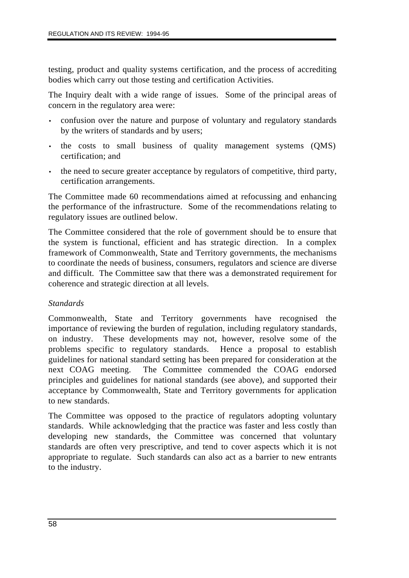testing, product and quality systems certification, and the process of accrediting bodies which carry out those testing and certification Activities.

The Inquiry dealt with a wide range of issues. Some of the principal areas of concern in the regulatory area were:

- confusion over the nature and purpose of voluntary and regulatory standards by the writers of standards and by users;
- the costs to small business of quality management systems (QMS) certification; and
- the need to secure greater acceptance by regulators of competitive, third party, certification arrangements.

The Committee made 60 recommendations aimed at refocussing and enhancing the performance of the infrastructure. Some of the recommendations relating to regulatory issues are outlined below.

The Committee considered that the role of government should be to ensure that the system is functional, efficient and has strategic direction. In a complex framework of Commonwealth, State and Territory governments, the mechanisms to coordinate the needs of business, consumers, regulators and science are diverse and difficult. The Committee saw that there was a demonstrated requirement for coherence and strategic direction at all levels.

#### *Standards*

Commonwealth, State and Territory governments have recognised the importance of reviewing the burden of regulation, including regulatory standards, on industry. These developments may not, however, resolve some of the problems specific to regulatory standards. Hence a proposal to establish guidelines for national standard setting has been prepared for consideration at the next COAG meeting. The Committee commended the COAG endorsed principles and guidelines for national standards (see above), and supported their acceptance by Commonwealth, State and Territory governments for application to new standards.

The Committee was opposed to the practice of regulators adopting voluntary standards. While acknowledging that the practice was faster and less costly than developing new standards, the Committee was concerned that voluntary standards are often very prescriptive, and tend to cover aspects which it is not appropriate to regulate. Such standards can also act as a barrier to new entrants to the industry.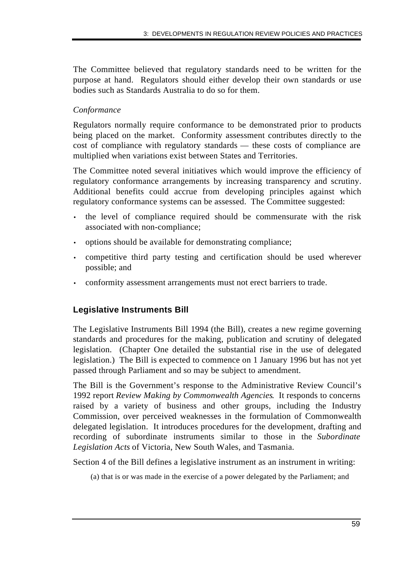The Committee believed that regulatory standards need to be written for the purpose at hand. Regulators should either develop their own standards or use bodies such as Standards Australia to do so for them.

## *Conformance*

Regulators normally require conformance to be demonstrated prior to products being placed on the market. Conformity assessment contributes directly to the cost of compliance with regulatory standards — these costs of compliance are multiplied when variations exist between States and Territories.

The Committee noted several initiatives which would improve the efficiency of regulatory conformance arrangements by increasing transparency and scrutiny. Additional benefits could accrue from developing principles against which regulatory conformance systems can be assessed. The Committee suggested:

- the level of compliance required should be commensurate with the risk associated with non-compliance;
- options should be available for demonstrating compliance;
- competitive third party testing and certification should be used wherever possible; and
- conformity assessment arrangements must not erect barriers to trade.

# **Legislative Instruments Bill**

The Legislative Instruments Bill 1994 (the Bill), creates a new regime governing standards and procedures for the making, publication and scrutiny of delegated legislation. (Chapter One detailed the substantial rise in the use of delegated legislation.) The Bill is expected to commence on 1 January 1996 but has not yet passed through Parliament and so may be subject to amendment.

The Bill is the Government's response to the Administrative Review Council's 1992 report *Review Making by Commonwealth Agencies*. It responds to concerns raised by a variety of business and other groups, including the Industry Commission, over perceived weaknesses in the formulation of Commonwealth delegated legislation. It introduces procedures for the development, drafting and recording of subordinate instruments similar to those in the *Subordinate Legislation Acts* of Victoria, New South Wales, and Tasmania.

Section 4 of the Bill defines a legislative instrument as an instrument in writing:

(a) that is or was made in the exercise of a power delegated by the Parliament; and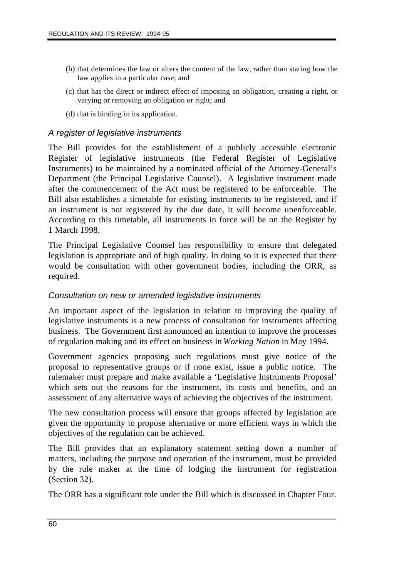- (b) that determines the law or alters the content of the law, rather than stating how the law applies in a particular case; and
- (c) that has the direct or indirect effect of imposing an obligation, creating a right, or varying or removing an obligation or right; and
- (d) that is binding in its application.

### *A register of legislative instruments*

The Bill provides for the establishment of a publicly accessible electronic Register of legislative instruments (the Federal Register of Legislative Instruments) to be maintained by a nominated official of the Attorney-General's Department (the Principal Legislative Counsel). A legislative instrument made after the commencement of the Act must be registered to be enforceable. The Bill also establishes a timetable for existing instruments to be registered, and if an instrument is not registered by the due date, it will become unenforceable. According to this timetable, all instruments in force will be on the Register by 1 March 1998.

The Principal Legislative Counsel has responsibility to ensure that delegated legislation is appropriate and of high quality. In doing so it is expected that there would be consultation with other government bodies, including the ORR, as required.

#### *Consultation on new or amended legislative instruments*

An important aspect of the legislation in relation to improving the quality of legislative instruments is a new process of consultation for instruments affecting business. The Government first announced an intention to improve the processes of regulation making and its effect on business in *Working Nation* in May 1994.

Government agencies proposing such regulations must give notice of the proposal to representative groups or if none exist, issue a public notice. The rulemaker must prepare and make available a 'Legislative Instruments Proposal' which sets out the reasons for the instrument, its costs and benefits, and an assessment of any alternative ways of achieving the objectives of the instrument.

The new consultation process will ensure that groups affected by legislation are given the opportunity to propose alternative or more efficient ways in which the objectives of the regulation can be achieved.

The Bill provides that an explanatory statement setting down a number of matters, including the purpose and operation of the instrument, must be provided by the rule maker at the time of lodging the instrument for registration (Section 32).

The ORR has a significant role under the Bill which is discussed in Chapter Four.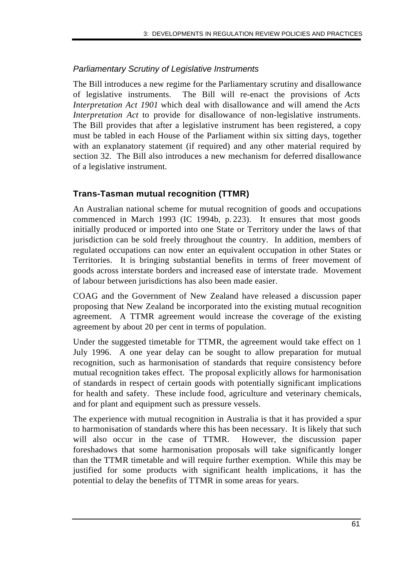# *Parliamentary Scrutiny of Legislative Instruments*

The Bill introduces a new regime for the Parliamentary scrutiny and disallowance of legislative instruments. The Bill will re-enact the provisions of *Acts Interpretation Act 1901* which deal with disallowance and will amend the *Acts Interpretation Act* to provide for disallowance of non-legislative instruments. The Bill provides that after a legislative instrument has been registered, a copy must be tabled in each House of the Parliament within six sitting days, together with an explanatory statement (if required) and any other material required by section 32. The Bill also introduces a new mechanism for deferred disallowance of a legislative instrument.

## **Trans-Tasman mutual recognition (TTMR)**

An Australian national scheme for mutual recognition of goods and occupations commenced in March 1993 (IC 1994b, p. 223). It ensures that most goods initially produced or imported into one State or Territory under the laws of that jurisdiction can be sold freely throughout the country. In addition, members of regulated occupations can now enter an equivalent occupation in other States or Territories. It is bringing substantial benefits in terms of freer movement of goods across interstate borders and increased ease of interstate trade. Movement of labour between jurisdictions has also been made easier.

COAG and the Government of New Zealand have released a discussion paper proposing that New Zealand be incorporated into the existing mutual recognition agreement. A TTMR agreement would increase the coverage of the existing agreement by about 20 per cent in terms of population.

Under the suggested timetable for TTMR, the agreement would take effect on 1 July 1996. A one year delay can be sought to allow preparation for mutual recognition, such as harmonisation of standards that require consistency before mutual recognition takes effect. The proposal explicitly allows for harmonisation of standards in respect of certain goods with potentially significant implications for health and safety. These include food, agriculture and veterinary chemicals, and for plant and equipment such as pressure vessels.

The experience with mutual recognition in Australia is that it has provided a spur to harmonisation of standards where this has been necessary. It is likely that such will also occur in the case of TTMR. However, the discussion paper foreshadows that some harmonisation proposals will take significantly longer than the TTMR timetable and will require further exemption. While this may be justified for some products with significant health implications, it has the potential to delay the benefits of TTMR in some areas for years.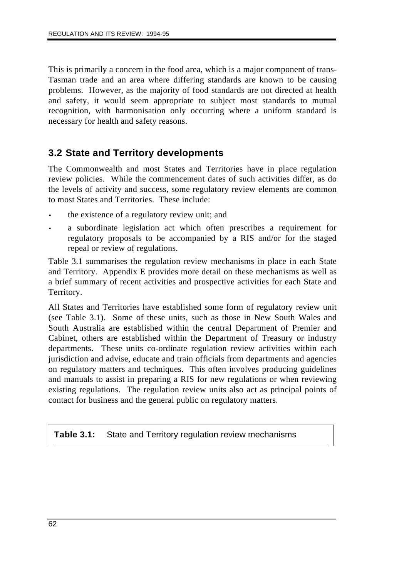This is primarily a concern in the food area, which is a major component of trans-Tasman trade and an area where differing standards are known to be causing problems. However, as the majority of food standards are not directed at health and safety, it would seem appropriate to subject most standards to mutual recognition, with harmonisation only occurring where a uniform standard is necessary for health and safety reasons.

# **3.2 State and Territory developments**

The Commonwealth and most States and Territories have in place regulation review policies. While the commencement dates of such activities differ, as do the levels of activity and success, some regulatory review elements are common to most States and Territories. These include:

- the existence of a regulatory review unit; and
- a subordinate legislation act which often prescribes a requirement for regulatory proposals to be accompanied by a RIS and/or for the staged repeal or review of regulations.

Table 3.1 summarises the regulation review mechanisms in place in each State and Territory. Appendix E provides more detail on these mechanisms as well as a brief summary of recent activities and prospective activities for each State and Territory.

All States and Territories have established some form of regulatory review unit (see Table 3.1). Some of these units, such as those in New South Wales and South Australia are established within the central Department of Premier and Cabinet, others are established within the Department of Treasury or industry departments. These units co-ordinate regulation review activities within each jurisdiction and advise, educate and train officials from departments and agencies on regulatory matters and techniques. This often involves producing guidelines and manuals to assist in preparing a RIS for new regulations or when reviewing existing regulations. The regulation review units also act as principal points of contact for business and the general public on regulatory matters.

**Table 3.1:** State and Territory regulation review mechanisms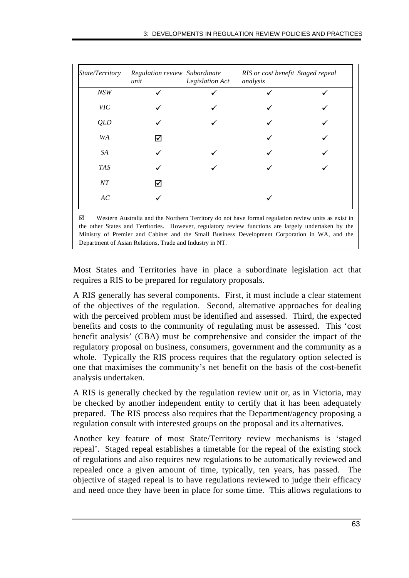| State/Territory | Regulation review Subordinate<br>unit | Legislation Act | RIS or cost benefit Staged repeal<br>analysis |  |
|-----------------|---------------------------------------|-----------------|-----------------------------------------------|--|
| NSW             |                                       |                 |                                               |  |
| <b>VIC</b>      |                                       |                 |                                               |  |
| <b>QLD</b>      |                                       |                 |                                               |  |
| WA              | ☑                                     |                 |                                               |  |
| SA              |                                       |                 |                                               |  |
| <b>TAS</b>      |                                       |                 |                                               |  |
| $\cal NT$       | ⋈                                     |                 |                                               |  |
| $\cal AC$       |                                       |                 |                                               |  |

 $\boxtimes$  Western Australia and the Northern Territory do not have formal regulation review units as exist in the other States and Territories. However, regulatory review functions are largely undertaken by the Ministry of Premier and Cabinet and the Small Business Development Corporation in WA, and the Department of Asian Relations, Trade and Industry in NT.

Most States and Territories have in place a subordinate legislation act that requires a RIS to be prepared for regulatory proposals.

A RIS generally has several components. First, it must include a clear statement of the objectives of the regulation. Second, alternative approaches for dealing with the perceived problem must be identified and assessed. Third, the expected benefits and costs to the community of regulating must be assessed. This 'cost benefit analysis' (CBA) must be comprehensive and consider the impact of the regulatory proposal on business, consumers, government and the community as a whole. Typically the RIS process requires that the regulatory option selected is one that maximises the community's net benefit on the basis of the cost-benefit analysis undertaken.

A RIS is generally checked by the regulation review unit or, as in Victoria, may be checked by another independent entity to certify that it has been adequately prepared. The RIS process also requires that the Department/agency proposing a regulation consult with interested groups on the proposal and its alternatives.

Another key feature of most State/Territory review mechanisms is 'staged repeal'. Staged repeal establishes a timetable for the repeal of the existing stock of regulations and also requires new regulations to be automatically reviewed and repealed once a given amount of time, typically, ten years, has passed. The objective of staged repeal is to have regulations reviewed to judge their efficacy and need once they have been in place for some time. This allows regulations to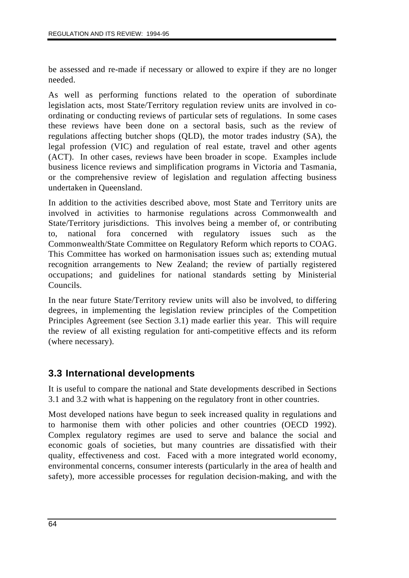be assessed and re-made if necessary or allowed to expire if they are no longer needed.

As well as performing functions related to the operation of subordinate legislation acts, most State/Territory regulation review units are involved in coordinating or conducting reviews of particular sets of regulations. In some cases these reviews have been done on a sectoral basis, such as the review of regulations affecting butcher shops (QLD), the motor trades industry (SA), the legal profession (VIC) and regulation of real estate, travel and other agents (ACT). In other cases, reviews have been broader in scope. Examples include business licence reviews and simplification programs in Victoria and Tasmania, or the comprehensive review of legislation and regulation affecting business undertaken in Queensland.

In addition to the activities described above, most State and Territory units are involved in activities to harmonise regulations across Commonwealth and State/Territory jurisdictions. This involves being a member of, or contributing to, national fora concerned with regulatory issues such as the Commonwealth/State Committee on Regulatory Reform which reports to COAG. This Committee has worked on harmonisation issues such as; extending mutual recognition arrangements to New Zealand; the review of partially registered occupations; and guidelines for national standards setting by Ministerial Councils.

In the near future State/Territory review units will also be involved, to differing degrees, in implementing the legislation review principles of the Competition Principles Agreement (see Section 3.1) made earlier this year. This will require the review of all existing regulation for anti-competitive effects and its reform (where necessary).

# **3.3 International developments**

It is useful to compare the national and State developments described in Sections 3.1 and 3.2 with what is happening on the regulatory front in other countries.

Most developed nations have begun to seek increased quality in regulations and to harmonise them with other policies and other countries (OECD 1992). Complex regulatory regimes are used to serve and balance the social and economic goals of societies, but many countries are dissatisfied with their quality, effectiveness and cost. Faced with a more integrated world economy, environmental concerns, consumer interests (particularly in the area of health and safety), more accessible processes for regulation decision-making, and with the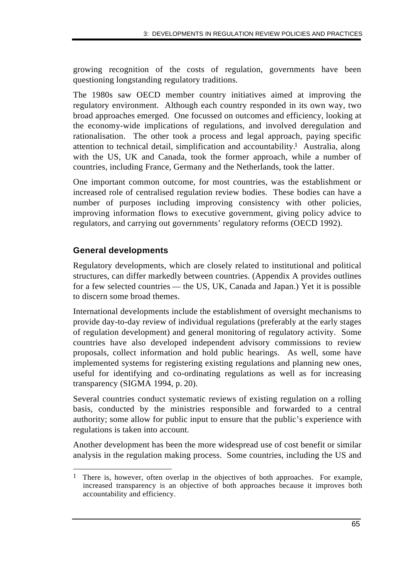growing recognition of the costs of regulation, governments have been questioning longstanding regulatory traditions.

The 1980s saw OECD member country initiatives aimed at improving the regulatory environment. Although each country responded in its own way, two broad approaches emerged. One focussed on outcomes and efficiency, looking at the economy-wide implications of regulations, and involved deregulation and rationalisation. The other took a process and legal approach, paying specific attention to technical detail, simplification and accountability.1 Australia, along with the US, UK and Canada, took the former approach, while a number of countries, including France, Germany and the Netherlands, took the latter.

One important common outcome, for most countries, was the establishment or increased role of centralised regulation review bodies. These bodies can have a number of purposes including improving consistency with other policies, improving information flows to executive government, giving policy advice to regulators, and carrying out governments' regulatory reforms (OECD 1992).

## **General developments**

Regulatory developments, which are closely related to institutional and political structures, can differ markedly between countries. (Appendix A provides outlines for a few selected countries — the US, UK, Canada and Japan.) Yet it is possible to discern some broad themes.

International developments include the establishment of oversight mechanisms to provide day-to-day review of individual regulations (preferably at the early stages of regulation development) and general monitoring of regulatory activity. Some countries have also developed independent advisory commissions to review proposals, collect information and hold public hearings. As well, some have implemented systems for registering existing regulations and planning new ones, useful for identifying and co-ordinating regulations as well as for increasing transparency (SIGMA 1994, p. 20).

Several countries conduct systematic reviews of existing regulation on a rolling basis, conducted by the ministries responsible and forwarded to a central authority; some allow for public input to ensure that the public's experience with regulations is taken into account.

Another development has been the more widespread use of cost benefit or similar analysis in the regulation making process. Some countries, including the US and

 $\overline{a}$ 1 There is, however, often overlap in the objectives of both approaches. For example, increased transparency is an objective of both approaches because it improves both accountability and efficiency.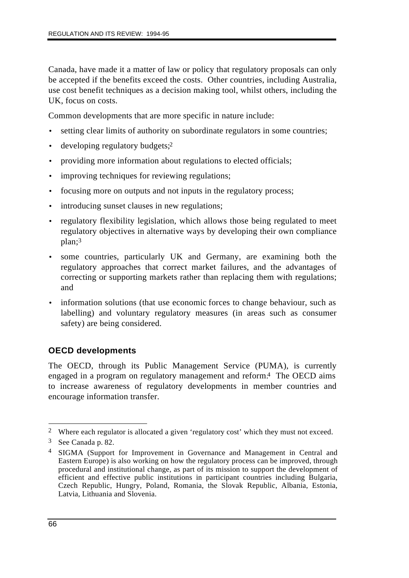Canada, have made it a matter of law or policy that regulatory proposals can only be accepted if the benefits exceed the costs. Other countries, including Australia, use cost benefit techniques as a decision making tool, whilst others, including the UK, focus on costs.

Common developments that are more specific in nature include:

- setting clear limits of authority on subordinate regulators in some countries;
- developing regulatory budgets;<sup>2</sup>
- providing more information about regulations to elected officials;
- improving techniques for reviewing regulations;
- focusing more on outputs and not inputs in the regulatory process;
- introducing sunset clauses in new regulations;
- regulatory flexibility legislation, which allows those being regulated to meet regulatory objectives in alternative ways by developing their own compliance plan;3
- some countries, particularly UK and Germany, are examining both the regulatory approaches that correct market failures, and the advantages of correcting or supporting markets rather than replacing them with regulations; and
- information solutions (that use economic forces to change behaviour, such as labelling) and voluntary regulatory measures (in areas such as consumer safety) are being considered.

# **OECD developments**

The OECD, through its Public Management Service (PUMA), is currently engaged in a program on regulatory management and reform.4 The OECD aims to increase awareness of regulatory developments in member countries and encourage information transfer.

 $\overline{a}$ 2 Where each regulator is allocated a given 'regulatory cost' which they must not exceed.

<sup>3</sup> See Canada p. 82.

<sup>4</sup> SIGMA (Support for Improvement in Governance and Management in Central and Eastern Europe) is also working on how the regulatory process can be improved, through procedural and institutional change, as part of its mission to support the development of efficient and effective public institutions in participant countries including Bulgaria, Czech Republic, Hungry, Poland, Romania, the Slovak Republic, Albania, Estonia, Latvia, Lithuania and Slovenia.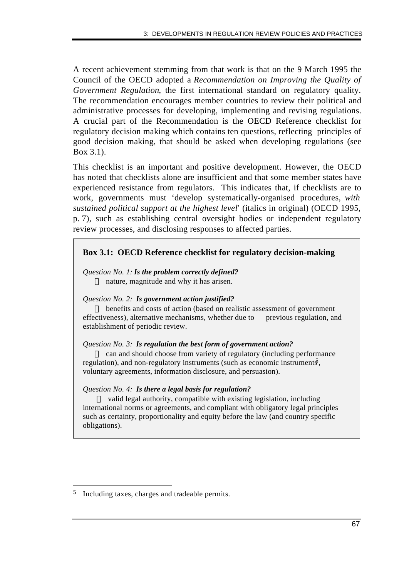A recent achievement stemming from that work is that on the 9 March 1995 the Council of the OECD adopted a *Recommendation on Improving the Quality of Government Regulation*, the first international standard on regulatory quality. The recommendation encourages member countries to review their political and administrative processes for developing, implementing and revising regulations. A crucial part of the Recommendation is the OECD Reference checklist for regulatory decision making which contains ten questions, reflecting principles of good decision making, that should be asked when developing regulations (see Box 3.1).

This checklist is an important and positive development. However, the OECD has noted that checklists alone are insufficient and that some member states have experienced resistance from regulators. This indicates that, if checklists are to work, governments must 'develop systematically-organised procedures, *with sustained political support at the highest level*' (italics in original) (OECD 1995, p. 7), such as establishing central oversight bodies or independent regulatory review processes, and disclosing responses to affected parties.

## **Box 3.1: OECD Reference checklist for regulatory decision-making**

*Question No. 1: Is the problem correctly defined?* nature, magnitude and why it has arisen.

#### *Question No. 2: Is government action justified?*

 benefits and costs of action (based on realistic assessment of government effectiveness), alternative mechanisms, whether due to previous regulation, and establishment of periodic review.

#### *Question No. 3: Is regulation the best form of government action?*

 $-$  can and should choose from variety of regulatory (including performance regulation), and non-regulatory instruments (such as economic instruments, voluntary agreements, information disclosure, and persuasion).

#### *Question No. 4: Is there a legal basis for regulation?*

 valid legal authority, compatible with existing legislation, including international norms or agreements, and compliant with obligatory legal principles such as certainty, proportionality and equity before the law (and country specific obligations).

 $\overline{a}$ 5 Including taxes, charges and tradeable permits.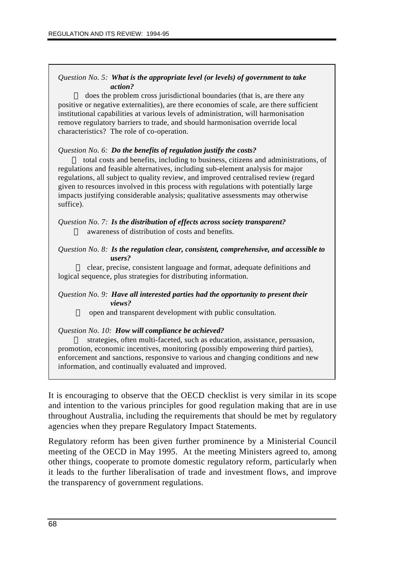#### *Question No. 5: What is the appropriate level (or levels) of government to take action?*

— does the problem cross jurisdictional boundaries (that is, are there any positive or negative externalities), are there economies of scale, are there sufficient institutional capabilities at various levels of administration, will harmonisation remove regulatory barriers to trade, and should harmonisation override local characteristics? The role of co-operation.

#### *Question No. 6: Do the benefits of regulation justify the costs?*

 $\overline{ }$  total costs and benefits, including to business, citizens and administrations, of regulations and feasible alternatives, including sub-element analysis for major regulations, all subject to quality review, and improved centralised review (regard given to resources involved in this process with regulations with potentially large impacts justifying considerable analysis; qualitative assessments may otherwise suffice).

#### *Question No. 7: Is the distribution of effects across society transparent?*  awareness of distribution of costs and benefits.

#### *Question No. 8: Is the regulation clear, consistent, comprehensive, and accessible to users?*

 clear, precise, consistent language and format, adequate definitions and logical sequence, plus strategies for distributing information.

#### *Question No. 9: Have all interested parties had the opportunity to present their views?*

 $\rightarrow$  open and transparent development with public consultation.

*Question No. 10: How will compliance be achieved?*

 $-$  strategies, often multi-faceted, such as education, assistance, persuasion, promotion, economic incentives, monitoring (possibly empowering third parties), enforcement and sanctions, responsive to various and changing conditions and new information, and continually evaluated and improved.

It is encouraging to observe that the OECD checklist is very similar in its scope and intention to the various principles for good regulation making that are in use throughout Australia, including the requirements that should be met by regulatory agencies when they prepare Regulatory Impact Statements.

Regulatory reform has been given further prominence by a Ministerial Council meeting of the OECD in May 1995. At the meeting Ministers agreed to, among other things, cooperate to promote domestic regulatory reform, particularly when it leads to the further liberalisation of trade and investment flows, and improve the transparency of government regulations.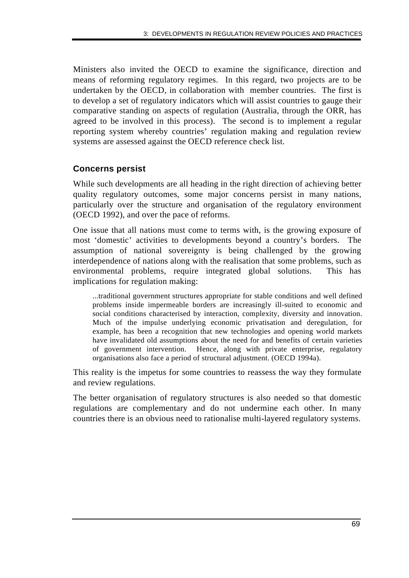Ministers also invited the OECD to examine the significance, direction and means of reforming regulatory regimes. In this regard, two projects are to be undertaken by the OECD, in collaboration with member countries. The first is to develop a set of regulatory indicators which will assist countries to gauge their comparative standing on aspects of regulation (Australia, through the ORR, has agreed to be involved in this process). The second is to implement a regular reporting system whereby countries' regulation making and regulation review systems are assessed against the OECD reference check list.

## **Concerns persist**

While such developments are all heading in the right direction of achieving better quality regulatory outcomes, some major concerns persist in many nations, particularly over the structure and organisation of the regulatory environment (OECD 1992), and over the pace of reforms.

One issue that all nations must come to terms with, is the growing exposure of most 'domestic' activities to developments beyond a country's borders. The assumption of national sovereignty is being challenged by the growing interdependence of nations along with the realisation that some problems, such as environmental problems, require integrated global solutions. This has implications for regulation making:

...traditional government structures appropriate for stable conditions and well defined problems inside impermeable borders are increasingly ill-suited to economic and social conditions characterised by interaction, complexity, diversity and innovation. Much of the impulse underlying economic privatisation and deregulation, for example, has been a recognition that new technologies and opening world markets have invalidated old assumptions about the need for and benefits of certain varieties of government intervention. Hence, along with private enterprise, regulatory organisations also face a period of structural adjustment. (OECD 1994a).

This reality is the impetus for some countries to reassess the way they formulate and review regulations.

The better organisation of regulatory structures is also needed so that domestic regulations are complementary and do not undermine each other. In many countries there is an obvious need to rationalise multi-layered regulatory systems.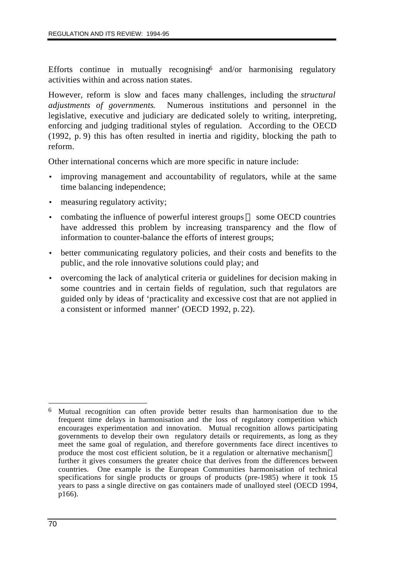Efforts continue in mutually recognising  $\delta$  and/or harmonising regulatory activities within and across nation states.

However, reform is slow and faces many challenges, including the *structural adjustments of governments*. Numerous institutions and personnel in the legislative, executive and judiciary are dedicated solely to writing, interpreting, enforcing and judging traditional styles of regulation. According to the OECD (1992, p. 9) this has often resulted in inertia and rigidity, blocking the path to reform.

Other international concerns which are more specific in nature include:

- improving management and accountability of regulators, while at the same time balancing independence;
- measuring regulatory activity;
- combating the influence of powerful interest groups  $\sim$  some OECD countries have addressed this problem by increasing transparency and the flow of information to counter-balance the efforts of interest groups;
- better communicating regulatory policies, and their costs and benefits to the public, and the role innovative solutions could play; and
- overcoming the lack of analytical criteria or guidelines for decision making in some countries and in certain fields of regulation, such that regulators are guided only by ideas of 'practicality and excessive cost that are not applied in a consistent or informed manner' (OECD 1992, p. 22).

 $\overline{a}$ Mutual recognition can often provide better results than harmonisation due to the frequent time delays in harmonisation and the loss of regulatory competition which encourages experimentation and innovation. Mutual recognition allows participating governments to develop their own regulatory details or requirements, as long as they meet the same goal of regulation, and therefore governments face direct incentives to produce the most cost efficient solution, be it a regulation or alternative mechanism further it gives consumers the greater choice that derives from the differences between countries. One example is the European Communities harmonisation of technical specifications for single products or groups of products (pre-1985) where it took 15 years to pass a single directive on gas containers made of unalloyed steel (OECD 1994, p166).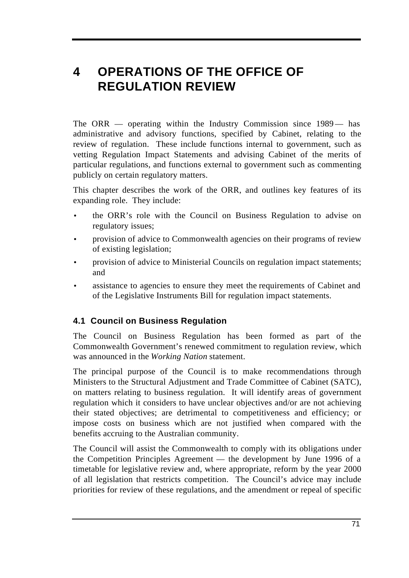# **4 OPERATIONS OF THE OFFICE OF REGULATION REVIEW**

The ORR — operating within the Industry Commission since 1989— has administrative and advisory functions, specified by Cabinet, relating to the review of regulation. These include functions internal to government, such as vetting Regulation Impact Statements and advising Cabinet of the merits of particular regulations, and functions external to government such as commenting publicly on certain regulatory matters.

This chapter describes the work of the ORR, and outlines key features of its expanding role. They include:

- the ORR's role with the Council on Business Regulation to advise on regulatory issues;
- provision of advice to Commonwealth agencies on their programs of review of existing legislation;
- provision of advice to Ministerial Councils on regulation impact statements; and
- assistance to agencies to ensure they meet the requirements of Cabinet and of the Legislative Instruments Bill for regulation impact statements.

# **4.1 Council on Business Regulation**

The Council on Business Regulation has been formed as part of the Commonwealth Government's renewed commitment to regulation review, which was announced in the *Working Nation* statement.

The principal purpose of the Council is to make recommendations through Ministers to the Structural Adjustment and Trade Committee of Cabinet (SATC), on matters relating to business regulation. It will identify areas of government regulation which it considers to have unclear objectives and/or are not achieving their stated objectives; are detrimental to competitiveness and efficiency; or impose costs on business which are not justified when compared with the benefits accruing to the Australian community.

The Council will assist the Commonwealth to comply with its obligations under the Competition Principles Agreement — the development by June 1996 of a timetable for legislative review and, where appropriate, reform by the year 2000 of all legislation that restricts competition. The Council's advice may include priorities for review of these regulations, and the amendment or repeal of specific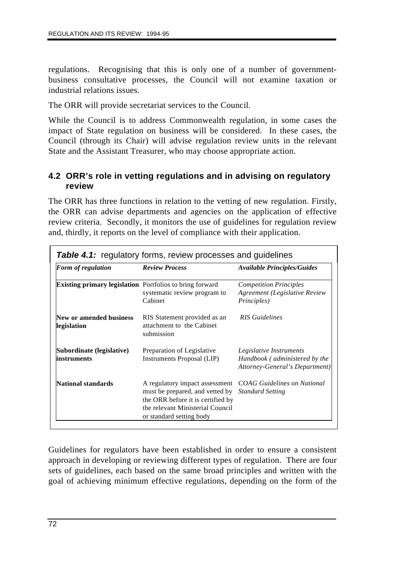regulations. Recognising that this is only one of a number of governmentbusiness consultative processes, the Council will not examine taxation or industrial relations issues.

The ORR will provide secretariat services to the Council.

While the Council is to address Commonwealth regulation, in some cases the impact of State regulation on business will be considered. In these cases, the Council (through its Chair) will advise regulation review units in the relevant State and the Assistant Treasurer, who may choose appropriate action.

## **4.2 ORR's role in vetting regulations and in advising on regulatory review**

The ORR has three functions in relation to the vetting of new regulation. Firstly, the ORR can advise departments and agencies on the application of effective review criteria. Secondly, it monitors the use of guidelines for regulation review and, thirdly, it reports on the level of compliance with their application.

| Form of regulation                                       | <b>Review Process</b>                                                                                                                                                  | <b>Available Principles/Guides</b>                                                         |
|----------------------------------------------------------|------------------------------------------------------------------------------------------------------------------------------------------------------------------------|--------------------------------------------------------------------------------------------|
| Existing primary legislation Portfolios to bring forward | systematic review program to<br>Cabinet                                                                                                                                | <b>Competition Principles</b><br>Agreement (Legislative Review<br><i>Principles</i> )      |
| New or amended business<br>legislation                   | RIS Statement provided as an<br>attachment to the Cabinet<br>submission                                                                                                | <b>RIS</b> Guidelines                                                                      |
| Subordinate (legislative)<br>instruments                 | Preparation of Legislative<br><b>Instruments Proposal (LIP)</b>                                                                                                        | Legislative Instruments<br>Handbook (administered by the<br>Attorney-General's Department) |
| National standards                                       | A regulatory impact assessment<br>must be prepared, and vetted by<br>the ORR before it is certified by<br>the relevant Ministerial Council<br>or standard setting body | <b>COAG Guidelines on National</b><br><b>Standard Setting</b>                              |

Guidelines for regulators have been established in order to ensure a consistent approach in developing or reviewing different types of regulation. There are four sets of guidelines, each based on the same broad principles and written with the goal of achieving minimum effective regulations, depending on the form of the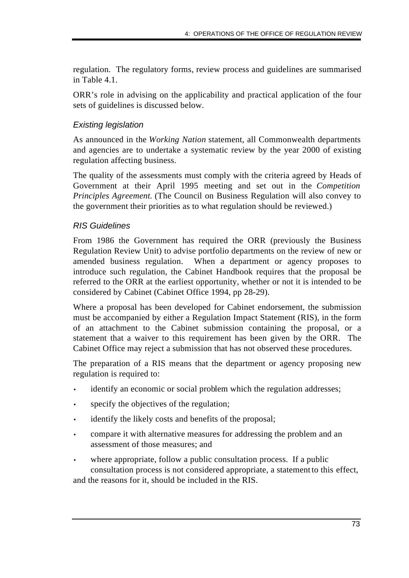regulation. The regulatory forms, review process and guidelines are summarised in Table 4.1.

ORR's role in advising on the applicability and practical application of the four sets of guidelines is discussed below.

## *Existing legislation*

As announced in the *Working Nation* statement, all Commonwealth departments and agencies are to undertake a systematic review by the year 2000 of existing regulation affecting business.

The quality of the assessments must comply with the criteria agreed by Heads of Government at their April 1995 meeting and set out in the *Competition Principles Agreement.* (The Council on Business Regulation will also convey to the government their priorities as to what regulation should be reviewed.)

## *RIS Guidelines*

From 1986 the Government has required the ORR (previously the Business Regulation Review Unit) to advise portfolio departments on the review of new or amended business regulation. When a department or agency proposes to introduce such regulation, the Cabinet Handbook requires that the proposal be referred to the ORR at the earliest opportunity, whether or not it is intended to be considered by Cabinet (Cabinet Office 1994, pp 28-29).

Where a proposal has been developed for Cabinet endorsement, the submission must be accompanied by either a Regulation Impact Statement (RIS), in the form of an attachment to the Cabinet submission containing the proposal, or a statement that a waiver to this requirement has been given by the ORR. The Cabinet Office may reject a submission that has not observed these procedures.

The preparation of a RIS means that the department or agency proposing new regulation is required to:

- identify an economic or social problem which the regulation addresses;
- specify the objectives of the regulation;
- identify the likely costs and benefits of the proposal;
- compare it with alternative measures for addressing the problem and an assessment of those measures; and
- where appropriate, follow a public consultation process. If a public consultation process is not considered appropriate, a statement to this effect, and the reasons for it, should be included in the RIS.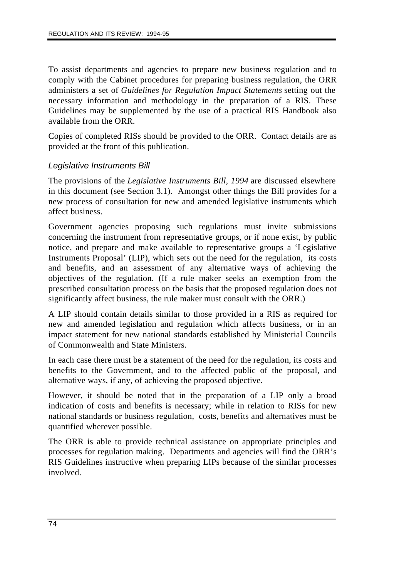To assist departments and agencies to prepare new business regulation and to comply with the Cabinet procedures for preparing business regulation, the ORR administers a set of *Guidelines for Regulation Impact Statements* setting out the necessary information and methodology in the preparation of a RIS. These Guidelines may be supplemented by the use of a practical RIS Handbook also available from the ORR.

Copies of completed RISs should be provided to the ORR. Contact details are as provided at the front of this publication.

## *Legislative Instruments Bill*

The provisions of the *Legislative Instruments Bill, 1994* are discussed elsewhere in this document (see Section 3.1). Amongst other things the Bill provides for a new process of consultation for new and amended legislative instruments which affect business.

Government agencies proposing such regulations must invite submissions concerning the instrument from representative groups, or if none exist, by public notice, and prepare and make available to representative groups a 'Legislative Instruments Proposal' (LIP), which sets out the need for the regulation, its costs and benefits, and an assessment of any alternative ways of achieving the objectives of the regulation. (If a rule maker seeks an exemption from the prescribed consultation process on the basis that the proposed regulation does not significantly affect business, the rule maker must consult with the ORR.)

A LIP should contain details similar to those provided in a RIS as required for new and amended legislation and regulation which affects business, or in an impact statement for new national standards established by Ministerial Councils of Commonwealth and State Ministers.

In each case there must be a statement of the need for the regulation, its costs and benefits to the Government, and to the affected public of the proposal, and alternative ways, if any, of achieving the proposed objective.

However, it should be noted that in the preparation of a LIP only a broad indication of costs and benefits is necessary; while in relation to RISs for new national standards or business regulation, costs, benefits and alternatives must be quantified wherever possible.

The ORR is able to provide technical assistance on appropriate principles and processes for regulation making. Departments and agencies will find the ORR's RIS Guidelines instructive when preparing LIPs because of the similar processes involved.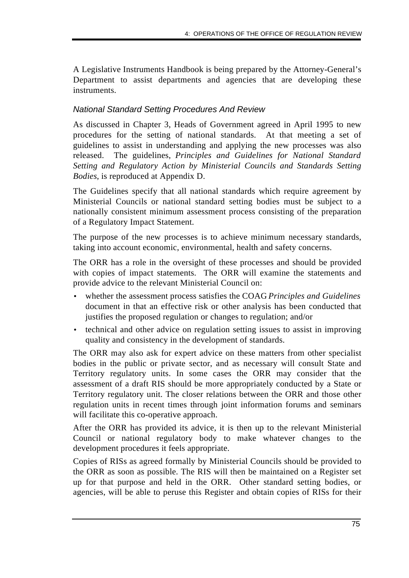A Legislative Instruments Handbook is being prepared by the Attorney-General's Department to assist departments and agencies that are developing these instruments.

# *National Standard Setting Procedures And Review*

As discussed in Chapter 3, Heads of Government agreed in April 1995 to new procedures for the setting of national standards. At that meeting a set of guidelines to assist in understanding and applying the new processes was also released. The guidelines, *Principles and Guidelines for National Standard Setting and Regulatory Action by Ministerial Councils and Standards Setting Bodies*, is reproduced at Appendix D.

The Guidelines specify that all national standards which require agreement by Ministerial Councils or national standard setting bodies must be subject to a nationally consistent minimum assessment process consisting of the preparation of a Regulatory Impact Statement.

The purpose of the new processes is to achieve minimum necessary standards, taking into account economic, environmental, health and safety concerns.

The ORR has a role in the oversight of these processes and should be provided with copies of impact statements. The ORR will examine the statements and provide advice to the relevant Ministerial Council on:

- whether the assessment process satisfies the COAG *Principles and Guidelines* document in that an effective risk or other analysis has been conducted that justifies the proposed regulation or changes to regulation; and/or
- technical and other advice on regulation setting issues to assist in improving quality and consistency in the development of standards.

The ORR may also ask for expert advice on these matters from other specialist bodies in the public or private sector, and as necessary will consult State and Territory regulatory units. In some cases the ORR may consider that the assessment of a draft RIS should be more appropriately conducted by a State or Territory regulatory unit. The closer relations between the ORR and those other regulation units in recent times through joint information forums and seminars will facilitate this co-operative approach.

After the ORR has provided its advice, it is then up to the relevant Ministerial Council or national regulatory body to make whatever changes to the development procedures it feels appropriate.

Copies of RISs as agreed formally by Ministerial Councils should be provided to the ORR as soon as possible. The RIS will then be maintained on a Register set up for that purpose and held in the ORR. Other standard setting bodies, or agencies, will be able to peruse this Register and obtain copies of RISs for their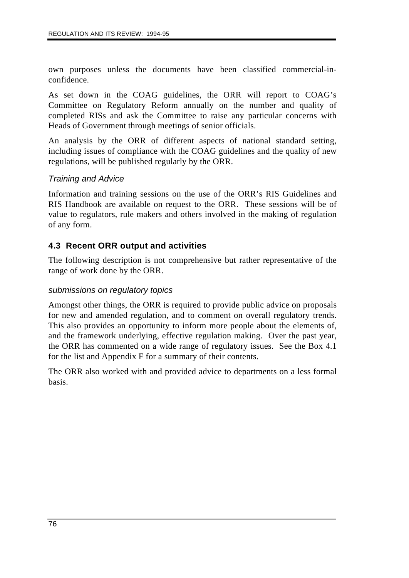own purposes unless the documents have been classified commercial-inconfidence.

As set down in the COAG guidelines, the ORR will report to COAG's Committee on Regulatory Reform annually on the number and quality of completed RISs and ask the Committee to raise any particular concerns with Heads of Government through meetings of senior officials.

An analysis by the ORR of different aspects of national standard setting, including issues of compliance with the COAG guidelines and the quality of new regulations, will be published regularly by the ORR.

## *Training and Advice*

Information and training sessions on the use of the ORR's RIS Guidelines and RIS Handbook are available on request to the ORR. These sessions will be of value to regulators, rule makers and others involved in the making of regulation of any form.

## **4.3 Recent ORR output and activities**

The following description is not comprehensive but rather representative of the range of work done by the ORR.

#### *submissions on regulatory topics*

Amongst other things, the ORR is required to provide public advice on proposals for new and amended regulation, and to comment on overall regulatory trends. This also provides an opportunity to inform more people about the elements of, and the framework underlying, effective regulation making. Over the past year, the ORR has commented on a wide range of regulatory issues. See the Box 4.1 for the list and Appendix F for a summary of their contents.

The ORR also worked with and provided advice to departments on a less formal basis.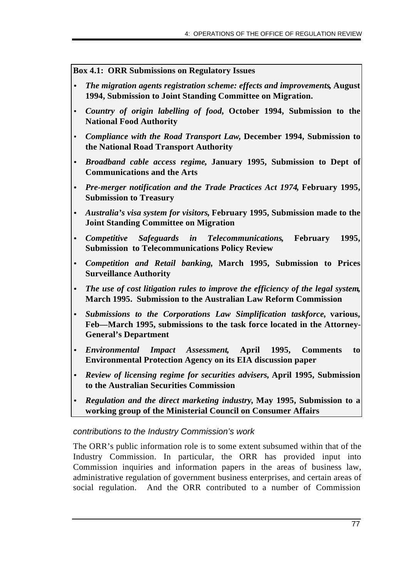**Box 4.1: ORR Submissions on Regulatory Issues**

- *· The migration agents registration scheme: effects and improvements***, August 1994, Submission to Joint Standing Committee on Migration.**
- *Country of origin labelling of food***, October 1994, Submission to the National Food Authority**
- *Compliance with the Road Transport Law***, December 1994, Submission to the National Road Transport Authority**
- *· Broadband cable access regime***, January 1995, Submission to Dept of Communications and the Arts**
- *· Pre-merger notification and the Trade Practices Act 1974***, February 1995, Submission to Treasury**
- *· Australia's visa system for visitors***, February 1995, Submission made to the Joint Standing Committee on Migration**
- *· Competitive Safeguards in Telecommunications***, February 1995, Submission to Telecommunications Policy Review**
- *· Competition and Retail banking,* **March 1995, Submission to Prices Surveillance Authority**
- *· The use of cost litigation rules to improve the efficiency of the legal system***, March 1995. Submission to the Australian Law Reform Commission**
- *Submissions to the Corporations Law Simplification taskforce,* **various, Feb—March 1995, submissions to the task force located in the Attorney-General's Department**
- *Environmental Impact Assessment***, April 1995, Comments to Environmental Protection Agency on its EIA discussion paper**
- *Review of licensing regime for securities advisers,* **April 1995, Submission to the Australian Securities Commission**
- *Regulation and the direct marketing industry,* **May 1995, Submission to a working group of the Ministerial Council on Consumer Affairs**

#### *contributions to the Industry Commission's work*

The ORR's public information role is to some extent subsumed within that of the Industry Commission. In particular, the ORR has provided input into Commission inquiries and information papers in the areas of business law, administrative regulation of government business enterprises, and certain areas of social regulation. And the ORR contributed to a number of Commission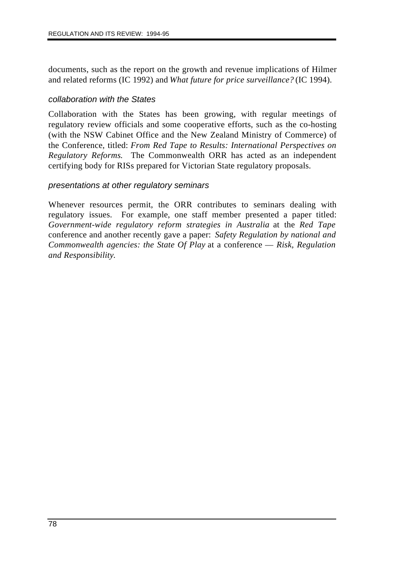documents, such as the report on the growth and revenue implications of Hilmer and related reforms (IC 1992) and *What future for price surveillance?* (IC 1994).

#### *collaboration with the States*

Collaboration with the States has been growing, with regular meetings of regulatory review officials and some cooperative efforts, such as the co-hosting (with the NSW Cabinet Office and the New Zealand Ministry of Commerce) of the Conference, titled: *From Red Tape to Results: International Perspectives on Regulatory Reforms*. The Commonwealth ORR has acted as an independent certifying body for RISs prepared for Victorian State regulatory proposals.

## *presentations at other regulatory seminars*

Whenever resources permit, the ORR contributes to seminars dealing with regulatory issues. For example, one staff member presented a paper titled: *Government-wide regulatory reform strategies in Australia* at the *Red Tape* conference and another recently gave a paper: *Safety Regulation by national and Commonwealth agencies: the State Of Play* at a conference — *Risk, Regulation and Responsibility*.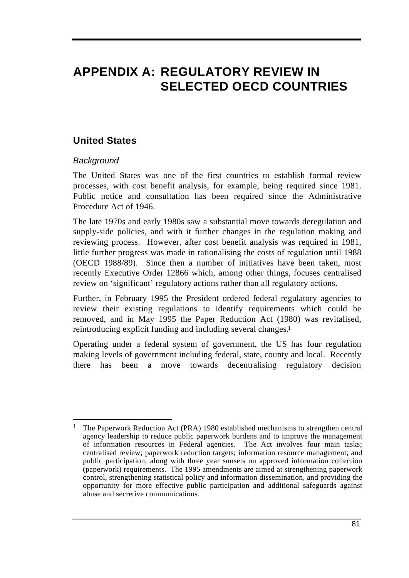# **APPENDIX A: REGULATORY REVIEW IN SELECTED OECD COUNTRIES**

# **United States**

## *Background*

The United States was one of the first countries to establish formal review processes, with cost benefit analysis, for example, being required since 1981. Public notice and consultation has been required since the Administrative Procedure Act of 1946.

The late 1970s and early 1980s saw a substantial move towards deregulation and supply-side policies, and with it further changes in the regulation making and reviewing process. However, after cost benefit analysis was required in 1981, little further progress was made in rationalising the costs of regulation until 1988 (OECD 1988/89). Since then a number of initiatives have been taken, most recently Executive Order 12866 which, among other things, focuses centralised review on 'significant' regulatory actions rather than all regulatory actions.

Further, in February 1995 the President ordered federal regulatory agencies to review their existing regulations to identify requirements which could be removed, and in May 1995 the Paper Reduction Act (1980) was revitalised, reintroducing explicit funding and including several changes.1

Operating under a federal system of government, the US has four regulation making levels of government including federal, state, county and local. Recently there has been a move towards decentralising regulatory decision

 $\overline{a}$ 1 The Paperwork Reduction Act (PRA) 1980 established mechanisms to strengthen central agency leadership to reduce public paperwork burdens and to improve the management of information resources in Federal agencies. The Act involves four main tasks; centralised review; paperwork reduction targets; information resource management; and public participation, along with three year sunsets on approved information collection (paperwork) requirements. The 1995 amendments are aimed at strengthening paperwork control, strengthening statistical policy and information dissemination, and providing the opportunity for more effective public participation and additional safeguards against abuse and secretive communications.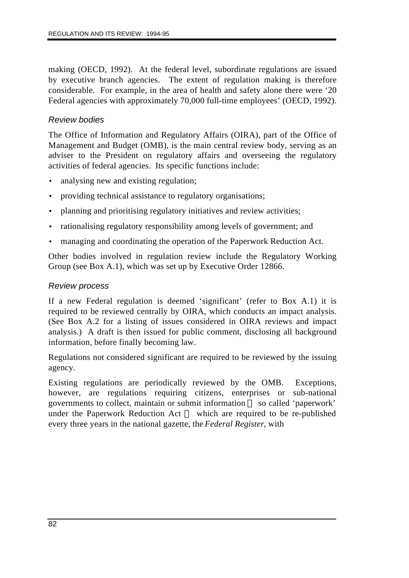making (OECD, 1992). At the federal level, subordinate regulations are issued by executive branch agencies. The extent of regulation making is therefore considerable. For example, in the area of health and safety alone there were '20 Federal agencies with approximately 70,000 full-time employees' (OECD, 1992).

## *Review bodies*

The Office of Information and Regulatory Affairs (OIRA), part of the Office of Management and Budget (OMB), is the main central review body, serving as an adviser to the President on regulatory affairs and overseeing the regulatory activities of federal agencies. Its specific functions include:

- analysing new and existing regulation;
- providing technical assistance to regulatory organisations;
- planning and prioritising regulatory initiatives and review activities;
- rationalising regulatory responsibility among levels of government; and
- managing and coordinating the operation of the Paperwork Reduction Act.

Other bodies involved in regulation review include the Regulatory Working Group (see Box A.1), which was set up by Executive Order 12866.

## *Review process*

If a new Federal regulation is deemed 'significant' (refer to Box A.1) it is required to be reviewed centrally by OIRA, which conducts an impact analysis. (See Box A.2 for a listing of issues considered in OIRA reviews and impact analysis.) A draft is then issued for public comment, disclosing all background information, before finally becoming law.

Regulations not considered significant are required to be reviewed by the issuing agency.

Existing regulations are periodically reviewed by the OMB. Exceptions, however, are regulations requiring citizens, enterprises or sub-national governments to collect, maintain or submit information so called 'paperwork' under the Paperwork Reduction Act — which are required to be re-published every three years in the national gazette, the *Federal Register*, with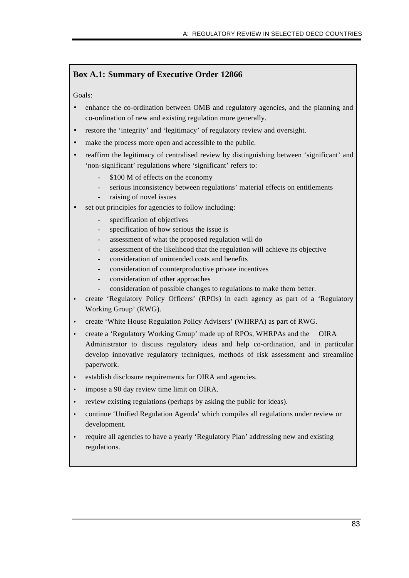## **Box A.1: Summary of Executive Order 12866**

Goals:

- enhance the co-ordination between OMB and regulatory agencies, and the planning and co-ordination of new and existing regulation more generally.
- restore the 'integrity' and 'legitimacy' of regulatory review and oversight.
- make the process more open and accessible to the public.
- reaffirm the legitimacy of centralised review by distinguishing between 'significant' and 'non-significant' regulations where 'significant' refers to:
	- \$100 M of effects on the economy
	- serious inconsistency between regulations' material effects on entitlements
	- raising of novel issues
- set out principles for agencies to follow including:
	- specification of objectives
	- specification of how serious the issue is
	- assessment of what the proposed regulation will do
	- assessment of the likelihood that the regulation will achieve its objective
	- consideration of unintended costs and benefits
	- consideration of counterproductive private incentives
	- consideration of other approaches
	- consideration of possible changes to regulations to make them better.
- create 'Regulatory Policy Officers' (RPOs) in each agency as part of a 'Regulatory Working Group' (RWG).
- create 'White House Regulation Policy Advisers' (WHRPA) as part of RWG.
- create a 'Regulatory Working Group' made up of RPOs, WHRPAs and the OIRA Administrator to discuss regulatory ideas and help co-ordination, and in particular develop innovative regulatory techniques, methods of risk assessment and streamline paperwork.
- establish disclosure requirements for OIRA and agencies.
- impose a 90 day review time limit on OIRA.
- review existing regulations (perhaps by asking the public for ideas).
- continue 'Unified Regulation Agenda' which compiles all regulations under review or development.
- require all agencies to have a yearly 'Regulatory Plan' addressing new and existing regulations.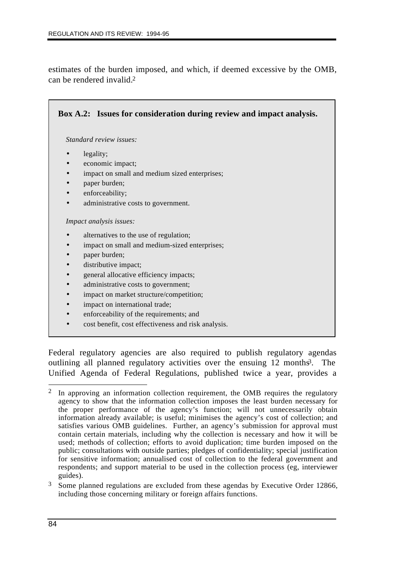estimates of the burden imposed, and which, if deemed excessive by the OMB, can be rendered invalid.2

| Box A.2: Issues for consideration during review and impact analysis. |
|----------------------------------------------------------------------|
| Standard review issues:                                              |
| legality;<br>$\bullet$                                               |
| economic impact;                                                     |
| impact on small and medium sized enterprises;<br>$\bullet$           |
| paper burden;<br>$\bullet$                                           |
| enforceability;                                                      |
| administrative costs to government.                                  |
| Impact analysis issues:                                              |
| alternatives to the use of regulation;                               |
| impact on small and medium-sized enterprises;                        |
| paper burden;                                                        |
| distributive impact;<br>$\bullet$                                    |
| general allocative efficiency impacts;<br>$\bullet$                  |
| administrative costs to government;                                  |
| impact on market structure/competition;                              |
|                                                                      |

- impact on international trade;
- enforceability of the requirements; and
- cost benefit, cost effectiveness and risk analysis.

Federal regulatory agencies are also required to publish regulatory agendas outlining all planned regulatory activities over the ensuing 12 months<sup>3</sup>. The Unified Agenda of Federal Regulations, published twice a year, provides a

3 Some planned regulations are excluded from these agendas by Executive Order 12866, including those concerning military or foreign affairs functions.

 $\overline{a}$ <sup>2</sup> In approving an information collection requirement, the OMB requires the regulatory agency to show that the information collection imposes the least burden necessary for the proper performance of the agency's function; will not unnecessarily obtain information already available; is useful; minimises the agency's cost of collection; and satisfies various OMB guidelines. Further, an agency's submission for approval must contain certain materials, including why the collection is necessary and how it will be used; methods of collection; efforts to avoid duplication; time burden imposed on the public; consultations with outside parties; pledges of confidentiality; special justification for sensitive information; annualised cost of collection to the federal government and respondents; and support material to be used in the collection process (eg, interviewer guides).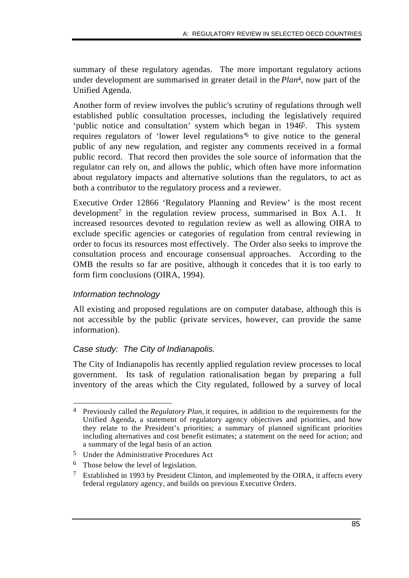summary of these regulatory agendas. The more important regulatory actions under development are summarised in greater detail in the *Plan*4, now part of the Unified Agenda.

Another form of review involves the public's scrutiny of regulations through well established public consultation processes, including the legislatively required 'public notice and consultation' system which began in 1946. This system requires regulators of 'lower level regulations'6 to give notice to the general public of any new regulation, and register any comments received in a formal public record. That record then provides the sole source of information that the regulator can rely on, and allows the public, which often have more information about regulatory impacts and alternative solutions than the regulators, to act as both a contributor to the regulatory process and a reviewer.

Executive Order 12866 'Regulatory Planning and Review' is the most recent development<sup>7</sup> in the regulation review process, summarised in Box A.1. It increased resources devoted to regulation review as well as allowing OIRA to exclude specific agencies or categories of regulation from central reviewing in order to focus its resources most effectively. The Order also seeks to improve the consultation process and encourage consensual approaches. According to the OMB the results so far are positive, although it concedes that it is too early to form firm conclusions (OIRA, 1994).

## *Information technology*

All existing and proposed regulations are on computer database, although this is not accessible by the public (private services, however, can provide the same information).

## *Case study: The City of Indianapolis.*

The City of Indianapolis has recently applied regulation review processes to local government. Its task of regulation rationalisation began by preparing a full inventory of the areas which the City regulated, followed by a survey of local

6 Those below the level of legislation.

 $\overline{a}$ 4 Previously called the *Regulatory Plan,* it requires, in addition to the requirements for the Unified Agenda, a statement of regulatory agency objectives and priorities, and how they relate to the President's priorities; a summary of planned significant priorities including alternatives and cost benefit estimates; a statement on the need for action; and a summary of the legal basis of an action*.*

<sup>5</sup> Under the Administrative Procedures Act

<sup>7</sup> Established in 1993 by President Clinton, and implemented by the OIRA, it affects every federal regulatory agency, and builds on previous Executive Orders.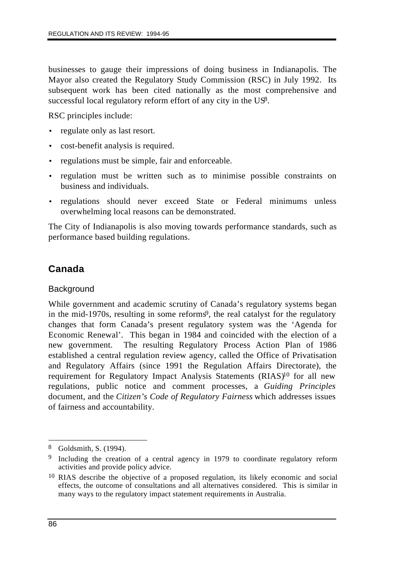businesses to gauge their impressions of doing business in Indianapolis. The Mayor also created the Regulatory Study Commission (RSC) in July 1992. Its subsequent work has been cited nationally as the most comprehensive and successful local regulatory reform effort of any city in the US8.

RSC principles include:

- regulate only as last resort.
- cost-benefit analysis is required.
- regulations must be simple, fair and enforceable.
- regulation must be written such as to minimise possible constraints on business and individuals.
- regulations should never exceed State or Federal minimums unless overwhelming local reasons can be demonstrated.

The City of Indianapolis is also moving towards performance standards, such as performance based building regulations.

# **Canada**

## **Background**

While government and academic scrutiny of Canada's regulatory systems began in the mid-1970s, resulting in some reforms<sup>9</sup>, the real catalyst for the regulatory changes that form Canada's present regulatory system was the 'Agenda for Economic Renewal'. This began in 1984 and coincided with the election of a new government. The resulting Regulatory Process Action Plan of 1986 established a central regulation review agency, called the Office of Privatisation and Regulatory Affairs (since 1991 the Regulation Affairs Directorate), the requirement for Regulatory Impact Analysis Statements (RIAS)<sup>10</sup> for all new regulations, public notice and comment processes, a *Guiding Principles* document, and the *Citizen's Code of Regulatory Fairness* which addresses issues of fairness and accountability.

 $\overline{a}$ 

<sup>8</sup> Goldsmith, S. (1994).

<sup>9</sup> Including the creation of a central agency in 1979 to coordinate regulatory reform activities and provide policy advice.

<sup>&</sup>lt;sup>10</sup> RIAS describe the objective of a proposed regulation, its likely economic and social effects, the outcome of consultations and all alternatives considered. This is similar in many ways to the regulatory impact statement requirements in Australia.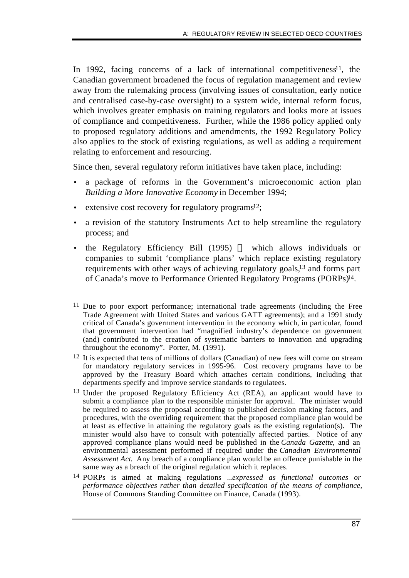In 1992, facing concerns of a lack of international competitiveness<sup>11</sup>, the Canadian government broadened the focus of regulation management and review away from the rulemaking process (involving issues of consultation, early notice and centralised case-by-case oversight) to a system wide, internal reform focus, which involves greater emphasis on training regulators and looks more at issues of compliance and competitiveness. Further, while the 1986 policy applied only to proposed regulatory additions and amendments, the 1992 Regulatory Policy also applies to the stock of existing regulations, as well as adding a requirement relating to enforcement and resourcing.

Since then, several regulatory reform initiatives have taken place, including:

- a package of reforms in the Government's microeconomic action plan *Building a More Innovative Economy* in December 1994;
- extensive cost recovery for regulatory programs<sup>12</sup>;
- a revision of the statutory Instruments Act to help streamline the regulatory process; and
- the Regulatory Efficiency Bill  $(1995)$  which allows individuals or companies to submit 'compliance plans' which replace existing regulatory requirements with other ways of achieving regulatory goals,13 and forms part of Canada's move to Performance Oriented Regulatory Programs (PORPs)14.

 $\overline{a}$ <sup>11</sup> Due to poor export performance; international trade agreements (including the Free Trade Agreement with United States and various GATT agreements); and a 1991 study critical of Canada's government intervention in the economy which, in particular, found that government intervention had "magnified industry's dependence on government (and) contributed to the creation of systematic barriers to innovation and upgrading throughout the economy". Porter, M. (1991).

<sup>&</sup>lt;sup>12</sup> It is expected that tens of millions of dollars (Canadian) of new fees will come on stream for mandatory regulatory services in 1995-96. Cost recovery programs have to be approved by the Treasury Board which attaches certain conditions, including that departments specify and improve service standards to regulatees.

<sup>13</sup> Under the proposed Regulatory Efficiency Act (REA), an applicant would have to submit a compliance plan to the responsible minister for approval. The minister would be required to assess the proposal according to published decision making factors, and procedures, with the overriding requirement that the proposed compliance plan would be at least as effective in attaining the regulatory goals as the existing regulation(s). The minister would also have to consult with potentially affected parties. Notice of any approved compliance plans would need be published in the *Canada Gazette*, and an environmental assessment performed if required under the *Canadian Environmental Assessment Act*. Any breach of a compliance plan would be an offence punishable in the same way as a breach of the original regulation which it replaces.

<sup>14</sup> PORPs is aimed at making regulations ...*expressed as functional outcomes or performance objectives rather than detailed specification of the means of compliance,* House of Commons Standing Committee on Finance, Canada (1993).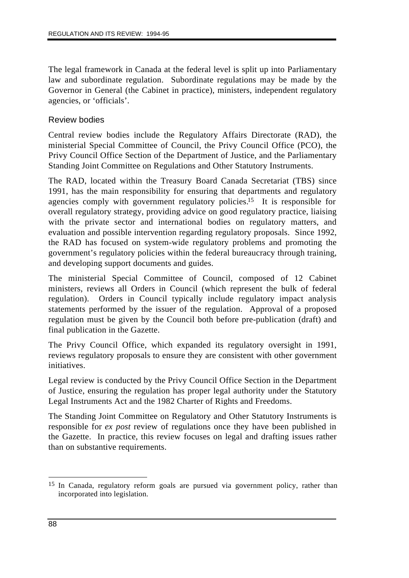The legal framework in Canada at the federal level is split up into Parliamentary law and subordinate regulation. Subordinate regulations may be made by the Governor in General (the Cabinet in practice), ministers, independent regulatory agencies, or 'officials'.

## Review bodies

Central review bodies include the Regulatory Affairs Directorate (RAD), the ministerial Special Committee of Council, the Privy Council Office (PCO), the Privy Council Office Section of the Department of Justice, and the Parliamentary Standing Joint Committee on Regulations and Other Statutory Instruments.

The RAD, located within the Treasury Board Canada Secretariat (TBS) since 1991, has the main responsibility for ensuring that departments and regulatory agencies comply with government regulatory policies.15 It is responsible for overall regulatory strategy, providing advice on good regulatory practice, liaising with the private sector and international bodies on regulatory matters, and evaluation and possible intervention regarding regulatory proposals. Since 1992, the RAD has focused on system-wide regulatory problems and promoting the government's regulatory policies within the federal bureaucracy through training, and developing support documents and guides.

The ministerial Special Committee of Council, composed of 12 Cabinet ministers, reviews all Orders in Council (which represent the bulk of federal regulation). Orders in Council typically include regulatory impact analysis statements performed by the issuer of the regulation. Approval of a proposed regulation must be given by the Council both before pre-publication (draft) and final publication in the Gazette.

The Privy Council Office, which expanded its regulatory oversight in 1991, reviews regulatory proposals to ensure they are consistent with other government initiatives.

Legal review is conducted by the Privy Council Office Section in the Department of Justice, ensuring the regulation has proper legal authority under the Statutory Legal Instruments Act and the 1982 Charter of Rights and Freedoms.

The Standing Joint Committee on Regulatory and Other Statutory Instruments is responsible for *ex post* review of regulations once they have been published in the Gazette. In practice, this review focuses on legal and drafting issues rather than on substantive requirements.

 $\overline{a}$ 15 In Canada, regulatory reform goals are pursued via government policy, rather than incorporated into legislation.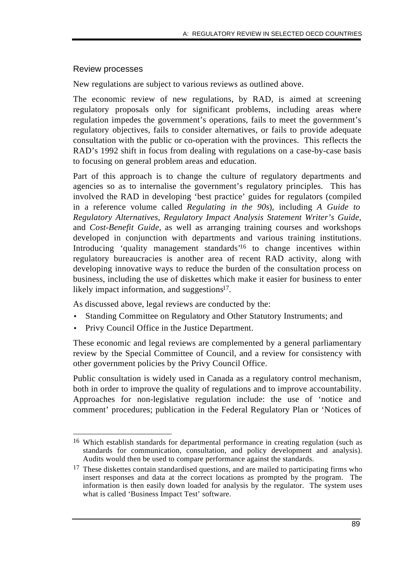### Review processes

New regulations are subject to various reviews as outlined above.

The economic review of new regulations, by RAD, is aimed at screening regulatory proposals only for significant problems, including areas where regulation impedes the government's operations, fails to meet the government's regulatory objectives, fails to consider alternatives, or fails to provide adequate consultation with the public or co-operation with the provinces. This reflects the RAD's 1992 shift in focus from dealing with regulations on a case-by-case basis to focusing on general problem areas and education.

Part of this approach is to change the culture of regulatory departments and agencies so as to internalise the government's regulatory principles. This has involved the RAD in developing 'best practice' guides for regulators (compiled in a reference volume called *Regulating in the 90s*), including *A Guide to Regulatory Alternatives, Regulatory Impact Analysis Statement Writer's Guide,* and *Cost-Benefit Guide,* as well as arranging training courses and workshops developed in conjunction with departments and various training institutions. Introducing 'quality management standards'16 to change incentives within regulatory bureaucracies is another area of recent RAD activity, along with developing innovative ways to reduce the burden of the consultation process on business, including the use of diskettes which make it easier for business to enter likely impact information, and suggestions<sup>17</sup>.

As discussed above, legal reviews are conducted by the:

- Standing Committee on Regulatory and Other Statutory Instruments; and
- Privy Council Office in the Justice Department.

These economic and legal reviews are complemented by a general parliamentary review by the Special Committee of Council, and a review for consistency with other government policies by the Privy Council Office.

Public consultation is widely used in Canada as a regulatory control mechanism, both in order to improve the quality of regulations and to improve accountability. Approaches for non-legislative regulation include: the use of 'notice and comment' procedures; publication in the Federal Regulatory Plan or 'Notices of

 $\overline{a}$ 16 Which establish standards for departmental performance in creating regulation (such as standards for communication, consultation, and policy development and analysis). Audits would then be used to compare performance against the standards.

<sup>&</sup>lt;sup>17</sup> These diskettes contain standardised questions, and are mailed to participating firms who insert responses and data at the correct locations as prompted by the program. The information is then easily down loaded for analysis by the regulator. The system uses what is called 'Business Impact Test' software.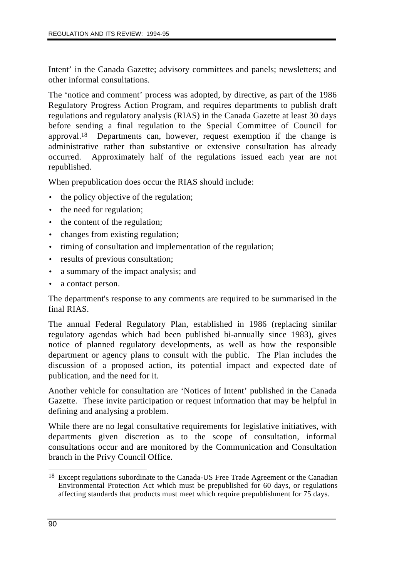Intent' in the Canada Gazette; advisory committees and panels; newsletters; and other informal consultations.

The 'notice and comment' process was adopted, by directive, as part of the 1986 Regulatory Progress Action Program, and requires departments to publish draft regulations and regulatory analysis (RIAS) in the Canada Gazette at least 30 days before sending a final regulation to the Special Committee of Council for approval.18 Departments can, however, request exemption if the change is administrative rather than substantive or extensive consultation has already occurred. Approximately half of the regulations issued each year are not republished.

When prepublication does occur the RIAS should include:

- the policy objective of the regulation;
- the need for regulation;
- the content of the regulation;
- changes from existing regulation;
- timing of consultation and implementation of the regulation;
- results of previous consultation;
- a summary of the impact analysis; and
- a contact person.

The department's response to any comments are required to be summarised in the final RIAS.

The annual Federal Regulatory Plan, established in 1986 (replacing similar regulatory agendas which had been published bi-annually since 1983), gives notice of planned regulatory developments, as well as how the responsible department or agency plans to consult with the public. The Plan includes the discussion of a proposed action, its potential impact and expected date of publication, and the need for it.

Another vehicle for consultation are 'Notices of Intent' published in the Canada Gazette. These invite participation or request information that may be helpful in defining and analysing a problem.

While there are no legal consultative requirements for legislative initiatives, with departments given discretion as to the scope of consultation, informal consultations occur and are monitored by the Communication and Consultation branch in the Privy Council Office.

 $\overline{a}$ <sup>18</sup> Except regulations subordinate to the Canada-US Free Trade Agreement or the Canadian Environmental Protection Act which must be prepublished for 60 days, or regulations affecting standards that products must meet which require prepublishment for 75 days.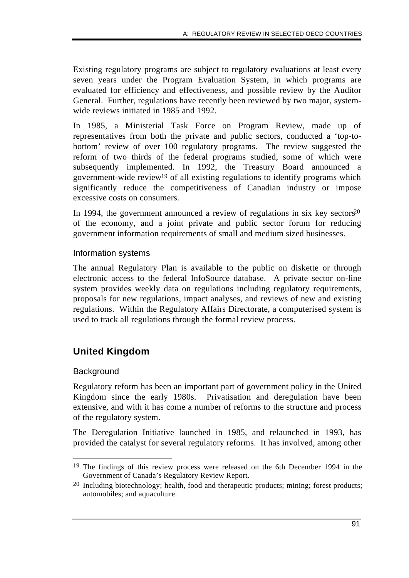Existing regulatory programs are subject to regulatory evaluations at least every seven years under the Program Evaluation System, in which programs are evaluated for efficiency and effectiveness, and possible review by the Auditor General. Further, regulations have recently been reviewed by two major, systemwide reviews initiated in 1985 and 1992.

In 1985, a Ministerial Task Force on Program Review, made up of representatives from both the private and public sectors, conducted a 'top-tobottom' review of over 100 regulatory programs. The review suggested the reform of two thirds of the federal programs studied, some of which were subsequently implemented. In 1992, the Treasury Board announced a government-wide review19 of all existing regulations to identify programs which significantly reduce the competitiveness of Canadian industry or impose excessive costs on consumers.

In 1994, the government announced a review of regulations in six key sectors<sup>20</sup> of the economy, and a joint private and public sector forum for reducing government information requirements of small and medium sized businesses.

## Information systems

The annual Regulatory Plan is available to the public on diskette or through electronic access to the federal InfoSource database. A private sector on-line system provides weekly data on regulations including regulatory requirements, proposals for new regulations, impact analyses, and reviews of new and existing regulations. Within the Regulatory Affairs Directorate, a computerised system is used to track all regulations through the formal review process.

# **United Kingdom**

## **Background**

Regulatory reform has been an important part of government policy in the United Kingdom since the early 1980s. Privatisation and deregulation have been extensive, and with it has come a number of reforms to the structure and process of the regulatory system.

The Deregulation Initiative launched in 1985, and relaunched in 1993, has provided the catalyst for several regulatory reforms. It has involved, among other

 $\overline{a}$ 19 The findings of this review process were released on the 6th December 1994 in the Government of Canada's Regulatory Review Report.

<sup>20</sup> Including biotechnology; health, food and therapeutic products; mining; forest products; automobiles; and aquaculture.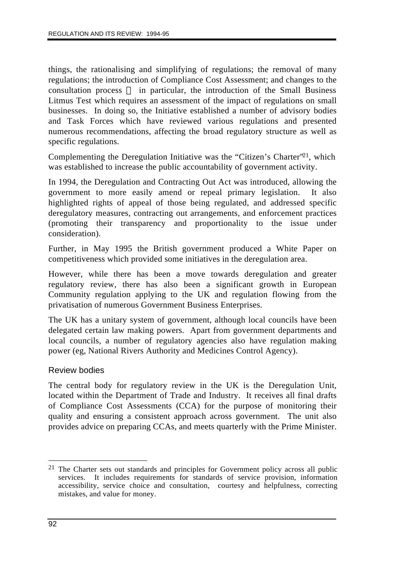things, the rationalising and simplifying of regulations; the removal of many regulations; the introduction of Compliance Cost Assessment; and changes to the consultation process  $\frac{1}{\sqrt{1-\frac{1}{\sqrt{1-\frac{1}{\sqrt{1-\frac{1}{\sqrt{1-\frac{1}{\sqrt{1-\frac{1}{\sqrt{1-\frac{1}{\sqrt{1-\frac{1}{\sqrt{1-\frac{1}{\sqrt{1-\frac{1}{\sqrt{1-\frac{1}{\sqrt{1-\frac{1}{\sqrt{1-\frac{1}{\sqrt{1-\frac{1}{\sqrt{1-\frac{1}{\sqrt{1-\frac{1}{\sqrt{1-\frac{1}{\sqrt{1-\frac{1}{\sqrt{1-\frac{1}{\sqrt{1-\frac{1}{\sqrt{1-\frac{1}{\sqrt{1-\frac{1}{\sqrt{1-\$ Litmus Test which requires an assessment of the impact of regulations on small businesses. In doing so, the Initiative established a number of advisory bodies and Task Forces which have reviewed various regulations and presented numerous recommendations, affecting the broad regulatory structure as well as specific regulations.

Complementing the Deregulation Initiative was the "Citizen's Charter"21, which was established to increase the public accountability of government activity.

In 1994, the Deregulation and Contracting Out Act was introduced, allowing the government to more easily amend or repeal primary legislation. It also highlighted rights of appeal of those being regulated, and addressed specific deregulatory measures, contracting out arrangements, and enforcement practices (promoting their transparency and proportionality to the issue under consideration).

Further, in May 1995 the British government produced a White Paper on competitiveness which provided some initiatives in the deregulation area.

However, while there has been a move towards deregulation and greater regulatory review, there has also been a significant growth in European Community regulation applying to the UK and regulation flowing from the privatisation of numerous Government Business Enterprises.

The UK has a unitary system of government, although local councils have been delegated certain law making powers. Apart from government departments and local councils, a number of regulatory agencies also have regulation making power (eg, National Rivers Authority and Medicines Control Agency).

#### Review bodies

The central body for regulatory review in the UK is the Deregulation Unit, located within the Department of Trade and Industry. It receives all final drafts of Compliance Cost Assessments (CCA) for the purpose of monitoring their quality and ensuring a consistent approach across government. The unit also provides advice on preparing CCAs, and meets quarterly with the Prime Minister.

 $\overline{a}$ 21 The Charter sets out standards and principles for Government policy across all public services. It includes requirements for standards of service provision, information accessibility, service choice and consultation, courtesy and helpfulness, correcting mistakes, and value for money.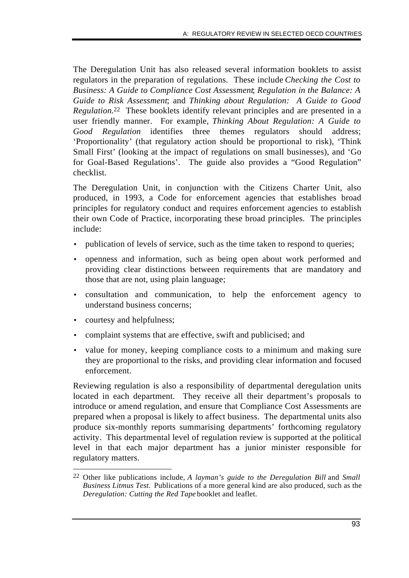The Deregulation Unit has also released several information booklets to assist regulators in the preparation of regulations. These include *Checking the Cost to Business: A Guide to Compliance Cost Assessment*; *Regulation in the Balance: A Guide to Risk Assessment*; and *Thinking about Regulation: A Guide to Good Regulation.*22 These booklets identify relevant principles and are presented in a user friendly manner. For example, *Thinking About Regulation: A Guide to Good Regulation* identifies three themes regulators should address; 'Proportionality' (that regulatory action should be proportional to risk), 'Think Small First' (looking at the impact of regulations on small businesses), and 'Go for Goal-Based Regulations'. The guide also provides a "Good Regulation" checklist.

The Deregulation Unit, in conjunction with the Citizens Charter Unit, also produced, in 1993, a Code for enforcement agencies that establishes broad principles for regulatory conduct and requires enforcement agencies to establish their own Code of Practice, incorporating these broad principles. The principles include:

- publication of levels of service, such as the time taken to respond to queries;
- openness and information, such as being open about work performed and providing clear distinctions between requirements that are mandatory and those that are not, using plain language;
- consultation and communication, to help the enforcement agency to understand business concerns;
- courtesy and helpfulness;
- complaint systems that are effective, swift and publicised; and
- value for money, keeping compliance costs to a minimum and making sure they are proportional to the risks, and providing clear information and focused enforcement.

Reviewing regulation is also a responsibility of departmental deregulation units located in each department. They receive all their department's proposals to introduce or amend regulation, and ensure that Compliance Cost Assessments are prepared when a proposal is likely to affect business. The departmental units also produce six-monthly reports summarising departments' forthcoming regulatory activity. This departmental level of regulation review is supported at the political level in that each major department has a junior minister responsible for regulatory matters.

 $\overline{a}$ 22 Other like publications include, *A layman's guide to the Deregulation Bill* and *Small Business Litmus Test.* Publications of a more general kind are also produced, such as the *Deregulation: Cutting the Red Tape* booklet and leaflet.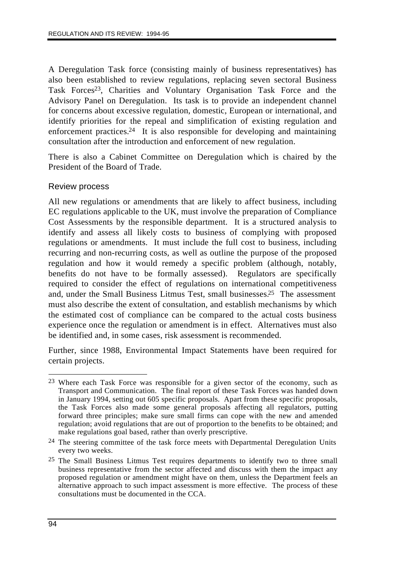A Deregulation Task force (consisting mainly of business representatives) has also been established to review regulations, replacing seven sectoral Business Task Forces<sup>23</sup>, Charities and Voluntary Organisation Task Force and the Advisory Panel on Deregulation. Its task is to provide an independent channel for concerns about excessive regulation, domestic, European or international, and identify priorities for the repeal and simplification of existing regulation and enforcement practices.24 It is also responsible for developing and maintaining consultation after the introduction and enforcement of new regulation.

There is also a Cabinet Committee on Deregulation which is chaired by the President of the Board of Trade.

## Review process

All new regulations or amendments that are likely to affect business, including EC regulations applicable to the UK, must involve the preparation of Compliance Cost Assessments by the responsible department. It is a structured analysis to identify and assess all likely costs to business of complying with proposed regulations or amendments. It must include the full cost to business, including recurring and non-recurring costs, as well as outline the purpose of the proposed regulation and how it would remedy a specific problem (although, notably, benefits do not have to be formally assessed). Regulators are specifically required to consider the effect of regulations on international competitiveness and, under the Small Business Litmus Test, small businesses.25 The assessment must also describe the extent of consultation, and establish mechanisms by which the estimated cost of compliance can be compared to the actual costs business experience once the regulation or amendment is in effect. Alternatives must also be identified and, in some cases, risk assessment is recommended.

Further, since 1988, Environmental Impact Statements have been required for certain projects.

 $\overline{a}$ 23 Where each Task Force was responsible for a given sector of the economy, such as Transport and Communication. The final report of these Task Forces was handed down in January 1994, setting out 605 specific proposals. Apart from these specific proposals, the Task Forces also made some general proposals affecting all regulators, putting forward three principles; make sure small firms can cope with the new and amended regulation; avoid regulations that are out of proportion to the benefits to be obtained; and make regulations goal based, rather than overly prescriptive.

<sup>&</sup>lt;sup>24</sup> The steering committee of the task force meets with Departmental Deregulation Units every two weeks.

<sup>25</sup> The Small Business Litmus Test requires departments to identify two to three small business representative from the sector affected and discuss with them the impact any proposed regulation or amendment might have on them, unless the Department feels an alternative approach to such impact assessment is more effective. The process of these consultations must be documented in the CCA.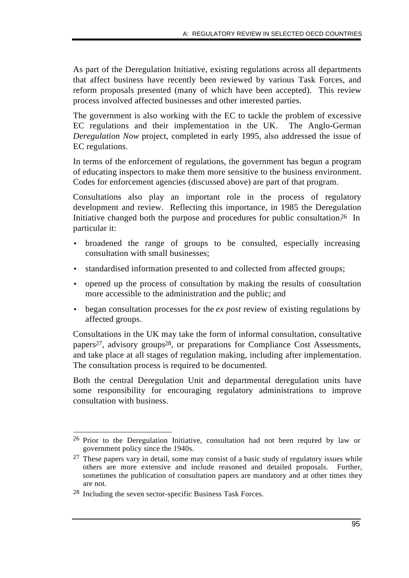As part of the Deregulation Initiative, existing regulations across all departments that affect business have recently been reviewed by various Task Forces, and reform proposals presented (many of which have been accepted). This review process involved affected businesses and other interested parties.

The government is also working with the EC to tackle the problem of excessive EC regulations and their implementation in the UK. The Anglo-German *Deregulation Now* project, completed in early 1995, also addressed the issue of EC regulations.

In terms of the enforcement of regulations, the government has begun a program of educating inspectors to make them more sensitive to the business environment. Codes for enforcement agencies (discussed above) are part of that program.

Consultations also play an important role in the process of regulatory development and review. Reflecting this importance, in 1985 the Deregulation Initiative changed both the purpose and procedures for public consultation.<sup>26</sup> In particular it:

- broadened the range of groups to be consulted, especially increasing consultation with small businesses;
- standardised information presented to and collected from affected groups;
- opened up the process of consultation by making the results of consultation more accessible to the administration and the public; and
- began consultation processes for the *ex post* review of existing regulations by affected groups.

Consultations in the UK may take the form of informal consultation, consultative papers27, advisory groups28, or preparations for Compliance Cost Assessments, and take place at all stages of regulation making, including after implementation. The consultation process is required to be documented.

Both the central Deregulation Unit and departmental deregulation units have some responsibility for encouraging regulatory administrations to improve consultation with business.

 $\overline{a}$ 26 Prior to the Deregulation Initiative, consultation had not been required by law or government policy since the 1940s.

<sup>&</sup>lt;sup>27</sup> These papers vary in detail, some may consist of a basic study of regulatory issues while others are more extensive and include reasoned and detailed proposals. Further, sometimes the publication of consultation papers are mandatory and at other times they are not.

<sup>28</sup> Including the seven sector-specific Business Task Forces.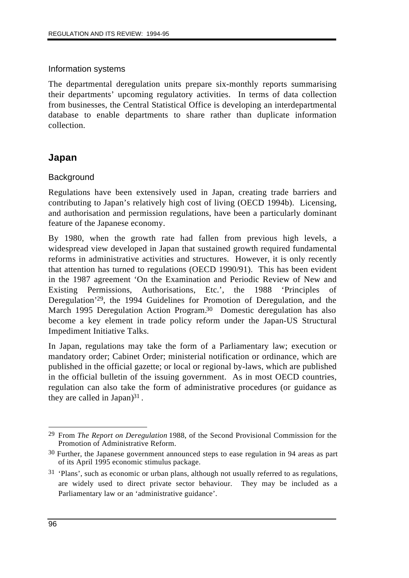### Information systems

The departmental deregulation units prepare six-monthly reports summarising their departments' upcoming regulatory activities. In terms of data collection from businesses, the Central Statistical Office is developing an interdepartmental database to enable departments to share rather than duplicate information collection.

# **Japan**

### **Background**

Regulations have been extensively used in Japan, creating trade barriers and contributing to Japan's relatively high cost of living (OECD 1994b). Licensing, and authorisation and permission regulations, have been a particularly dominant feature of the Japanese economy.

By 1980, when the growth rate had fallen from previous high levels, a widespread view developed in Japan that sustained growth required fundamental reforms in administrative activities and structures. However, it is only recently that attention has turned to regulations (OECD 1990/91). This has been evident in the 1987 agreement 'On the Examination and Periodic Review of New and Existing Permissions, Authorisations, Etc.', the 1988 'Principles of Deregulation'29, the 1994 Guidelines for Promotion of Deregulation, and the March 1995 Deregulation Action Program.30 Domestic deregulation has also become a key element in trade policy reform under the Japan-US Structural Impediment Initiative Talks.

In Japan, regulations may take the form of a Parliamentary law; execution or mandatory order; Cabinet Order; ministerial notification or ordinance, which are published in the official gazette; or local or regional by-laws, which are published in the official bulletin of the issuing government. As in most OECD countries, regulation can also take the form of administrative procedures (or guidance as they are called in Japan $)^{31}$ .

 $\overline{a}$ 29 From *The Report on Deregulation* 1988, of the Second Provisional Commission for the Promotion of Administrative Reform.

<sup>30</sup> Further, the Japanese government announced steps to ease regulation in 94 areas as part of its April 1995 economic stimulus package.

 $31$  'Plans', such as economic or urban plans, although not usually referred to as regulations, are widely used to direct private sector behaviour. They may be included as a Parliamentary law or an 'administrative guidance'.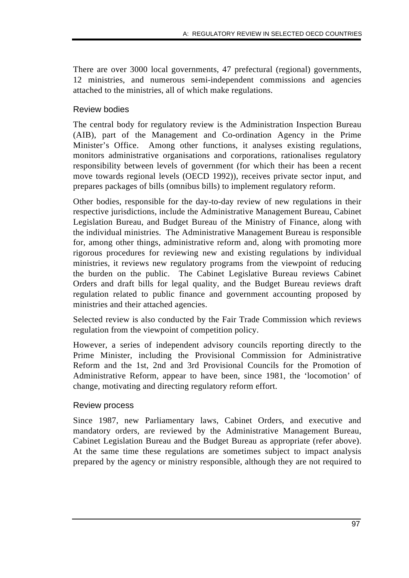There are over 3000 local governments, 47 prefectural (regional) governments, 12 ministries, and numerous semi-independent commissions and agencies attached to the ministries, all of which make regulations.

# Review bodies

The central body for regulatory review is the Administration Inspection Bureau (AIB), part of the Management and Co-ordination Agency in the Prime Minister's Office. Among other functions, it analyses existing regulations, monitors administrative organisations and corporations, rationalises regulatory responsibility between levels of government (for which their has been a recent move towards regional levels (OECD 1992)), receives private sector input, and prepares packages of bills (omnibus bills) to implement regulatory reform.

Other bodies, responsible for the day-to-day review of new regulations in their respective jurisdictions, include the Administrative Management Bureau, Cabinet Legislation Bureau, and Budget Bureau of the Ministry of Finance, along with the individual ministries. The Administrative Management Bureau is responsible for, among other things, administrative reform and, along with promoting more rigorous procedures for reviewing new and existing regulations by individual ministries, it reviews new regulatory programs from the viewpoint of reducing the burden on the public. The Cabinet Legislative Bureau reviews Cabinet Orders and draft bills for legal quality, and the Budget Bureau reviews draft regulation related to public finance and government accounting proposed by ministries and their attached agencies.

Selected review is also conducted by the Fair Trade Commission which reviews regulation from the viewpoint of competition policy.

However, a series of independent advisory councils reporting directly to the Prime Minister, including the Provisional Commission for Administrative Reform and the 1st, 2nd and 3rd Provisional Councils for the Promotion of Administrative Reform, appear to have been, since 1981, the 'locomotion' of change, motivating and directing regulatory reform effort.

# Review process

Since 1987, new Parliamentary laws, Cabinet Orders, and executive and mandatory orders, are reviewed by the Administrative Management Bureau, Cabinet Legislation Bureau and the Budget Bureau as appropriate (refer above). At the same time these regulations are sometimes subject to impact analysis prepared by the agency or ministry responsible, although they are not required to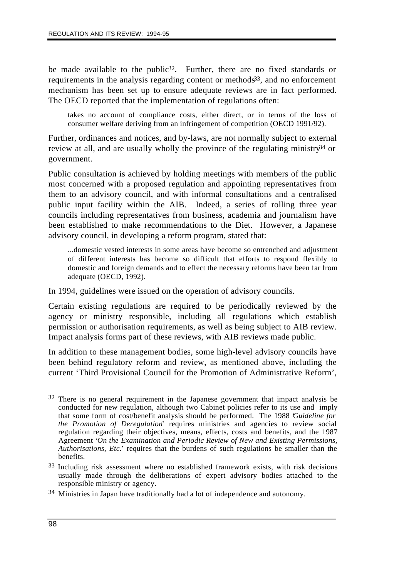be made available to the public<sup>32</sup>. Further, there are no fixed standards or requirements in the analysis regarding content or methods<sup>33</sup>, and no enforcement mechanism has been set up to ensure adequate reviews are in fact performed. The OECD reported that the implementation of regulations often:

takes no account of compliance costs, either direct, or in terms of the loss of consumer welfare deriving from an infringement of competition (OECD 1991/92).

Further, ordinances and notices, and by-laws, are not normally subject to external review at all, and are usually wholly the province of the regulating ministry $34$  or government.

Public consultation is achieved by holding meetings with members of the public most concerned with a proposed regulation and appointing representatives from them to an advisory council, and with informal consultations and a centralised public input facility within the AIB. Indeed, a series of rolling three year councils including representatives from business, academia and journalism have been established to make recommendations to the Diet. However, a Japanese advisory council, in developing a reform program, stated that:

...domestic vested interests in some areas have become so entrenched and adjustment of different interests has become so difficult that efforts to respond flexibly to domestic and foreign demands and to effect the necessary reforms have been far from adequate (OECD, 1992).

In 1994, guidelines were issued on the operation of advisory councils.

Certain existing regulations are required to be periodically reviewed by the agency or ministry responsible, including all regulations which establish permission or authorisation requirements, as well as being subject to AIB review. Impact analysis forms part of these reviews, with AIB reviews made public.

In addition to these management bodies, some high-level advisory councils have been behind regulatory reform and review, as mentioned above, including the current 'Third Provisional Council for the Promotion of Administrative Reform',

 $\overline{a}$ 32 There is no general requirement in the Japanese government that impact analysis be conducted for new regulation, although two Cabinet policies refer to its use and imply that some form of cost/benefit analysis should be performed. The 1988 '*Guideline for the Promotion of Deregulation*' requires ministries and agencies to review social regulation regarding their objectives, means, effects, costs and benefits, and the 1987 Agreement '*On the Examination and Periodic Review of New and Existing Permissions, Authorisations, Etc.*' requires that the burdens of such regulations be smaller than the benefits.

<sup>33</sup> Including risk assessment where no established framework exists, with risk decisions usually made through the deliberations of expert advisory bodies attached to the responsible ministry or agency.

<sup>34</sup> Ministries in Japan have traditionally had a lot of independence and autonomy.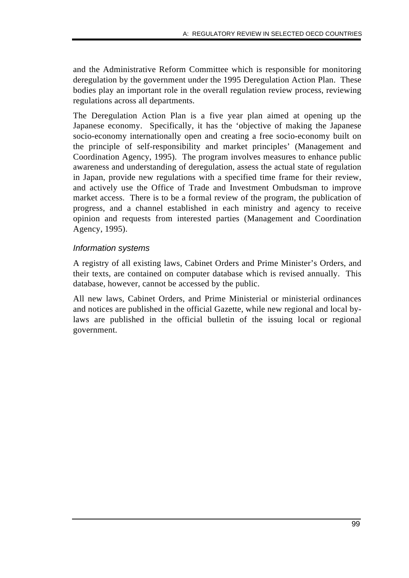and the Administrative Reform Committee which is responsible for monitoring deregulation by the government under the 1995 Deregulation Action Plan. These bodies play an important role in the overall regulation review process, reviewing regulations across all departments.

The Deregulation Action Plan is a five year plan aimed at opening up the Japanese economy. Specifically, it has the 'objective of making the Japanese socio-economy internationally open and creating a free socio-economy built on the principle of self-responsibility and market principles' (Management and Coordination Agency, 1995). The program involves measures to enhance public awareness and understanding of deregulation, assess the actual state of regulation in Japan, provide new regulations with a specified time frame for their review, and actively use the Office of Trade and Investment Ombudsman to improve market access. There is to be a formal review of the program, the publication of progress, and a channel established in each ministry and agency to receive opinion and requests from interested parties (Management and Coordination Agency, 1995).

### *Information systems*

A registry of all existing laws, Cabinet Orders and Prime Minister's Orders, and their texts, are contained on computer database which is revised annually. This database, however, cannot be accessed by the public.

All new laws, Cabinet Orders, and Prime Ministerial or ministerial ordinances and notices are published in the official Gazette, while new regional and local bylaws are published in the official bulletin of the issuing local or regional government.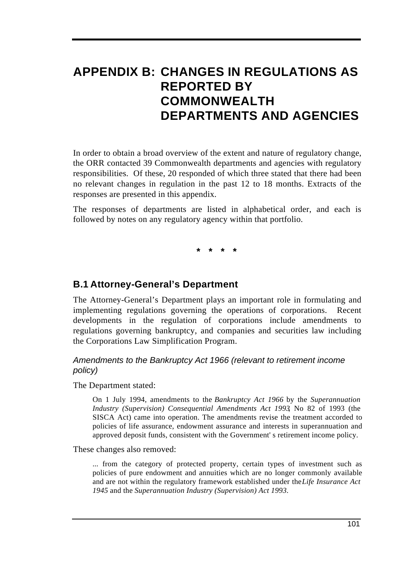# **APPENDIX B: CHANGES IN REGULATIONS AS REPORTED BY COMMONWEALTH DEPARTMENTS AND AGENCIES**

In order to obtain a broad overview of the extent and nature of regulatory change, the ORR contacted 39 Commonwealth departments and agencies with regulatory responsibilities. Of these, 20 responded of which three stated that there had been no relevant changes in regulation in the past 12 to 18 months. Extracts of the responses are presented in this appendix.

The responses of departments are listed in alphabetical order, and each is followed by notes on any regulatory agency within that portfolio.

**\* \* \* \***

# **B.1 Attorney-General's Department**

The Attorney-General's Department plays an important role in formulating and implementing regulations governing the operations of corporations. Recent developments in the regulation of corporations include amendments to regulations governing bankruptcy, and companies and securities law including the Corporations Law Simplification Program.

### *Amendments to the Bankruptcy Act 1966 (relevant to retirement income policy)*

The Department stated:

On 1 July 1994, amendments to the *Bankruptcy Act 1966* by the *Superannuation Industry (Supervision) Consequential Amendments Act 1993*, No 82 of 1993 (the SISCA Act) came into operation. The amendments revise the treatment accorded to policies of life assurance, endowment assurance and interests in superannuation and approved deposit funds, consistent with the Government' s retirement income policy.

These changes also removed:

... from the category of protected property, certain types of investment such as policies of pure endowment and annuities which are no longer commonly available and are not within the regulatory framework established under the *Life Insurance Act 1945* and the *Superannuation Industry (Supervision) Act 1993.*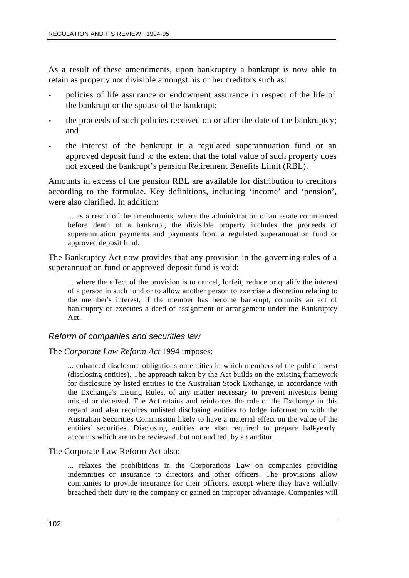As a result of these amendments, upon bankruptcy a bankrupt is now able to retain as property not divisible amongst his or her creditors such as:

- policies of life assurance or endowment assurance in respect of the life of the bankrupt or the spouse of the bankrupt;
- the proceeds of such policies received on or after the date of the bankruptcy; and
- the interest of the bankrupt in a regulated superannuation fund or an approved deposit fund to the extent that the total value of such property does not exceed the bankrupt's pension Retirement Benefits Limit (RBL).

Amounts in excess of the pension RBL are available for distribution to creditors according to the formulae. Key definitions, including 'income' and 'pension', were also clarified. In addition:

... as a result of the amendments, where the administration of an estate commenced before death of a bankrupt, the divisible property includes the proceeds of superannuation payments and payments from a regulated superannuation fund or approved deposit fund.

The Bankruptcy Act now provides that any provision in the governing rules of a superannuation fund or approved deposit fund is void:

... where the effect of the provision is to cancel, forfeit, reduce or qualify the interest of a person in such fund or to allow another person to exercise a discretion relating to the member's interest, if the member has become bankrupt, commits an act of bankruptcy or executes a deed of assignment or arrangement under the Bankruptcy Act.

### *Reform of companies and securities law*

The *Corporate Law Reform Act* 1994 imposes:

... enhanced disclosure obligations on entities in which members of the public invest (disclosing entities). The approach taken by the Act builds on the existing framework for disclosure by listed entities to the Australian Stock Exchange, in accordance with the Exchange's Listing Rules, of any matter necessary to prevent investors being misled or deceived. The Act retains and reinforces the role of the Exchange in this regard and also requires unlisted disclosing entities to lodge information with the Australian Securities Commission likely to have a material effect on the value of the entities' securities. Disclosing entities are also required to prepare half-yearly accounts which are to be reviewed, but not audited, by an auditor.

The Corporate Law Reform Act also:

... relaxes the prohibitions in the Corporations Law on companies providing indemnities or insurance to directors and other officers. The provisions allow companies to provide insurance for their officers, except where they have wilfully breached their duty to the company or gained an improper advantage. Companies will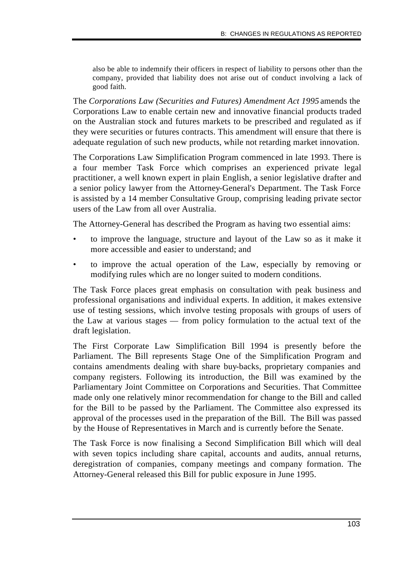also be able to indemnify their officers in respect of liability to persons other than the company, provided that liability does not arise out of conduct involving a lack of good faith.

The *Corporations Law (Securities and Futures) Amendment Act 1995* amends the Corporations Law to enable certain new and innovative financial products traded on the Australian stock and futures markets to be prescribed and regulated as if they were securities or futures contracts. This amendment will ensure that there is adequate regulation of such new products, while not retarding market innovation.

The Corporations Law Simplification Program commenced in late 1993. There is a four member Task Force which comprises an experienced private legal practitioner, a well known expert in plain English, a senior legislative drafter and a senior policy lawyer from the Attorney-General's Department. The Task Force is assisted by a 14 member Consultative Group, comprising leading private sector users of the Law from all over Australia.

The Attorney-General has described the Program as having two essential aims:

- to improve the language, structure and layout of the Law so as it make it more accessible and easier to understand; and
- to improve the actual operation of the Law, especially by removing or modifying rules which are no longer suited to modern conditions.

The Task Force places great emphasis on consultation with peak business and professional organisations and individual experts. In addition, it makes extensive use of testing sessions, which involve testing proposals with groups of users of the Law at various stages — from policy formulation to the actual text of the draft legislation.

The First Corporate Law Simplification Bill 1994 is presently before the Parliament. The Bill represents Stage One of the Simplification Program and contains amendments dealing with share buy-backs, proprietary companies and company registers. Following its introduction, the Bill was examined by the Parliamentary Joint Committee on Corporations and Securities. That Committee made only one relatively minor recommendation for change to the Bill and called for the Bill to be passed by the Parliament. The Committee also expressed its approval of the processes used in the preparation of the Bill. The Bill was passed by the House of Representatives in March and is currently before the Senate.

The Task Force is now finalising a Second Simplification Bill which will deal with seven topics including share capital, accounts and audits, annual returns, deregistration of companies, company meetings and company formation. The Attorney-General released this Bill for public exposure in June 1995.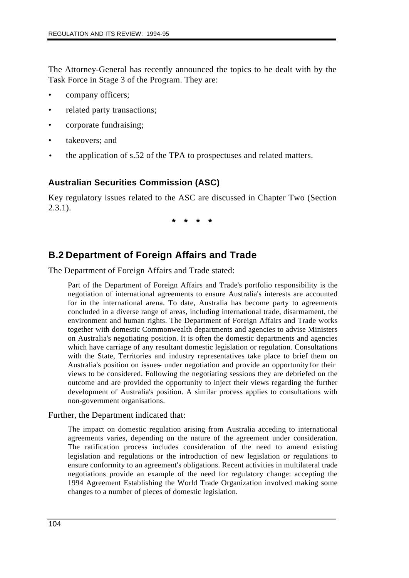The Attorney-General has recently announced the topics to be dealt with by the Task Force in Stage 3 of the Program. They are:

- company officers;
- related party transactions;
- corporate fundraising;
- takeovers; and
- the application of s.52 of the TPA to prospectuses and related matters.

# **Australian Securities Commission (ASC)**

Key regulatory issues related to the ASC are discussed in Chapter Two (Section  $2.3.1$ ).

**\* \* \* \***

# **B.2 Department of Foreign Affairs and Trade**

The Department of Foreign Affairs and Trade stated:

Part of the Department of Foreign Affairs and Trade's portfolio responsibility is the negotiation of international agreements to ensure Australia's interests are accounted for in the international arena. To date, Australia has become party to agreements concluded in a diverse range of areas, including international trade, disarmament, the environment and human rights. The Department of Foreign Affairs and Trade works together with domestic Commonwealth departments and agencies to advise Ministers on Australia's negotiating position. It is often the domestic departments and agencies which have carriage of any resultant domestic legislation or regulation. Consultations with the State, Territories and industry representatives take place to brief them on Australia's position on issues- under negotiation and provide an opportunity for their views to be considered. Following the negotiating sessions they are debriefed on the outcome and are provided the opportunity to inject their views regarding the further development of Australia's position. A similar process applies to consultations with non-government organisations.

Further, the Department indicated that:

The impact on domestic regulation arising from Australia acceding to international agreements varies, depending on the nature of the agreement under consideration. The ratification process includes consideration of the need to amend existing legislation and regulations or the introduction of new legislation or regulations to ensure conformity to an agreement's obligations. Recent activities in multilateral trade negotiations provide an example of the need for regulatory change: accepting the 1994 Agreement Establishing the World Trade Organization involved making some changes to a number of pieces of domestic legislation.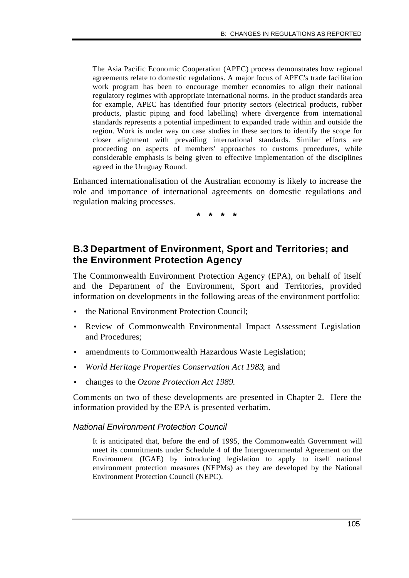The Asia Pacific Economic Cooperation (APEC) process demonstrates how regional agreements relate to domestic regulations. A major focus of APEC's trade facilitation work program has been to encourage member economies to align their national regulatory regimes with appropriate international norms. In the product standards area for example, APEC has identified four priority sectors (electrical products, rubber products, plastic piping and food labelling) where divergence from international standards represents a potential impediment to expanded trade within and outside the region. Work is under way on case studies in these sectors to identify the scope for closer alignment with prevailing international standards. Similar efforts are proceeding on aspects of members' approaches to customs procedures, while considerable emphasis is being given to effective implementation of the disciplines agreed in the Uruguay Round.

Enhanced internationalisation of the Australian economy is likely to increase the role and importance of international agreements on domestic regulations and regulation making processes.

**\* \* \* \***

# **B.3 Department of Environment, Sport and Territories; and the Environment Protection Agency**

The Commonwealth Environment Protection Agency (EPA), on behalf of itself and the Department of the Environment, Sport and Territories, provided information on developments in the following areas of the environment portfolio:

- the National Environment Protection Council;
- Review of Commonwealth Environmental Impact Assessment Legislation and Procedures;
- amendments to Commonwealth Hazardous Waste Legislation;
- *World Heritage Properties Conservation Act 1983*; and
- changes to the *Ozone Protection Act 1989*.

Comments on two of these developments are presented in Chapter 2. Here the information provided by the EPA is presented verbatim.

*National Environment Protection Council*

It is anticipated that, before the end of 1995, the Commonwealth Government will meet its commitments under Schedule 4 of the Intergovernmental Agreement on the Environment (IGAE) by introducing legislation to apply to itself national environment protection measures (NEPMs) as they are developed by the National Environment Protection Council (NEPC).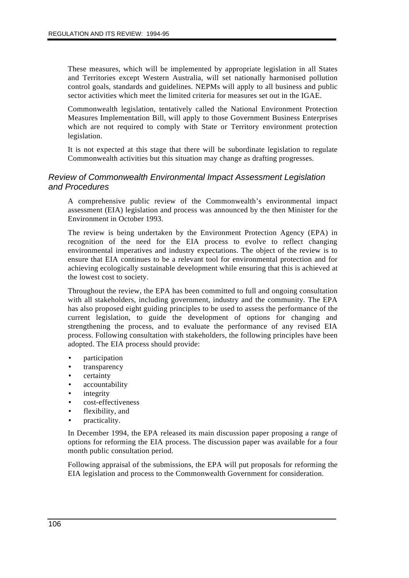These measures, which will be implemented by appropriate legislation in all States and Territories except Western Australia, will set nationally harmonised pollution control goals, standards and guidelines. NEPMs will apply to all business and public sector activities which meet the limited criteria for measures set out in the IGAE.

Commonwealth legislation, tentatively called the National Environment Protection Measures Implementation Bill, will apply to those Government Business Enterprises which are not required to comply with State or Territory environment protection legislation.

It is not expected at this stage that there will be subordinate legislation to regulate Commonwealth activities but this situation may change as drafting progresses.

### *Review of Commonwealth Environmental Impact Assessment Legislation and Procedures*

A comprehensive public review of the Commonwealth's environmental impact assessment (EIA) legislation and process was announced by the then Minister for the Environment in October 1993.

The review is being undertaken by the Environment Protection Agency (EPA) in recognition of the need for the EIA process to evolve to reflect changing environmental imperatives and industry expectations. The object of the review is to ensure that EIA continues to be a relevant tool for environmental protection and for achieving ecologically sustainable development while ensuring that this is achieved at the lowest cost to society.

Throughout the review, the EPA has been committed to full and ongoing consultation with all stakeholders, including government, industry and the community. The EPA has also proposed eight guiding principles to be used to assess the performance of the current legislation, to guide the development of options for changing and strengthening the process, and to evaluate the performance of any revised EIA process. Following consultation with stakeholders, the following principles have been adopted. The EIA process should provide:

- participation
- transparency
- certainty
- accountability
- integrity
- cost-effectiveness
- flexibility, and
- practicality.

In December 1994, the EPA released its main discussion paper proposing a range of options for reforming the EIA process. The discussion paper was available for a four month public consultation period.

Following appraisal of the submissions, the EPA will put proposals for reforming the EIA legislation and process to the Commonwealth Government for consideration.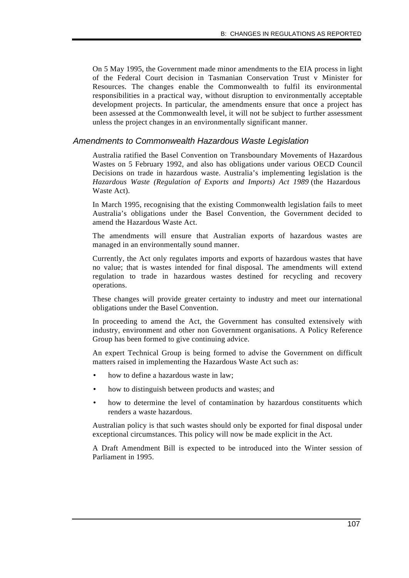On 5 May 1995, the Government made minor amendments to the EIA process in light of the Federal Court decision in Tasmanian Conservation Trust v Minister for Resources. The changes enable the Commonwealth to fulfil its environmental responsibilities in a practical way, without disruption to environmentally acceptable development projects. In particular, the amendments ensure that once a project has been assessed at the Commonwealth level, it will not be subject to further assessment unless the project changes in an environmentally significant manner.

#### *Amendments to Commonwealth Hazardous Waste Legislation*

Australia ratified the Basel Convention on Transboundary Movements of Hazardous Wastes on 5 February 1992, and also has obligations under various OECD Council Decisions on trade in hazardous waste. Australia's implementing legislation is the *Hazardous Waste (Regulation of Exports and Imports) Act 1989* (the Hazardous Waste Act).

In March 1995, recognising that the existing Commonwealth legislation fails to meet Australia's obligations under the Basel Convention, the Government decided to amend the Hazardous Waste Act.

The amendments will ensure that Australian exports of hazardous wastes are managed in an environmentally sound manner.

Currently, the Act only regulates imports and exports of hazardous wastes that have no value; that is wastes intended for final disposal. The amendments will extend regulation to trade in hazardous wastes destined for recycling and recovery operations.

These changes will provide greater certainty to industry and meet our international obligations under the Basel Convention.

In proceeding to amend the Act, the Government has consulted extensively with industry, environment and other non Government organisations. A Policy Reference Group has been formed to give continuing advice.

An expert Technical Group is being formed to advise the Government on difficult matters raised in implementing the Hazardous Waste Act such as:

- how to define a hazardous waste in law:
- how to distinguish between products and wastes; and
- how to determine the level of contamination by hazardous constituents which renders a waste hazardous.

Australian policy is that such wastes should only be exported for final disposal under exceptional circumstances. This policy will now be made explicit in the Act.

A Draft Amendment Bill is expected to be introduced into the Winter session of Parliament in 1995.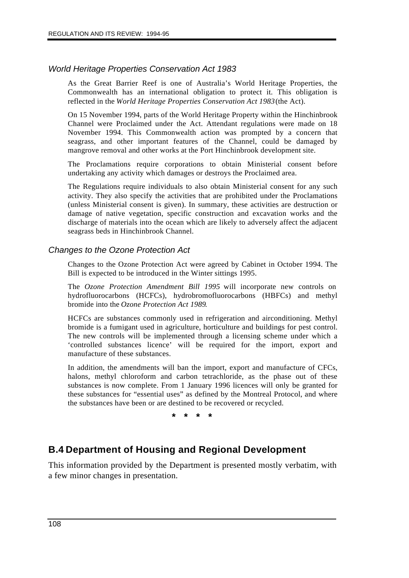### *World Heritage Properties Conservation Act 1983*

As the Great Barrier Reef is one of Australia's World Heritage Properties, the Commonwealth has an international obligation to protect it. This obligation is reflected in the *World Heritage Properties Conservation Act 1983* (the Act).

On 15 November 1994, parts of the World Heritage Property within the Hinchinbrook Channel were Proclaimed under the Act. Attendant regulations were made on 18 November 1994. This Commonwealth action was prompted by a concern that seagrass, and other important features of the Channel, could be damaged by mangrove removal and other works at the Port Hinchinbrook development site.

The Proclamations require corporations to obtain Ministerial consent before undertaking any activity which damages or destroys the Proclaimed area.

The Regulations require individuals to also obtain Ministerial consent for any such activity. They also specify the activities that are prohibited under the Proclamations (unless Ministerial consent is given). In summary, these activities are destruction or damage of native vegetation, specific construction and excavation works and the discharge of materials into the ocean which are likely to adversely affect the adjacent seagrass beds in Hinchinbrook Channel.

### *Changes to the Ozone Protection Act*

Changes to the Ozone Protection Act were agreed by Cabinet in October 1994. The Bill is expected to be introduced in the Winter sittings 1995.

The *Ozone Protection Amendment Bill 1995* will incorporate new controls on hydrofluorocarbons (HCFCs), hydrobromofluorocarbons (HBFCs) and methyl bromide into the *Ozone Protection Act 1989*.

HCFCs are substances commonly used in refrigeration and airconditioning. Methyl bromide is a fumigant used in agriculture, horticulture and buildings for pest control. The new controls will be implemented through a licensing scheme under which a 'controlled substances licence' will be required for the import, export and manufacture of these substances.

In addition, the amendments will ban the import, export and manufacture of CFCs, halons, methyl chloroform and carbon tetrachloride, as the phase out of these substances is now complete. From 1 January 1996 licences will only be granted for these substances for "essential uses" as defined by the Montreal Protocol, and where the substances have been or are destined to be recovered or recycled.

**\* \* \* \***

# **B.4 Department of Housing and Regional Development**

This information provided by the Department is presented mostly verbatim, with a few minor changes in presentation.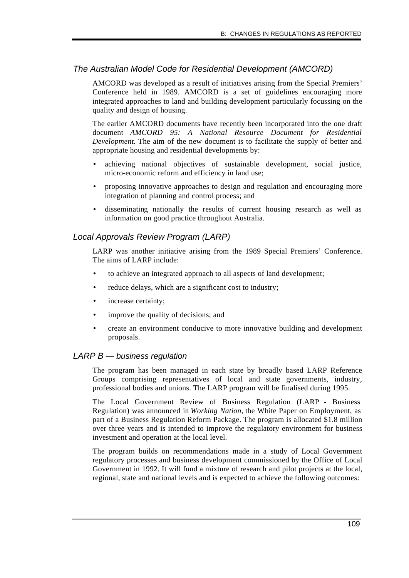### *The Australian Model Code for Residential Development (AMCORD)*

AMCORD was developed as a result of initiatives arising from the Special Premiers' Conference held in 1989. AMCORD is a set of guidelines encouraging more integrated approaches to land and building development particularly focussing on the quality and design of housing.

The earlier AMCORD documents have recently been incorporated into the one draft document *AMCORD 95: A National Resource Document for Residential Development*. The aim of the new document is to facilitate the supply of better and appropriate housing and residential developments by:

- achieving national objectives of sustainable development, social justice, micro-economic reform and efficiency in land use;
- proposing innovative approaches to design and regulation and encouraging more integration of planning and control process; and
- disseminating nationally the results of current housing research as well as information on good practice throughout Australia.

### *Local Approvals Review Program (LARP)*

LARP was another initiative arising from the 1989 Special Premiers' Conference. The aims of LARP include:

- to achieve an integrated approach to all aspects of land development;
- reduce delays, which are a significant cost to industry;
- increase certainty;
- improve the quality of decisions; and
- create an environment conducive to more innovative building and development proposals.

### *LARP B — business regulation*

The program has been managed in each state by broadly based LARP Reference Groups comprising representatives of local and state governments, industry, professional bodies and unions. The LARP program will be finalised during 1995.

The Local Government Review of Business Regulation (LARP - Business Regulation) was announced in *Working Nation,* the White Paper on Employment, as part of a Business Regulation Reform Package. The program is allocated \$1.8 million over three years and is intended to improve the regulatory environment for business investment and operation at the local level.

The program builds on recommendations made in a study of Local Government regulatory processes and business development commissioned by the Office of Local Government in 1992. It will fund a mixture of research and pilot projects at the local, regional, state and national levels and is expected to achieve the following outcomes: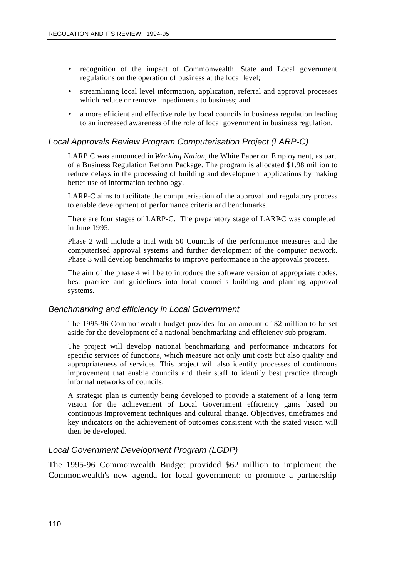- recognition of the impact of Commonwealth, State and Local government regulations on the operation of business at the local level;
- streamlining local level information, application, referral and approval processes which reduce or remove impediments to business; and
- a more efficient and effective role by local councils in business regulation leading to an increased awareness of the role of local government in business regulation.

### *Local Approvals Review Program Computerisation Project (LARP-C)*

LARP C was announced in *Working Nation,* the White Paper on Employment, as part of a Business Regulation Reform Package. The program is allocated \$1.98 million to reduce delays in the processing of building and development applications by making better use of information technology.

LARP-C aims to facilitate the computerisation of the approval and regulatory process to enable development of performance criteria and benchmarks.

There are four stages of LARP-C. The preparatory stage of LARP-C was completed in June 1995.

Phase 2 will include a trial with 50 Councils of the performance measures and the computerised approval systems and further development of the computer network. Phase 3 will develop benchmarks to improve performance in the approvals process.

The aim of the phase 4 will be to introduce the software version of appropriate codes, best practice and guidelines into local council's building and planning approval systems.

#### *Benchmarking and efficiency in Local Government*

The 1995-96 Commonwealth budget provides for an amount of \$2 million to be set aside for the development of a national benchmarking and efficiency sub program.

The project will develop national benchmarking and performance indicators for specific services of functions, which measure not only unit costs but also quality and appropriateness of services. This project will also identify processes of continuous improvement that enable councils and their staff to identify best practice through informal networks of councils.

A strategic plan is currently being developed to provide a statement of a long term vision for the achievement of Local Government efficiency gains based on continuous improvement techniques and cultural change. Objectives, timeframes and key indicators on the achievement of outcomes consistent with the stated vision will then be developed.

### *Local Government Development Program (LGDP)*

The 1995-96 Commonwealth Budget provided \$62 million to implement the Commonwealth's new agenda for local government: to promote a partnership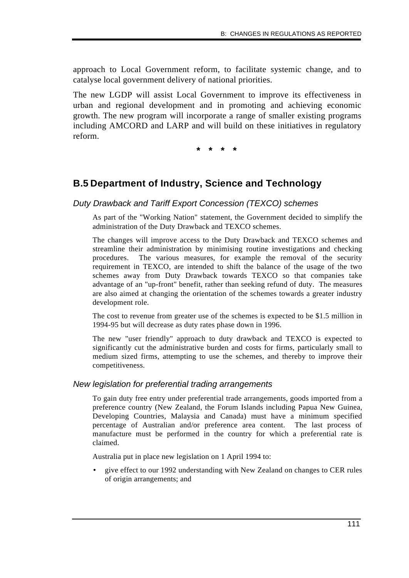approach to Local Government reform, to facilitate systemic change, and to catalyse local government delivery of national priorities.

The new LGDP will assist Local Government to improve its effectiveness in urban and regional development and in promoting and achieving economic growth. The new program will incorporate a range of smaller existing programs including AMCORD and LARP and will build on these initiatives in regulatory reform.

**\* \* \* \***

# **B.5 Department of Industry, Science and Technology**

*Duty Drawback and Tariff Export Concession (TEXCO) schemes*

As part of the "Working Nation" statement, the Government decided to simplify the administration of the Duty Drawback and TEXCO schemes.

The changes will improve access to the Duty Drawback and TEXCO schemes and streamline their administration by minimising routine investigations and checking procedures. The various measures, for example the removal of the security requirement in TEXCO, are intended to shift the balance of the usage of the two schemes away from Duty Drawback towards TEXCO so that companies take advantage of an "up-front" benefit, rather than seeking refund of duty. The measures are also aimed at changing the orientation of the schemes towards a greater industry development role.

The cost to revenue from greater use of the schemes is expected to be \$1.5 million in 1994-95 but will decrease as duty rates phase down in 1996.

The new "user friendly" approach to duty drawback and TEXCO is expected to significantly cut the administrative burden and costs for firms, particularly small to medium sized firms, attempting to use the schemes, and thereby to improve their competitiveness.

### *New legislation for preferential trading arrangements*

To gain duty free entry under preferential trade arrangements, goods imported from a preference country (New Zealand, the Forum Islands including Papua New Guinea, Developing Countries, Malaysia and Canada) must have a minimum specified percentage of Australian and/or preference area content. The last process of manufacture must be performed in the country for which a preferential rate is claimed.

Australia put in place new legislation on 1 April 1994 to:

• give effect to our 1992 understanding with New Zealand on changes to CER rules of origin arrangements; and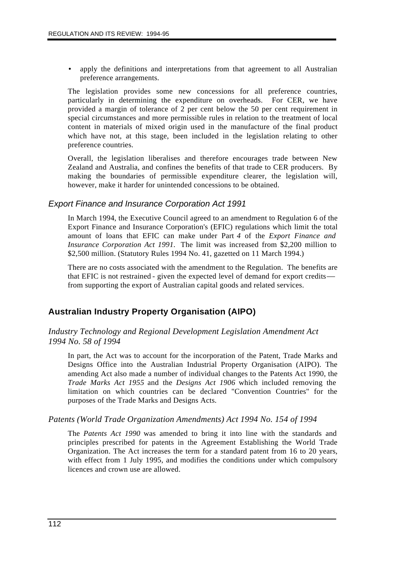apply the definitions and interpretations from that agreement to all Australian preference arrangements.

The legislation provides some new concessions for all preference countries, particularly in determining the expenditure on overheads. For CER, we have provided a margin of tolerance of 2 per cent below the 50 per cent requirement in special circumstances and more permissible rules in relation to the treatment of local content in materials of mixed origin used in the manufacture of the final product which have not, at this stage, been included in the legislation relating to other preference countries.

Overall, the legislation liberalises and therefore encourages trade between New Zealand and Australia, and confines the benefits of that trade to CER producers. By making the boundaries of permissible expenditure clearer, the legislation will, however, make it harder for unintended concessions to be obtained.

### *Export Finance and Insurance Corporation Act 1991*

In March 1994, the Executive Council agreed to an amendment to Regulation 6 of the Export Finance and Insurance Corporation's (EFIC) regulations which limit the total amount of loans that EFIC can make under Part *4* of the *Export Finance and Insurance Corporation Act 1991.* The limit was increased from \$2,200 million to \$2,500 million. (Statutory Rules 1994 No. 41, gazetted on 11 March 1994.)

There are no costs associated with the amendment to the Regulation. The benefits are that EFIC is not restrained - given the expected level of demand for export credits from supporting the export of Australian capital goods and related services.

# **Australian Industry Property Organisation (AIPO)**

*Industry Technology and Regional Development Legislation Amendment Act 1994 No. 58 of 1994*

In part, the Act was to account for the incorporation of the Patent, Trade Marks and Designs Office into the Australian Industrial Property Organisation (AIPO). The amending Act also made a number of individual changes to the Patents Act 1990, the *Trade Marks Act 1955* and the *Designs Act 1906* which included removing the limitation on which countries can be declared "Convention Countries" for the purposes of the Trade Marks and Designs Acts.

### *Patents (World Trade Organization Amendments) Act 1994 No. 154 of 1994*

The *Patents Act 1990* was amended to bring it into line with the standards and principles prescribed for patents in the Agreement Establishing the World Trade Organization. The Act increases the term for a standard patent from 16 to 20 years, with effect from 1 July 1995, and modifies the conditions under which compulsory licences and crown use are allowed.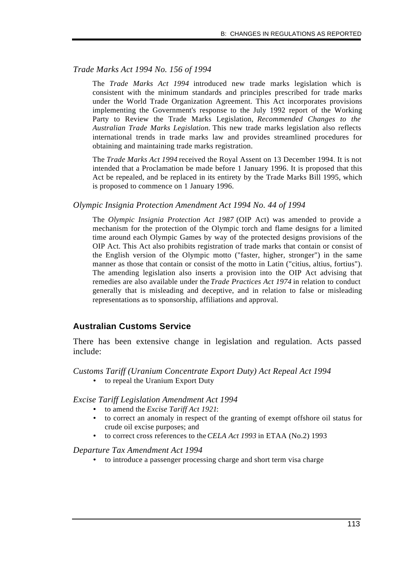### *Trade Marks Act 1994 No. 156 of 1994*

The *Trade Marks Act 1994* introduced new trade marks legislation which is consistent with the minimum standards and principles prescribed for trade marks under the World Trade Organization Agreement. This Act incorporates provisions implementing the Government's response to the July 1992 report of the Working Party to Review the Trade Marks Legislation, *Recommended Changes to the Australian Trade Marks Legislation.* This new trade marks legislation also reflects international trends in trade marks law and provides streamlined procedures for obtaining and maintaining trade marks registration.

The *Trade Marks Act 1994* received the Royal Assent on 13 December 1994. It is not intended that a Proclamation be made before 1 January 1996. It is proposed that this Act be repealed, and be replaced in its entirety by the Trade Marks Bill 1995, which is proposed to commence on 1 January 1996.

#### *Olympic Insignia Protection Amendment Act 1994 No. 44 of 1994*

The *Olympic Insignia Protection Act 1987* (OIP Act) was amended to provide a mechanism for the protection of the Olympic torch and flame designs for a limited time around each Olympic Games by way of the protected designs provisions of the OIP Act. This Act also prohibits registration of trade marks that contain or consist of the English version of the Olympic motto ("faster, higher, stronger") in the same manner as those that contain or consist of the motto in Latin ("citius, altius, fortius"). The amending legislation also inserts a provision into the OIP Act advising that remedies are also available under the *Trade Practices Act 1974* in relation to conduct generally that is misleading and deceptive, and in relation to false or misleading representations as to sponsorship, affiliations and approval.

### **Australian Customs Service**

There has been extensive change in legislation and regulation. Acts passed include:

*Customs Tariff (Uranium Concentrate Export Duty) Act Repeal Act 1994*

• to repeal the Uranium Export Duty

*Excise Tariff Legislation Amendment Act 1994*

- to amend the *Excise Tariff Act 1921*:
- to correct an anomaly in respect of the granting of exempt offshore oil status for crude oil excise purposes; and
- to correct cross references to the *CELA Act 1993* in ETAA (No.2) 1993

*Departure Tax Amendment Act 1994*

• to introduce a passenger processing charge and short term visa charge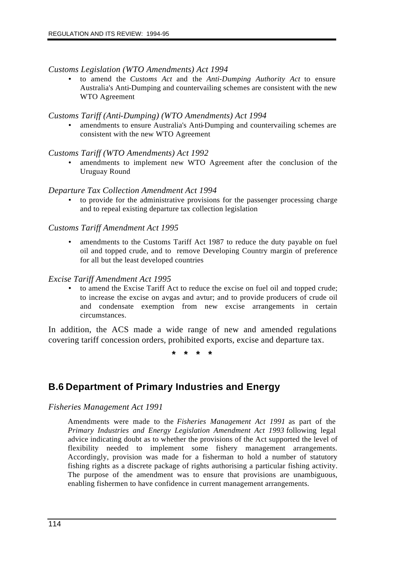#### *Customs Legislation (WTO Amendments) Act 1994*

• to amend the *Customs Act* and the *Anti-Dumping Authority Act* to ensure Australia's Anti-Dumping and countervailing schemes are consistent with the new WTO Agreement

#### *Customs Tariff (Anti-Dumping) (WTO Amendments) Act 1994*

• amendments to ensure Australia's Anti-Dumping and countervailing schemes are consistent with the new WTO Agreement

#### *Customs Tariff (WTO Amendments) Act 1992*

• amendments to implement new WTO Agreement after the conclusion of the Uruguay Round

#### *Departure Tax Collection Amendment Act 1994*

• to provide for the administrative provisions for the passenger processing charge and to repeal existing departure tax collection legislation

#### *Customs Tariff Amendment Act 1995*

• amendments to the Customs Tariff Act 1987 to reduce the duty payable on fuel oil and topped crude, and to remove Developing Country margin of preference for all but the least developed countries

#### *Excise Tariff Amendment Act 1995*

• to amend the Excise Tariff Act to reduce the excise on fuel oil and topped crude; to increase the excise on avgas and avtur; and to provide producers of crude oil and condensate exemption from new excise arrangements in certain circumstances.

In addition, the ACS made a wide range of new and amended regulations covering tariff concession orders, prohibited exports, excise and departure tax.

**\* \* \* \***

# **B.6 Department of Primary Industries and Energy**

*Fisheries Management Act 1991*

Amendments were made to the *Fisheries Management Act 1991* as part of the *Primary Industries and Energy Legislation Amendment Act 1993* following legal advice indicating doubt as to whether the provisions of the Act supported the level of flexibility needed to implement some fishery management arrangements. Accordingly, provision was made for a fisherman to hold a number of statutory fishing rights as a discrete package of rights authorising a particular fishing activity. The purpose of the amendment was to ensure that provisions are unambiguous, enabling fishermen to have confidence in current management arrangements.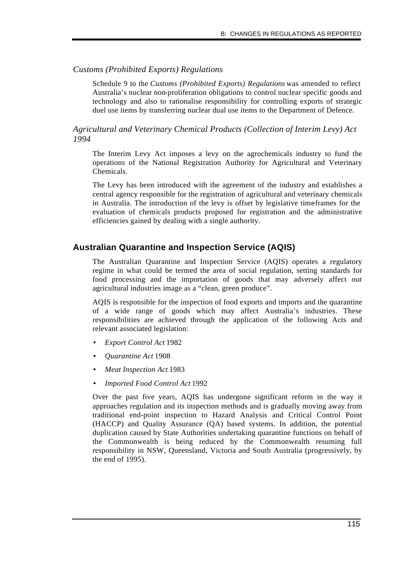### *Customs (Prohibited Exports) Regulations*

Schedule 9 to the *Customs (Prohibited Exports) Regulations* was amended to reflect Australia's nuclear non-proliferation obligations to control nuclear specific goods and technology and also to rationalise responsibility for controlling exports of strategic duel use items by transferring nuclear dual use items to the Department of Defence.

*Agricultural and Veterinary Chemical Products (Collection of Interim Levy) Act 1994*

The Interim Levy Act imposes a levy on the agrochemicals industry to fund the operations of the National Registration Authority for Agricultural and Veterinary Chemicals.

The Levy has been introduced with the agreement of the industry and establishes a central agency responsible for the registration of agricultural and veterinary chemicals in Australia. The introduction of the levy is offset by legislative time-frames for the evaluation of chemicals products proposed for registration and the administrative efficiencies gained by dealing with a single authority.

### **Australian Quarantine and Inspection Service (AQIS)**

The Australian Quarantine and Inspection Service (AQIS) operates a regulatory regime in what could be termed the area of social regulation, setting standards for food processing and the importation of goods that may adversely affect our agricultural industries image as a "clean, green produce".

AQIS is responsible for the inspection of food exports and imports and the quarantine of a wide range of goods which may affect Australia's industries. These responsibilities are achieved through the application of the following Acts and relevant associated legislation:

- *Export Control Act* 1982
- *Quarantine Act* 1908
- *Meat Inspection Act* 1983
- *Imported Food Control Act* 1992

Over the past five years, AQIS has undergone significant reform in the way it approaches regulation and its inspection methods and is gradually moving away from traditional end-point inspection to Hazard Analysis and Critical Control Point (HACCP) and Quality Assurance (QA) based systems. In addition, the potential duplication caused by State Authorities undertaking quarantine functions on behalf of the Commonwealth is being reduced by the Commonwealth resuming full responsibility in NSW, Queensland, Victoria and South Australia (progressively, by the end of 1995).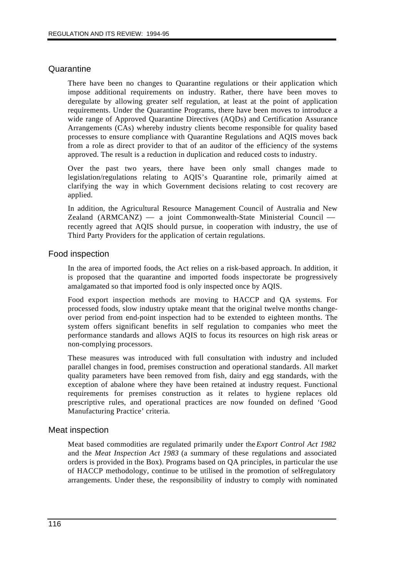### **Quarantine**

There have been no changes to Quarantine regulations or their application which impose additional requirements on industry. Rather, there have been moves to deregulate by allowing greater self regulation, at least at the point of application requirements. Under the Quarantine Programs, there have been moves to introduce a wide range of Approved Quarantine Directives (AQDs) and Certification Assurance Arrangements (CAs) whereby industry clients become responsible for quality based processes to ensure compliance with Quarantine Regulations and AQIS moves back from a role as direct provider to that of an auditor of the efficiency of the systems approved. The result is a reduction in duplication and reduced costs to industry.

Over the past two years, there have been only small changes made to legislation/regulations relating to AQIS's Quarantine role, primarily aimed at clarifying the way in which Government decisions relating to cost recovery are applied.

In addition, the Agricultural Resource Management Council of Australia and New Zealand (ARMCANZ) — a joint Commonwealth-State Ministerial Council recently agreed that AQIS should pursue, in cooperation with industry, the use of Third Party Providers for the application of certain regulations.

### Food inspection

In the area of imported foods, the Act relies on a risk-based approach. In addition, it is proposed that the quarantine and imported foods inspectorate be progressively amalgamated so that imported food is only inspected once by AQIS.

Food export inspection methods are moving to HACCP and QA systems. For processed foods, slow industry uptake meant that the original twelve months changeover period from end-point inspection had to be extended to eighteen months. The system offers significant benefits in self regulation to companies who meet the performance standards and allows AQIS to focus its resources on high risk areas or non-complying processors.

These measures was introduced with full consultation with industry and included parallel changes in food, premises construction and operational standards. All market quality parameters have been removed from fish, dairy and egg standards, with the exception of abalone where they have been retained at industry request. Functional requirements for premises construction as it relates to hygiene replaces old prescriptive rules, and operational practices are now founded on defined 'Good Manufacturing Practice' criteria.

### Meat inspection

Meat based commodities are regulated primarily under the *Export Control Act 1982* and the *Meat Inspection Act 1983* (a summary of these regulations and associated orders is provided in the Box). Programs based on QA principles, in particular the use of HACCP methodology, continue to be utilised in the promotion of selfregulatory arrangements. Under these, the responsibility of industry to comply with nominated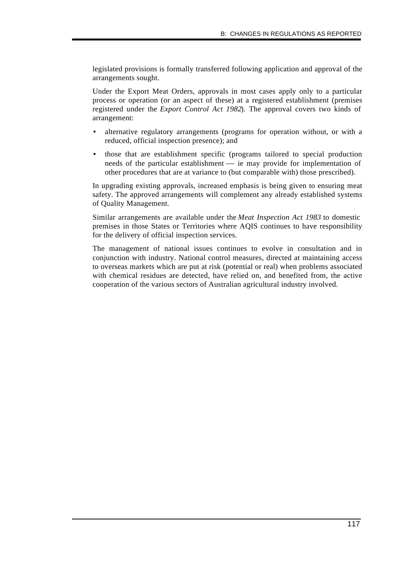legislated provisions is formally transferred following application and approval of the arrangements sought.

Under the Export Meat Orders, approvals in most cases apply only to a particular process or operation (or an aspect of these) at a registered establishment (premises registered under the *Export Control Act 1982*). The approval covers two kinds of arrangement:

- alternative regulatory arrangements (programs for operation without, or with a reduced, official inspection presence); and
- those that are establishment specific (programs tailored to special production needs of the particular establishment — ie may provide for implementation of other procedures that are at variance to (but comparable with) those prescribed).

In upgrading existing approvals, increased emphasis is being given to ensuring meat safety. The approved arrangements will complement any already established systems of Quality Management.

Similar arrangements are available under the *Meat Inspection Act 1983* to domestic premises in those States or Territories where AQIS continues to have responsibility for the delivery of official inspection services.

The management of national issues continues to evolve in consultation and in conjunction with industry. National control measures, directed at maintaining access to overseas markets which are put at risk (potential or real) when problems associated with chemical residues are detected, have relied on, and benefited from, the active cooperation of the various sectors of Australian agricultural industry involved.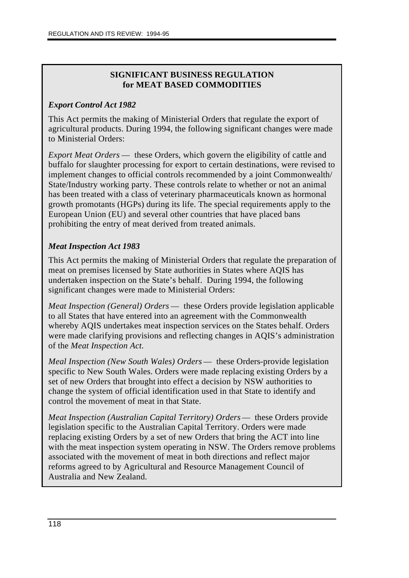# **SIGNIFICANT BUSINESS REGULATION for MEAT BASED COMMODITIES**

# *Export Control Act 1982*

This Act permits the making of Ministerial Orders that regulate the export of agricultural products. During 1994, the following significant changes were made to Ministerial Orders:

*Export Meat Orders* — these Orders, which govern the eligibility of cattle and buffalo for slaughter processing for export to certain destinations, were revised to implement changes to official controls recommended by a joint Commonwealth/ State/Industry working party. These controls relate to whether or not an animal has been treated with a class of veterinary pharmaceuticals known as hormonal growth promotants (HGPs) during its life. The special requirements apply to the European Union (EU) and several other countries that have placed bans prohibiting the entry of meat derived from treated animals.

# *Meat Inspection Act 1983*

This Act permits the making of Ministerial Orders that regulate the preparation of meat on premises licensed by State authorities in States where AQIS has undertaken inspection on the State's behalf. During 1994, the following significant changes were made to Ministerial Orders:

*Meat Inspection (General) Orders* — these Orders provide legislation applicable to all States that have entered into an agreement with the Commonwealth whereby AQIS undertakes meat inspection services on the States behalf. Orders were made clarifying provisions and reflecting changes in AQIS's administration of the *Meat Inspection Act.*

*Meal Inspection (New South Wales) Orders* — these Orders-provide legislation specific to New South Wales. Orders were made replacing existing Orders by a set of new Orders that brought into effect a decision by NSW authorities to change the system of official identification used in that State to identify and control the movement of meat in that State.

*Meat Inspection (Australian Capital Territory) Orders* — these Orders provide legislation specific to the Australian Capital Territory. Orders were made replacing existing Orders by a set of new Orders that bring the ACT into line with the meat inspection system operating in NSW. The Orders remove problems associated with the movement of meat in both directions and reflect major reforms agreed to by Agricultural and Resource Management Council of Australia and New Zealand.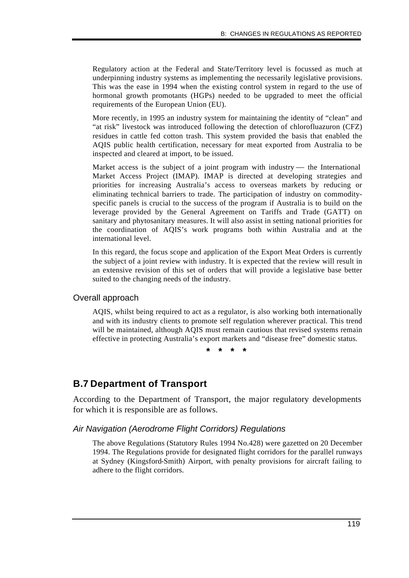Regulatory action at the Federal and State/Territory level is focussed as much at underpinning industry systems as implementing the necessarily legislative provisions. This was the ease in 1994 when the existing control system in regard to the use of hormonal growth promotants (HGPs) needed to be upgraded to meet the official requirements of the European Union (EU).

More recently, in 1995 an industry system for maintaining the identity of "clean" and "at risk" livestock was introduced following the detection of chlorofluazuron (CFZ) residues in cattle fed cotton trash. This system provided the basis that enabled the AQIS public health certification, necessary for meat exported from Australia to be inspected and cleared at import, to be issued.

Market access is the subject of a joint program with industry — the International Market Access Project (IMAP). IMAP is directed at developing strategies and priorities for increasing Australia's access to overseas markets by reducing or eliminating technical barriers to trade. The participation of industry on commodityspecific panels is crucial to the success of the program if Australia is to build on the leverage provided by the General Agreement on Tariffs and Trade (GATT) on sanitary and phytosanitary measures. It will also assist in setting national priorities for the coordination of AQIS's work programs both within Australia and at the international level.

In this regard, the focus scope and application of the Export Meat Orders is currently the subject of a joint review with industry. It is expected that the review will result in an extensive revision of this set of orders that will provide a legislative base better suited to the changing needs of the industry.

### Overall approach

AQIS, whilst being required to act as a regulator, is also working both internationally and with its industry clients to promote self regulation wherever practical. This trend will be maintained, although AQIS must remain cautious that revised systems remain effective in protecting Australia's export markets and "disease free" domestic status.

**\* \* \* \***

# **B.7 Department of Transport**

According to the Department of Transport, the major regulatory developments for which it is responsible are as follows.

### *Air Navigation (Aerodrome Flight Corridors) Regulations*

The above Regulations (Statutory Rules 1994 No.428) were gazetted on 20 December 1994. The Regulations provide for designated flight corridors for the parallel runways at Sydney (Kingsford-Smith) Airport, with penalty provisions for aircraft failing to adhere to the flight corridors.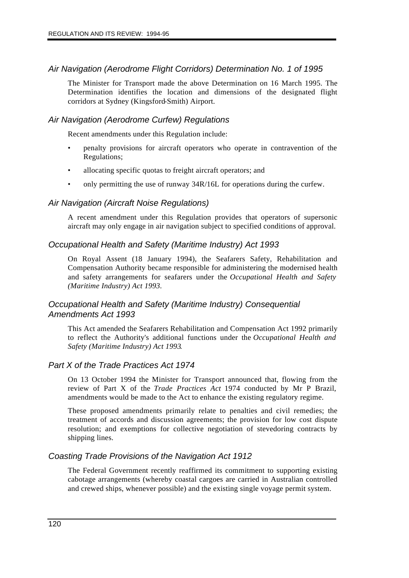### *Air Navigation (Aerodrome Flight Corridors) Determination No. 1 of 1995*

The Minister for Transport made the above Determination on 16 March 1995. The Determination identifies the location and dimensions of the designated flight corridors at Sydney (Kingsford-Smith) Airport.

### *Air Navigation (Aerodrome Curfew) Regulations*

Recent amendments under this Regulation include:

- penalty provisions for aircraft operators who operate in contravention of the Regulations;
- allocating specific quotas to freight aircraft operators; and
- only permitting the use of runway  $34R/16L$  for operations during the curfew.

#### *Air Navigation (Aircraft Noise Regulations)*

A recent amendment under this Regulation provides that operators of supersonic aircraft may only engage in air navigation subject to specified conditions of approval.

### *Occupational Health and Safety (Maritime Industry) Act 1993*

On Royal Assent (18 January 1994), the Seafarers Safety, Rehabilitation and Compensation Authority became responsible for administering the modernised health and safety arrangements for seafarers under the *Occupational Health and Safety (Maritime Industry) Act 1993.*

### *Occupational Health and Safety (Maritime Industry) Consequential Amendments Act 1993*

This Act amended the Seafarers Rehabilitation and Compensation Act 1992 primarily to reflect the Authority's additional functions under the *Occupational Health and Safety (Maritime Industry) Act 1993*.

#### *Part X of the Trade Practices Act 1974*

On 13 October 1994 the Minister for Transport announced that, flowing from the review of Part X of the *Trade Practices Act* 1974 conducted by Mr P Brazil, amendments would be made to the Act to enhance the existing regulatory regime.

These proposed amendments primarily relate to penalties and civil remedies; the treatment of accords and discussion agreements; the provision for low cost dispute resolution; and exemptions for collective negotiation of stevedoring contracts by shipping lines.

#### *Coasting Trade Provisions of the Navigation Act 1912*

The Federal Government recently reaffirmed its commitment to supporting existing cabotage arrangements (whereby coastal cargoes are carried in Australian controlled and crewed ships, whenever possible) and the existing single voyage permit system.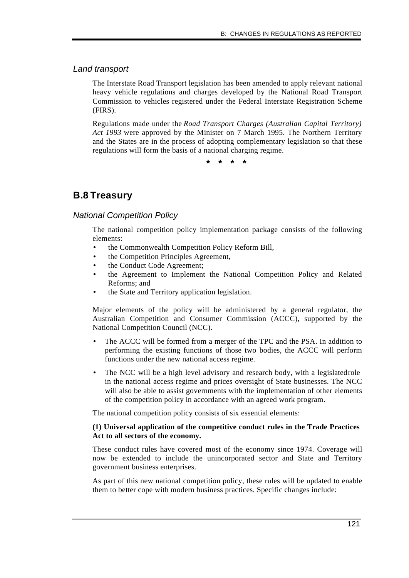### *Land transport*

The Interstate Road Transport legislation has been amended to apply relevant national heavy vehicle regulations and charges developed by the National Road Transport Commission to vehicles registered under the Federal Interstate Registration Scheme (FIRS).

Regulations made under the *Road Transport Charges (Australian Capital Territory) Act 1993* were approved by the Minister on 7 March 1995. The Northern Territory and the States are in the process of adopting complementary legislation so that these regulations will form the basis of a national charging regime.

**\* \* \* \***

# **B.8 Treasury**

### *National Competition Policy*

The national competition policy implementation package consists of the following elements:

- the Commonwealth Competition Policy Reform Bill,
- the Competition Principles Agreement,
- the Conduct Code Agreement;
- the Agreement to Implement the National Competition Policy and Related Reforms; and
- the State and Territory application legislation.

Major elements of the policy will be administered by a general regulator, the Australian Competition and Consumer Commission (ACCC), supported by the National Competition Council (NCC).

- The ACCC will be formed from a merger of the TPC and the PSA. In addition to performing the existing functions of those two bodies, the ACCC will perform functions under the new national access regime.
- The NCC will be a high level advisory and research body, with a legislated role in the national access regime and prices oversight of State businesses. The NCC will also be able to assist governments with the implementation of other elements of the competition policy in accordance with an agreed work program.

The national competition policy consists of six essential elements:

#### **(1) Universal application of the competitive conduct rules in the Trade Practices Act to all sectors of the economy.**

These conduct rules have covered most of the economy since 1974. Coverage will now be extended to include the unincorporated sector and State and Territory government business enterprises.

As part of this new national competition policy, these rules will be updated to enable them to better cope with modern business practices. Specific changes include: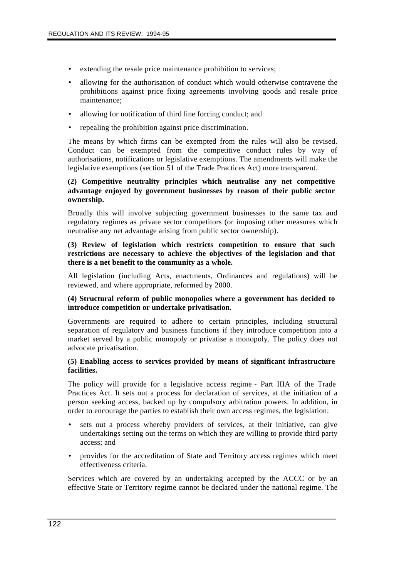- extending the resale price maintenance prohibition to services;
- allowing for the authorisation of conduct which would otherwise contravene the prohibitions against price fixing agreements involving goods and resale price maintenance;
- allowing for notification of third line forcing conduct; and
- repealing the prohibition against price discrimination.

The means by which firms can be exempted from the rules will also be revised. Conduct can be exempted from the competitive conduct rules by way of authorisations, notifications or legislative exemptions. The amendments will make the legislative exemptions (section 51 of the Trade Practices Act) more transparent.

### **(2) Competitive neutrality principles which neutralise any net competitive advantage enjoyed by government businesses by reason of their public sector ownership.**

Broadly this will involve subjecting government businesses to the same tax and regulatory regimes as private sector competitors (or imposing other measures which neutralise any net advantage arising from public sector ownership).

#### **(3) Review of legislation which restricts competition to ensure that such restrictions are necessary to achieve the objectives of the legislation and that there is a net benefit to the community as a whole.**

All legislation (including Acts, enactments, Ordinances and regulations) will be reviewed, and where appropriate, reformed by 2000.

#### **(4) Structural reform of public monopolies where a government has decided to introduce competition or undertake privatisation.**

Governments are required to adhere to certain principles, including structural separation of regulatory and business functions if they introduce competition into a market served by a public monopoly or privatise a monopoly. The policy does not advocate privatisation.

#### **(5) Enabling access to services provided by means of significant infrastructure facilities.**

The policy will provide for a legislative access regime - Part IIIA of the Trade Practices Act. It sets out a process for declaration of services, at the initiation of a person seeking access, backed up by compulsory arbitration powers. In addition, in order to encourage the parties to establish their own access regimes, the legislation:

- sets out a process whereby providers of services, at their initiative, can give undertakings setting out the terms on which they are willing to provide third party access; and
- provides for the accreditation of State and Territory access regimes which meet effectiveness criteria.

Services which are covered by an undertaking accepted by the ACCC or by an effective State or Territory regime cannot be declared under the national regime. The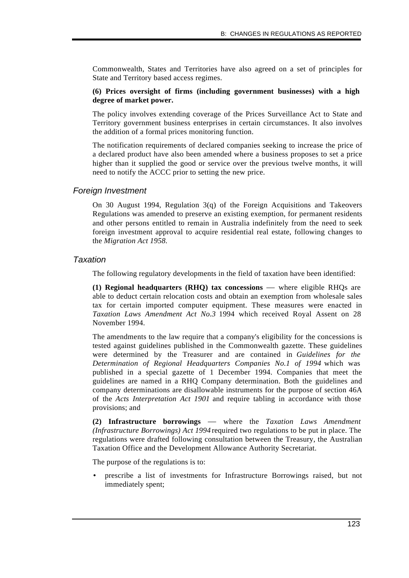Commonwealth, States and Territories have also agreed on a set of principles for State and Territory based access regimes.

#### **(6) Prices oversight of firms (including government businesses) with a high degree of market power.**

The policy involves extending coverage of the Prices Surveillance Act to State and Territory government business enterprises in certain circumstances. It also involves the addition of a formal prices monitoring function.

The notification requirements of declared companies seeking to increase the price of a declared product have also been amended where a business proposes to set a price higher than it supplied the good or service over the previous twelve months, it will need to notify the ACCC prior to setting the new price.

### *Foreign Investment*

On 30 August 1994, Regulation 3(q) of the Foreign Acquisitions and Takeovers Regulations was amended to preserve an existing exemption, for permanent residents and other persons entitled to remain in Australia indefinitely from the need to seek foreign investment approval to acquire residential real estate, following changes to the *Migration Act 1958.*

### *Taxation*

The following regulatory developments in the field of taxation have been identified:

**(1) Regional headquarters (RHQ) tax concessions** — where eligible RHQs are able to deduct certain relocation costs and obtain an exemption from wholesale sales tax for certain imported computer equipment. These measures were enacted in *Taxation Laws Amendment Act No.3* 1994 which received Royal Assent on 28 November 1994.

The amendments to the law require that a company's eligibility for the concessions is tested against guidelines published in the Commonwealth gazette. These guidelines were determined by the Treasurer and are contained in *Guidelines for the Determination of Regional Headquarters Companies No.1 of 1994* which was published in a special gazette of 1 December 1994. Companies that meet the guidelines are named in a RHQ Company determination. Both the guidelines and company determinations are disallowable instruments for the purpose of section 46A of the *Acts Interpretation Act 1901* and require tabling in accordance with those provisions; and

**(2) Infrastructure borrowings** — where the *Taxation Laws Amendment (Infrastructure Borrowings) Act 1994* required two regulations to be put in place. The regulations were drafted following consultation between the Treasury, the Australian Taxation Office and the Development Allowance Authority Secretariat.

The purpose of the regulations is to:

• prescribe a list of investments for Infrastructure Borrowings raised, but not immediately spent;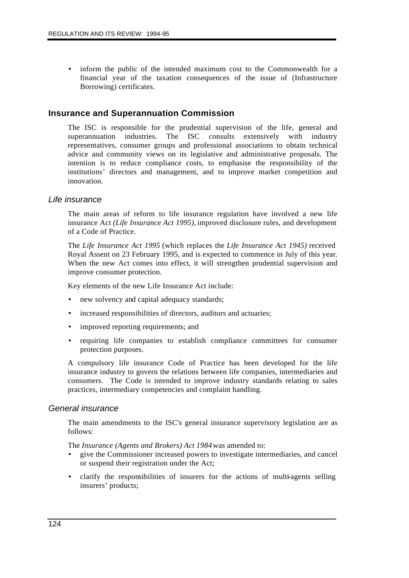• inform the public of the intended maximum cost to the Commonwealth for a financial year of the taxation consequences of the issue of (Infrastructure Borrowing) certificates.

### **Insurance and Superannuation Commission**

The ISC is responsible for the prudential supervision of the life, general and superannuation industries. The ISC consults extensively with industry representatives, consumer groups and professional associations to obtain technical advice and community views on its legislative and administrative proposals. The intention is to reduce compliance costs, to emphasise the responsibility of the institutions' directors and management, and to improve market competition and innovation.

#### *Life insurance*

The main areas of reform to life insurance regulation have involved a new life insurance Act *(Life Insurance Act 1995),* improved disclosure rules, and development of a Code of Practice.

The *Life Insurance Act 1995* (which replaces the *Life Insurance Act 1945)* received Royal Assent on 23 February 1995, and is expected to commence in July of this year. When the new Act comes into effect, it will strengthen prudential supervision and improve consumer protection.

Key elements of the new Life Insurance Act include:

- new solvency and capital adequacy standards;
- increased responsibilities of directors, auditors and actuaries;
- improved reporting requirements; and
- requiring life companies to establish compliance committees for consumer protection purposes.

A compulsory life insurance Code of Practice has been developed for the life insurance industry to govern the relations between life companies, intermediaries and consumers. The Code is intended to improve industry standards relating to sales practices, intermediary competencies and complaint handling.

#### *General insurance*

The main amendments to the ISC's general insurance supervisory legislation are as follows:

The *Insurance (Agents and Brokers) Act 1984* was amended to:

- give the Commissioner increased powers to investigate intermediaries, and cancel or suspend their registration under the Act;
- clarify the responsibilities of insurers for the actions of multi-agents selling insurers' products;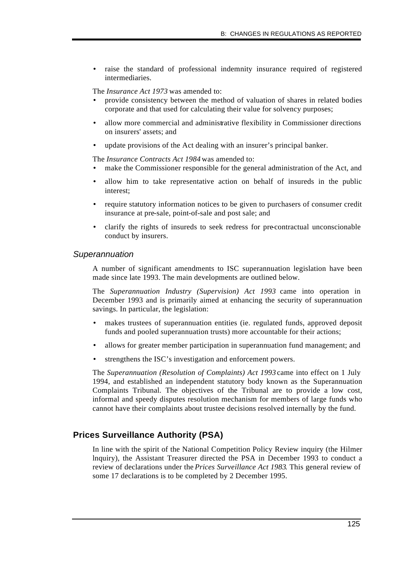raise the standard of professional indemnity insurance required of registered intermediaries.

The *Insurance Act 1973* was amended to:

- provide consistency between the method of valuation of shares in related bodies corporate and that used for calculating their value for solvency purposes;
- allow more commercial and administrative flexibility in Commissioner directions on insurers' assets; and
- update provisions of the Act dealing with an insurer's principal banker.

The *Insurance Contracts Act 1984* was amended to:

- make the Commissioner responsible for the general administration of the Act, and
- allow him to take representative action on behalf of insureds in the public interest;
- require statutory information notices to be given to purchasers of consumer credit insurance at pre-sale, point-of-sale and post sale; and
- clarify the rights of insureds to seek redress for pre-contractual unconscionable conduct by insurers.

#### *Superannuation*

A number of significant amendments to ISC superannuation legislation have been made since late 1993. The main developments are outlined below.

The *Superannuation Industry (Supervision) Act 1993* came into operation in December 1993 and is primarily aimed at enhancing the security of superannuation savings. In particular, the legislation:

- makes trustees of superannuation entities (ie. regulated funds, approved deposit funds and pooled superannuation trusts) more accountable for their actions;
- allows for greater member participation in superannuation fund management; and
- strengthens the ISC's investigation and enforcement powers.

The *Superannuation (Resolution of Complaints) Act 1993* came into effect on 1 July 1994, and established an independent statutory body known as the Superannuation Complaints Tribunal. The objectives of the Tribunal are to provide a low cost, informal and speedy disputes resolution mechanism for members of large funds who cannot have their complaints about trustee decisions resolved internally by the fund.

### **Prices Surveillance Authority (PSA)**

In line with the spirit of the National Competition Policy Review inquiry (the Hilmer lnquiry), the Assistant Treasurer directed the PSA in December 1993 to conduct a review of declarations under the *Prices Surveillance Act 1983*. This general review of some 17 declarations is to be completed by 2 December 1995.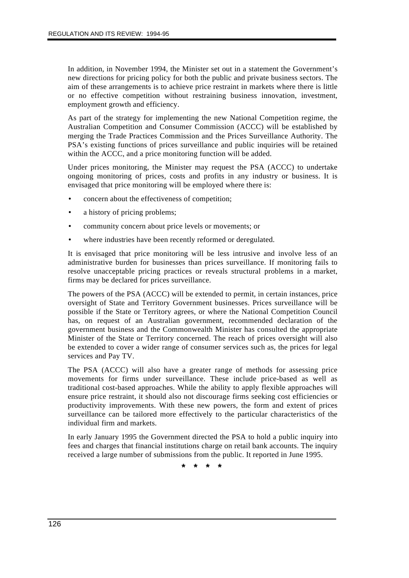In addition, in November 1994, the Minister set out in a statement the Government's new directions for pricing policy for both the public and private business sectors. The aim of these arrangements is to achieve price restraint in markets where there is little or no effective competition without restraining business innovation, investment, employment growth and efficiency.

As part of the strategy for implementing the new National Competition regime, the Australian Competition and Consumer Commission (ACCC) will be established by merging the Trade Practices Commission and the Prices Surveillance Authority. The PSA's existing functions of prices surveillance and public inquiries will be retained within the ACCC, and a price monitoring function will be added.

Under prices monitoring, the Minister may request the PSA (ACCC) to undertake ongoing monitoring of prices, costs and profits in any industry or business. It is envisaged that price monitoring will be employed where there is:

- concern about the effectiveness of competition;
- a history of pricing problems;
- community concern about price levels or movements; or
- where industries have been recently reformed or deregulated.

It is envisaged that price monitoring will be less intrusive and involve less of an administrative burden for businesses than prices surveillance. If monitoring fails to resolve unacceptable pricing practices or reveals structural problems in a market, firms may be declared for prices surveillance.

The powers of the PSA (ACCC) will be extended to permit, in certain instances, price oversight of State and Territory Government businesses. Prices surveillance will be possible if the State or Territory agrees, or where the National Competition Council has, on request of an Australian government, recommended declaration of the government business and the Commonwealth Minister has consulted the appropriate Minister of the State or Territory concerned. The reach of prices oversight will also be extended to cover a wider range of consumer services such as, the prices for legal services and Pay TV.

The PSA (ACCC) will also have a greater range of methods for assessing price movements for firms under surveillance. These include price-based as well as traditional cost-based approaches. While the ability to apply flexible approaches will ensure price restraint, it should also not discourage firms seeking cost efficiencies or productivity improvements. With these new powers, the form and extent of prices surveillance can be tailored more effectively to the particular characteristics of the individual firm and markets.

In early January 1995 the Government directed the PSA to hold a public inquiry into fees and charges that financial institutions charge on retail bank accounts. The inquiry received a large number of submissions from the public. It reported in June 1995.

**\* \* \* \***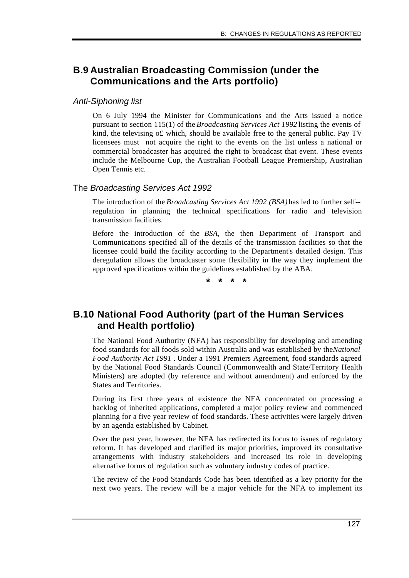# **B.9 Australian Broadcasting Commission (under the Communications and the Arts portfolio)**

### *Anti-Siphoning list*

On 6 July 1994 the Minister for Communications and the Arts issued a notice pursuant to section 115(1) of the *Broadcasting Services Act 1992* listing the events of kind, the televising o£ which, should be available free to the general public. Pay TV licensees must not acquire the right to the events on the list unless a national or commercial broadcaster has acquired the right to broadcast that event. These events include the Melbourne Cup, the Australian Football League Premiership, Australian Open Tennis etc.

### The *Broadcasting Services Act 1992*

The introduction of the *Broadcasting Services Act 1992 (BSA)* has led to further self- regulation in planning the technical specifications for radio and television transmission facilities.

Before the introduction of the *BSA,* the then Department of Transport and Communications specified all of the details of the transmission facilities so that the licensee could build the facility according to the Department's detailed design. This deregulation allows the broadcaster some flexibility in the way they implement the approved specifications within the guidelines established by the ABA.

**\* \* \* \***

# **B.10 National Food Authority (part of the Human Services and Health portfolio)**

The National Food Authority (NFA) has responsibility for developing and amending food standards for all foods sold within Australia and was established by the *National Food Authority Act 1991 .* Under a 1991 Premiers Agreement, food standards agreed by the National Food Standards Council (Commonwealth and State/Territory Health Ministers) are adopted (by reference and without amendment) and enforced by the States and Territories.

During its first three years of existence the NFA concentrated on processing a backlog of inherited applications, completed a major policy review and commenced planning for a five year review of food standards. These activities were largely driven by an agenda established by Cabinet.

Over the past year, however, the NFA has redirected its focus to issues of regulatory reform. It has developed and clarified its major priorities, improved its consultative arrangements with industry stakeholders and increased its role in developing alternative forms of regulation such as voluntary industry codes of practice.

The review of the Food Standards Code has been identified as a key priority for the next two years. The review will be a major vehicle for the NFA to implement its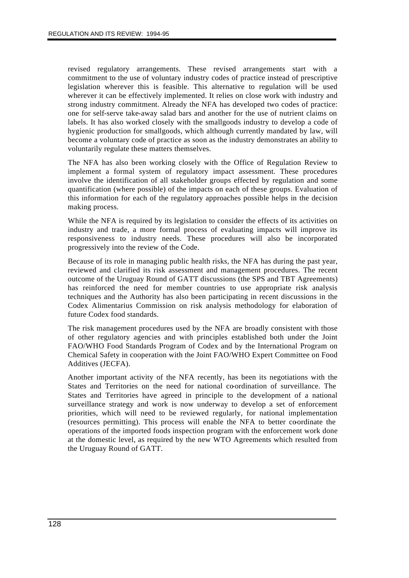revised regulatory arrangements. These revised arrangements start with a commitment to the use of voluntary industry codes of practice instead of prescriptive legislation wherever this is feasible. This alternative to regulation will be used wherever it can be effectively implemented. It relies on close work with industry and strong industry commitment. Already the NFA has developed two codes of practice: one for self-serve take-away salad bars and another for the use of nutrient claims on labels. It has also worked closely with the smallgoods industry to develop a code of hygienic production for smallgoods, which although currently mandated by law, will become a voluntary code of practice as soon as the industry demonstrates an ability to voluntarily regulate these matters themselves.

The NFA has also been working closely with the Office of Regulation Review to implement a formal system of regulatory impact assessment. These procedures involve the identification of all stakeholder groups effected by regulation and some quantification (where possible) of the impacts on each of these groups. Evaluation of this information for each of the regulatory approaches possible helps in the decision making process.

While the NFA is required by its legislation to consider the effects of its activities on industry and trade, a more formal process of evaluating impacts will improve its responsiveness to industry needs. These procedures will also be incorporated progressively into the review of the Code.

Because of its role in managing public health risks, the NFA has during the past year, reviewed and clarified its risk assessment and management procedures. The recent outcome of the Uruguay Round of GATT discussions (the SPS and TBT Agreements) has reinforced the need for member countries to use appropriate risk analysis techniques and the Authority has also been participating in recent discussions in the Codex Alimentarius Commission on risk analysis methodology for elaboration of future Codex food standards.

The risk management procedures used by the NFA are broadly consistent with those of other regulatory agencies and with principles established both under the Joint FAO/WHO Food Standards Program of Codex and by the International Program on Chemical Safety in cooperation with the Joint FAO/WHO Expert Committee on Food Additives (JECFA).

Another important activity of the NFA recently, has been its negotiations with the States and Territories on the need for national co-ordination of surveillance. The States and Territories have agreed in principle to the development of a national surveillance strategy and work is now underway to develop a set of enforcement priorities, which will need to be reviewed regularly, for national implementation (resources permitting). This process will enable the NFA to better coordinate the operations of the imported foods inspection program with the enforcement work done at the domestic level, as required by the new WTO Agreements which resulted from the Uruguay Round of GATT.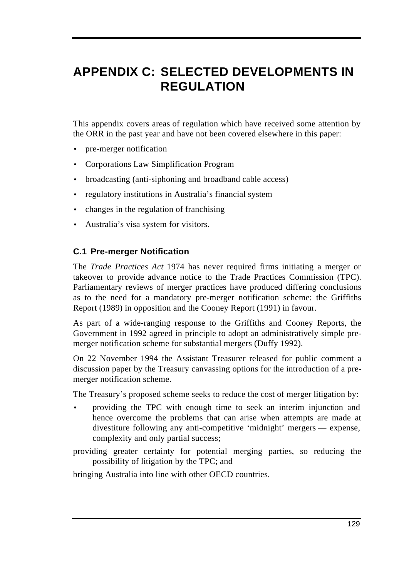# **APPENDIX C: SELECTED DEVELOPMENTS IN REGULATION**

This appendix covers areas of regulation which have received some attention by the ORR in the past year and have not been covered elsewhere in this paper:

- pre-merger notification
- Corporations Law Simplification Program
- broadcasting (anti-siphoning and broadband cable access)
- regulatory institutions in Australia's financial system
- changes in the regulation of franchising
- Australia's visa system for visitors.

# **C.1 Pre-merger Notification**

The *Trade Practices Act* 1974 has never required firms initiating a merger or takeover to provide advance notice to the Trade Practices Commission (TPC). Parliamentary reviews of merger practices have produced differing conclusions as to the need for a mandatory pre-merger notification scheme: the Griffiths Report (1989) in opposition and the Cooney Report (1991) in favour.

As part of a wide-ranging response to the Griffiths and Cooney Reports, the Government in 1992 agreed in principle to adopt an administratively simple premerger notification scheme for substantial mergers (Duffy 1992).

On 22 November 1994 the Assistant Treasurer released for public comment a discussion paper by the Treasury canvassing options for the introduction of a premerger notification scheme.

The Treasury's proposed scheme seeks to reduce the cost of merger litigation by:

- providing the TPC with enough time to seek an interim injunction and hence overcome the problems that can arise when attempts are made at divestiture following any anti-competitive 'midnight' mergers — expense, complexity and only partial success;
- providing greater certainty for potential merging parties, so reducing the possibility of litigation by the TPC; and

bringing Australia into line with other OECD countries.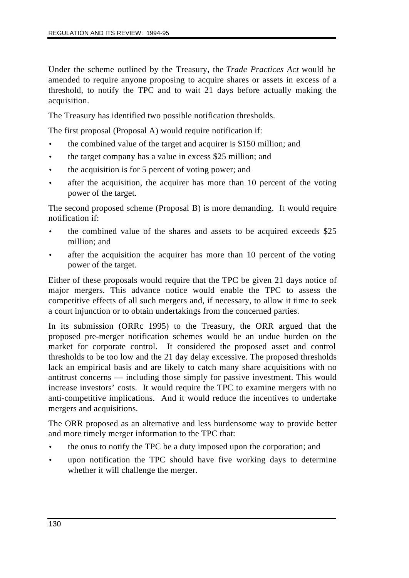Under the scheme outlined by the Treasury, the *Trade Practices Act* would be amended to require anyone proposing to acquire shares or assets in excess of a threshold, to notify the TPC and to wait 21 days before actually making the acquisition.

The Treasury has identified two possible notification thresholds.

The first proposal (Proposal A) would require notification if:

- the combined value of the target and acquirer is \$150 million; and
- the target company has a value in excess \$25 million; and
- the acquisition is for 5 percent of voting power; and
- after the acquisition, the acquirer has more than 10 percent of the voting power of the target.

The second proposed scheme (Proposal B) is more demanding. It would require notification if:

- the combined value of the shares and assets to be acquired exceeds \$25 million; and
- after the acquisition the acquirer has more than 10 percent of the voting power of the target.

Either of these proposals would require that the TPC be given 21 days notice of major mergers. This advance notice would enable the TPC to assess the competitive effects of all such mergers and, if necessary, to allow it time to seek a court injunction or to obtain undertakings from the concerned parties.

In its submission (ORRc 1995) to the Treasury, the ORR argued that the proposed pre-merger notification schemes would be an undue burden on the market for corporate control. It considered the proposed asset and control thresholds to be too low and the 21 day delay excessive. The proposed thresholds lack an empirical basis and are likely to catch many share acquisitions with no antitrust concerns — including those simply for passive investment. This would increase investors' costs. It would require the TPC to examine mergers with no anti-competitive implications. And it would reduce the incentives to undertake mergers and acquisitions.

The ORR proposed as an alternative and less burdensome way to provide better and more timely merger information to the TPC that:

- the onus to notify the TPC be a duty imposed upon the corporation; and
- upon notification the TPC should have five working days to determine whether it will challenge the merger.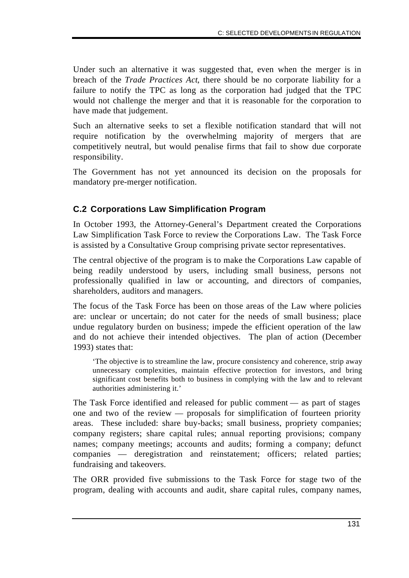Under such an alternative it was suggested that, even when the merger is in breach of the *Trade Practices Act*, there should be no corporate liability for a failure to notify the TPC as long as the corporation had judged that the TPC would not challenge the merger and that it is reasonable for the corporation to have made that judgement.

Such an alternative seeks to set a flexible notification standard that will not require notification by the overwhelming majority of mergers that are competitively neutral, but would penalise firms that fail to show due corporate responsibility.

The Government has not yet announced its decision on the proposals for mandatory pre-merger notification.

# **C.2 Corporations Law Simplification Program**

In October 1993, the Attorney-General's Department created the Corporations Law Simplification Task Force to review the Corporations Law. The Task Force is assisted by a Consultative Group comprising private sector representatives.

The central objective of the program is to make the Corporations Law capable of being readily understood by users, including small business, persons not professionally qualified in law or accounting, and directors of companies, shareholders, auditors and managers.

The focus of the Task Force has been on those areas of the Law where policies are: unclear or uncertain; do not cater for the needs of small business; place undue regulatory burden on business; impede the efficient operation of the law and do not achieve their intended objectives. The plan of action (December 1993) states that:

'The objective is to streamline the law, procure consistency and coherence, strip away unnecessary complexities, maintain effective protection for investors, and bring significant cost benefits both to business in complying with the law and to relevant authorities administering it.'

The Task Force identified and released for public comment — as part of stages one and two of the review — proposals for simplification of fourteen priority areas. These included: share buy-backs; small business, propriety companies; company registers; share capital rules; annual reporting provisions; company names; company meetings; accounts and audits; forming a company; defunct companies — deregistration and reinstatement; officers; related parties; fundraising and takeovers.

The ORR provided five submissions to the Task Force for stage two of the program, dealing with accounts and audit, share capital rules, company names,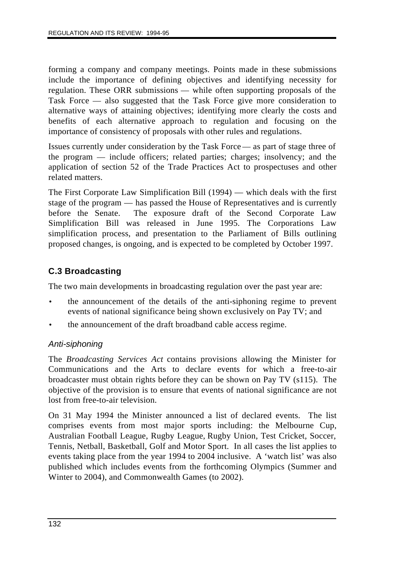forming a company and company meetings. Points made in these submissions include the importance of defining objectives and identifying necessity for regulation. These ORR submissions — while often supporting proposals of the Task Force — also suggested that the Task Force give more consideration to alternative ways of attaining objectives; identifying more clearly the costs and benefits of each alternative approach to regulation and focusing on the importance of consistency of proposals with other rules and regulations.

Issues currently under consideration by the Task Force — as part of stage three of the program — include officers; related parties; charges; insolvency; and the application of section 52 of the Trade Practices Act to prospectuses and other related matters.

The First Corporate Law Simplification Bill (1994) — which deals with the first stage of the program — has passed the House of Representatives and is currently before the Senate. The exposure draft of the Second Corporate Law Simplification Bill was released in June 1995. The Corporations Law simplification process, and presentation to the Parliament of Bills outlining proposed changes, is ongoing, and is expected to be completed by October 1997.

# **C.3 Broadcasting**

The two main developments in broadcasting regulation over the past year are:

- the announcement of the details of the anti-siphoning regime to prevent events of national significance being shown exclusively on Pay TV; and
- the announcement of the draft broadband cable access regime.

# *Anti-siphoning*

The *Broadcasting Services Act* contains provisions allowing the Minister for Communications and the Arts to declare events for which a free-to-air broadcaster must obtain rights before they can be shown on Pay TV (s115). The objective of the provision is to ensure that events of national significance are not lost from free-to-air television.

On 31 May 1994 the Minister announced a list of declared events. The list comprises events from most major sports including: the Melbourne Cup, Australian Football League, Rugby League, Rugby Union, Test Cricket, Soccer, Tennis, Netball, Basketball, Golf and Motor Sport. In all cases the list applies to events taking place from the year 1994 to 2004 inclusive. A 'watch list' was also published which includes events from the forthcoming Olympics (Summer and Winter to 2004), and Commonwealth Games (to 2002).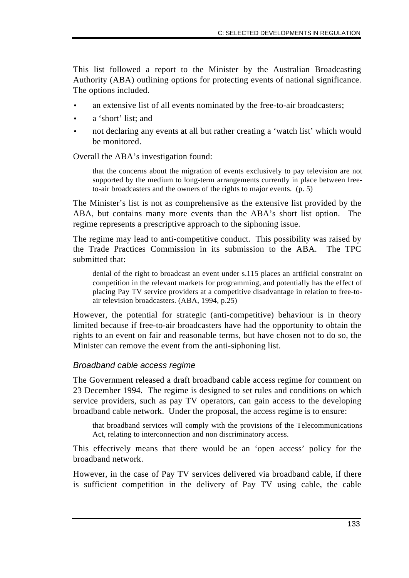This list followed a report to the Minister by the Australian Broadcasting Authority (ABA) outlining options for protecting events of national significance. The options included.

- an extensive list of all events nominated by the free-to-air broadcasters;
- a 'short' list; and
- not declaring any events at all but rather creating a 'watch list' which would be monitored.

Overall the ABA's investigation found:

that the concerns about the migration of events exclusively to pay television are not supported by the medium to long-term arrangements currently in place between freeto-air broadcasters and the owners of the rights to major events. (p. 5)

The Minister's list is not as comprehensive as the extensive list provided by the ABA, but contains many more events than the ABA's short list option. The regime represents a prescriptive approach to the siphoning issue.

The regime may lead to anti-competitive conduct. This possibility was raised by the Trade Practices Commission in its submission to the ABA. The TPC submitted that:

denial of the right to broadcast an event under s.115 places an artificial constraint on competition in the relevant markets for programming, and potentially has the effect of placing Pay TV service providers at a competitive disadvantage in relation to free-toair television broadcasters. (ABA, 1994, p.25)

However, the potential for strategic (anti-competitive) behaviour is in theory limited because if free-to-air broadcasters have had the opportunity to obtain the rights to an event on fair and reasonable terms, but have chosen not to do so, the Minister can remove the event from the anti-siphoning list.

#### *Broadband cable access regime*

The Government released a draft broadband cable access regime for comment on 23 December 1994. The regime is designed to set rules and conditions on which service providers, such as pay TV operators, can gain access to the developing broadband cable network. Under the proposal, the access regime is to ensure:

that broadband services will comply with the provisions of the Telecommunications Act, relating to interconnection and non discriminatory access.

This effectively means that there would be an 'open access' policy for the broadband network.

However, in the case of Pay TV services delivered via broadband cable, if there is sufficient competition in the delivery of Pay TV using cable, the cable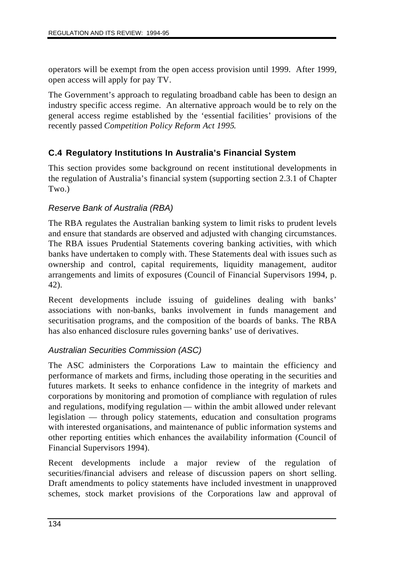operators will be exempt from the open access provision until 1999. After 1999, open access will apply for pay TV.

The Government's approach to regulating broadband cable has been to design an industry specific access regime. An alternative approach would be to rely on the general access regime established by the 'essential facilities' provisions of the recently passed *Competition Policy Reform Act 1995*.

#### **C.4 Regulatory Institutions In Australia's Financial System**

This section provides some background on recent institutional developments in the regulation of Australia's financial system (supporting section 2.3.1 of Chapter Two.)

#### *Reserve Bank of Australia (RBA)*

The RBA regulates the Australian banking system to limit risks to prudent levels and ensure that standards are observed and adjusted with changing circumstances. The RBA issues Prudential Statements covering banking activities, with which banks have undertaken to comply with. These Statements deal with issues such as ownership and control, capital requirements, liquidity management, auditor arrangements and limits of exposures (Council of Financial Supervisors 1994, p. 42).

Recent developments include issuing of guidelines dealing with banks' associations with non-banks, banks involvement in funds management and securitisation programs, and the composition of the boards of banks. The RBA has also enhanced disclosure rules governing banks' use of derivatives.

#### *Australian Securities Commission (ASC)*

The ASC administers the Corporations Law to maintain the efficiency and performance of markets and firms, including those operating in the securities and futures markets. It seeks to enhance confidence in the integrity of markets and corporations by monitoring and promotion of compliance with regulation of rules and regulations, modifying regulation — within the ambit allowed under relevant legislation — through policy statements, education and consultation programs with interested organisations, and maintenance of public information systems and other reporting entities which enhances the availability information (Council of Financial Supervisors 1994).

Recent developments include a major review of the regulation of securities/financial advisers and release of discussion papers on short selling. Draft amendments to policy statements have included investment in unapproved schemes, stock market provisions of the Corporations law and approval of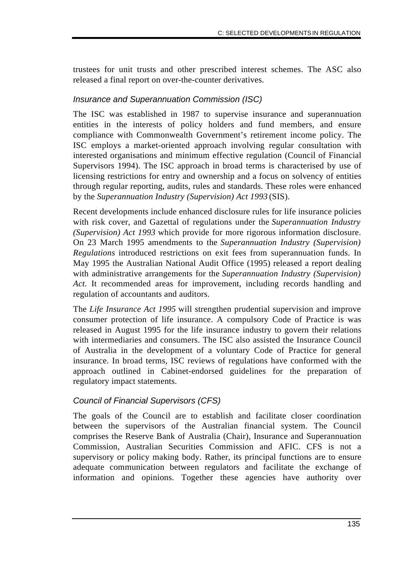trustees for unit trusts and other prescribed interest schemes. The ASC also released a final report on over-the-counter derivatives.

#### *Insurance and Superannuation Commission (ISC)*

The ISC was established in 1987 to supervise insurance and superannuation entities in the interests of policy holders and fund members, and ensure compliance with Commonwealth Government's retirement income policy. The ISC employs a market-oriented approach involving regular consultation with interested organisations and minimum effective regulation (Council of Financial Supervisors 1994). The ISC approach in broad terms is characterised by use of licensing restrictions for entry and ownership and a focus on solvency of entities through regular reporting, audits, rules and standards. These roles were enhanced by the *Superannuation Industry (Supervision) Act 1993* (SIS).

Recent developments include enhanced disclosure rules for life insurance policies with risk cover, and Gazettal of regulations under the *Superannuation Industry (Supervision) Act 1993* which provide for more rigorous information disclosure. On 23 March 1995 amendments to the *Superannuation Industry (Supervision) Regulations* introduced restrictions on exit fees from superannuation funds. In May 1995 the Australian National Audit Office (1995) released a report dealing with administrative arrangements for the *Superannuation Industry (Supervision) Act*. It recommended areas for improvement, including records handling and regulation of accountants and auditors.

The *Life Insurance Act 1995* will strengthen prudential supervision and improve consumer protection of life insurance. A compulsory Code of Practice is was released in August 1995 for the life insurance industry to govern their relations with intermediaries and consumers. The ISC also assisted the Insurance Council of Australia in the development of a voluntary Code of Practice for general insurance. In broad terms, ISC reviews of regulations have conformed with the approach outlined in Cabinet-endorsed guidelines for the preparation of regulatory impact statements.

#### *Council of Financial Supervisors (CFS)*

The goals of the Council are to establish and facilitate closer coordination between the supervisors of the Australian financial system. The Council comprises the Reserve Bank of Australia (Chair), Insurance and Superannuation Commission, Australian Securities Commission and AFIC. CFS is not a supervisory or policy making body. Rather, its principal functions are to ensure adequate communication between regulators and facilitate the exchange of information and opinions. Together these agencies have authority over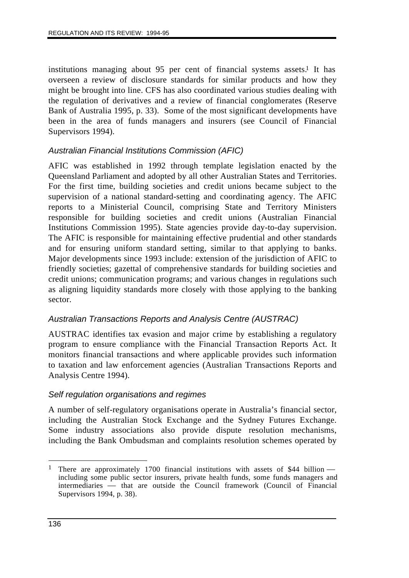institutions managing about 95 per cent of financial systems assets.<sup>1</sup> It has overseen a review of disclosure standards for similar products and how they might be brought into line. CFS has also coordinated various studies dealing with the regulation of derivatives and a review of financial conglomerates (Reserve Bank of Australia 1995, p. 33). Some of the most significant developments have been in the area of funds managers and insurers (see Council of Financial Supervisors 1994).

#### *Australian Financial Institutions Commission (AFIC)*

AFIC was established in 1992 through template legislation enacted by the Queensland Parliament and adopted by all other Australian States and Territories. For the first time, building societies and credit unions became subject to the supervision of a national standard-setting and coordinating agency. The AFIC reports to a Ministerial Council, comprising State and Territory Ministers responsible for building societies and credit unions (Australian Financial Institutions Commission 1995). State agencies provide day-to-day supervision. The AFIC is responsible for maintaining effective prudential and other standards and for ensuring uniform standard setting, similar to that applying to banks. Major developments since 1993 include: extension of the jurisdiction of AFIC to friendly societies; gazettal of comprehensive standards for building societies and credit unions; communication programs; and various changes in regulations such as aligning liquidity standards more closely with those applying to the banking sector.

#### *Australian Transactions Reports and Analysis Centre (AUSTRAC)*

AUSTRAC identifies tax evasion and major crime by establishing a regulatory program to ensure compliance with the Financial Transaction Reports Act. It monitors financial transactions and where applicable provides such information to taxation and law enforcement agencies (Australian Transactions Reports and Analysis Centre 1994).

#### *Self regulation organisations and regimes*

A number of self-regulatory organisations operate in Australia's financial sector, including the Australian Stock Exchange and the Sydney Futures Exchange. Some industry associations also provide dispute resolution mechanisms, including the Bank Ombudsman and complaints resolution schemes operated by

 $\overline{a}$ There are approximately 1700 financial institutions with assets of \$44 billion including some public sector insurers, private health funds, some funds managers and intermediaries — that are outside the Council framework (Council of Financial Supervisors 1994, p. 38).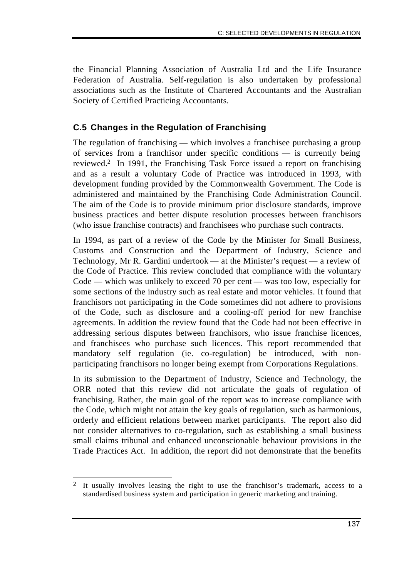the Financial Planning Association of Australia Ltd and the Life Insurance Federation of Australia. Self-regulation is also undertaken by professional associations such as the Institute of Chartered Accountants and the Australian Society of Certified Practicing Accountants.

## **C.5 Changes in the Regulation of Franchising**

The regulation of franchising — which involves a franchisee purchasing a group of services from a franchisor under specific conditions — is currently being reviewed.2 In 1991, the Franchising Task Force issued a report on franchising and as a result a voluntary Code of Practice was introduced in 1993, with development funding provided by the Commonwealth Government. The Code is administered and maintained by the Franchising Code Administration Council. The aim of the Code is to provide minimum prior disclosure standards, improve business practices and better dispute resolution processes between franchisors (who issue franchise contracts) and franchisees who purchase such contracts.

In 1994, as part of a review of the Code by the Minister for Small Business, Customs and Construction and the Department of Industry, Science and Technology, Mr R. Gardini undertook — at the Minister's request — a review of the Code of Practice. This review concluded that compliance with the voluntary Code — which was unlikely to exceed 70 per cent — was too low, especially for some sections of the industry such as real estate and motor vehicles. It found that franchisors not participating in the Code sometimes did not adhere to provisions of the Code, such as disclosure and a cooling-off period for new franchise agreements. In addition the review found that the Code had not been effective in addressing serious disputes between franchisors, who issue franchise licences, and franchisees who purchase such licences. This report recommended that mandatory self regulation (ie. co-regulation) be introduced, with nonparticipating franchisors no longer being exempt from Corporations Regulations.

In its submission to the Department of Industry, Science and Technology, the ORR noted that this review did not articulate the goals of regulation of franchising. Rather, the main goal of the report was to increase compliance with the Code, which might not attain the key goals of regulation, such as harmonious, orderly and efficient relations between market participants. The report also did not consider alternatives to co-regulation, such as establishing a small business small claims tribunal and enhanced unconscionable behaviour provisions in the Trade Practices Act. In addition, the report did not demonstrate that the benefits

 $\overline{a}$ 2 It usually involves leasing the right to use the franchisor's trademark, access to a standardised business system and participation in generic marketing and training.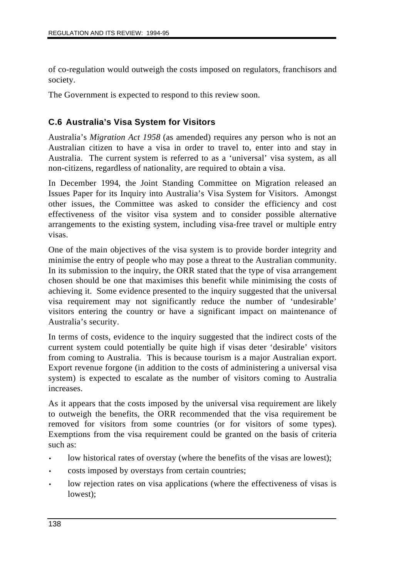of co-regulation would outweigh the costs imposed on regulators, franchisors and society.

The Government is expected to respond to this review soon.

#### **C.6 Australia's Visa System for Visitors**

Australia's *Migration Act 1958* (as amended) requires any person who is not an Australian citizen to have a visa in order to travel to, enter into and stay in Australia. The current system is referred to as a 'universal' visa system, as all non-citizens, regardless of nationality, are required to obtain a visa.

In December 1994, the Joint Standing Committee on Migration released an Issues Paper for its Inquiry into Australia's Visa System for Visitors. Amongst other issues, the Committee was asked to consider the efficiency and cost effectiveness of the visitor visa system and to consider possible alternative arrangements to the existing system, including visa-free travel or multiple entry visas.

One of the main objectives of the visa system is to provide border integrity and minimise the entry of people who may pose a threat to the Australian community. In its submission to the inquiry, the ORR stated that the type of visa arrangement chosen should be one that maximises this benefit while minimising the costs of achieving it. Some evidence presented to the inquiry suggested that the universal visa requirement may not significantly reduce the number of 'undesirable' visitors entering the country or have a significant impact on maintenance of Australia's security.

In terms of costs, evidence to the inquiry suggested that the indirect costs of the current system could potentially be quite high if visas deter 'desirable' visitors from coming to Australia. This is because tourism is a major Australian export. Export revenue forgone (in addition to the costs of administering a universal visa system) is expected to escalate as the number of visitors coming to Australia increases.

As it appears that the costs imposed by the universal visa requirement are likely to outweigh the benefits, the ORR recommended that the visa requirement be removed for visitors from some countries (or for visitors of some types). Exemptions from the visa requirement could be granted on the basis of criteria such as:

- low historical rates of overstay (where the benefits of the visas are lowest);
- costs imposed by overstays from certain countries;
- low rejection rates on visa applications (where the effectiveness of visas is lowest);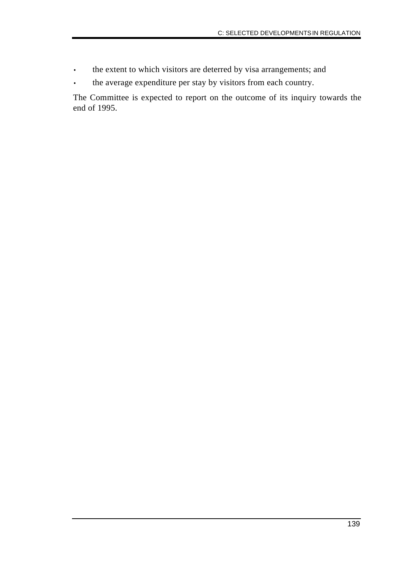- the extent to which visitors are deterred by visa arrangements; and
- the average expenditure per stay by visitors from each country.

The Committee is expected to report on the outcome of its inquiry towards the end of 1995.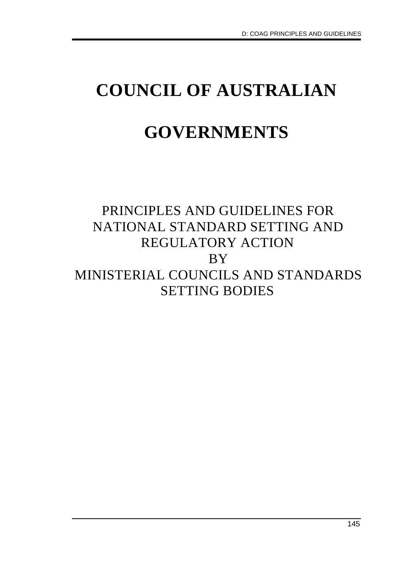# **COUNCIL OF AUSTRALIAN GOVERNMENTS**

# PRINCIPLES AND GUIDELINES FOR NATIONAL STANDARD SETTING AND REGULATORY ACTION BY MINISTERIAL COUNCILS AND STANDARDS SETTING BODIES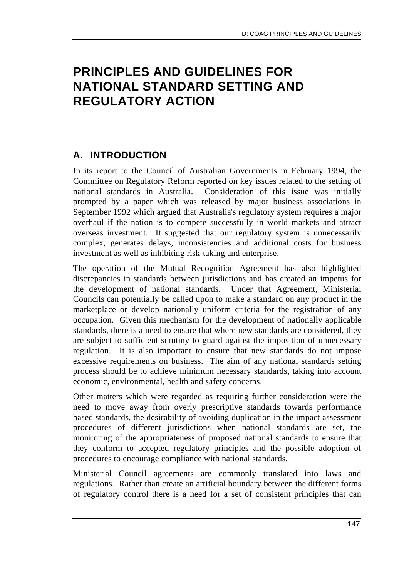## **PRINCIPLES AND GUIDELINES FOR NATIONAL STANDARD SETTING AND REGULATORY ACTION**

## **A. INTRODUCTION**

In its report to the Council of Australian Governments in February 1994, the Committee on Regulatory Reform reported on key issues related to the setting of national standards in Australia. Consideration of this issue was initially prompted by a paper which was released by major business associations in September 1992 which argued that Australia's regulatory system requires a major overhaul if the nation is to compete successfully in world markets and attract overseas investment. It suggested that our regulatory system is unnecessarily complex, generates delays, inconsistencies and additional costs for business investment as well as inhibiting risk-taking and enterprise.

The operation of the Mutual Recognition Agreement has also highlighted discrepancies in standards between jurisdictions and has created an impetus for the development of national standards. Under that Agreement, Ministerial Councils can potentially be called upon to make a standard on any product in the marketplace or develop nationally uniform criteria for the registration of any occupation. Given this mechanism for the development of nationally applicable standards, there is a need to ensure that where new standards are considered, they are subject to sufficient scrutiny to guard against the imposition of unnecessary regulation. It is also important to ensure that new standards do not impose excessive requirements on business. The aim of any national standards setting process should be to achieve minimum necessary standards, taking into account economic, environmental, health and safety concerns.

Other matters which were regarded as requiring further consideration were the need to move away from overly prescriptive standards towards performance based standards, the desirability of avoiding duplication in the impact assessment procedures of different jurisdictions when national standards are set, the monitoring of the appropriateness of proposed national standards to ensure that they conform to accepted regulatory principles and the possible adoption of procedures to encourage compliance with national standards.

Ministerial Council agreements are commonly translated into laws and regulations. Rather than create an artificial boundary between the different forms of regulatory control there is a need for a set of consistent principles that can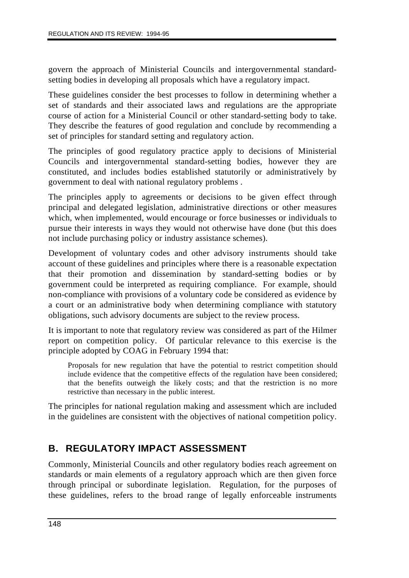govern the approach of Ministerial Councils and intergovernmental standardsetting bodies in developing all proposals which have a regulatory impact.

These guidelines consider the best processes to follow in determining whether a set of standards and their associated laws and regulations are the appropriate course of action for a Ministerial Council or other standard-setting body to take. They describe the features of good regulation and conclude by recommending a set of principles for standard setting and regulatory action.

The principles of good regulatory practice apply to decisions of Ministerial Councils and intergovernmental standard-setting bodies, however they are constituted, and includes bodies established statutorily or administratively by government to deal with national regulatory problems .

The principles apply to agreements or decisions to be given effect through principal and delegated legislation, administrative directions or other measures which, when implemented, would encourage or force businesses or individuals to pursue their interests in ways they would not otherwise have done (but this does not include purchasing policy or industry assistance schemes).

Development of voluntary codes and other advisory instruments should take account of these guidelines and principles where there is a reasonable expectation that their promotion and dissemination by standard-setting bodies or by government could be interpreted as requiring compliance. For example, should non-compliance with provisions of a voluntary code be considered as evidence by a court or an administrative body when determining compliance with statutory obligations, such advisory documents are subject to the review process.

It is important to note that regulatory review was considered as part of the Hilmer report on competition policy. Of particular relevance to this exercise is the principle adopted by COAG in February 1994 that:

Proposals for new regulation that have the potential to restrict competition should include evidence that the competitive effects of the regulation have been considered; that the benefits outweigh the likely costs; and that the restriction is no more restrictive than necessary in the public interest.

The principles for national regulation making and assessment which are included in the guidelines are consistent with the objectives of national competition policy.

## **B. REGULATORY IMPACT ASSESSMENT**

Commonly, Ministerial Councils and other regulatory bodies reach agreement on standards or main elements of a regulatory approach which are then given force through principal or subordinate legislation. Regulation, for the purposes of these guidelines, refers to the broad range of legally enforceable instruments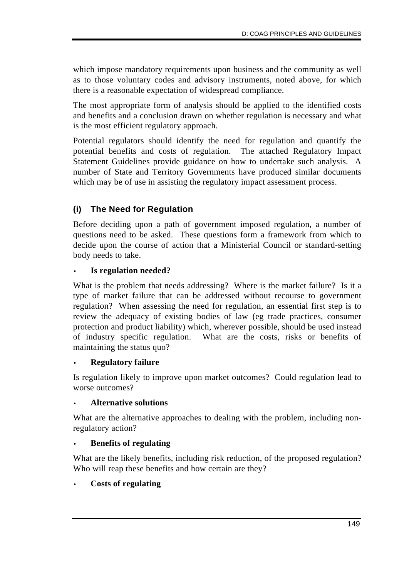which impose mandatory requirements upon business and the community as well as to those voluntary codes and advisory instruments, noted above, for which there is a reasonable expectation of widespread compliance.

The most appropriate form of analysis should be applied to the identified costs and benefits and a conclusion drawn on whether regulation is necessary and what is the most efficient regulatory approach.

Potential regulators should identify the need for regulation and quantify the potential benefits and costs of regulation. The attached Regulatory Impact Statement Guidelines provide guidance on how to undertake such analysis. A number of State and Territory Governments have produced similar documents which may be of use in assisting the regulatory impact assessment process.

## **(i) The Need for Regulation**

Before deciding upon a path of government imposed regulation, a number of questions need to be asked. These questions form a framework from which to decide upon the course of action that a Ministerial Council or standard-setting body needs to take.

#### • **Is regulation needed?**

What is the problem that needs addressing? Where is the market failure? Is it a type of market failure that can be addressed without recourse to government regulation? When assessing the need for regulation, an essential first step is to review the adequacy of existing bodies of law (eg trade practices, consumer protection and product liability) which, wherever possible, should be used instead of industry specific regulation. What are the costs, risks or benefits of maintaining the status quo?

#### • **Regulatory failure**

Is regulation likely to improve upon market outcomes? Could regulation lead to worse outcomes?

#### • **Alternative solutions**

What are the alternative approaches to dealing with the problem, including nonregulatory action?

#### • **Benefits of regulating**

What are the likely benefits, including risk reduction, of the proposed regulation? Who will reap these benefits and how certain are they?

#### • **Costs of regulating**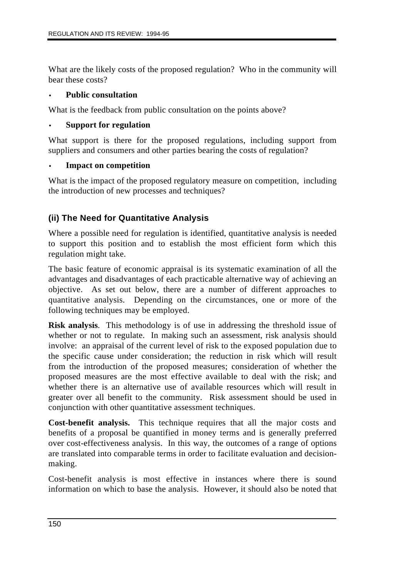What are the likely costs of the proposed regulation? Who in the community will bear these costs?

#### • **Public consultation**

What is the feedback from public consultation on the points above?

#### • **Support for regulation**

What support is there for the proposed regulations, including support from suppliers and consumers and other parties bearing the costs of regulation?

#### • **Impact on competition**

What is the impact of the proposed regulatory measure on competition, including the introduction of new processes and techniques?

#### **(ii) The Need for Quantitative Analysis**

Where a possible need for regulation is identified, quantitative analysis is needed to support this position and to establish the most efficient form which this regulation might take.

The basic feature of economic appraisal is its systematic examination of all the advantages and disadvantages of each practicable alternative way of achieving an objective. As set out below, there are a number of different approaches to quantitative analysis. Depending on the circumstances, one or more of the following techniques may be employed.

**Risk analysis**. This methodology is of use in addressing the threshold issue of whether or not to regulate. In making such an assessment, risk analysis should involve: an appraisal of the current level of risk to the exposed population due to the specific cause under consideration; the reduction in risk which will result from the introduction of the proposed measures; consideration of whether the proposed measures are the most effective available to deal with the risk; and whether there is an alternative use of available resources which will result in greater over all benefit to the community. Risk assessment should be used in conjunction with other quantitative assessment techniques.

**Cost-benefit analysis.** This technique requires that all the major costs and benefits of a proposal be quantified in money terms and is generally preferred over cost-effectiveness analysis. In this way, the outcomes of a range of options are translated into comparable terms in order to facilitate evaluation and decisionmaking.

Cost-benefit analysis is most effective in instances where there is sound information on which to base the analysis. However, it should also be noted that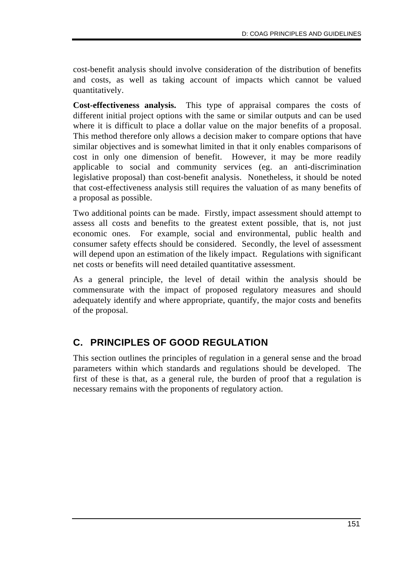cost-benefit analysis should involve consideration of the distribution of benefits and costs, as well as taking account of impacts which cannot be valued quantitatively.

**Cost-effectiveness analysis.** This type of appraisal compares the costs of different initial project options with the same or similar outputs and can be used where it is difficult to place a dollar value on the major benefits of a proposal. This method therefore only allows a decision maker to compare options that have similar objectives and is somewhat limited in that it only enables comparisons of cost in only one dimension of benefit. However, it may be more readily applicable to social and community services (eg. an anti-discrimination legislative proposal) than cost-benefit analysis. Nonetheless, it should be noted that cost-effectiveness analysis still requires the valuation of as many benefits of a proposal as possible.

Two additional points can be made. Firstly, impact assessment should attempt to assess all costs and benefits to the greatest extent possible, that is, not just economic ones. For example, social and environmental, public health and consumer safety effects should be considered. Secondly, the level of assessment will depend upon an estimation of the likely impact. Regulations with significant net costs or benefits will need detailed quantitative assessment.

As a general principle, the level of detail within the analysis should be commensurate with the impact of proposed regulatory measures and should adequately identify and where appropriate, quantify, the major costs and benefits of the proposal.

## **C. PRINCIPLES OF GOOD REGULATION**

This section outlines the principles of regulation in a general sense and the broad parameters within which standards and regulations should be developed. The first of these is that, as a general rule, the burden of proof that a regulation is necessary remains with the proponents of regulatory action.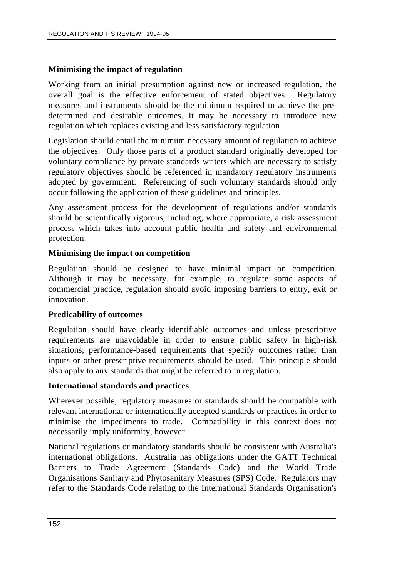#### **Minimising the impact of regulation**

Working from an initial presumption against new or increased regulation, the overall goal is the effective enforcement of stated objectives. Regulatory measures and instruments should be the minimum required to achieve the predetermined and desirable outcomes. It may be necessary to introduce new regulation which replaces existing and less satisfactory regulation

Legislation should entail the minimum necessary amount of regulation to achieve the objectives. Only those parts of a product standard originally developed for voluntary compliance by private standards writers which are necessary to satisfy regulatory objectives should be referenced in mandatory regulatory instruments adopted by government. Referencing of such voluntary standards should only occur following the application of these guidelines and principles.

Any assessment process for the development of regulations and/or standards should be scientifically rigorous, including, where appropriate, a risk assessment process which takes into account public health and safety and environmental protection.

#### **Minimising the impact on competition**

Regulation should be designed to have minimal impact on competition. Although it may be necessary, for example, to regulate some aspects of commercial practice, regulation should avoid imposing barriers to entry, exit or innovation.

#### **Predicability of outcomes**

Regulation should have clearly identifiable outcomes and unless prescriptive requirements are unavoidable in order to ensure public safety in high-risk situations, performance-based requirements that specify outcomes rather than inputs or other prescriptive requirements should be used. This principle should also apply to any standards that might be referred to in regulation.

#### **International standards and practices**

Wherever possible, regulatory measures or standards should be compatible with relevant international or internationally accepted standards or practices in order to minimise the impediments to trade. Compatibility in this context does not necessarily imply uniformity, however.

National regulations or mandatory standards should be consistent with Australia's international obligations. Australia has obligations under the GATT Technical Barriers to Trade Agreement (Standards Code) and the World Trade Organisations Sanitary and Phytosanitary Measures (SPS) Code. Regulators may refer to the Standards Code relating to the International Standards Organisation's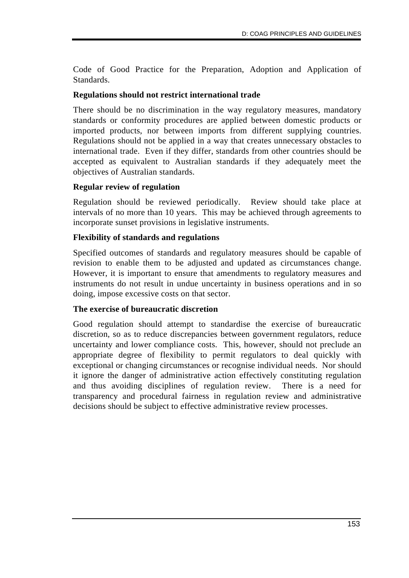Code of Good Practice for the Preparation, Adoption and Application of Standards.

#### **Regulations should not restrict international trade**

There should be no discrimination in the way regulatory measures, mandatory standards or conformity procedures are applied between domestic products or imported products, nor between imports from different supplying countries. Regulations should not be applied in a way that creates unnecessary obstacles to international trade. Even if they differ, standards from other countries should be accepted as equivalent to Australian standards if they adequately meet the objectives of Australian standards.

#### **Regular review of regulation**

Regulation should be reviewed periodically. Review should take place at intervals of no more than 10 years. This may be achieved through agreements to incorporate sunset provisions in legislative instruments.

#### **Flexibility of standards and regulations**

Specified outcomes of standards and regulatory measures should be capable of revision to enable them to be adjusted and updated as circumstances change. However, it is important to ensure that amendments to regulatory measures and instruments do not result in undue uncertainty in business operations and in so doing, impose excessive costs on that sector.

#### **The exercise of bureaucratic discretion**

Good regulation should attempt to standardise the exercise of bureaucratic discretion, so as to reduce discrepancies between government regulators, reduce uncertainty and lower compliance costs. This, however, should not preclude an appropriate degree of flexibility to permit regulators to deal quickly with exceptional or changing circumstances or recognise individual needs. Nor should it ignore the danger of administrative action effectively constituting regulation and thus avoiding disciplines of regulation review. There is a need for transparency and procedural fairness in regulation review and administrative decisions should be subject to effective administrative review processes.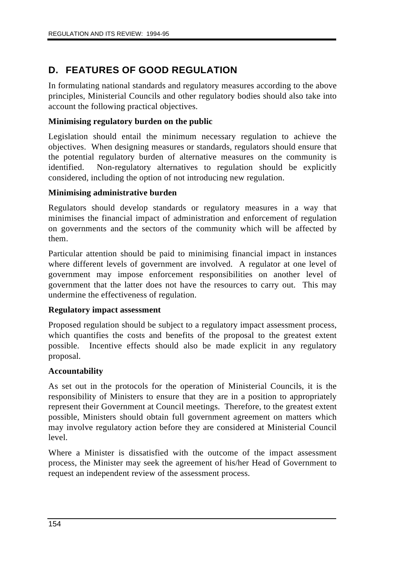## **D. FEATURES OF GOOD REGULATION**

In formulating national standards and regulatory measures according to the above principles, Ministerial Councils and other regulatory bodies should also take into account the following practical objectives.

#### **Minimising regulatory burden on the public**

Legislation should entail the minimum necessary regulation to achieve the objectives. When designing measures or standards, regulators should ensure that the potential regulatory burden of alternative measures on the community is identified. Non-regulatory alternatives to regulation should be explicitly considered, including the option of not introducing new regulation.

#### **Minimising administrative burden**

Regulators should develop standards or regulatory measures in a way that minimises the financial impact of administration and enforcement of regulation on governments and the sectors of the community which will be affected by them.

Particular attention should be paid to minimising financial impact in instances where different levels of government are involved. A regulator at one level of government may impose enforcement responsibilities on another level of government that the latter does not have the resources to carry out. This may undermine the effectiveness of regulation.

#### **Regulatory impact assessment**

Proposed regulation should be subject to a regulatory impact assessment process, which quantifies the costs and benefits of the proposal to the greatest extent possible. Incentive effects should also be made explicit in any regulatory proposal.

#### **Accountability**

As set out in the protocols for the operation of Ministerial Councils, it is the responsibility of Ministers to ensure that they are in a position to appropriately represent their Government at Council meetings. Therefore, to the greatest extent possible, Ministers should obtain full government agreement on matters which may involve regulatory action before they are considered at Ministerial Council level.

Where a Minister is dissatisfied with the outcome of the impact assessment process, the Minister may seek the agreement of his/her Head of Government to request an independent review of the assessment process.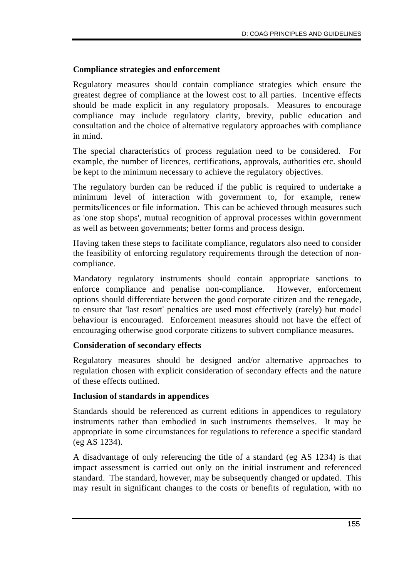#### **Compliance strategies and enforcement**

Regulatory measures should contain compliance strategies which ensure the greatest degree of compliance at the lowest cost to all parties. Incentive effects should be made explicit in any regulatory proposals. Measures to encourage compliance may include regulatory clarity, brevity, public education and consultation and the choice of alternative regulatory approaches with compliance in mind.

The special characteristics of process regulation need to be considered. For example, the number of licences, certifications, approvals, authorities etc. should be kept to the minimum necessary to achieve the regulatory objectives.

The regulatory burden can be reduced if the public is required to undertake a minimum level of interaction with government to, for example, renew permits/licences or file information. This can be achieved through measures such as 'one stop shops', mutual recognition of approval processes within government as well as between governments; better forms and process design.

Having taken these steps to facilitate compliance, regulators also need to consider the feasibility of enforcing regulatory requirements through the detection of noncompliance.

Mandatory regulatory instruments should contain appropriate sanctions to enforce compliance and penalise non-compliance. However, enforcement options should differentiate between the good corporate citizen and the renegade, to ensure that 'last resort' penalties are used most effectively (rarely) but model behaviour is encouraged. Enforcement measures should not have the effect of encouraging otherwise good corporate citizens to subvert compliance measures.

#### **Consideration of secondary effects**

Regulatory measures should be designed and/or alternative approaches to regulation chosen with explicit consideration of secondary effects and the nature of these effects outlined.

#### **Inclusion of standards in appendices**

Standards should be referenced as current editions in appendices to regulatory instruments rather than embodied in such instruments themselves. It may be appropriate in some circumstances for regulations to reference a specific standard (eg AS 1234).

A disadvantage of only referencing the title of a standard (eg AS 1234) is that impact assessment is carried out only on the initial instrument and referenced standard. The standard, however, may be subsequently changed or updated. This may result in significant changes to the costs or benefits of regulation, with no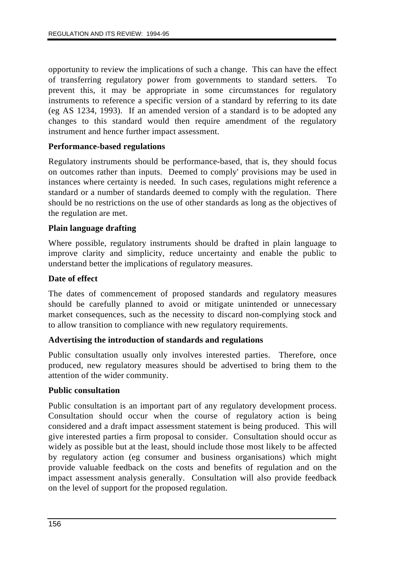opportunity to review the implications of such a change. This can have the effect of transferring regulatory power from governments to standard setters. To prevent this, it may be appropriate in some circumstances for regulatory instruments to reference a specific version of a standard by referring to its date (eg AS 1234, 1993). If an amended version of a standard is to be adopted any changes to this standard would then require amendment of the regulatory instrument and hence further impact assessment.

#### **Performance-based regulations**

Regulatory instruments should be performance-based, that is, they should focus on outcomes rather than inputs. Deemed to comply' provisions may be used in instances where certainty is needed. In such cases, regulations might reference a standard or a number of standards deemed to comply with the regulation. There should be no restrictions on the use of other standards as long as the objectives of the regulation are met.

#### **Plain language drafting**

Where possible, regulatory instruments should be drafted in plain language to improve clarity and simplicity, reduce uncertainty and enable the public to understand better the implications of regulatory measures.

#### **Date of effect**

The dates of commencement of proposed standards and regulatory measures should be carefully planned to avoid or mitigate unintended or unnecessary market consequences, such as the necessity to discard non-complying stock and to allow transition to compliance with new regulatory requirements.

#### **Advertising the introduction of standards and regulations**

Public consultation usually only involves interested parties. Therefore, once produced, new regulatory measures should be advertised to bring them to the attention of the wider community.

#### **Public consultation**

Public consultation is an important part of any regulatory development process. Consultation should occur when the course of regulatory action is being considered and a draft impact assessment statement is being produced. This will give interested parties a firm proposal to consider. Consultation should occur as widely as possible but at the least, should include those most likely to be affected by regulatory action (eg consumer and business organisations) which might provide valuable feedback on the costs and benefits of regulation and on the impact assessment analysis generally. Consultation will also provide feedback on the level of support for the proposed regulation.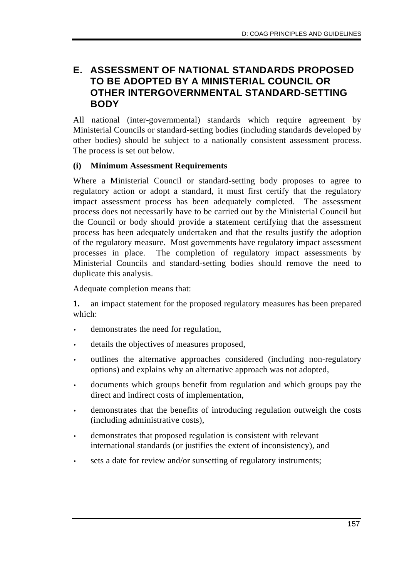## **E. ASSESSMENT OF NATIONAL STANDARDS PROPOSED TO BE ADOPTED BY A MINISTERIAL COUNCIL OR OTHER INTERGOVERNMENTAL STANDARD-SETTING BODY**

All national (inter-governmental) standards which require agreement by Ministerial Councils or standard-setting bodies (including standards developed by other bodies) should be subject to a nationally consistent assessment process. The process is set out below.

#### **(i) Minimum Assessment Requirements**

Where a Ministerial Council or standard-setting body proposes to agree to regulatory action or adopt a standard, it must first certify that the regulatory impact assessment process has been adequately completed. The assessment process does not necessarily have to be carried out by the Ministerial Council but the Council or body should provide a statement certifying that the assessment process has been adequately undertaken and that the results justify the adoption of the regulatory measure. Most governments have regulatory impact assessment processes in place. The completion of regulatory impact assessments by Ministerial Councils and standard-setting bodies should remove the need to duplicate this analysis.

Adequate completion means that:

**1.** an impact statement for the proposed regulatory measures has been prepared which:

- demonstrates the need for regulation,
- details the objectives of measures proposed,
- outlines the alternative approaches considered (including non-regulatory options) and explains why an alternative approach was not adopted,
- documents which groups benefit from regulation and which groups pay the direct and indirect costs of implementation,
- demonstrates that the benefits of introducing regulation outweigh the costs (including administrative costs),
- demonstrates that proposed regulation is consistent with relevant international standards (or justifies the extent of inconsistency), and
- sets a date for review and/or sunsetting of regulatory instruments;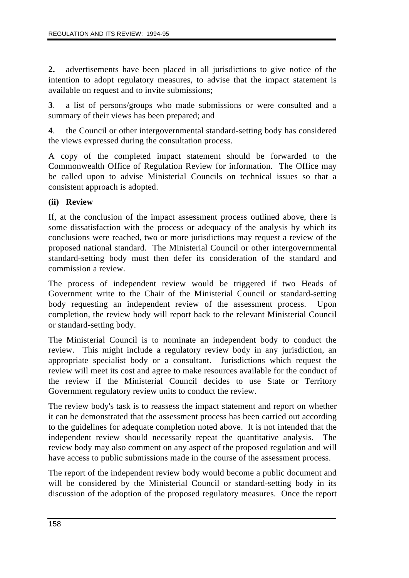**2.** advertisements have been placed in all jurisdictions to give notice of the intention to adopt regulatory measures, to advise that the impact statement is available on request and to invite submissions;

**3**. a list of persons/groups who made submissions or were consulted and a summary of their views has been prepared; and

**4**. the Council or other intergovernmental standard-setting body has considered the views expressed during the consultation process.

A copy of the completed impact statement should be forwarded to the Commonwealth Office of Regulation Review for information. The Office may be called upon to advise Ministerial Councils on technical issues so that a consistent approach is adopted.

#### **(ii) Review**

If, at the conclusion of the impact assessment process outlined above, there is some dissatisfaction with the process or adequacy of the analysis by which its conclusions were reached, two or more jurisdictions may request a review of the proposed national standard. The Ministerial Council or other intergovernmental standard-setting body must then defer its consideration of the standard and commission a review.

The process of independent review would be triggered if two Heads of Government write to the Chair of the Ministerial Council or standard-setting body requesting an independent review of the assessment process. Upon completion, the review body will report back to the relevant Ministerial Council or standard-setting body.

The Ministerial Council is to nominate an independent body to conduct the review. This might include a regulatory review body in any jurisdiction, an appropriate specialist body or a consultant. Jurisdictions which request the review will meet its cost and agree to make resources available for the conduct of the review if the Ministerial Council decides to use State or Territory Government regulatory review units to conduct the review.

The review body's task is to reassess the impact statement and report on whether it can be demonstrated that the assessment process has been carried out according to the guidelines for adequate completion noted above. It is not intended that the independent review should necessarily repeat the quantitative analysis. The review body may also comment on any aspect of the proposed regulation and will have access to public submissions made in the course of the assessment process.

The report of the independent review body would become a public document and will be considered by the Ministerial Council or standard-setting body in its discussion of the adoption of the proposed regulatory measures. Once the report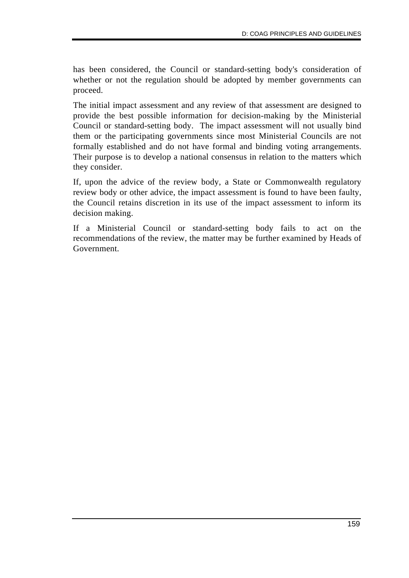has been considered, the Council or standard-setting body's consideration of whether or not the regulation should be adopted by member governments can proceed.

The initial impact assessment and any review of that assessment are designed to provide the best possible information for decision-making by the Ministerial Council or standard-setting body. The impact assessment will not usually bind them or the participating governments since most Ministerial Councils are not formally established and do not have formal and binding voting arrangements. Their purpose is to develop a national consensus in relation to the matters which they consider.

If, upon the advice of the review body, a State or Commonwealth regulatory review body or other advice, the impact assessment is found to have been faulty, the Council retains discretion in its use of the impact assessment to inform its decision making.

If a Ministerial Council or standard-setting body fails to act on the recommendations of the review, the matter may be further examined by Heads of Government.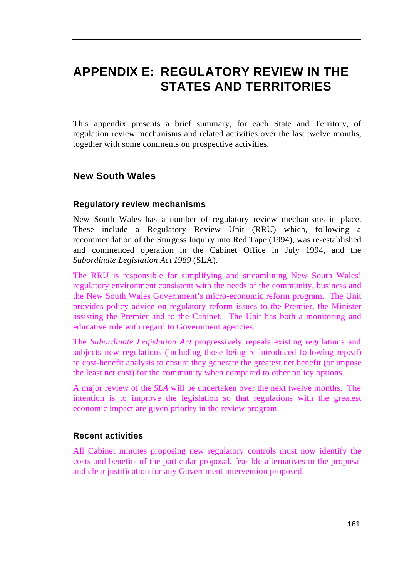# **APPENDIX E: REGULATORY REVIEW IN THE STATES AND TERRITORIES**

This appendix presents a brief summary, for each State and Territory, of regulation review mechanisms and related activities over the last twelve months, together with some comments on prospective activities.

## **New South Wales**

#### **Regulatory review mechanisms**

New South Wales has a number of regulatory review mechanisms in place. These include a Regulatory Review Unit (RRU) which, following a recommendation of the Sturgess Inquiry into Red Tape (1994), was re-established and commenced operation in the Cabinet Office in July 1994, and the *Subordinate Legislation Act 1989* (SLA).

The RRU is responsible for simplifying and streamlining New South Wales' regulatory environment consistent with the needs of the community, business and the New South Wales Government's micro-economic reform program. The Unit provides policy advice on regulatory reform issues to the Premier, the Minister assisting the Premier and to the Cabinet. The Unit has both a monitoring and educative role with regard to Government agencies.

The *Subordinate Legislation Act* progressively repeals existing regulations and subjects new regulations (including those being re-introduced following repeal) to cost-benefit analysis to ensure they generate the greatest net benefit (or impose the least net cost) for the community when compared to other policy options.

A major review of the *SLA* will be undertaken over the next twelve months. The intention is to improve the legislation so that regulations with the greatest economic impact are given priority in the review program.

#### **Recent activities**

All Cabinet minutes proposing new regulatory controls must now identify the costs and benefits of the particular proposal, feasible alternatives to the proposal and clear justification for any Government intervention proposed.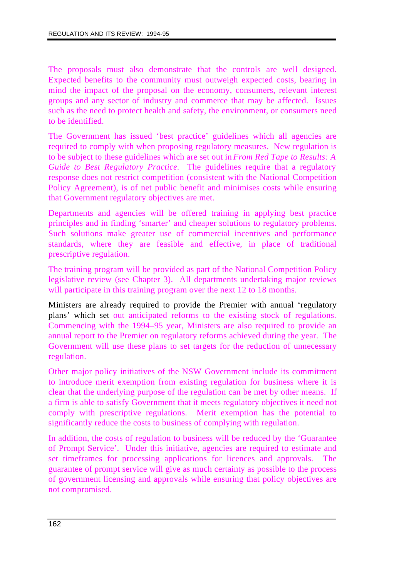The proposals must also demonstrate that the controls are well designed. Expected benefits to the community must outweigh expected costs, bearing in mind the impact of the proposal on the economy, consumers, relevant interest groups and any sector of industry and commerce that may be affected. Issues such as the need to protect health and safety, the environment, or consumers need to be identified.

The Government has issued 'best practice' guidelines which all agencies are required to comply with when proposing regulatory measures. New regulation is to be subject to these guidelines which are set out in *From Red Tape to Results: A Guide to Best Regulatory Practice.* The guidelines require that a regulatory response does not restrict competition (consistent with the National Competition Policy Agreement), is of net public benefit and minimises costs while ensuring that Government regulatory objectives are met.

Departments and agencies will be offered training in applying best practice principles and in finding 'smarter' and cheaper solutions to regulatory problems. Such solutions make greater use of commercial incentives and performance standards, where they are feasible and effective, in place of traditional prescriptive regulation.

The training program will be provided as part of the National Competition Policy legislative review (see Chapter 3). All departments undertaking major reviews will participate in this training program over the next 12 to 18 months.

Ministers are already required to provide the Premier with annual 'regulatory plans' which set out anticipated reforms to the existing stock of regulations. Commencing with the 1994–95 year, Ministers are also required to provide an annual report to the Premier on regulatory reforms achieved during the year. The Government will use these plans to set targets for the reduction of unnecessary regulation.

Other major policy initiatives of the NSW Government include its commitment to introduce merit exemption from existing regulation for business where it is clear that the underlying purpose of the regulation can be met by other means. If a firm is able to satisfy Government that it meets regulatory objectives it need not comply with prescriptive regulations. Merit exemption has the potential to significantly reduce the costs to business of complying with regulation.

In addition, the costs of regulation to business will be reduced by the 'Guarantee of Prompt Service'. Under this initiative, agencies are required to estimate and set timeframes for processing applications for licences and approvals. The guarantee of prompt service will give as much certainty as possible to the process of government licensing and approvals while ensuring that policy objectives are not compromised.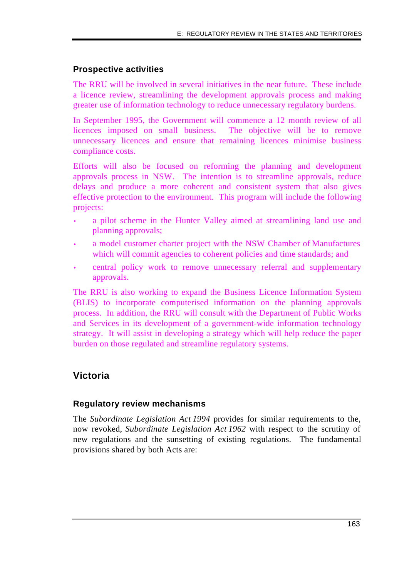#### **Prospective activities**

The RRU will be involved in several initiatives in the near future. These include a licence review, streamlining the development approvals process and making greater use of information technology to reduce unnecessary regulatory burdens.

In September 1995, the Government will commence a 12 month review of all licences imposed on small business. The objective will be to remove unnecessary licences and ensure that remaining licences minimise business compliance costs.

Efforts will also be focused on reforming the planning and development approvals process in NSW. The intention is to streamline approvals, reduce delays and produce a more coherent and consistent system that also gives effective protection to the environment. This program will include the following projects:

- a pilot scheme in the Hunter Valley aimed at streamlining land use and planning approvals;
- a model customer charter project with the NSW Chamber of Manufactures which will commit agencies to coherent policies and time standards; and
- central policy work to remove unnecessary referral and supplementary approvals.

The RRU is also working to expand the Business Licence Information System (BLIS) to incorporate computerised information on the planning approvals process. In addition, the RRU will consult with the Department of Public Works and Services in its development of a government-wide information technology strategy. It will assist in developing a strategy which will help reduce the paper burden on those regulated and streamline regulatory systems.

## **Victoria**

#### **Regulatory review mechanisms**

The *Subordinate Legislation Act 1994* provides for similar requirements to the, now revoked, *Subordinate Legislation Act 1962* with respect to the scrutiny of new regulations and the sunsetting of existing regulations. The fundamental provisions shared by both Acts are: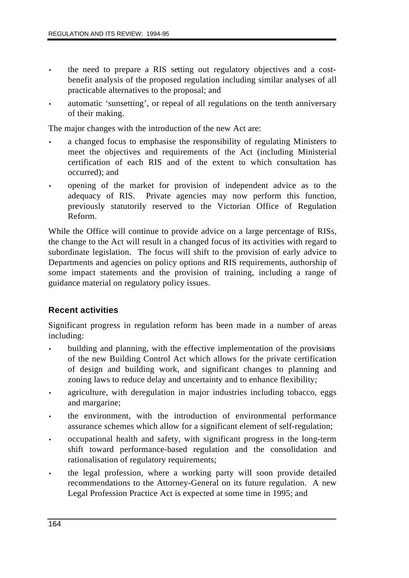- the need to prepare a RIS setting out regulatory objectives and a costbenefit analysis of the proposed regulation including similar analyses of all practicable alternatives to the proposal; and
- automatic 'sunsetting', or repeal of all regulations on the tenth anniversary of their making.

The major changes with the introduction of the new Act are:

- a changed focus to emphasise the responsibility of regulating Ministers to meet the objectives and requirements of the Act (including Ministerial certification of each RIS and of the extent to which consultation has occurred); and
- opening of the market for provision of independent advice as to the adequacy of RIS. Private agencies may now perform this function, previously statutorily reserved to the Victorian Office of Regulation Reform.

While the Office will continue to provide advice on a large percentage of RISs, the change to the Act will result in a changed focus of its activities with regard to subordinate legislation. The focus will shift to the provision of early advice to Departments and agencies on policy options and RIS requirements, authorship of some impact statements and the provision of training, including a range of guidance material on regulatory policy issues.

#### **Recent activities**

Significant progress in regulation reform has been made in a number of areas including:

- building and planning, with the effective implementation of the provisions of the new Building Control Act which allows for the private certification of design and building work, and significant changes to planning and zoning laws to reduce delay and uncertainty and to enhance flexibility;
- agriculture, with deregulation in major industries including tobacco, eggs and margarine;
- the environment, with the introduction of environmental performance assurance schemes which allow for a significant element of self-regulation;
- occupational health and safety, with significant progress in the long-term shift toward performance-based regulation and the consolidation and rationalisation of regulatory requirements;
- the legal profession, where a working party will soon provide detailed recommendations to the Attorney-General on its future regulation. A new Legal Profession Practice Act is expected at some time in 1995; and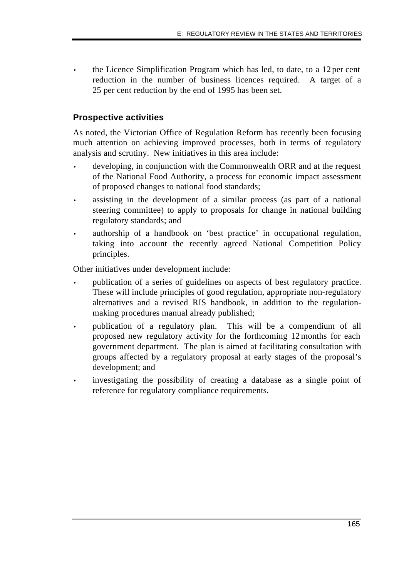• the Licence Simplification Program which has led, to date, to a 12 per cent reduction in the number of business licences required. A target of a 25 per cent reduction by the end of 1995 has been set.

#### **Prospective activities**

As noted, the Victorian Office of Regulation Reform has recently been focusing much attention on achieving improved processes, both in terms of regulatory analysis and scrutiny. New initiatives in this area include:

- developing, in conjunction with the Commonwealth ORR and at the request of the National Food Authority, a process for economic impact assessment of proposed changes to national food standards;
- assisting in the development of a similar process (as part of a national steering committee) to apply to proposals for change in national building regulatory standards; and
- authorship of a handbook on 'best practice' in occupational regulation, taking into account the recently agreed National Competition Policy principles.

Other initiatives under development include:

- publication of a series of guidelines on aspects of best regulatory practice. These will include principles of good regulation, appropriate non-regulatory alternatives and a revised RIS handbook, in addition to the regulationmaking procedures manual already published;
- publication of a regulatory plan. This will be a compendium of all proposed new regulatory activity for the forthcoming 12 months for each government department. The plan is aimed at facilitating consultation with groups affected by a regulatory proposal at early stages of the proposal's development; and
- investigating the possibility of creating a database as a single point of reference for regulatory compliance requirements.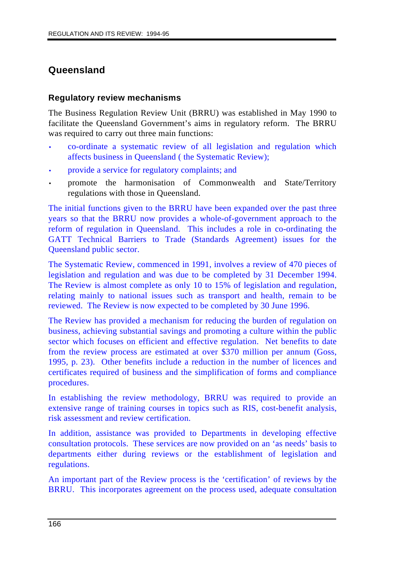## **Queensland**

#### **Regulatory review mechanisms**

The Business Regulation Review Unit (BRRU) was established in May 1990 to facilitate the Queensland Government's aims in regulatory reform. The BRRU was required to carry out three main functions:

- co-ordinate a systematic review of all legislation and regulation which affects business in Queensland ( the Systematic Review);
- provide a service for regulatory complaints; and
- promote the harmonisation of Commonwealth and State/Territory regulations with those in Queensland.

The initial functions given to the BRRU have been expanded over the past three years so that the BRRU now provides a whole-of-government approach to the reform of regulation in Queensland. This includes a role in co-ordinating the GATT Technical Barriers to Trade (Standards Agreement) issues for the Queensland public sector.

The Systematic Review, commenced in 1991, involves a review of 470 pieces of legislation and regulation and was due to be completed by 31 December 1994. The Review is almost complete as only 10 to 15% of legislation and regulation, relating mainly to national issues such as transport and health, remain to be reviewed. The Review is now expected to be completed by 30 June 1996.

The Review has provided a mechanism for reducing the burden of regulation on business, achieving substantial savings and promoting a culture within the public sector which focuses on efficient and effective regulation. Net benefits to date from the review process are estimated at over \$370 million per annum (Goss, 1995, p. 23). Other benefits include a reduction in the number of licences and certificates required of business and the simplification of forms and compliance procedures.

In establishing the review methodology, BRRU was required to provide an extensive range of training courses in topics such as RIS, cost-benefit analysis, risk assessment and review certification.

In addition, assistance was provided to Departments in developing effective consultation protocols. These services are now provided on an 'as needs' basis to departments either during reviews or the establishment of legislation and regulations.

An important part of the Review process is the 'certification' of reviews by the BRRU. This incorporates agreement on the process used, adequate consultation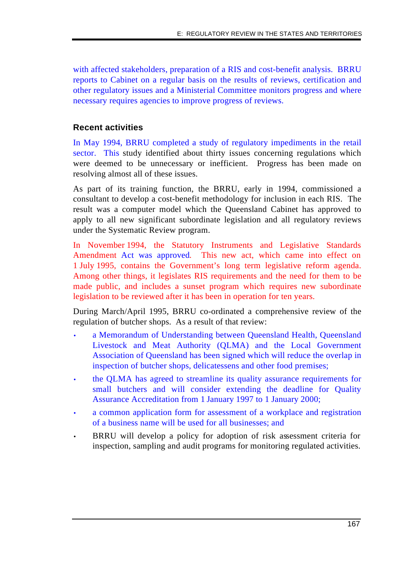with affected stakeholders, preparation of a RIS and cost-benefit analysis. BRRU reports to Cabinet on a regular basis on the results of reviews, certification and other regulatory issues and a Ministerial Committee monitors progress and where necessary requires agencies to improve progress of reviews.

#### **Recent activities**

In May 1994, BRRU completed a study of regulatory impediments in the retail sector. This study identified about thirty issues concerning regulations which were deemed to be unnecessary or inefficient. Progress has been made on resolving almost all of these issues.

As part of its training function, the BRRU, early in 1994, commissioned a consultant to develop a cost-benefit methodology for inclusion in each RIS. The result was a computer model which the Queensland Cabinet has approved to apply to all new significant subordinate legislation and all regulatory reviews under the Systematic Review program.

In November 1994, the Statutory Instruments and Legislative Standards Amendment Act was approved. This new act, which came into effect on 1 July 1995, contains the Government's long term legislative reform agenda. Among other things, it legislates RIS requirements and the need for them to be made public, and includes a sunset program which requires new subordinate legislation to be reviewed after it has been in operation for ten years.

During March/April 1995, BRRU co-ordinated a comprehensive review of the regulation of butcher shops. As a result of that review:

- a Memorandum of Understanding between Queensland Health, Queensland Livestock and Meat Authority (QLMA) and the Local Government Association of Queensland has been signed which will reduce the overlap in inspection of butcher shops, delicatessens and other food premises;
- the QLMA has agreed to streamline its quality assurance requirements for small butchers and will consider extending the deadline for Quality Assurance Accreditation from 1 January 1997 to 1 January 2000;
- a common application form for assessment of a workplace and registration of a business name will be used for all businesses; and
- BRRU will develop a policy for adoption of risk assessment criteria for inspection, sampling and audit programs for monitoring regulated activities.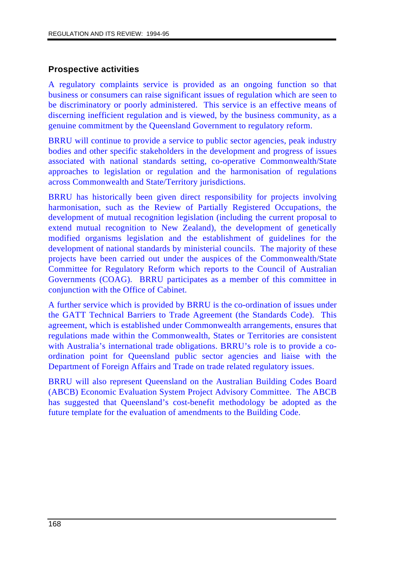#### **Prospective activities**

A regulatory complaints service is provided as an ongoing function so that business or consumers can raise significant issues of regulation which are seen to be discriminatory or poorly administered. This service is an effective means of discerning inefficient regulation and is viewed, by the business community, as a genuine commitment by the Queensland Government to regulatory reform.

BRRU will continue to provide a service to public sector agencies, peak industry bodies and other specific stakeholders in the development and progress of issues associated with national standards setting, co-operative Commonwealth/State approaches to legislation or regulation and the harmonisation of regulations across Commonwealth and State/Territory jurisdictions.

BRRU has historically been given direct responsibility for projects involving harmonisation, such as the Review of Partially Registered Occupations, the development of mutual recognition legislation (including the current proposal to extend mutual recognition to New Zealand), the development of genetically modified organisms legislation and the establishment of guidelines for the development of national standards by ministerial councils. The majority of these projects have been carried out under the auspices of the Commonwealth/State Committee for Regulatory Reform which reports to the Council of Australian Governments (COAG). BRRU participates as a member of this committee in conjunction with the Office of Cabinet.

A further service which is provided by BRRU is the co-ordination of issues under the GATT Technical Barriers to Trade Agreement (the Standards Code). This agreement, which is established under Commonwealth arrangements, ensures that regulations made within the Commonwealth, States or Territories are consistent with Australia's international trade obligations. BRRU's role is to provide a coordination point for Queensland public sector agencies and liaise with the Department of Foreign Affairs and Trade on trade related regulatory issues.

BRRU will also represent Queensland on the Australian Building Codes Board (ABCB) Economic Evaluation System Project Advisory Committee. The ABCB has suggested that Queensland's cost-benefit methodology be adopted as the future template for the evaluation of amendments to the Building Code.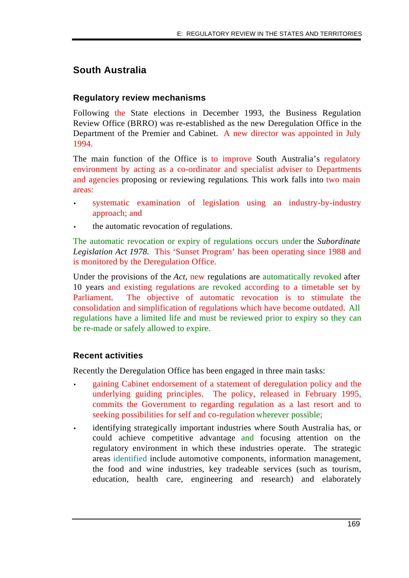## **South Australia**

#### **Regulatory review mechanisms**

Following the State elections in December 1993, the Business Regulation Review Office (BRRO) was re-established as the new Deregulation Office in the Department of the Premier and Cabinet. A new director was appointed in July 1994.

The main function of the Office is to improve South Australia's regulatory environment by acting as a co-ordinator and specialist adviser to Departments and agencies proposing or reviewing regulations. This work falls into two main areas:

- systematic examination of legislation using an industry-by-industry approach; and
- the automatic revocation of regulations.

The automatic revocation or expiry of regulations occurs under the *Subordinate Legislation Act 1978.* This 'Sunset Program' has been operating since 1988 and is monitored by the Deregulation Office.

Under the provisions of the *Act,* new regulations are automatically revoked after 10 years and existing regulations are revoked according to a timetable set by Parliament. The objective of automatic revocation is to stimulate the consolidation and simplification of regulations which have become outdated. All regulations have a limited life and must be reviewed prior to expiry so they can be re-made or safely allowed to expire.

#### **Recent activities**

Recently the Deregulation Office has been engaged in three main tasks:

- gaining Cabinet endorsement of a statement of deregulation policy and the underlying guiding principles. The policy, released in February 1995, commits the Government to regarding regulation as a last resort and to seeking possibilities for self and co-regulation wherever possible;
- identifying strategically important industries where South Australia has, or could achieve competitive advantage and focusing attention on the regulatory environment in which these industries operate. The strategic areas identified include automotive components, information management, the food and wine industries, key tradeable services (such as tourism, education, health care, engineering and research) and elaborately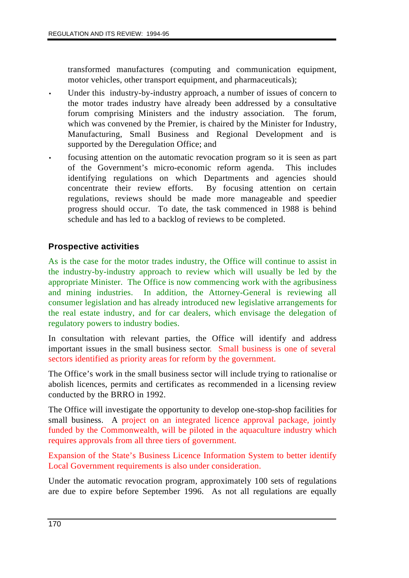transformed manufactures (computing and communication equipment, motor vehicles, other transport equipment, and pharmaceuticals);

- Under this industry-by-industry approach, a number of issues of concern to the motor trades industry have already been addressed by a consultative forum comprising Ministers and the industry association. The forum, which was convened by the Premier, is chaired by the Minister for Industry, Manufacturing, Small Business and Regional Development and is supported by the Deregulation Office; and
- focusing attention on the automatic revocation program so it is seen as part of the Government's micro-economic reform agenda. This includes identifying regulations on which Departments and agencies should concentrate their review efforts. By focusing attention on certain regulations, reviews should be made more manageable and speedier progress should occur. To date, the task commenced in 1988 is behind schedule and has led to a backlog of reviews to be completed.

#### **Prospective activities**

As is the case for the motor trades industry, the Office will continue to assist in the industry-by-industry approach to review which will usually be led by the appropriate Minister. The Office is now commencing work with the agribusiness and mining industries. In addition, the Attorney-General is reviewing all consumer legislation and has already introduced new legislative arrangements for the real estate industry, and for car dealers, which envisage the delegation of regulatory powers to industry bodies.

In consultation with relevant parties, the Office will identify and address important issues in the small business sector. Small business is one of several sectors identified as priority areas for reform by the government.

The Office's work in the small business sector will include trying to rationalise or abolish licences, permits and certificates as recommended in a licensing review conducted by the BRRO in 1992.

The Office will investigate the opportunity to develop one-stop-shop facilities for small business. A project on an integrated licence approval package, jointly funded by the Commonwealth, will be piloted in the aquaculture industry which requires approvals from all three tiers of government.

Expansion of the State's Business Licence Information System to better identify Local Government requirements is also under consideration.

Under the automatic revocation program, approximately 100 sets of regulations are due to expire before September 1996. As not all regulations are equally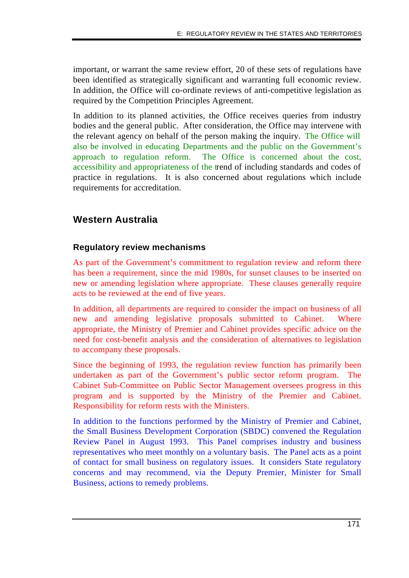important, or warrant the same review effort, 20 of these sets of regulations have been identified as strategically significant and warranting full economic review. In addition, the Office will co-ordinate reviews of anti-competitive legislation as required by the Competition Principles Agreement.

In addition to its planned activities, the Office receives queries from industry bodies and the general public. After consideration, the Office may intervene with the relevant agency on behalf of the person making the inquiry. The Office will also be involved in educating Departments and the public on the Government's approach to regulation reform. The Office is concerned about the cost, accessibility and appropriateness of the trend of including standards and codes of practice in regulations. It is also concerned about regulations which include requirements for accreditation.

## **Western Australia**

#### **Regulatory review mechanisms**

As part of the Government's commitment to regulation review and reform there has been a requirement, since the mid 1980s, for sunset clauses to be inserted on new or amending legislation where appropriate. These clauses generally require acts to be reviewed at the end of five years.

In addition, all departments are required to consider the impact on business of all new and amending legislative proposals submitted to Cabinet. Where appropriate, the Ministry of Premier and Cabinet provides specific advice on the need for cost-benefit analysis and the consideration of alternatives to legislation to accompany these proposals.

Since the beginning of 1993, the regulation review function has primarily been undertaken as part of the Government's public sector reform program. The Cabinet Sub-Committee on Public Sector Management oversees progress in this program and is supported by the Ministry of the Premier and Cabinet. Responsibility for reform rests with the Ministers.

In addition to the functions performed by the Ministry of Premier and Cabinet, the Small Business Development Corporation (SBDC) convened the Regulation Review Panel in August 1993. This Panel comprises industry and business representatives who meet monthly on a voluntary basis. The Panel acts as a point of contact for small business on regulatory issues. It considers State regulatory concerns and may recommend, via the Deputy Premier, Minister for Small Business, actions to remedy problems.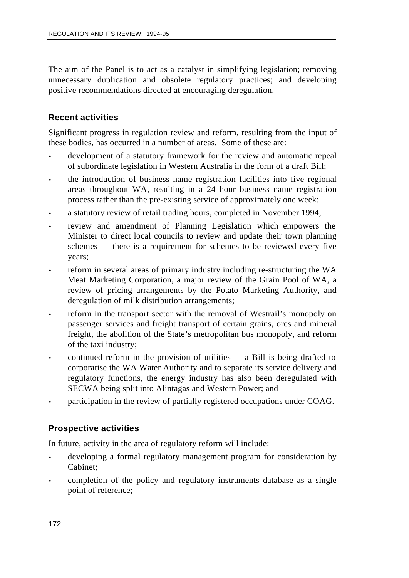The aim of the Panel is to act as a catalyst in simplifying legislation; removing unnecessary duplication and obsolete regulatory practices; and developing positive recommendations directed at encouraging deregulation.

#### **Recent activities**

Significant progress in regulation review and reform, resulting from the input of these bodies, has occurred in a number of areas. Some of these are:

- development of a statutory framework for the review and automatic repeal of subordinate legislation in Western Australia in the form of a draft Bill;
- the introduction of business name registration facilities into five regional areas throughout WA, resulting in a 24 hour business name registration process rather than the pre-existing service of approximately one week;
- a statutory review of retail trading hours, completed in November 1994;
- review and amendment of Planning Legislation which empowers the Minister to direct local councils to review and update their town planning schemes — there is a requirement for schemes to be reviewed every five years;
- reform in several areas of primary industry including re-structuring the WA Meat Marketing Corporation, a major review of the Grain Pool of WA, a review of pricing arrangements by the Potato Marketing Authority, and deregulation of milk distribution arrangements;
- reform in the transport sector with the removal of Westrail's monopoly on passenger services and freight transport of certain grains, ores and mineral freight, the abolition of the State's metropolitan bus monopoly, and reform of the taxi industry;
- continued reform in the provision of utilities  $-$  a Bill is being drafted to corporatise the WA Water Authority and to separate its service delivery and regulatory functions, the energy industry has also been deregulated with SECWA being split into Alintagas and Western Power; and
- participation in the review of partially registered occupations under COAG.

#### **Prospective activities**

In future, activity in the area of regulatory reform will include:

- developing a formal regulatory management program for consideration by Cabinet;
- completion of the policy and regulatory instruments database as a single point of reference;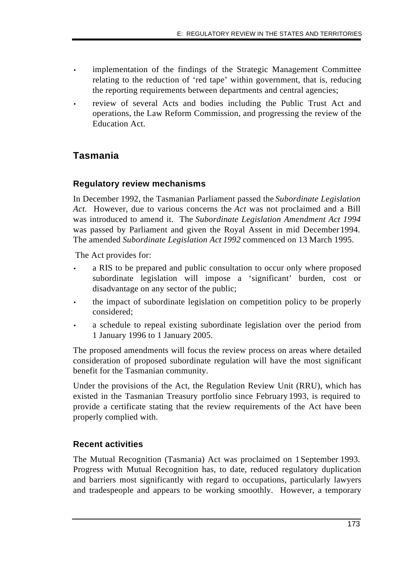- implementation of the findings of the Strategic Management Committee relating to the reduction of 'red tape' within government, that is, reducing the reporting requirements between departments and central agencies;
- review of several Acts and bodies including the Public Trust Act and operations, the Law Reform Commission, and progressing the review of the Education Act.

## **Tasmania**

## **Regulatory review mechanisms**

In December 1992, the Tasmanian Parliament passed the *Subordinate Legislation Act.* However, due to various concerns the *Act* was not proclaimed and a Bill was introduced to amend it. The *Subordinate Legislation Amendment Act 1994* was passed by Parliament and given the Royal Assent in mid December 1994. The amended *Subordinate Legislation Act 1992* commenced on 13 March 1995.

The Act provides for:

- a RIS to be prepared and public consultation to occur only where proposed subordinate legislation will impose a 'significant' burden, cost or disadvantage on any sector of the public;
- the impact of subordinate legislation on competition policy to be properly considered;
- a schedule to repeal existing subordinate legislation over the period from 1 January 1996 to 1 January 2005.

The proposed amendments will focus the review process on areas where detailed consideration of proposed subordinate regulation will have the most significant benefit for the Tasmanian community.

Under the provisions of the Act, the Regulation Review Unit (RRU), which has existed in the Tasmanian Treasury portfolio since February 1993, is required to provide a certificate stating that the review requirements of the Act have been properly complied with.

#### **Recent activities**

The Mutual Recognition (Tasmania) Act was proclaimed on 1 September 1993. Progress with Mutual Recognition has, to date, reduced regulatory duplication and barriers most significantly with regard to occupations, particularly lawyers and tradespeople and appears to be working smoothly. However, a temporary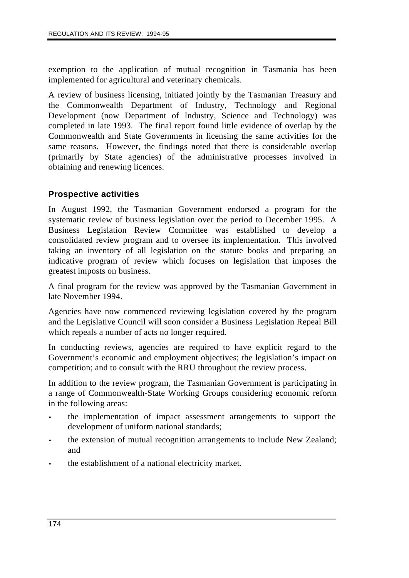exemption to the application of mutual recognition in Tasmania has been implemented for agricultural and veterinary chemicals.

A review of business licensing, initiated jointly by the Tasmanian Treasury and the Commonwealth Department of Industry, Technology and Regional Development (now Department of Industry, Science and Technology) was completed in late 1993. The final report found little evidence of overlap by the Commonwealth and State Governments in licensing the same activities for the same reasons. However, the findings noted that there is considerable overlap (primarily by State agencies) of the administrative processes involved in obtaining and renewing licences.

#### **Prospective activities**

In August 1992, the Tasmanian Government endorsed a program for the systematic review of business legislation over the period to December 1995. A Business Legislation Review Committee was established to develop a consolidated review program and to oversee its implementation. This involved taking an inventory of all legislation on the statute books and preparing an indicative program of review which focuses on legislation that imposes the greatest imposts on business.

A final program for the review was approved by the Tasmanian Government in late November 1994.

Agencies have now commenced reviewing legislation covered by the program and the Legislative Council will soon consider a Business Legislation Repeal Bill which repeals a number of acts no longer required.

In conducting reviews, agencies are required to have explicit regard to the Government's economic and employment objectives; the legislation's impact on competition; and to consult with the RRU throughout the review process.

In addition to the review program, the Tasmanian Government is participating in a range of Commonwealth-State Working Groups considering economic reform in the following areas:

- the implementation of impact assessment arrangements to support the development of uniform national standards;
- the extension of mutual recognition arrangements to include New Zealand; and
- the establishment of a national electricity market.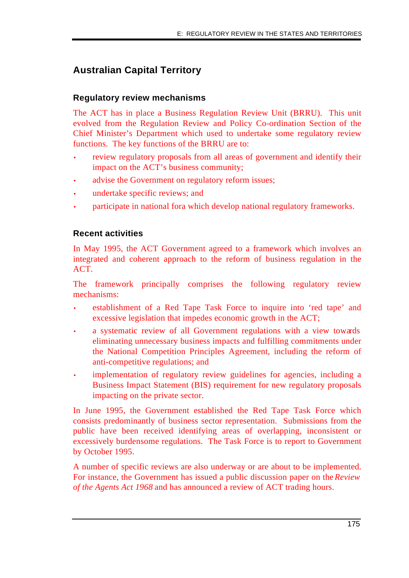## **Australian Capital Territory**

#### **Regulatory review mechanisms**

The ACT has in place a Business Regulation Review Unit (BRRU). This unit evolved from the Regulation Review and Policy Co-ordination Section of the Chief Minister's Department which used to undertake some regulatory review functions. The key functions of the BRRU are to:

- review regulatory proposals from all areas of government and identify their impact on the ACT's business community;
- advise the Government on regulatory reform issues;
- undertake specific reviews; and
- participate in national fora which develop national regulatory frameworks.

#### **Recent activities**

In May 1995, the ACT Government agreed to a framework which involves an integrated and coherent approach to the reform of business regulation in the ACT.

The framework principally comprises the following regulatory review mechanisms:

- establishment of a Red Tape Task Force to inquire into 'red tape' and excessive legislation that impedes economic growth in the ACT;
- a systematic review of all Government regulations with a view towards eliminating unnecessary business impacts and fulfilling commitments under the National Competition Principles Agreement, including the reform of anti-competitive regulations; and
- implementation of regulatory review guidelines for agencies, including a Business Impact Statement (BIS) requirement for new regulatory proposals impacting on the private sector.

In June 1995, the Government established the Red Tape Task Force which consists predominantly of business sector representation. Submissions from the public have been received identifying areas of overlapping, inconsistent or excessively burdensome regulations. The Task Force is to report to Government by October 1995.

A number of specific reviews are also underway or are about to be implemented. For instance, the Government has issued a public discussion paper on the *Review of the Agents Act 1968* and has announced a review of ACT trading hours.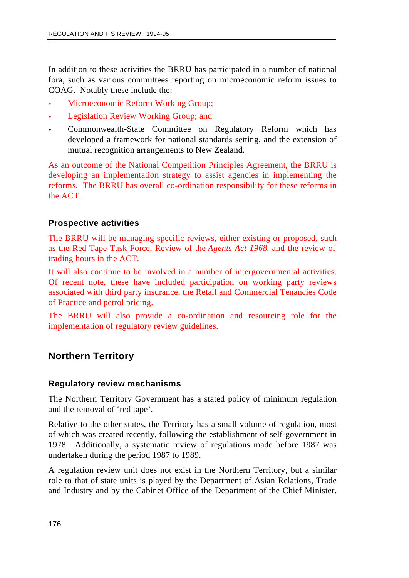In addition to these activities the BRRU has participated in a number of national fora, such as various committees reporting on microeconomic reform issues to COAG. Notably these include the:

- Microeconomic Reform Working Group;
- Legislation Review Working Group; and
- Commonwealth-State Committee on Regulatory Reform which has developed a framework for national standards setting, and the extension of mutual recognition arrangements to New Zealand.

As an outcome of the National Competition Principles Agreement, the BRRU is developing an implementation strategy to assist agencies in implementing the reforms. The BRRU has overall co-ordination responsibility for these reforms in the ACT.

#### **Prospective activities**

The BRRU will be managing specific reviews, either existing or proposed, such as the Red Tape Task Force, Review of the *Agents Act 1968*, and the review of trading hours in the ACT.

It will also continue to be involved in a number of intergovernmental activities. Of recent note, these have included participation on working party reviews associated with third party insurance, the Retail and Commercial Tenancies Code of Practice and petrol pricing.

The BRRU will also provide a co-ordination and resourcing role for the implementation of regulatory review guidelines.

## **Northern Territory**

#### **Regulatory review mechanisms**

The Northern Territory Government has a stated policy of minimum regulation and the removal of 'red tape'.

Relative to the other states, the Territory has a small volume of regulation, most of which was created recently, following the establishment of self-government in 1978. Additionally, a systematic review of regulations made before 1987 was undertaken during the period 1987 to 1989.

A regulation review unit does not exist in the Northern Territory, but a similar role to that of state units is played by the Department of Asian Relations, Trade and Industry and by the Cabinet Office of the Department of the Chief Minister.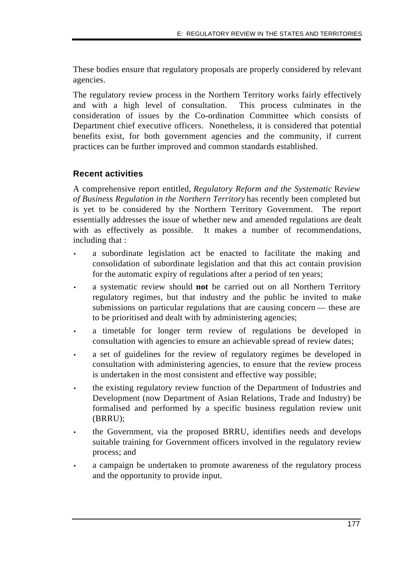These bodies ensure that regulatory proposals are properly considered by relevant agencies.

The regulatory review process in the Northern Territory works fairly effectively and with a high level of consultation. This process culminates in the consideration of issues by the Co-ordination Committee which consists of Department chief executive officers. Nonetheless, it is considered that potential benefits exist, for both government agencies and the community, if current practices can be further improved and common standards established.

#### **Recent activities**

A comprehensive report entitled, *Regulatory Reform and the Systematic* R*eview of Business Regulation in the Northern Territory* has recently been completed but is yet to be considered by the Northern Territory Government. The report essentially addresses the issue of whether new and amended regulations are dealt with as effectively as possible. It makes a number of recommendations, including that :

- a subordinate legislation act be enacted to facilitate the making and consolidation of subordinate legislation and that this act contain provision for the automatic expiry of regulations after a period of ten years;
- a systematic review should **not** be carried out on all Northern Territory regulatory regimes, but that industry and the public be invited to make submissions on particular regulations that are causing concern — these are to be prioritised and dealt with by administering agencies;
- a timetable for longer term review of regulations be developed in consultation with agencies to ensure an achievable spread of review dates;
- a set of guidelines for the review of regulatory regimes be developed in consultation with administering agencies, to ensure that the review process is undertaken in the most consistent and effective way possible;
- the existing regulatory review function of the Department of Industries and Development (now Department of Asian Relations, Trade and Industry) be formalised and performed by a specific business regulation review unit (BRRU);
- the Government, via the proposed BRRU, identifies needs and develops suitable training for Government officers involved in the regulatory review process; and
- a campaign be undertaken to promote awareness of the regulatory process and the opportunity to provide input.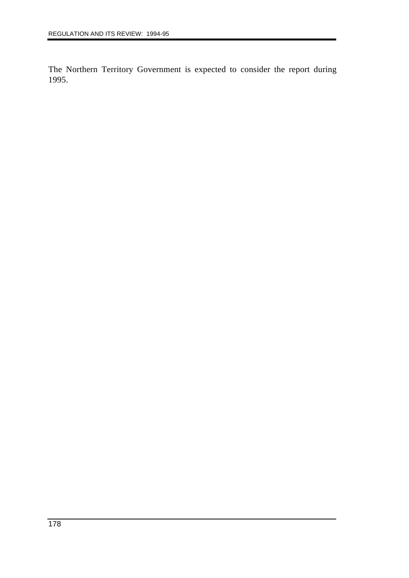The Northern Territory Government is expected to consider the report during 1995.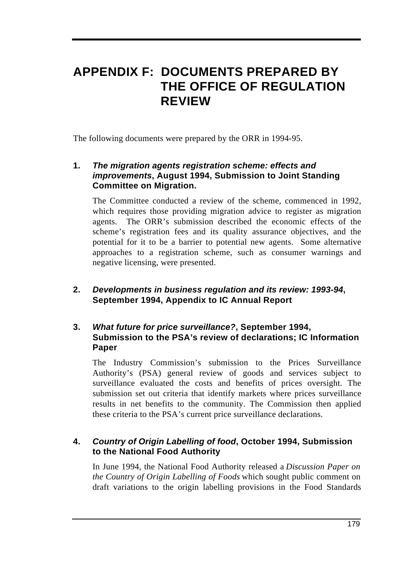## **APPENDIX F: DOCUMENTS PREPARED BY THE OFFICE OF REGULATION REVIEW**

The following documents were prepared by the ORR in 1994-95.

## **1.** *The migration agents registration scheme: effects and improvements***, August 1994, Submission to Joint Standing Committee on Migration.**

The Committee conducted a review of the scheme, commenced in 1992, which requires those providing migration advice to register as migration agents. The ORR's submission described the economic effects of the scheme's registration fees and its quality assurance objectives, and the potential for it to be a barrier to potential new agents. Some alternative approaches to a registration scheme, such as consumer warnings and negative licensing, were presented.

## **2.** *Developments in business regulation and its review: 1993-94***, September 1994, Appendix to IC Annual Report**

#### **3.** *What future for price surveillance?***, September 1994, Submission to the PSA's review of declarations; IC Information Paper**

The Industry Commission's submission to the Prices Surveillance Authority's (PSA) general review of goods and services subject to surveillance evaluated the costs and benefits of prices oversight. The submission set out criteria that identify markets where prices surveillance results in net benefits to the community. The Commission then applied these criteria to the PSA's current price surveillance declarations.

## **4.** *Country of Origin Labelling of food***, October 1994, Submission to the National Food Authority**

In June 1994, the National Food Authority released a *Discussion Paper on the Country of Origin Labelling of Foods* which sought public comment on draft variations to the origin labelling provisions in the Food Standards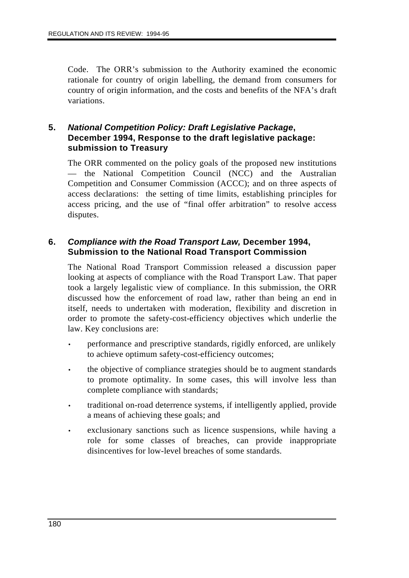Code. The ORR's submission to the Authority examined the economic rationale for country of origin labelling, the demand from consumers for country of origin information, and the costs and benefits of the NFA's draft variations.

#### **5.** *National Competition Policy: Draft Legislative Package***, December 1994, Response to the draft legislative package: submission to Treasury**

The ORR commented on the policy goals of the proposed new institutions — the National Competition Council (NCC) and the Australian Competition and Consumer Commission (ACCC); and on three aspects of access declarations: the setting of time limits, establishing principles for access pricing, and the use of "final offer arbitration" to resolve access disputes.

### **6.** *Compliance with the Road Transport Law,* **December 1994, Submission to the National Road Transport Commission**

The National Road Transport Commission released a discussion paper looking at aspects of compliance with the Road Transport Law. That paper took a largely legalistic view of compliance. In this submission, the ORR discussed how the enforcement of road law, rather than being an end in itself, needs to undertaken with moderation, flexibility and discretion in order to promote the safety-cost-efficiency objectives which underlie the law. Key conclusions are:

- performance and prescriptive standards, rigidly enforced, are unlikely to achieve optimum safety-cost-efficiency outcomes;
- the objective of compliance strategies should be to augment standards to promote optimality. In some cases, this will involve less than complete compliance with standards;
- traditional on-road deterrence systems, if intelligently applied, provide a means of achieving these goals; and
- exclusionary sanctions such as licence suspensions, while having a role for some classes of breaches, can provide inappropriate disincentives for low-level breaches of some standards.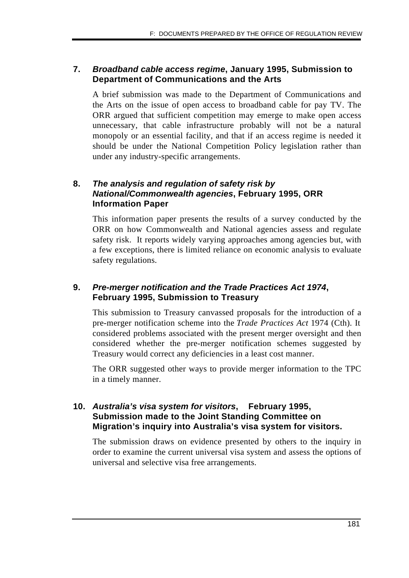## **7.** *Broadband cable access regime***, January 1995, Submission to Department of Communications and the Arts**

A brief submission was made to the Department of Communications and the Arts on the issue of open access to broadband cable for pay TV. The ORR argued that sufficient competition may emerge to make open access unnecessary, that cable infrastructure probably will not be a natural monopoly or an essential facility, and that if an access regime is needed it should be under the National Competition Policy legislation rather than under any industry-specific arrangements.

## **8.** *The analysis and regulation of safety risk by National/Commonwealth agencies***, February 1995, ORR Information Paper**

This information paper presents the results of a survey conducted by the ORR on how Commonwealth and National agencies assess and regulate safety risk. It reports widely varying approaches among agencies but, with a few exceptions, there is limited reliance on economic analysis to evaluate safety regulations.

## **9.** *Pre-merger notification and the Trade Practices Act 1974***, February 1995, Submission to Treasury**

This submission to Treasury canvassed proposals for the introduction of a pre-merger notification scheme into the *Trade Practices Act* 1974 (Cth). It considered problems associated with the present merger oversight and then considered whether the pre-merger notification schemes suggested by Treasury would correct any deficiencies in a least cost manner.

The ORR suggested other ways to provide merger information to the TPC in a timely manner.

## **10.** *Australia's visa system for visitors***, February 1995, Submission made to the Joint Standing Committee on Migration's inquiry into Australia's visa system for visitors.**

The submission draws on evidence presented by others to the inquiry in order to examine the current universal visa system and assess the options of universal and selective visa free arrangements.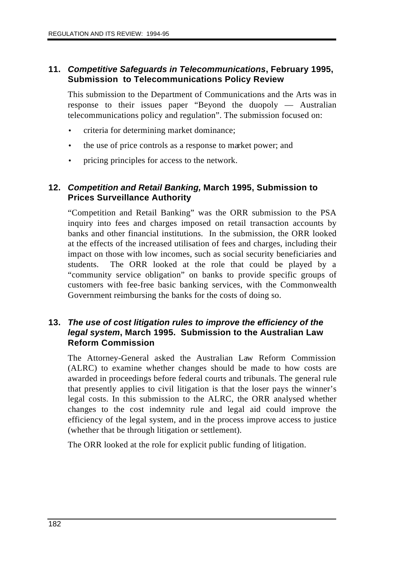#### **11.** *Competitive Safeguards in Telecommunications***, February 1995, Submission to Telecommunications Policy Review**

This submission to the Department of Communications and the Arts was in response to their issues paper "Beyond the duopoly — Australian telecommunications policy and regulation". The submission focused on:

- criteria for determining market dominance;
- the use of price controls as a response to market power; and
- pricing principles for access to the network.

### **12.** *Competition and Retail Banking,* **March 1995, Submission to Prices Surveillance Authority**

"Competition and Retail Banking" was the ORR submission to the PSA inquiry into fees and charges imposed on retail transaction accounts by banks and other financial institutions. In the submission, the ORR looked at the effects of the increased utilisation of fees and charges, including their impact on those with low incomes, such as social security beneficiaries and students. The ORR looked at the role that could be played by a "community service obligation" on banks to provide specific groups of customers with fee-free basic banking services, with the Commonwealth Government reimbursing the banks for the costs of doing so.

## **13.** *The use of cost litigation rules to improve the efficiency of the legal system***, March 1995. Submission to the Australian Law Reform Commission**

The Attorney-General asked the Australian Law Reform Commission (ALRC) to examine whether changes should be made to how costs are awarded in proceedings before federal courts and tribunals. The general rule that presently applies to civil litigation is that the loser pays the winner's legal costs. In this submission to the ALRC, the ORR analysed whether changes to the cost indemnity rule and legal aid could improve the efficiency of the legal system, and in the process improve access to justice (whether that be through litigation or settlement).

The ORR looked at the role for explicit public funding of litigation.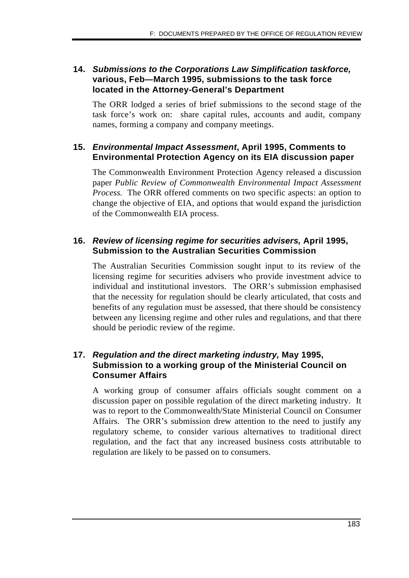## **14.** *Submissions to the Corporations Law Simplification taskforce,* **various, Feb—March 1995, submissions to the task force located in the Attorney-General's Department**

The ORR lodged a series of brief submissions to the second stage of the task force's work on: share capital rules, accounts and audit, company names, forming a company and company meetings.

## **15.** *Environmental Impact Assessment***, April 1995, Comments to Environmental Protection Agency on its EIA discussion paper**

The Commonwealth Environment Protection Agency released a discussion paper *Public Review of Commonwealth Environmental Impact Assessment Process.* The ORR offered comments on two specific aspects: an option to change the objective of EIA, and options that would expand the jurisdiction of the Commonwealth EIA process.

## **16.** *Review of licensing regime for securities advisers,* **April 1995, Submission to the Australian Securities Commission**

The Australian Securities Commission sought input to its review of the licensing regime for securities advisers who provide investment advice to individual and institutional investors. The ORR's submission emphasised that the necessity for regulation should be clearly articulated, that costs and benefits of any regulation must be assessed, that there should be consistency between any licensing regime and other rules and regulations, and that there should be periodic review of the regime.

## **17.** *Regulation and the direct marketing industry,* **May 1995, Submission to a working group of the Ministerial Council on Consumer Affairs**

A working group of consumer affairs officials sought comment on a discussion paper on possible regulation of the direct marketing industry. It was to report to the Commonwealth/State Ministerial Council on Consumer Affairs. The ORR's submission drew attention to the need to justify any regulatory scheme, to consider various alternatives to traditional direct regulation, and the fact that any increased business costs attributable to regulation are likely to be passed on to consumers.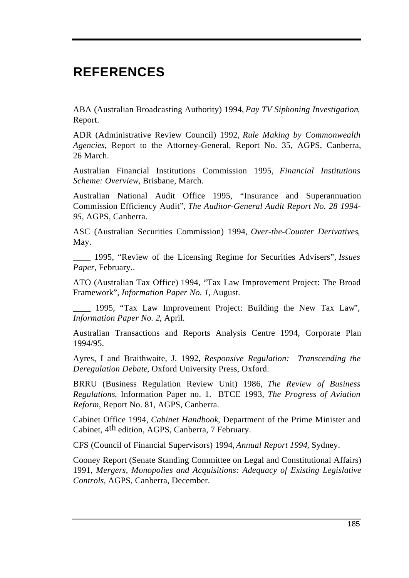# **REFERENCES**

ABA (Australian Broadcasting Authority) 1994, *Pay TV Siphoning Investigation*, Report.

ADR (Administrative Review Council) 1992, *Rule Making by Commonwealth Agencies*, Report to the Attorney-General, Report No. 35, AGPS, Canberra, 26 March.

Australian Financial Institutions Commission 1995, *Financial Institutions Scheme: Overview*, Brisbane, March.

Australian National Audit Office 1995, "Insurance and Superannuation Commission Efficiency Audit", *The Auditor-General Audit Report No. 28 1994- 95*, AGPS, Canberra.

ASC (Australian Securities Commission) 1994, *Over-the-Counter Derivatives*, May.

\_\_\_\_ 1995, "Review of the Licensing Regime for Securities Advisers", *Issues Paper*, February..

ATO (Australian Tax Office) 1994, "Tax Law Improvement Project: The Broad Framework", *Information Paper No. 1*, August.

\_\_\_\_ 1995, "Tax Law Improvement Project: Building the New Tax Law", *Information Paper No. 2*, April.

Australian Transactions and Reports Analysis Centre 1994, Corporate Plan 1994/95.

Ayres, I and Braithwaite, J. 1992, *Responsive Regulation: Transcending the Deregulation Debate*, Oxford University Press, Oxford.

BRRU (Business Regulation Review Unit) 1986, *The Review of Business Regulations*, Information Paper no. 1. BTCE 1993, *The Progress of Aviation Reform*, Report No. 81, AGPS, Canberra.

Cabinet Office 1994, *Cabinet Handbook*, Department of the Prime Minister and Cabinet, 4th edition, AGPS, Canberra, 7 February.

CFS (Council of Financial Supervisors) 1994, *Annual Report 1994*, Sydney.

Cooney Report (Senate Standing Committee on Legal and Constitutional Affairs) 1991, *Mergers, Monopolies and Acquisitions: Adequacy of Existing Legislative Controls*, AGPS, Canberra, December.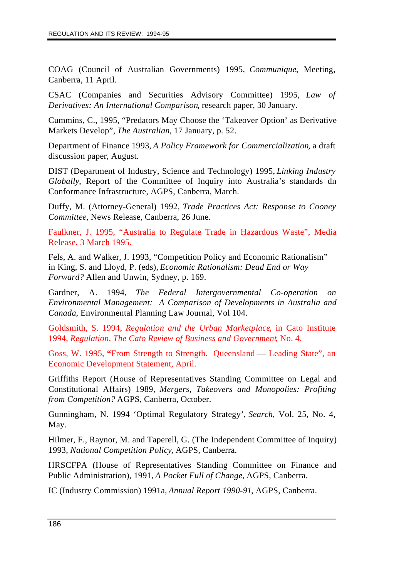COAG (Council of Australian Governments) 1995, *Communique*, Meeting, Canberra, 11 April.

CSAC (Companies and Securities Advisory Committee) 1995, *Law of Derivatives: An International Comparison*, research paper, 30 January.

Cummins, C., 1995, "Predators May Choose the 'Takeover Option' as Derivative Markets Develop", *The Australian*, 17 January, p. 52.

Department of Finance 1993, *A Policy Framework for Commercialization*, a draft discussion paper, August.

DIST (Department of Industry, Science and Technology) 1995, *Linking Industry Globally*, Report of the Committee of Inquiry into Australia's standards dn Conformance Infrastructure, AGPS, Canberra, March.

Duffy, M. (Attorney-General) 1992, *Trade Practices Act: Response to Cooney Committee*, News Release, Canberra, 26 June.

Faulkner, J. 1995, "Australia to Regulate Trade in Hazardous Waste", Media Release, 3 March 1995.

Fels, A. and Walker, J. 1993, "Competition Policy and Economic Rationalism" in King, S. and Lloyd, P. (eds), *Economic Rationalism: Dead End or Way Forward?* Allen and Unwin, Sydney, p. 169.

Gardner, A. 1994, *The Federal Intergovernmental Co-operation on Environmental Management: A Comparison of Developments in Australia and Canada*, Environmental Planning Law Journal, Vol 104.

Goldsmith, S. 1994, *Regulation and the Urban Marketplace*, in Cato Institute 1994, *Regulation, The Cato Review of Business and Government*, No. 4.

Goss, W. 1995, **"**From Strength to Strength. Queensland — Leading State", an Economic Development Statement, April.

Griffiths Report (House of Representatives Standing Committee on Legal and Constitutional Affairs) 1989, *Mergers, Takeovers and Monopolies: Profiting from Competition?* AGPS, Canberra, October.

Gunningham, N. 1994 'Optimal Regulatory Strategy', *Search*, Vol. 25, No. 4, May.

Hilmer, F., Raynor, M. and Taperell, G. (The Independent Committee of Inquiry) 1993, *National Competition Policy*, AGPS, Canberra.

HRSCFPA (House of Representatives Standing Committee on Finance and Public Administration), 1991, *A Pocket Full of Change,* AGPS, Canberra.

IC (Industry Commission) 1991a, *Annual Report 1990-91*, AGPS, Canberra.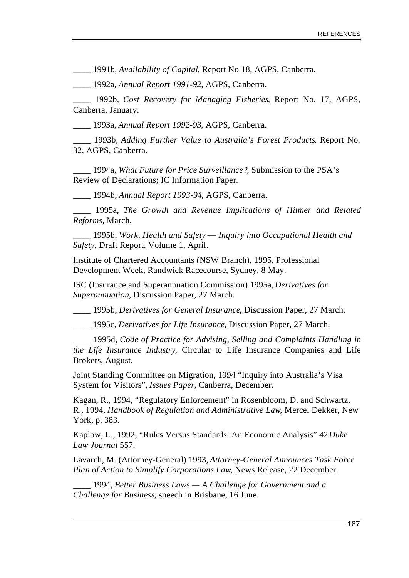\_\_\_\_ 1991b, *Availability of Capital*, Report No 18, AGPS, Canberra.

\_\_\_\_ 1992a, *Annual Report 1991-92*, AGPS, Canberra.

\_\_\_\_ 1992b, *Cost Recovery for Managing Fisheries*, Report No. 17, AGPS, Canberra, January.

\_\_\_\_ 1993a, *Annual Report 1992-93*, AGPS, Canberra.

\_\_\_\_ 1993b, *Adding Further Value to Australia's Forest Products*, Report No. 32, AGPS, Canberra.

\_\_\_\_ 1994a, *What Future for Price Surveillance?*, Submission to the PSA's Review of Declarations; IC Information Paper.

\_\_\_\_ 1994b, *Annual Report 1993-94*, AGPS, Canberra.

\_\_\_\_ 1995a, *The Growth and Revenue Implications of Hilmer and Related Reforms*, March.

\_\_\_\_ 1995b, *Work, Health and Safety* — *Inquiry into Occupational Health and Safety*, Draft Report, Volume 1, April.

Institute of Chartered Accountants (NSW Branch), 1995, Professional Development Week, Randwick Racecourse, Sydney, 8 May.

ISC (Insurance and Superannuation Commission) 1995a, *Derivatives for Superannuation*, Discussion Paper, 27 March.

\_\_\_\_ 1995b, *Derivatives for General Insurance*, Discussion Paper, 27 March.

\_\_\_\_ 1995c, *Derivatives for Life Insurance*, Discussion Paper, 27 March.

\_\_\_\_ 1995d, *Code of Practice for Advising, Selling and Complaints Handling in the Life Insurance Industry*, Circular to Life Insurance Companies and Life Brokers, August.

Joint Standing Committee on Migration, 1994 "Inquiry into Australia's Visa System for Visitors", *Issues Paper*, Canberra, December.

Kagan, R., 1994, "Regulatory Enforcement" in Rosenbloom, D. and Schwartz, R., 1994, *Handbook of Regulation and Administrative Law*, Mercel Dekker, New York, p. 383.

Kaplow, L., 1992, "Rules Versus Standards: An Economic Analysis" 42 *Duke Law Journal* 557.

Lavarch, M. (Attorney-General) 1993, *Attorney-General Announces Task Force Plan of Action to Simplify Corporations Law*, News Release, 22 December.

\_\_\_\_ 1994, *Better Business Laws — A Challenge for Government and a Challenge for Business*, speech in Brisbane, 16 June.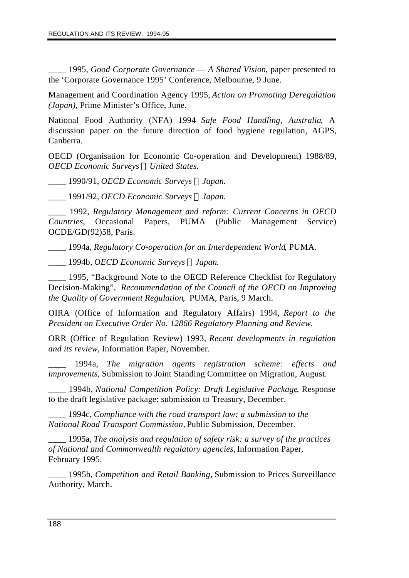\_\_\_\_ 1995, *Good Corporate Governance* — *A Shared Vision*, paper presented to the 'Corporate Governance 1995' Conference, Melbourne, 9 June.

Management and Coordination Agency 1995, *Action on Promoting Deregulation (Japan)*, Prime Minister's Office, June.

National Food Authority (NFA) 1994 *Safe Food Handling, Australia*, A discussion paper on the future direction of food hygiene regulation, AGPS, Canberra.

OECD (Organisation for Economic Co-operation and Development) 1988/89, *OECD Economic Surveys ¾United States.*

\_\_\_\_ 1990/91, *OECD Economic Surveys ¾Japan.*

\_\_\_\_ 1991/92, *OECD Economic Surveys ¾Japan.*

\_\_\_\_ 1992, *Regulatory Management and reform: Current Concerns in OECD Countries*, Occasional Papers, PUMA (Public Management Service) OCDE/GD(92)58, Paris.

\_\_\_\_ 1994a, *Regulatory Co-operation for an Interdependent World*, PUMA.

\_\_\_\_ 1994b, *OECD Economic Surveys ¾Japan.*

1995, "Background Note to the OECD Reference Checklist for Regulatory Decision-Making", *Recommendation of the Council of the OECD on Improving the Quality of Government Regulation*, PUMA, Paris, 9 March.

OIRA (Office of Information and Regulatory Affairs) 1994, *Report to the President on Executive Order No. 12866 Regulatory Planning and Review.*

ORR (Office of Regulation Review) 1993, *Recent developments in regulation and its review*, Information Paper, November.

\_\_\_\_ 1994a, *The migration agents registration scheme: effects and improvements*, Submission to Joint Standing Committee on Migration, August.

\_\_\_\_ 1994b, *National Competition Policy: Draft Legislative Package*, Response to the draft legislative package: submission to Treasury, December.

\_\_\_\_ 1994c, *Compliance with the road transport law: a submission to the National Road Transport Commission,* Public Submission, December.

\_\_\_\_ 1995a, *The analysis and regulation of safety risk: a survey of the practices of National and Commonwealth regulatory agencies,* Information Paper, February 1995.

\_\_\_\_ 1995b, *Competition and Retail Banking,* Submission to Prices Surveillance Authority, March.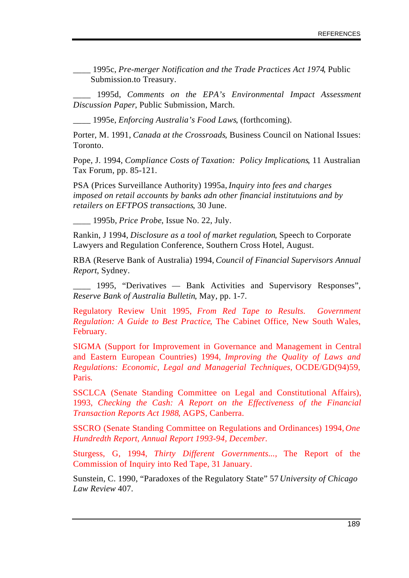\_\_\_\_ 1995c, *Pre-merger Notification and the Trade Practices Act 1974*, Public Submission.to Treasury.

\_\_\_\_ 1995d, *Comments on the EPA's Environmental Impact Assessment Discussion Paper*, Public Submission, March.

\_\_\_\_ 1995e, *Enforcing Australia's Food Laws*, (forthcoming).

Porter, M. 1991, *Canada at the Crossroads*, Business Council on National Issues: Toronto.

Pope, J. 1994, *Compliance Costs of Taxation: Policy Implications*, 11 Australian Tax Forum, pp. 85-121.

PSA (Prices Surveillance Authority) 1995a, *Inquiry into fees and charges imposed on retail accounts by banks adn other financial institutuions and by retailers on EFTPOS transactions*, 30 June.

\_\_\_\_ 1995b, *Price Probe*, Issue No. 22, July.

Rankin, J 1994, *Disclosure as a tool of market regulation*, Speech to Corporate Lawyers and Regulation Conference, Southern Cross Hotel, August.

RBA (Reserve Bank of Australia) 1994, *Council of Financial Supervisors Annual Report*, Sydney.

\_\_\_\_ 1995, "Derivatives — Bank Activities and Supervisory Responses", *Reserve Bank of Australia Bulletin*, May, pp. 1-7.

Regulatory Review Unit 1995, *From Red Tape to Results. Government Regulation: A Guide to Best Practice*, The Cabinet Office, New South Wales, February.

SIGMA (Support for Improvement in Governance and Management in Central and Eastern European Countries) 1994, *Improving the Quality of Laws and Regulations: Economic, Legal and Managerial Techniques,* OCDE/GD(94)59, Paris*.*

SSCLCA (Senate Standing Committee on Legal and Constitutional Affairs), 1993, *Checking the Cash: A Report on the Effectiveness of the Financial Transaction Reports Act 1988*, AGPS, Canberra.

SSCRO (Senate Standing Committee on Regulations and Ordinances) 1994, *One Hundredth Report, Annual Report 1993-94, December.*

Sturgess, G, 1994, *Thirty Different Governments...,* The Report of the Commission of Inquiry into Red Tape, 31 January.

Sunstein, C. 1990, "Paradoxes of the Regulatory State" 57 *University of Chicago Law Review* 407.